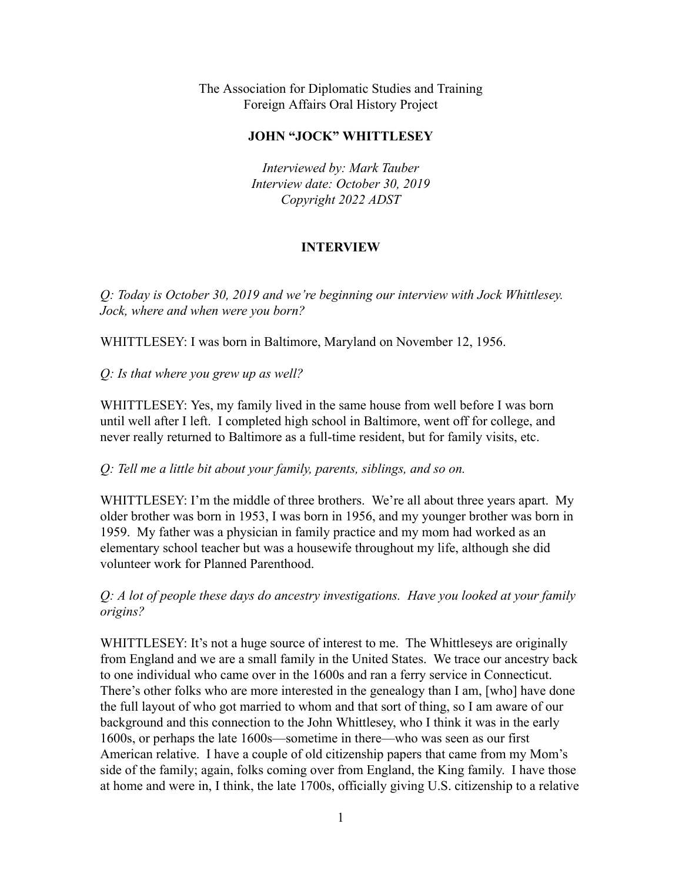The Association for Diplomatic Studies and Training Foreign Affairs Oral History Project

## **JOHN "JOCK" WHITTLESEY**

*Interviewed by: Mark Tauber Interview date: October 30, 2019 Copyright 2022 ADST*

## **INTERVIEW**

*Q: Today is October 30, 2019 and we're beginning our interview with Jock Whittlesey. Jock, where and when were you born?*

WHITTLESEY: I was born in Baltimore, Maryland on November 12, 1956.

*Q: Is that where you grew up as well?*

WHITTLESEY: Yes, my family lived in the same house from well before I was born until well after I left. I completed high school in Baltimore, went off for college, and never really returned to Baltimore as a full-time resident, but for family visits, etc.

*Q: Tell me a little bit about your family, parents, siblings, and so on.*

WHITTLESEY: I'm the middle of three brothers. We're all about three years apart. My older brother was born in 1953, I was born in 1956, and my younger brother was born in 1959. My father was a physician in family practice and my mom had worked as an elementary school teacher but was a housewife throughout my life, although she did volunteer work for Planned Parenthood.

# *Q: A lot of people these days do ancestry investigations. Have you looked at your family origins?*

WHITTLESEY: It's not a huge source of interest to me. The Whittleseys are originally from England and we are a small family in the United States. We trace our ancestry back to one individual who came over in the 1600s and ran a ferry service in Connecticut. There's other folks who are more interested in the genealogy than I am, [who] have done the full layout of who got married to whom and that sort of thing, so I am aware of our background and this connection to the John Whittlesey, who I think it was in the early 1600s, or perhaps the late 1600s—sometime in there—who was seen as our first American relative. I have a couple of old citizenship papers that came from my Mom's side of the family; again, folks coming over from England, the King family. I have those at home and were in, I think, the late 1700s, officially giving U.S. citizenship to a relative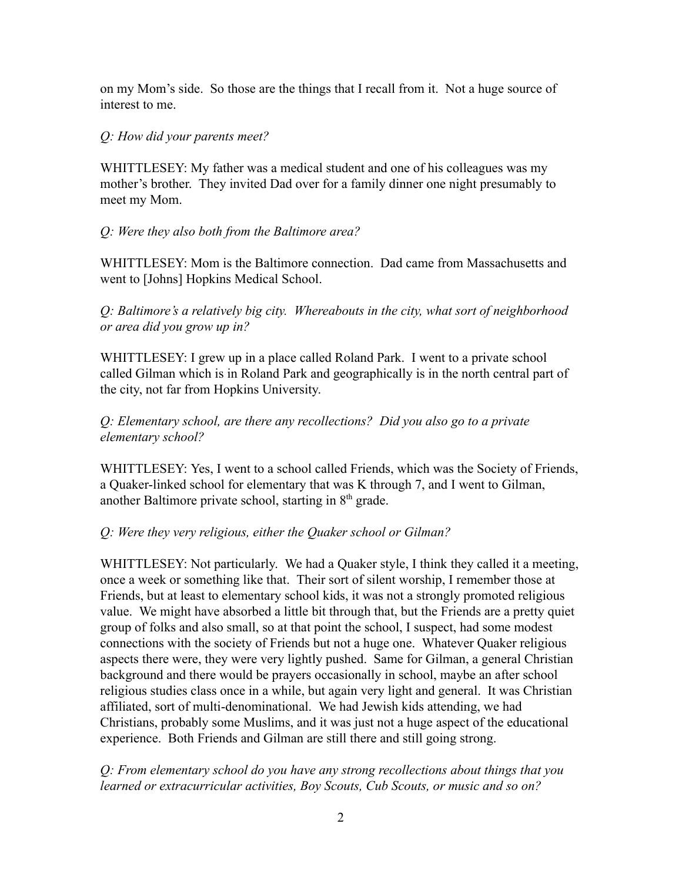on my Mom's side. So those are the things that I recall from it. Not a huge source of interest to me.

# *Q: How did your parents meet?*

WHITTLESEY: My father was a medical student and one of his colleagues was my mother's brother. They invited Dad over for a family dinner one night presumably to meet my Mom.

# *Q: Were they also both from the Baltimore area?*

WHITTLESEY: Mom is the Baltimore connection. Dad came from Massachusetts and went to [Johns] Hopkins Medical School.

*Q: Baltimore's a relatively big city. Whereabouts in the city, what sort of neighborhood or area did you grow up in?*

WHITTLESEY: I grew up in a place called Roland Park. I went to a private school called Gilman which is in Roland Park and geographically is in the north central part of the city, not far from Hopkins University.

# *Q: Elementary school, are there any recollections? Did you also go to a private elementary school?*

WHITTLESEY: Yes, I went to a school called Friends, which was the Society of Friends, a Quaker-linked school for elementary that was K through 7, and I went to Gilman, another Baltimore private school, starting in  $8<sup>th</sup>$  grade.

# *Q: Were they very religious, either the Quaker school or Gilman?*

WHITTLESEY: Not particularly. We had a Quaker style, I think they called it a meeting, once a week or something like that. Their sort of silent worship, I remember those at Friends, but at least to elementary school kids, it was not a strongly promoted religious value. We might have absorbed a little bit through that, but the Friends are a pretty quiet group of folks and also small, so at that point the school, I suspect, had some modest connections with the society of Friends but not a huge one. Whatever Quaker religious aspects there were, they were very lightly pushed. Same for Gilman, a general Christian background and there would be prayers occasionally in school, maybe an after school religious studies class once in a while, but again very light and general. It was Christian affiliated, sort of multi-denominational. We had Jewish kids attending, we had Christians, probably some Muslims, and it was just not a huge aspect of the educational experience. Both Friends and Gilman are still there and still going strong.

# *Q: From elementary school do you have any strong recollections about things that you learned or extracurricular activities, Boy Scouts, Cub Scouts, or music and so on?*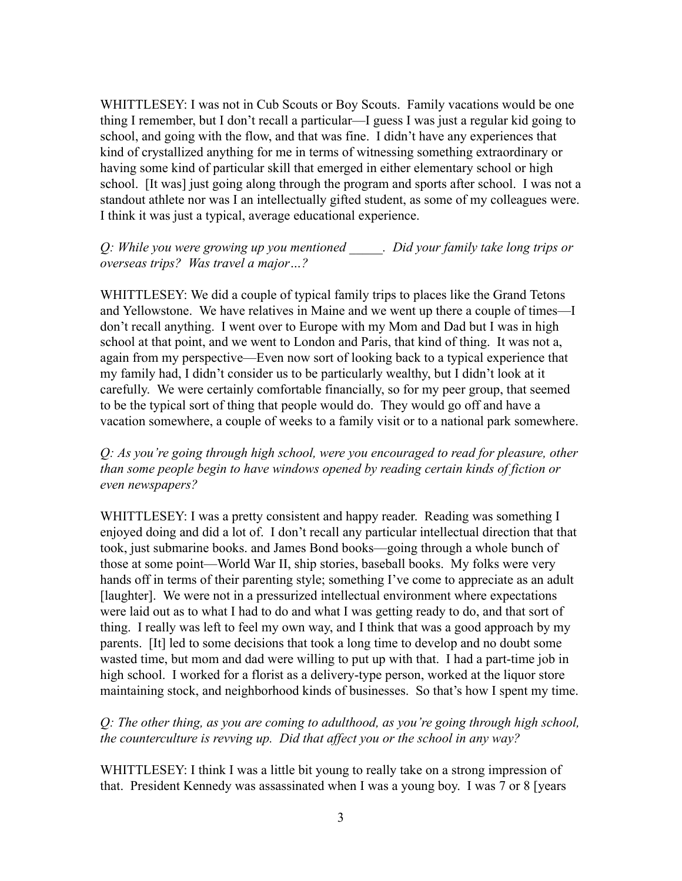WHITTLESEY: I was not in Cub Scouts or Boy Scouts. Family vacations would be one thing I remember, but I don't recall a particular—I guess I was just a regular kid going to school, and going with the flow, and that was fine. I didn't have any experiences that kind of crystallized anything for me in terms of witnessing something extraordinary or having some kind of particular skill that emerged in either elementary school or high school. [It was] just going along through the program and sports after school. I was not a standout athlete nor was I an intellectually gifted student, as some of my colleagues were. I think it was just a typical, average educational experience.

## *Q: While you were growing up you mentioned \_\_\_\_\_. Did your family take long trips or overseas trips? Was travel a major…?*

WHITTLESEY: We did a couple of typical family trips to places like the Grand Tetons and Yellowstone. We have relatives in Maine and we went up there a couple of times—I don't recall anything. I went over to Europe with my Mom and Dad but I was in high school at that point, and we went to London and Paris, that kind of thing. It was not a, again from my perspective—Even now sort of looking back to a typical experience that my family had, I didn't consider us to be particularly wealthy, but I didn't look at it carefully. We were certainly comfortable financially, so for my peer group, that seemed to be the typical sort of thing that people would do. They would go off and have a vacation somewhere, a couple of weeks to a family visit or to a national park somewhere.

*Q: As you're going through high school, were you encouraged to read for pleasure, other than some people begin to have windows opened by reading certain kinds of fiction or even newspapers?*

WHITTLESEY: I was a pretty consistent and happy reader. Reading was something I enjoyed doing and did a lot of. I don't recall any particular intellectual direction that that took, just submarine books. and James Bond books—going through a whole bunch of those at some point—World War II, ship stories, baseball books. My folks were very hands off in terms of their parenting style; something I've come to appreciate as an adult [laughter]. We were not in a pressurized intellectual environment where expectations were laid out as to what I had to do and what I was getting ready to do, and that sort of thing. I really was left to feel my own way, and I think that was a good approach by my parents. [It] led to some decisions that took a long time to develop and no doubt some wasted time, but mom and dad were willing to put up with that. I had a part-time job in high school. I worked for a florist as a delivery-type person, worked at the liquor store maintaining stock, and neighborhood kinds of businesses. So that's how I spent my time.

*Q: The other thing, as you are coming to adulthood, as you're going through high school, the counterculture is revving up. Did that affect you or the school in any way?*

WHITTLESEY: I think I was a little bit young to really take on a strong impression of that. President Kennedy was assassinated when I was a young boy. I was 7 or 8 [years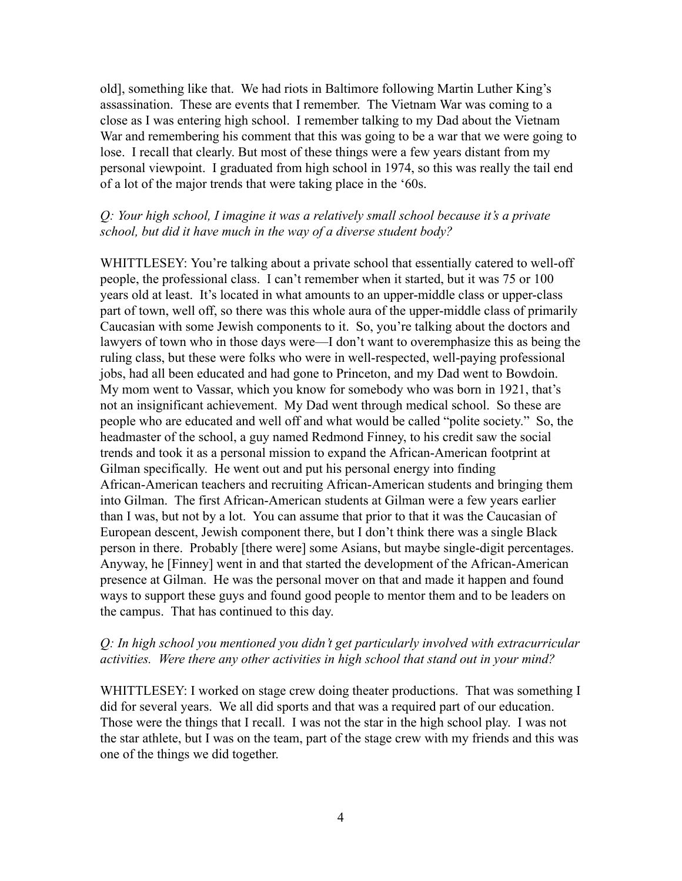old], something like that. We had riots in Baltimore following Martin Luther King's assassination. These are events that I remember. The Vietnam War was coming to a close as I was entering high school. I remember talking to my Dad about the Vietnam War and remembering his comment that this was going to be a war that we were going to lose. I recall that clearly. But most of these things were a few years distant from my personal viewpoint. I graduated from high school in 1974, so this was really the tail end of a lot of the major trends that were taking place in the '60s.

## *Q: Your high school, I imagine it was a relatively small school because it's a private school, but did it have much in the way of a diverse student body?*

WHITTLESEY: You're talking about a private school that essentially catered to well-off people, the professional class. I can't remember when it started, but it was 75 or 100 years old at least. It's located in what amounts to an upper-middle class or upper-class part of town, well off, so there was this whole aura of the upper-middle class of primarily Caucasian with some Jewish components to it. So, you're talking about the doctors and lawyers of town who in those days were—I don't want to overemphasize this as being the ruling class, but these were folks who were in well-respected, well-paying professional jobs, had all been educated and had gone to Princeton, and my Dad went to Bowdoin. My mom went to Vassar, which you know for somebody who was born in 1921, that's not an insignificant achievement. My Dad went through medical school. So these are people who are educated and well off and what would be called "polite society." So, the headmaster of the school, a guy named Redmond Finney, to his credit saw the social trends and took it as a personal mission to expand the African-American footprint at Gilman specifically. He went out and put his personal energy into finding African-American teachers and recruiting African-American students and bringing them into Gilman. The first African-American students at Gilman were a few years earlier than I was, but not by a lot. You can assume that prior to that it was the Caucasian of European descent, Jewish component there, but I don't think there was a single Black person in there. Probably [there were] some Asians, but maybe single-digit percentages. Anyway, he [Finney] went in and that started the development of the African-American presence at Gilman. He was the personal mover on that and made it happen and found ways to support these guys and found good people to mentor them and to be leaders on the campus. That has continued to this day.

#### *Q: In high school you mentioned you didn't get particularly involved with extracurricular activities. Were there any other activities in high school that stand out in your mind?*

WHITTLESEY: I worked on stage crew doing theater productions. That was something I did for several years. We all did sports and that was a required part of our education. Those were the things that I recall. I was not the star in the high school play. I was not the star athlete, but I was on the team, part of the stage crew with my friends and this was one of the things we did together.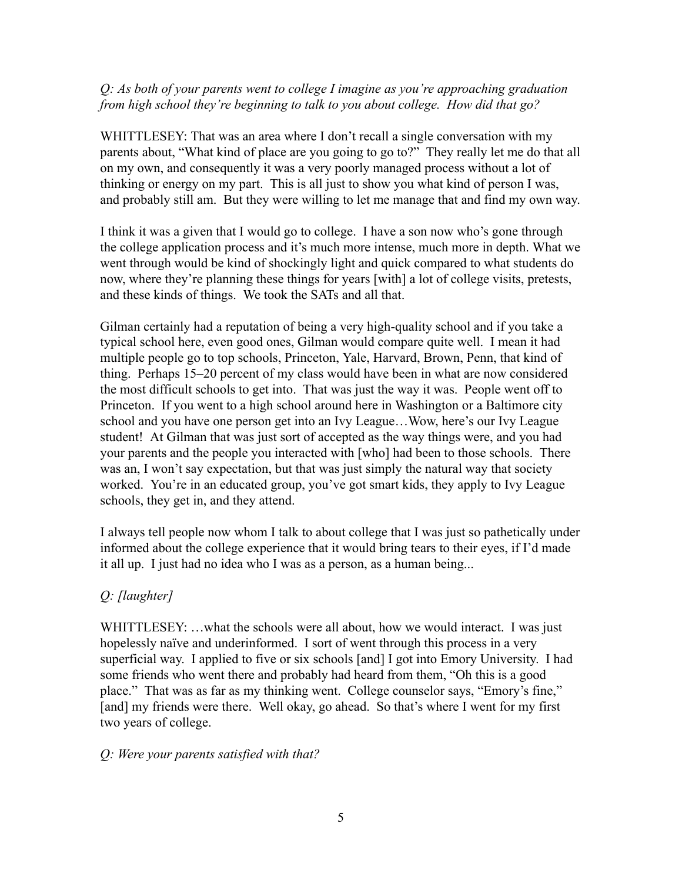# *Q: As both of your parents went to college I imagine as you're approaching graduation from high school they're beginning to talk to you about college. How did that go?*

WHITTLESEY: That was an area where I don't recall a single conversation with my parents about, "What kind of place are you going to go to?" They really let me do that all on my own, and consequently it was a very poorly managed process without a lot of thinking or energy on my part. This is all just to show you what kind of person I was, and probably still am. But they were willing to let me manage that and find my own way.

I think it was a given that I would go to college. I have a son now who's gone through the college application process and it's much more intense, much more in depth. What we went through would be kind of shockingly light and quick compared to what students do now, where they're planning these things for years [with] a lot of college visits, pretests, and these kinds of things. We took the SATs and all that.

Gilman certainly had a reputation of being a very high-quality school and if you take a typical school here, even good ones, Gilman would compare quite well. I mean it had multiple people go to top schools, Princeton, Yale, Harvard, Brown, Penn, that kind of thing. Perhaps 15–20 percent of my class would have been in what are now considered the most difficult schools to get into. That was just the way it was. People went off to Princeton. If you went to a high school around here in Washington or a Baltimore city school and you have one person get into an Ivy League…Wow, here's our Ivy League student! At Gilman that was just sort of accepted as the way things were, and you had your parents and the people you interacted with [who] had been to those schools. There was an, I won't say expectation, but that was just simply the natural way that society worked. You're in an educated group, you've got smart kids, they apply to Ivy League schools, they get in, and they attend.

I always tell people now whom I talk to about college that I was just so pathetically under informed about the college experience that it would bring tears to their eyes, if I'd made it all up. I just had no idea who I was as a person, as a human being...

# *Q: [laughter]*

WHITTLESEY: ...what the schools were all about, how we would interact. I was just hopelessly naïve and underinformed. I sort of went through this process in a very superficial way. I applied to five or six schools [and] I got into Emory University. I had some friends who went there and probably had heard from them, "Oh this is a good place." That was as far as my thinking went. College counselor says, "Emory's fine," [and] my friends were there. Well okay, go ahead. So that's where I went for my first two years of college.

# *Q: Were your parents satisfied with that?*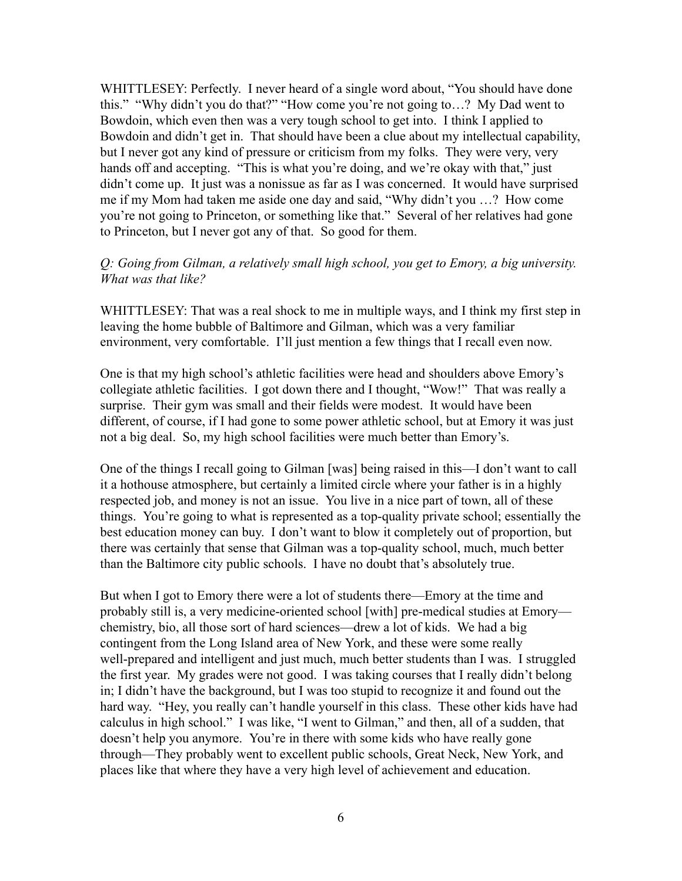WHITTLESEY: Perfectly. I never heard of a single word about, "You should have done this." "Why didn't you do that?" "How come you're not going to…? My Dad went to Bowdoin, which even then was a very tough school to get into. I think I applied to Bowdoin and didn't get in. That should have been a clue about my intellectual capability, but I never got any kind of pressure or criticism from my folks. They were very, very hands off and accepting. "This is what you're doing, and we're okay with that," just didn't come up. It just was a nonissue as far as I was concerned. It would have surprised me if my Mom had taken me aside one day and said, "Why didn't you …? How come you're not going to Princeton, or something like that." Several of her relatives had gone to Princeton, but I never got any of that. So good for them.

#### *Q: Going from Gilman, a relatively small high school, you get to Emory, a big university. What was that like?*

WHITTLESEY: That was a real shock to me in multiple ways, and I think my first step in leaving the home bubble of Baltimore and Gilman, which was a very familiar environment, very comfortable. I'll just mention a few things that I recall even now.

One is that my high school's athletic facilities were head and shoulders above Emory's collegiate athletic facilities. I got down there and I thought, "Wow!" That was really a surprise. Their gym was small and their fields were modest. It would have been different, of course, if I had gone to some power athletic school, but at Emory it was just not a big deal. So, my high school facilities were much better than Emory's.

One of the things I recall going to Gilman [was] being raised in this—I don't want to call it a hothouse atmosphere, but certainly a limited circle where your father is in a highly respected job, and money is not an issue. You live in a nice part of town, all of these things. You're going to what is represented as a top-quality private school; essentially the best education money can buy. I don't want to blow it completely out of proportion, but there was certainly that sense that Gilman was a top-quality school, much, much better than the Baltimore city public schools. I have no doubt that's absolutely true.

But when I got to Emory there were a lot of students there—Emory at the time and probably still is, a very medicine-oriented school [with] pre-medical studies at Emory chemistry, bio, all those sort of hard sciences—drew a lot of kids. We had a big contingent from the Long Island area of New York, and these were some really well-prepared and intelligent and just much, much better students than I was. I struggled the first year. My grades were not good. I was taking courses that I really didn't belong in; I didn't have the background, but I was too stupid to recognize it and found out the hard way. "Hey, you really can't handle yourself in this class. These other kids have had calculus in high school." I was like, "I went to Gilman," and then, all of a sudden, that doesn't help you anymore. You're in there with some kids who have really gone through—They probably went to excellent public schools, Great Neck, New York, and places like that where they have a very high level of achievement and education.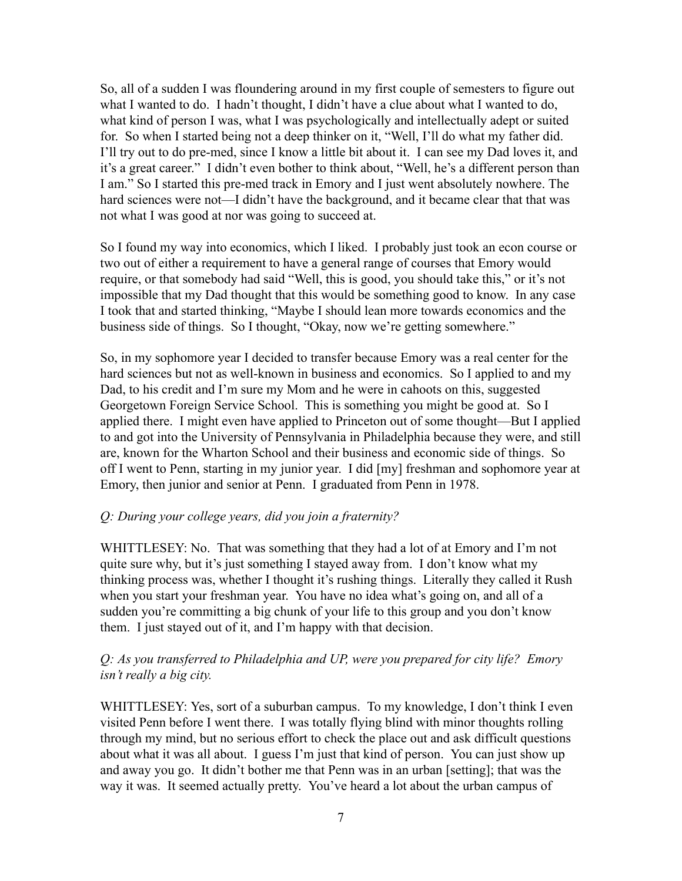So, all of a sudden I was floundering around in my first couple of semesters to figure out what I wanted to do. I hadn't thought, I didn't have a clue about what I wanted to do, what kind of person I was, what I was psychologically and intellectually adept or suited for. So when I started being not a deep thinker on it, "Well, I'll do what my father did. I'll try out to do pre-med, since I know a little bit about it. I can see my Dad loves it, and it's a great career." I didn't even bother to think about, "Well, he's a different person than I am." So I started this pre-med track in Emory and I just went absolutely nowhere. The hard sciences were not—I didn't have the background, and it became clear that that was not what I was good at nor was going to succeed at.

So I found my way into economics, which I liked. I probably just took an econ course or two out of either a requirement to have a general range of courses that Emory would require, or that somebody had said "Well, this is good, you should take this," or it's not impossible that my Dad thought that this would be something good to know. In any case I took that and started thinking, "Maybe I should lean more towards economics and the business side of things. So I thought, "Okay, now we're getting somewhere."

So, in my sophomore year I decided to transfer because Emory was a real center for the hard sciences but not as well-known in business and economics. So I applied to and my Dad, to his credit and I'm sure my Mom and he were in cahoots on this, suggested Georgetown Foreign Service School. This is something you might be good at. So I applied there. I might even have applied to Princeton out of some thought—But I applied to and got into the University of Pennsylvania in Philadelphia because they were, and still are, known for the Wharton School and their business and economic side of things. So off I went to Penn, starting in my junior year. I did [my] freshman and sophomore year at Emory, then junior and senior at Penn. I graduated from Penn in 1978.

#### *Q: During your college years, did you join a fraternity?*

WHITTLESEY: No. That was something that they had a lot of at Emory and I'm not quite sure why, but it's just something I stayed away from. I don't know what my thinking process was, whether I thought it's rushing things. Literally they called it Rush when you start your freshman year. You have no idea what's going on, and all of a sudden you're committing a big chunk of your life to this group and you don't know them. I just stayed out of it, and I'm happy with that decision.

# *Q: As you transferred to Philadelphia and UP, were you prepared for city life? Emory isn't really a big city.*

WHITTLESEY: Yes, sort of a suburban campus. To my knowledge, I don't think I even visited Penn before I went there. I was totally flying blind with minor thoughts rolling through my mind, but no serious effort to check the place out and ask difficult questions about what it was all about. I guess I'm just that kind of person. You can just show up and away you go. It didn't bother me that Penn was in an urban [setting]; that was the way it was. It seemed actually pretty. You've heard a lot about the urban campus of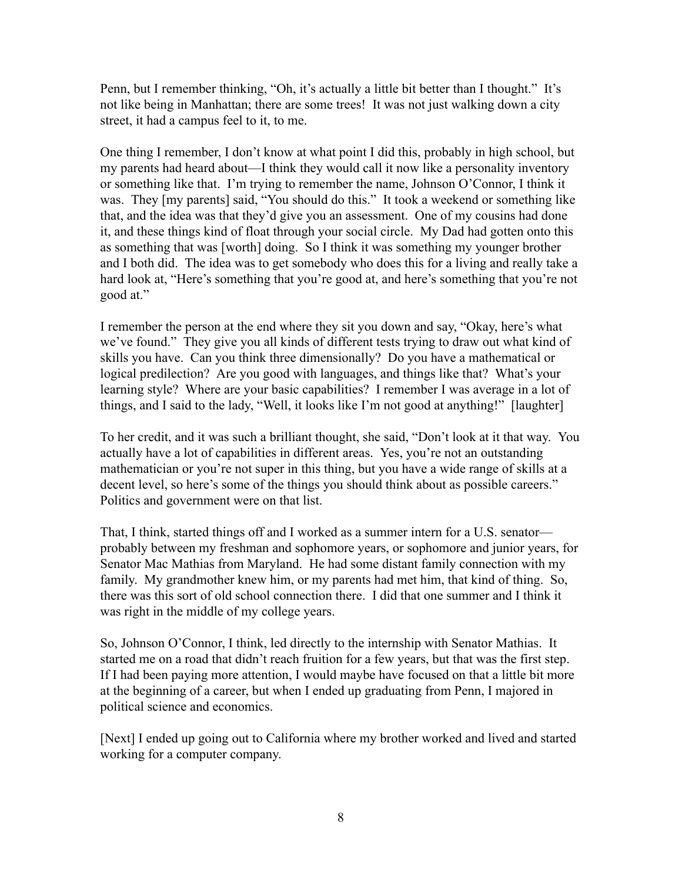Penn, but I remember thinking, "Oh, it's actually a little bit better than I thought." It's not like being in Manhattan; there are some trees! It was not just walking down a city street, it had a campus feel to it, to me.

One thing I remember, I don't know at what point I did this, probably in high school, but my parents had heard about—I think they would call it now like a personality inventory or something like that. I'm trying to remember the name, Johnson O'Connor, I think it was. They [my parents] said, "You should do this." It took a weekend or something like that, and the idea was that they'd give you an assessment. One of my cousins had done it, and these things kind of float through your social circle. My Dad had gotten onto this as something that was [worth] doing. So I think it was something my younger brother and I both did. The idea was to get somebody who does this for a living and really take a hard look at, "Here's something that you're good at, and here's something that you're not good at."

I remember the person at the end where they sit you down and say, "Okay, here's what we've found." They give you all kinds of different tests trying to draw out what kind of skills you have. Can you think three dimensionally? Do you have a mathematical or logical predilection? Are you good with languages, and things like that? What's your learning style? Where are your basic capabilities? I remember I was average in a lot of things, and I said to the lady, "Well, it looks like I'm not good at anything!" [laughter]

To her credit, and it was such a brilliant thought, she said, "Don't look at it that way. You actually have a lot of capabilities in different areas. Yes, you're not an outstanding mathematician or you're not super in this thing, but you have a wide range of skills at a decent level, so here's some of the things you should think about as possible careers." Politics and government were on that list.

That, I think, started things off and I worked as a summer intern for a U.S. senator probably between my freshman and sophomore years, or sophomore and junior years, for Senator Mac Mathias from Maryland. He had some distant family connection with my family. My grandmother knew him, or my parents had met him, that kind of thing. So, there was this sort of old school connection there. I did that one summer and I think it was right in the middle of my college years.

So, Johnson O'Connor, I think, led directly to the internship with Senator Mathias. It started me on a road that didn't reach fruition for a few years, but that was the first step. If I had been paying more attention, I would maybe have focused on that a little bit more at the beginning of a career, but when I ended up graduating from Penn, I majored in political science and economics.

[Next] I ended up going out to California where my brother worked and lived and started working for a computer company.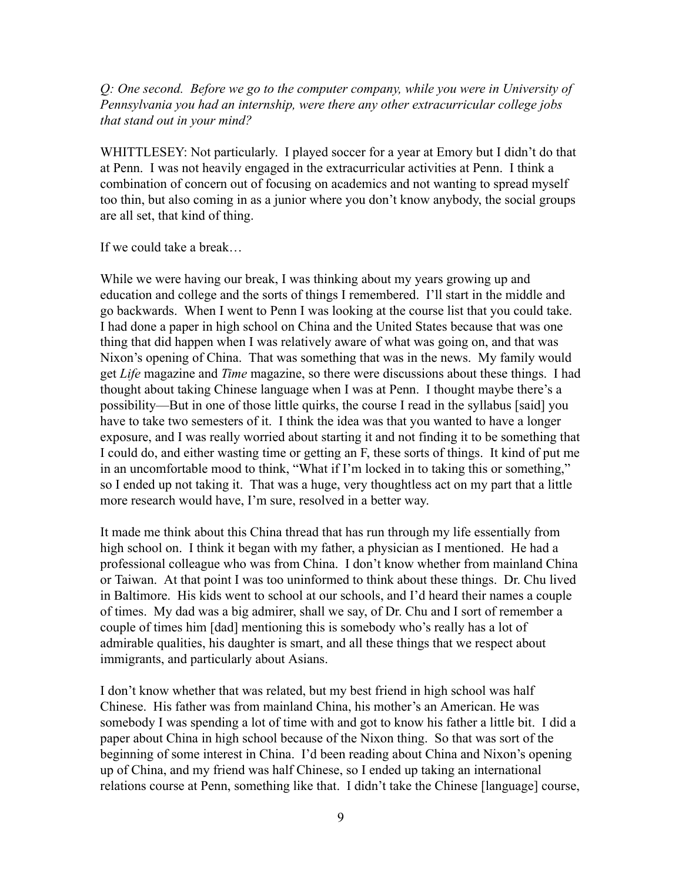## *Q: One second. Before we go to the computer company, while you were in University of Pennsylvania you had an internship, were there any other extracurricular college jobs that stand out in your mind?*

WHITTLESEY: Not particularly. I played soccer for a year at Emory but I didn't do that at Penn. I was not heavily engaged in the extracurricular activities at Penn. I think a combination of concern out of focusing on academics and not wanting to spread myself too thin, but also coming in as a junior where you don't know anybody, the social groups are all set, that kind of thing.

If we could take a break…

While we were having our break, I was thinking about my years growing up and education and college and the sorts of things I remembered. I'll start in the middle and go backwards. When I went to Penn I was looking at the course list that you could take. I had done a paper in high school on China and the United States because that was one thing that did happen when I was relatively aware of what was going on, and that was Nixon's opening of China. That was something that was in the news. My family would get *Life* magazine and *Time* magazine, so there were discussions about these things. I had thought about taking Chinese language when I was at Penn. I thought maybe there's a possibility—But in one of those little quirks, the course I read in the syllabus [said] you have to take two semesters of it. I think the idea was that you wanted to have a longer exposure, and I was really worried about starting it and not finding it to be something that I could do, and either wasting time or getting an F, these sorts of things. It kind of put me in an uncomfortable mood to think, "What if I'm locked in to taking this or something," so I ended up not taking it. That was a huge, very thoughtless act on my part that a little more research would have, I'm sure, resolved in a better way.

It made me think about this China thread that has run through my life essentially from high school on. I think it began with my father, a physician as I mentioned. He had a professional colleague who was from China. I don't know whether from mainland China or Taiwan. At that point I was too uninformed to think about these things. Dr. Chu lived in Baltimore. His kids went to school at our schools, and I'd heard their names a couple of times. My dad was a big admirer, shall we say, of Dr. Chu and I sort of remember a couple of times him [dad] mentioning this is somebody who's really has a lot of admirable qualities, his daughter is smart, and all these things that we respect about immigrants, and particularly about Asians.

I don't know whether that was related, but my best friend in high school was half Chinese. His father was from mainland China, his mother's an American. He was somebody I was spending a lot of time with and got to know his father a little bit. I did a paper about China in high school because of the Nixon thing. So that was sort of the beginning of some interest in China. I'd been reading about China and Nixon's opening up of China, and my friend was half Chinese, so I ended up taking an international relations course at Penn, something like that. I didn't take the Chinese [language] course,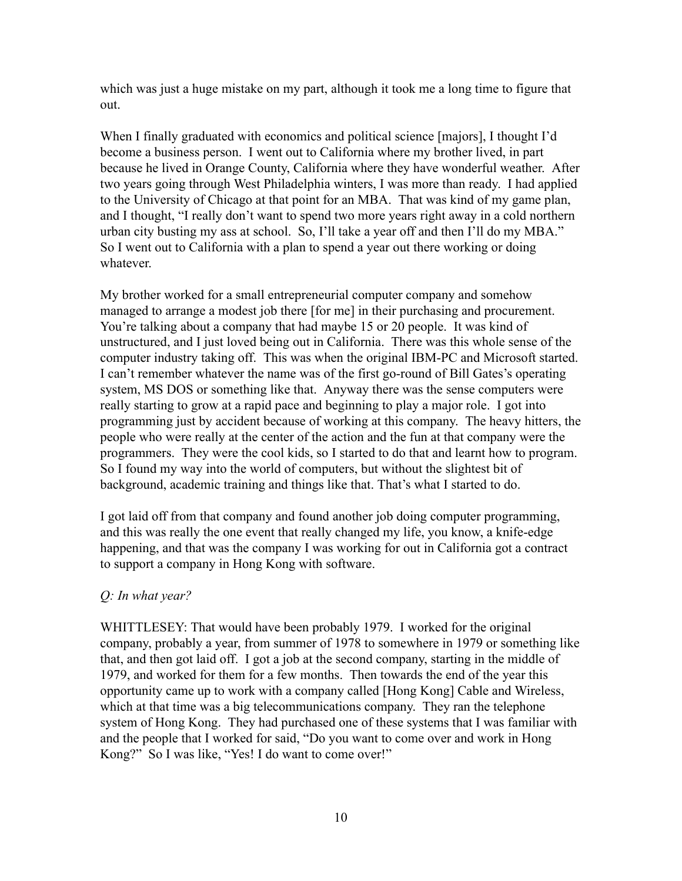which was just a huge mistake on my part, although it took me a long time to figure that out.

When I finally graduated with economics and political science [majors], I thought I'd become a business person. I went out to California where my brother lived, in part because he lived in Orange County, California where they have wonderful weather. After two years going through West Philadelphia winters, I was more than ready. I had applied to the University of Chicago at that point for an MBA. That was kind of my game plan, and I thought, "I really don't want to spend two more years right away in a cold northern urban city busting my ass at school. So, I'll take a year off and then I'll do my MBA." So I went out to California with a plan to spend a year out there working or doing whatever.

My brother worked for a small entrepreneurial computer company and somehow managed to arrange a modest job there [for me] in their purchasing and procurement. You're talking about a company that had maybe 15 or 20 people. It was kind of unstructured, and I just loved being out in California. There was this whole sense of the computer industry taking off. This was when the original IBM-PC and Microsoft started. I can't remember whatever the name was of the first go-round of Bill Gates's operating system, MS DOS or something like that. Anyway there was the sense computers were really starting to grow at a rapid pace and beginning to play a major role. I got into programming just by accident because of working at this company. The heavy hitters, the people who were really at the center of the action and the fun at that company were the programmers. They were the cool kids, so I started to do that and learnt how to program. So I found my way into the world of computers, but without the slightest bit of background, academic training and things like that. That's what I started to do.

I got laid off from that company and found another job doing computer programming, and this was really the one event that really changed my life, you know, a knife-edge happening, and that was the company I was working for out in California got a contract to support a company in Hong Kong with software.

# *Q: In what year?*

WHITTLESEY: That would have been probably 1979. I worked for the original company, probably a year, from summer of 1978 to somewhere in 1979 or something like that, and then got laid off. I got a job at the second company, starting in the middle of 1979, and worked for them for a few months. Then towards the end of the year this opportunity came up to work with a company called [Hong Kong] Cable and Wireless, which at that time was a big telecommunications company. They ran the telephone system of Hong Kong. They had purchased one of these systems that I was familiar with and the people that I worked for said, "Do you want to come over and work in Hong Kong?" So I was like, "Yes! I do want to come over!"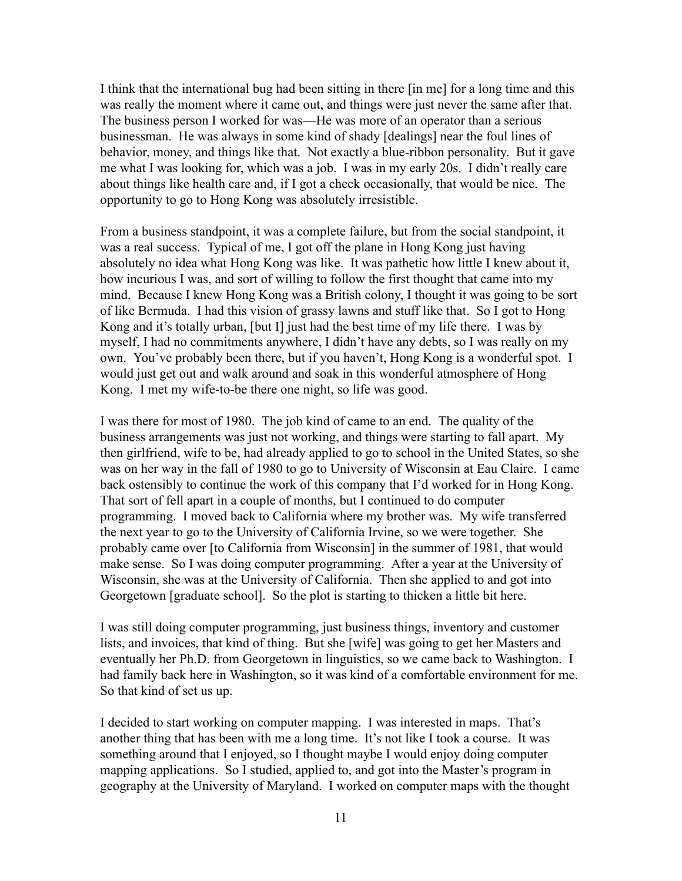I think that the international bug had been sitting in there [in me] for a long time and this was really the moment where it came out, and things were just never the same after that. The business person I worked for was—He was more of an operator than a serious businessman. He was always in some kind of shady [dealings] near the foul lines of behavior, money, and things like that. Not exactly a blue-ribbon personality. But it gave me what I was looking for, which was a job. I was in my early 20s. I didn't really care about things like health care and, if I got a check occasionally, that would be nice. The opportunity to go to Hong Kong was absolutely irresistible.

From a business standpoint, it was a complete failure, but from the social standpoint, it was a real success. Typical of me, I got off the plane in Hong Kong just having absolutely no idea what Hong Kong was like. It was pathetic how little I knew about it, how incurious I was, and sort of willing to follow the first thought that came into my mind. Because I knew Hong Kong was a British colony, I thought it was going to be sort of like Bermuda. I had this vision of grassy lawns and stuff like that. So I got to Hong Kong and it's totally urban, [but I] just had the best time of my life there. I was by myself, I had no commitments anywhere, I didn't have any debts, so I was really on my own. You've probably been there, but if you haven't, Hong Kong is a wonderful spot. I would just get out and walk around and soak in this wonderful atmosphere of Hong Kong. I met my wife-to-be there one night, so life was good.

I was there for most of 1980. The job kind of came to an end. The quality of the business arrangements was just not working, and things were starting to fall apart. My then girlfriend, wife to be, had already applied to go to school in the United States, so she was on her way in the fall of 1980 to go to University of Wisconsin at Eau Claire. I came back ostensibly to continue the work of this company that I'd worked for in Hong Kong. That sort of fell apart in a couple of months, but I continued to do computer programming. I moved back to California where my brother was. My wife transferred the next year to go to the University of California Irvine, so we were together. She probably came over [to California from Wisconsin] in the summer of 1981, that would make sense. So I was doing computer programming. After a year at the University of Wisconsin, she was at the University of California. Then she applied to and got into Georgetown [graduate school]. So the plot is starting to thicken a little bit here.

I was still doing computer programming, just business things, inventory and customer lists, and invoices, that kind of thing. But she [wife] was going to get her Masters and eventually her Ph.D. from Georgetown in linguistics, so we came back to Washington. I had family back here in Washington, so it was kind of a comfortable environment for me. So that kind of set us up.

I decided to start working on computer mapping. I was interested in maps. That's another thing that has been with me a long time. It's not like I took a course. It was something around that I enjoyed, so I thought maybe I would enjoy doing computer mapping applications. So I studied, applied to, and got into the Master's program in geography at the University of Maryland. I worked on computer maps with the thought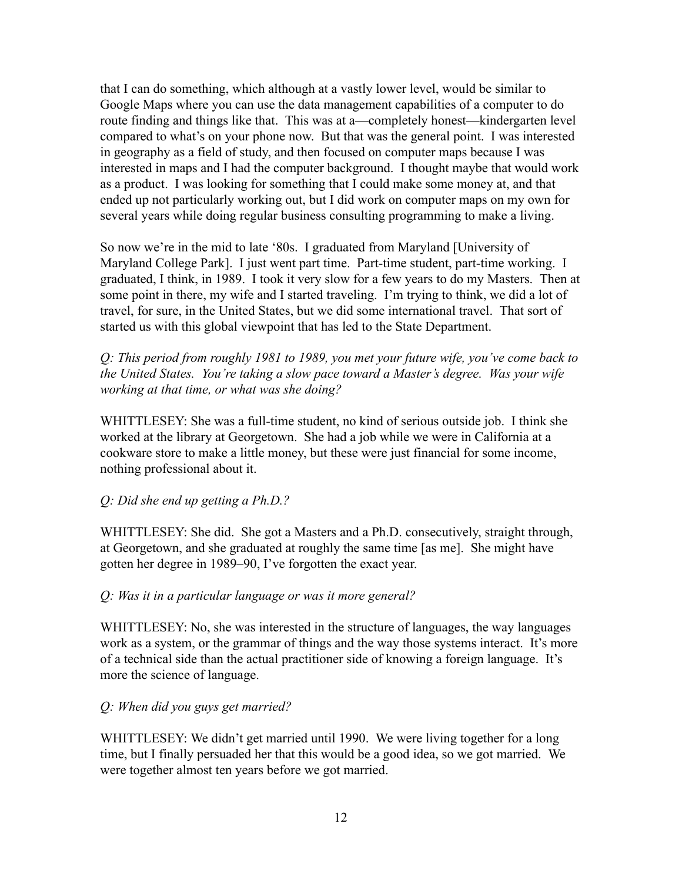that I can do something, which although at a vastly lower level, would be similar to Google Maps where you can use the data management capabilities of a computer to do route finding and things like that. This was at a—completely honest—kindergarten level compared to what's on your phone now. But that was the general point. I was interested in geography as a field of study, and then focused on computer maps because I was interested in maps and I had the computer background. I thought maybe that would work as a product. I was looking for something that I could make some money at, and that ended up not particularly working out, but I did work on computer maps on my own for several years while doing regular business consulting programming to make a living.

So now we're in the mid to late '80s. I graduated from Maryland [University of Maryland College Park]. I just went part time. Part-time student, part-time working. I graduated, I think, in 1989. I took it very slow for a few years to do my Masters. Then at some point in there, my wife and I started traveling. I'm trying to think, we did a lot of travel, for sure, in the United States, but we did some international travel. That sort of started us with this global viewpoint that has led to the State Department.

*Q: This period from roughly 1981 to 1989, you met your future wife, you've come back to the United States. You're taking a slow pace toward a Master's degree. Was your wife working at that time, or what was she doing?*

WHITTLESEY: She was a full-time student, no kind of serious outside job. I think she worked at the library at Georgetown. She had a job while we were in California at a cookware store to make a little money, but these were just financial for some income, nothing professional about it.

*Q: Did she end up getting a Ph.D.?*

WHITTLESEY: She did. She got a Masters and a Ph.D. consecutively, straight through, at Georgetown, and she graduated at roughly the same time [as me]. She might have gotten her degree in 1989–90, I've forgotten the exact year.

#### *Q: Was it in a particular language or was it more general?*

WHITTLESEY: No, she was interested in the structure of languages, the way languages work as a system, or the grammar of things and the way those systems interact. It's more of a technical side than the actual practitioner side of knowing a foreign language. It's more the science of language.

#### *Q: When did you guys get married?*

WHITTLESEY: We didn't get married until 1990. We were living together for a long time, but I finally persuaded her that this would be a good idea, so we got married. We were together almost ten years before we got married.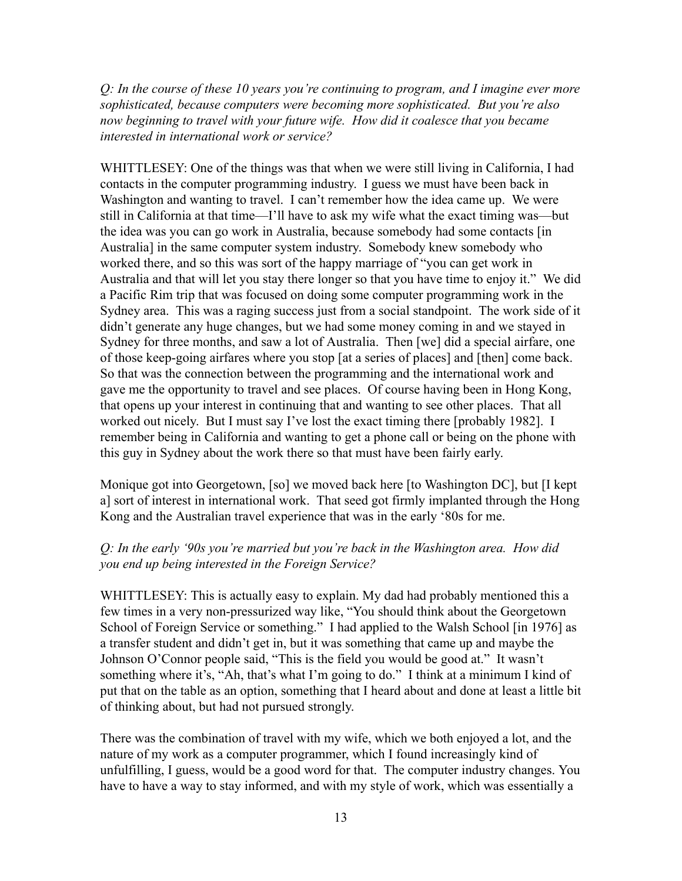*Q: In the course of these 10 years you're continuing to program, and I imagine ever more sophisticated, because computers were becoming more sophisticated. But you're also now beginning to travel with your future wife. How did it coalesce that you became interested in international work or service?*

WHITTLESEY: One of the things was that when we were still living in California, I had contacts in the computer programming industry. I guess we must have been back in Washington and wanting to travel. I can't remember how the idea came up. We were still in California at that time—I'll have to ask my wife what the exact timing was—but the idea was you can go work in Australia, because somebody had some contacts [in Australia] in the same computer system industry. Somebody knew somebody who worked there, and so this was sort of the happy marriage of "you can get work in Australia and that will let you stay there longer so that you have time to enjoy it." We did a Pacific Rim trip that was focused on doing some computer programming work in the Sydney area. This was a raging success just from a social standpoint. The work side of it didn't generate any huge changes, but we had some money coming in and we stayed in Sydney for three months, and saw a lot of Australia. Then [we] did a special airfare, one of those keep-going airfares where you stop [at a series of places] and [then] come back. So that was the connection between the programming and the international work and gave me the opportunity to travel and see places. Of course having been in Hong Kong, that opens up your interest in continuing that and wanting to see other places. That all worked out nicely. But I must say I've lost the exact timing there [probably 1982]. I remember being in California and wanting to get a phone call or being on the phone with this guy in Sydney about the work there so that must have been fairly early.

Monique got into Georgetown, [so] we moved back here [to Washington DC], but [I kept a] sort of interest in international work. That seed got firmly implanted through the Hong Kong and the Australian travel experience that was in the early '80s for me.

## *Q: In the early '90s you're married but you're back in the Washington area. How did you end up being interested in the Foreign Service?*

WHITTLESEY: This is actually easy to explain. My dad had probably mentioned this a few times in a very non-pressurized way like, "You should think about the Georgetown School of Foreign Service or something." I had applied to the Walsh School [in 1976] as a transfer student and didn't get in, but it was something that came up and maybe the Johnson O'Connor people said, "This is the field you would be good at." It wasn't something where it's, "Ah, that's what I'm going to do." I think at a minimum I kind of put that on the table as an option, something that I heard about and done at least a little bit of thinking about, but had not pursued strongly.

There was the combination of travel with my wife, which we both enjoyed a lot, and the nature of my work as a computer programmer, which I found increasingly kind of unfulfilling, I guess, would be a good word for that. The computer industry changes. You have to have a way to stay informed, and with my style of work, which was essentially a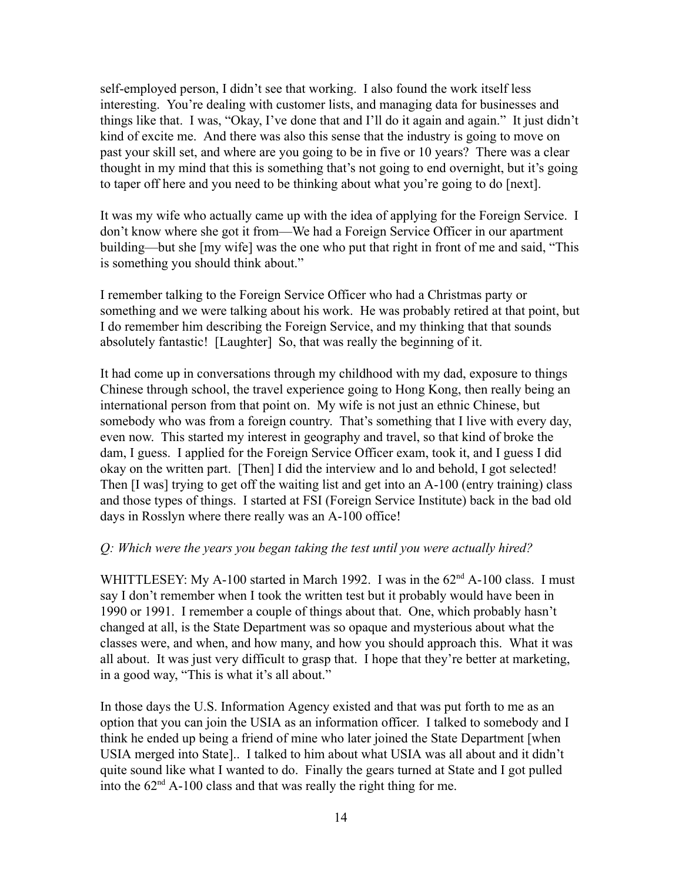self-employed person, I didn't see that working. I also found the work itself less interesting. You're dealing with customer lists, and managing data for businesses and things like that. I was, "Okay, I've done that and I'll do it again and again." It just didn't kind of excite me. And there was also this sense that the industry is going to move on past your skill set, and where are you going to be in five or 10 years? There was a clear thought in my mind that this is something that's not going to end overnight, but it's going to taper off here and you need to be thinking about what you're going to do [next].

It was my wife who actually came up with the idea of applying for the Foreign Service. I don't know where she got it from—We had a Foreign Service Officer in our apartment building—but she [my wife] was the one who put that right in front of me and said, "This is something you should think about."

I remember talking to the Foreign Service Officer who had a Christmas party or something and we were talking about his work. He was probably retired at that point, but I do remember him describing the Foreign Service, and my thinking that that sounds absolutely fantastic! [Laughter] So, that was really the beginning of it.

It had come up in conversations through my childhood with my dad, exposure to things Chinese through school, the travel experience going to Hong Kong, then really being an international person from that point on. My wife is not just an ethnic Chinese, but somebody who was from a foreign country. That's something that I live with every day, even now. This started my interest in geography and travel, so that kind of broke the dam, I guess. I applied for the Foreign Service Officer exam, took it, and I guess I did okay on the written part. [Then] I did the interview and lo and behold, I got selected! Then [I was] trying to get off the waiting list and get into an A-100 (entry training) class and those types of things. I started at FSI (Foreign Service Institute) back in the bad old days in Rosslyn where there really was an A-100 office!

# *Q: Which were the years you began taking the test until you were actually hired?*

WHITTLESEY: My A-100 started in March 1992. I was in the 62<sup>nd</sup> A-100 class. I must say I don't remember when I took the written test but it probably would have been in 1990 or 1991. I remember a couple of things about that. One, which probably hasn't changed at all, is the State Department was so opaque and mysterious about what the classes were, and when, and how many, and how you should approach this. What it was all about. It was just very difficult to grasp that. I hope that they're better at marketing, in a good way, "This is what it's all about."

In those days the U.S. Information Agency existed and that was put forth to me as an option that you can join the USIA as an information officer. I talked to somebody and I think he ended up being a friend of mine who later joined the State Department [when USIA merged into State].. I talked to him about what USIA was all about and it didn't quite sound like what I wanted to do. Finally the gears turned at State and I got pulled into the  $62<sup>nd</sup>$  A-100 class and that was really the right thing for me.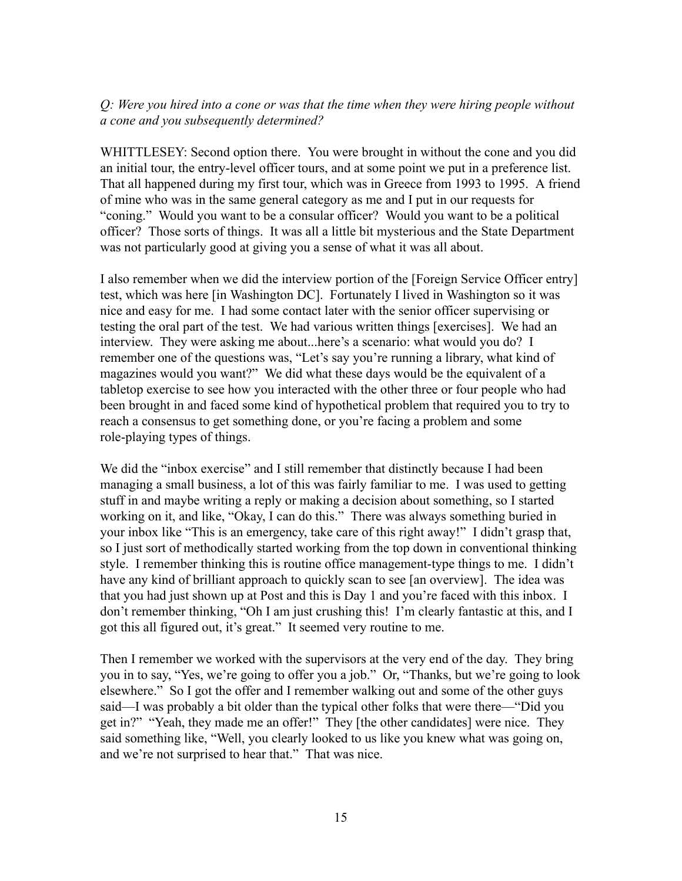# *Q: Were you hired into a cone or was that the time when they were hiring people without a cone and you subsequently determined?*

WHITTLESEY: Second option there. You were brought in without the cone and you did an initial tour, the entry-level officer tours, and at some point we put in a preference list. That all happened during my first tour, which was in Greece from 1993 to 1995. A friend of mine who was in the same general category as me and I put in our requests for "coning." Would you want to be a consular officer? Would you want to be a political officer? Those sorts of things. It was all a little bit mysterious and the State Department was not particularly good at giving you a sense of what it was all about.

I also remember when we did the interview portion of the [Foreign Service Officer entry] test, which was here [in Washington DC]. Fortunately I lived in Washington so it was nice and easy for me. I had some contact later with the senior officer supervising or testing the oral part of the test. We had various written things [exercises]. We had an interview. They were asking me about...here's a scenario: what would you do? I remember one of the questions was, "Let's say you're running a library, what kind of magazines would you want?" We did what these days would be the equivalent of a tabletop exercise to see how you interacted with the other three or four people who had been brought in and faced some kind of hypothetical problem that required you to try to reach a consensus to get something done, or you're facing a problem and some role-playing types of things.

We did the "inbox exercise" and I still remember that distinctly because I had been managing a small business, a lot of this was fairly familiar to me. I was used to getting stuff in and maybe writing a reply or making a decision about something, so I started working on it, and like, "Okay, I can do this." There was always something buried in your inbox like "This is an emergency, take care of this right away!" I didn't grasp that, so I just sort of methodically started working from the top down in conventional thinking style. I remember thinking this is routine office management-type things to me. I didn't have any kind of brilliant approach to quickly scan to see [an overview]. The idea was that you had just shown up at Post and this is Day 1 and you're faced with this inbox. I don't remember thinking, "Oh I am just crushing this! I'm clearly fantastic at this, and I got this all figured out, it's great." It seemed very routine to me.

Then I remember we worked with the supervisors at the very end of the day. They bring you in to say, "Yes, we're going to offer you a job." Or, "Thanks, but we're going to look elsewhere." So I got the offer and I remember walking out and some of the other guys said—I was probably a bit older than the typical other folks that were there—"Did you get in?" "Yeah, they made me an offer!" They [the other candidates] were nice. They said something like, "Well, you clearly looked to us like you knew what was going on, and we're not surprised to hear that." That was nice.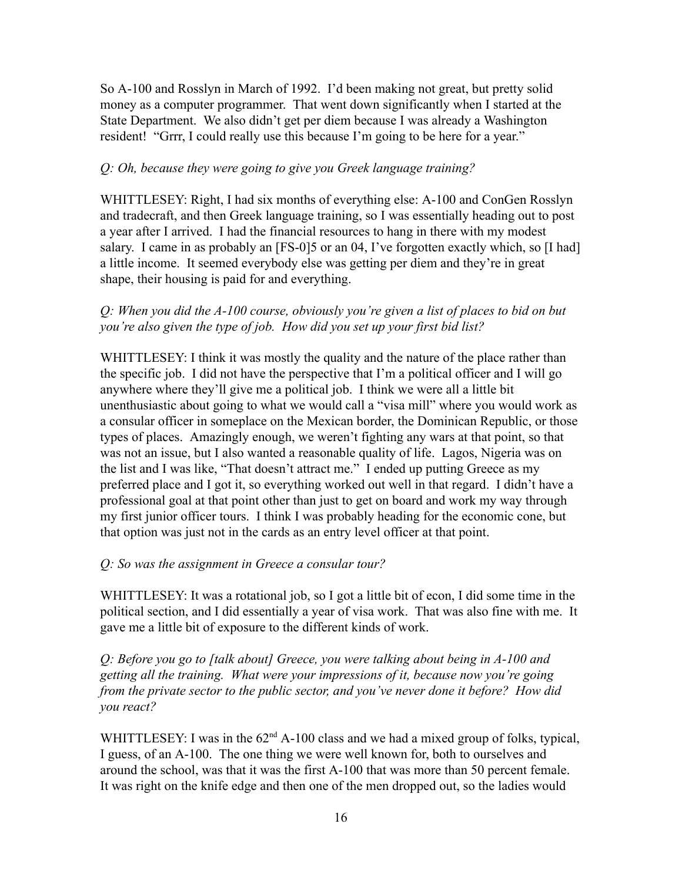So A-100 and Rosslyn in March of 1992. I'd been making not great, but pretty solid money as a computer programmer. That went down significantly when I started at the State Department. We also didn't get per diem because I was already a Washington resident! "Grrr, I could really use this because I'm going to be here for a year."

## *Q: Oh, because they were going to give you Greek language training?*

WHITTLESEY: Right, I had six months of everything else: A-100 and ConGen Rosslyn and tradecraft, and then Greek language training, so I was essentially heading out to post a year after I arrived. I had the financial resources to hang in there with my modest salary. I came in as probably an [FS-0]5 or an 04, I've forgotten exactly which, so [I had] a little income. It seemed everybody else was getting per diem and they're in great shape, their housing is paid for and everything.

# *Q: When you did the A-100 course, obviously you're given a list of places to bid on but you're also given the type of job. How did you set up your first bid list?*

WHITTLESEY: I think it was mostly the quality and the nature of the place rather than the specific job. I did not have the perspective that I'm a political officer and I will go anywhere where they'll give me a political job. I think we were all a little bit unenthusiastic about going to what we would call a "visa mill" where you would work as a consular officer in someplace on the Mexican border, the Dominican Republic, or those types of places. Amazingly enough, we weren't fighting any wars at that point, so that was not an issue, but I also wanted a reasonable quality of life. Lagos, Nigeria was on the list and I was like, "That doesn't attract me." I ended up putting Greece as my preferred place and I got it, so everything worked out well in that regard. I didn't have a professional goal at that point other than just to get on board and work my way through my first junior officer tours. I think I was probably heading for the economic cone, but that option was just not in the cards as an entry level officer at that point.

# *Q: So was the assignment in Greece a consular tour?*

WHITTLESEY: It was a rotational job, so I got a little bit of econ, I did some time in the political section, and I did essentially a year of visa work. That was also fine with me. It gave me a little bit of exposure to the different kinds of work.

*Q: Before you go to [talk about] Greece, you were talking about being in A-100 and getting all the training. What were your impressions of it, because now you're going from the private sector to the public sector, and you've never done it before? How did you react?*

WHITTLESEY: I was in the  $62<sup>nd</sup> A-100$  class and we had a mixed group of folks, typical, I guess, of an A-100. The one thing we were well known for, both to ourselves and around the school, was that it was the first A-100 that was more than 50 percent female. It was right on the knife edge and then one of the men dropped out, so the ladies would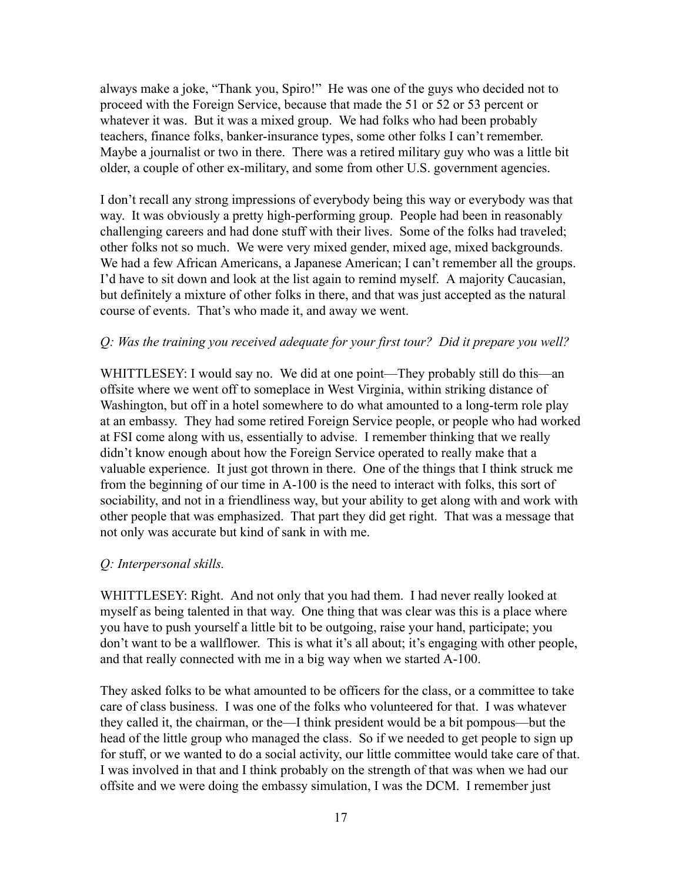always make a joke, "Thank you, Spiro!" He was one of the guys who decided not to proceed with the Foreign Service, because that made the 51 or 52 or 53 percent or whatever it was. But it was a mixed group. We had folks who had been probably teachers, finance folks, banker-insurance types, some other folks I can't remember. Maybe a journalist or two in there. There was a retired military guy who was a little bit older, a couple of other ex-military, and some from other U.S. government agencies.

I don't recall any strong impressions of everybody being this way or everybody was that way. It was obviously a pretty high-performing group. People had been in reasonably challenging careers and had done stuff with their lives. Some of the folks had traveled; other folks not so much. We were very mixed gender, mixed age, mixed backgrounds. We had a few African Americans, a Japanese American; I can't remember all the groups. I'd have to sit down and look at the list again to remind myself. A majority Caucasian, but definitely a mixture of other folks in there, and that was just accepted as the natural course of events. That's who made it, and away we went.

## *Q: Was the training you received adequate for your first tour? Did it prepare you well?*

WHITTLESEY: I would say no. We did at one point—They probably still do this—an offsite where we went off to someplace in West Virginia, within striking distance of Washington, but off in a hotel somewhere to do what amounted to a long-term role play at an embassy. They had some retired Foreign Service people, or people who had worked at FSI come along with us, essentially to advise. I remember thinking that we really didn't know enough about how the Foreign Service operated to really make that a valuable experience. It just got thrown in there. One of the things that I think struck me from the beginning of our time in A-100 is the need to interact with folks, this sort of sociability, and not in a friendliness way, but your ability to get along with and work with other people that was emphasized. That part they did get right. That was a message that not only was accurate but kind of sank in with me.

# *Q: Interpersonal skills.*

WHITTLESEY: Right. And not only that you had them. I had never really looked at myself as being talented in that way. One thing that was clear was this is a place where you have to push yourself a little bit to be outgoing, raise your hand, participate; you don't want to be a wallflower. This is what it's all about; it's engaging with other people, and that really connected with me in a big way when we started A-100.

They asked folks to be what amounted to be officers for the class, or a committee to take care of class business. I was one of the folks who volunteered for that. I was whatever they called it, the chairman, or the—I think president would be a bit pompous—but the head of the little group who managed the class. So if we needed to get people to sign up for stuff, or we wanted to do a social activity, our little committee would take care of that. I was involved in that and I think probably on the strength of that was when we had our offsite and we were doing the embassy simulation, I was the DCM. I remember just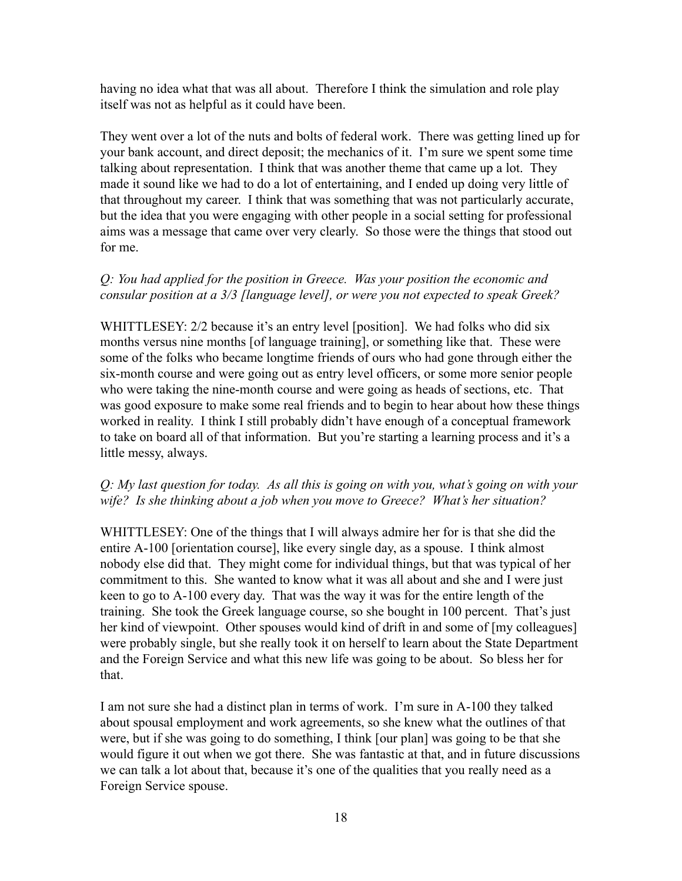having no idea what that was all about. Therefore I think the simulation and role play itself was not as helpful as it could have been.

They went over a lot of the nuts and bolts of federal work. There was getting lined up for your bank account, and direct deposit; the mechanics of it. I'm sure we spent some time talking about representation. I think that was another theme that came up a lot. They made it sound like we had to do a lot of entertaining, and I ended up doing very little of that throughout my career. I think that was something that was not particularly accurate, but the idea that you were engaging with other people in a social setting for professional aims was a message that came over very clearly. So those were the things that stood out for me.

# *Q: You had applied for the position in Greece. Was your position the economic and consular position at a 3/3 [language level], or were you not expected to speak Greek?*

WHITTLESEY: 2/2 because it's an entry level [position]. We had folks who did six months versus nine months [of language training], or something like that. These were some of the folks who became longtime friends of ours who had gone through either the six-month course and were going out as entry level officers, or some more senior people who were taking the nine-month course and were going as heads of sections, etc. That was good exposure to make some real friends and to begin to hear about how these things worked in reality. I think I still probably didn't have enough of a conceptual framework to take on board all of that information. But you're starting a learning process and it's a little messy, always.

# *Q: My last question for today. As all this is going on with you, what's going on with your wife? Is she thinking about a job when you move to Greece? What's her situation?*

WHITTLESEY: One of the things that I will always admire her for is that she did the entire A-100 [orientation course], like every single day, as a spouse. I think almost nobody else did that. They might come for individual things, but that was typical of her commitment to this. She wanted to know what it was all about and she and I were just keen to go to A-100 every day. That was the way it was for the entire length of the training. She took the Greek language course, so she bought in 100 percent. That's just her kind of viewpoint. Other spouses would kind of drift in and some of [my colleagues] were probably single, but she really took it on herself to learn about the State Department and the Foreign Service and what this new life was going to be about. So bless her for that.

I am not sure she had a distinct plan in terms of work. I'm sure in A-100 they talked about spousal employment and work agreements, so she knew what the outlines of that were, but if she was going to do something, I think [our plan] was going to be that she would figure it out when we got there. She was fantastic at that, and in future discussions we can talk a lot about that, because it's one of the qualities that you really need as a Foreign Service spouse.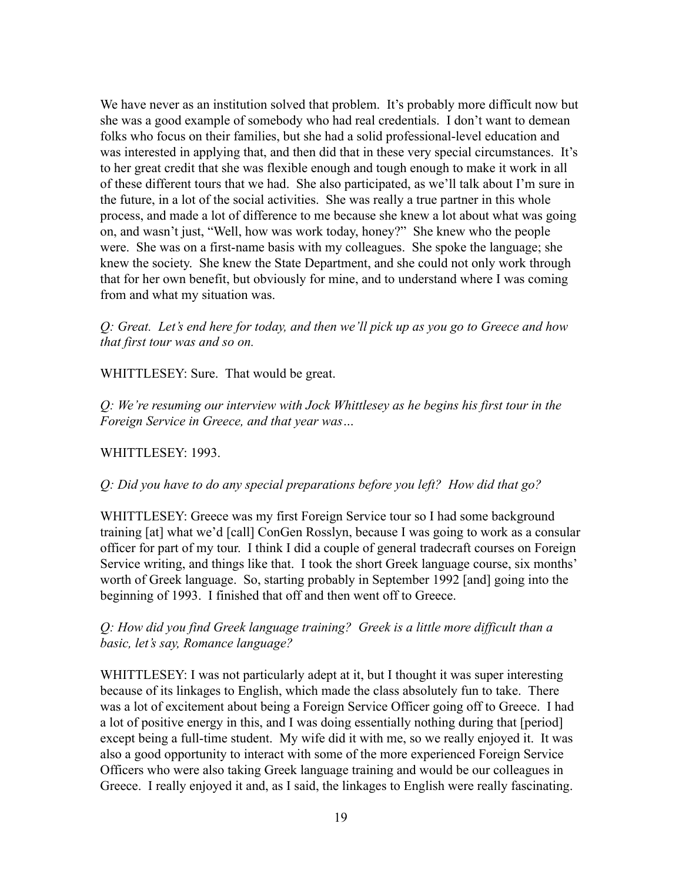We have never as an institution solved that problem. It's probably more difficult now but she was a good example of somebody who had real credentials. I don't want to demean folks who focus on their families, but she had a solid professional-level education and was interested in applying that, and then did that in these very special circumstances. It's to her great credit that she was flexible enough and tough enough to make it work in all of these different tours that we had. She also participated, as we'll talk about I'm sure in the future, in a lot of the social activities. She was really a true partner in this whole process, and made a lot of difference to me because she knew a lot about what was going on, and wasn't just, "Well, how was work today, honey?" She knew who the people were. She was on a first-name basis with my colleagues. She spoke the language; she knew the society. She knew the State Department, and she could not only work through that for her own benefit, but obviously for mine, and to understand where I was coming from and what my situation was.

*Q: Great. Let's end here for today, and then we'll pick up as you go to Greece and how that first tour was and so on.*

WHITTLESEY: Sure. That would be great.

*Q: We're resuming our interview with Jock Whittlesey as he begins his first tour in the Foreign Service in Greece, and that year was…*

#### WHITTLESEY: 1993.

*Q: Did you have to do any special preparations before you left? How did that go?*

WHITTLESEY: Greece was my first Foreign Service tour so I had some background training [at] what we'd [call] ConGen Rosslyn, because I was going to work as a consular officer for part of my tour. I think I did a couple of general tradecraft courses on Foreign Service writing, and things like that. I took the short Greek language course, six months' worth of Greek language. So, starting probably in September 1992 [and] going into the beginning of 1993. I finished that off and then went off to Greece.

# *Q: How did you find Greek language training? Greek is a little more difficult than a basic, let's say, Romance language?*

WHITTLESEY: I was not particularly adept at it, but I thought it was super interesting because of its linkages to English, which made the class absolutely fun to take. There was a lot of excitement about being a Foreign Service Officer going off to Greece. I had a lot of positive energy in this, and I was doing essentially nothing during that [period] except being a full-time student. My wife did it with me, so we really enjoyed it. It was also a good opportunity to interact with some of the more experienced Foreign Service Officers who were also taking Greek language training and would be our colleagues in Greece. I really enjoyed it and, as I said, the linkages to English were really fascinating.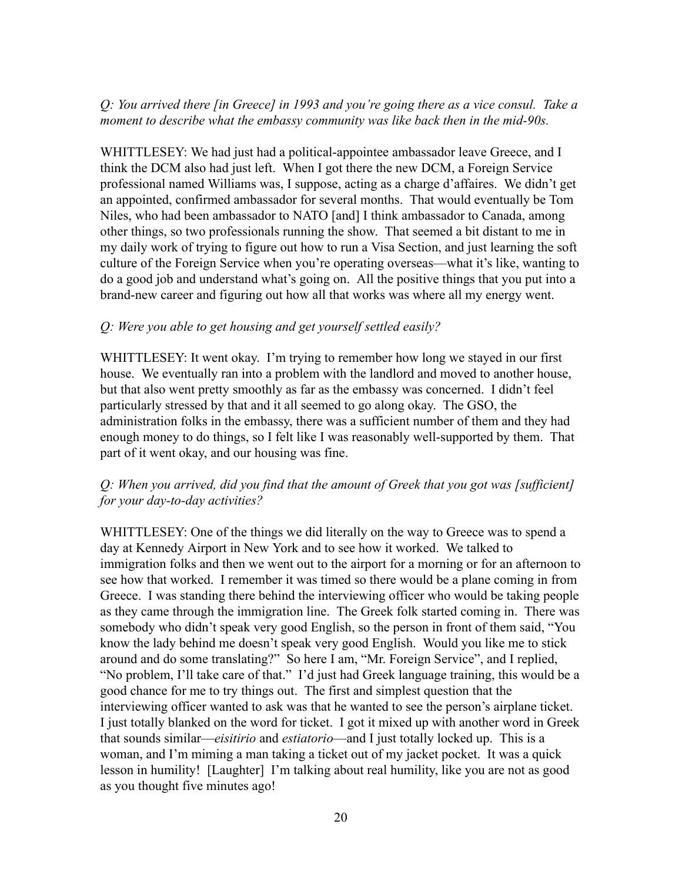## *Q: You arrived there [in Greece] in 1993 and you're going there as a vice consul. Take a moment to describe what the embassy community was like back then in the mid-90s.*

WHITTLESEY: We had just had a political-appointee ambassador leave Greece, and I think the DCM also had just left. When I got there the new DCM, a Foreign Service professional named Williams was, I suppose, acting as a charge d'affaires. We didn't get an appointed, confirmed ambassador for several months. That would eventually be Tom Niles, who had been ambassador to NATO [and] I think ambassador to Canada, among other things, so two professionals running the show. That seemed a bit distant to me in my daily work of trying to figure out how to run a Visa Section, and just learning the soft culture of the Foreign Service when you're operating overseas—what it's like, wanting to do a good job and understand what's going on. All the positive things that you put into a brand-new career and figuring out how all that works was where all my energy went.

#### *Q: Were you able to get housing and get yourself settled easily?*

WHITTLESEY: It went okay. I'm trying to remember how long we stayed in our first house. We eventually ran into a problem with the landlord and moved to another house, but that also went pretty smoothly as far as the embassy was concerned. I didn't feel particularly stressed by that and it all seemed to go along okay. The GSO, the administration folks in the embassy, there was a sufficient number of them and they had enough money to do things, so I felt like I was reasonably well-supported by them. That part of it went okay, and our housing was fine.

## *Q: When you arrived, did you find that the amount of Greek that you got was [sufficient] for your day-to-day activities?*

WHITTLESEY: One of the things we did literally on the way to Greece was to spend a day at Kennedy Airport in New York and to see how it worked. We talked to immigration folks and then we went out to the airport for a morning or for an afternoon to see how that worked. I remember it was timed so there would be a plane coming in from Greece. I was standing there behind the interviewing officer who would be taking people as they came through the immigration line. The Greek folk started coming in. There was somebody who didn't speak very good English, so the person in front of them said, "You know the lady behind me doesn't speak very good English. Would you like me to stick around and do some translating?" So here I am, "Mr. Foreign Service", and I replied, "No problem, I'll take care of that." I'd just had Greek language training, this would be a good chance for me to try things out. The first and simplest question that the interviewing officer wanted to ask was that he wanted to see the person's airplane ticket. I just totally blanked on the word for ticket. I got it mixed up with another word in Greek that sounds similar—*eisitirio* and *estiatorio*—and I just totally locked up. This is a woman, and I'm miming a man taking a ticket out of my jacket pocket. It was a quick lesson in humility! [Laughter] I'm talking about real humility, like you are not as good as you thought five minutes ago!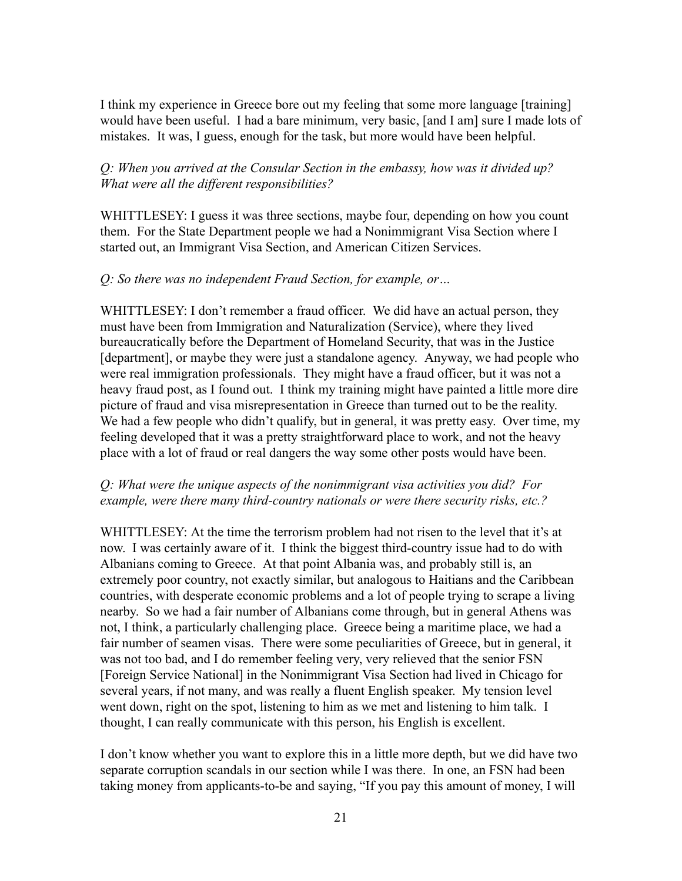I think my experience in Greece bore out my feeling that some more language [training] would have been useful. I had a bare minimum, very basic, [and I am] sure I made lots of mistakes. It was, I guess, enough for the task, but more would have been helpful.

## *Q: When you arrived at the Consular Section in the embassy, how was it divided up? What were all the different responsibilities?*

WHITTLESEY: I guess it was three sections, maybe four, depending on how you count them. For the State Department people we had a Nonimmigrant Visa Section where I started out, an Immigrant Visa Section, and American Citizen Services.

## *Q: So there was no independent Fraud Section, for example, or…*

WHITTLESEY: I don't remember a fraud officer. We did have an actual person, they must have been from Immigration and Naturalization (Service), where they lived bureaucratically before the Department of Homeland Security, that was in the Justice [department], or maybe they were just a standalone agency. Anyway, we had people who were real immigration professionals. They might have a fraud officer, but it was not a heavy fraud post, as I found out. I think my training might have painted a little more dire picture of fraud and visa misrepresentation in Greece than turned out to be the reality. We had a few people who didn't qualify, but in general, it was pretty easy. Over time, my feeling developed that it was a pretty straightforward place to work, and not the heavy place with a lot of fraud or real dangers the way some other posts would have been.

## *Q: What were the unique aspects of the nonimmigrant visa activities you did? For example, were there many third-country nationals or were there security risks, etc.?*

WHITTLESEY: At the time the terrorism problem had not risen to the level that it's at now. I was certainly aware of it. I think the biggest third-country issue had to do with Albanians coming to Greece. At that point Albania was, and probably still is, an extremely poor country, not exactly similar, but analogous to Haitians and the Caribbean countries, with desperate economic problems and a lot of people trying to scrape a living nearby. So we had a fair number of Albanians come through, but in general Athens was not, I think, a particularly challenging place. Greece being a maritime place, we had a fair number of seamen visas. There were some peculiarities of Greece, but in general, it was not too bad, and I do remember feeling very, very relieved that the senior FSN [Foreign Service National] in the Nonimmigrant Visa Section had lived in Chicago for several years, if not many, and was really a fluent English speaker. My tension level went down, right on the spot, listening to him as we met and listening to him talk. I thought, I can really communicate with this person, his English is excellent.

I don't know whether you want to explore this in a little more depth, but we did have two separate corruption scandals in our section while I was there. In one, an FSN had been taking money from applicants-to-be and saying, "If you pay this amount of money, I will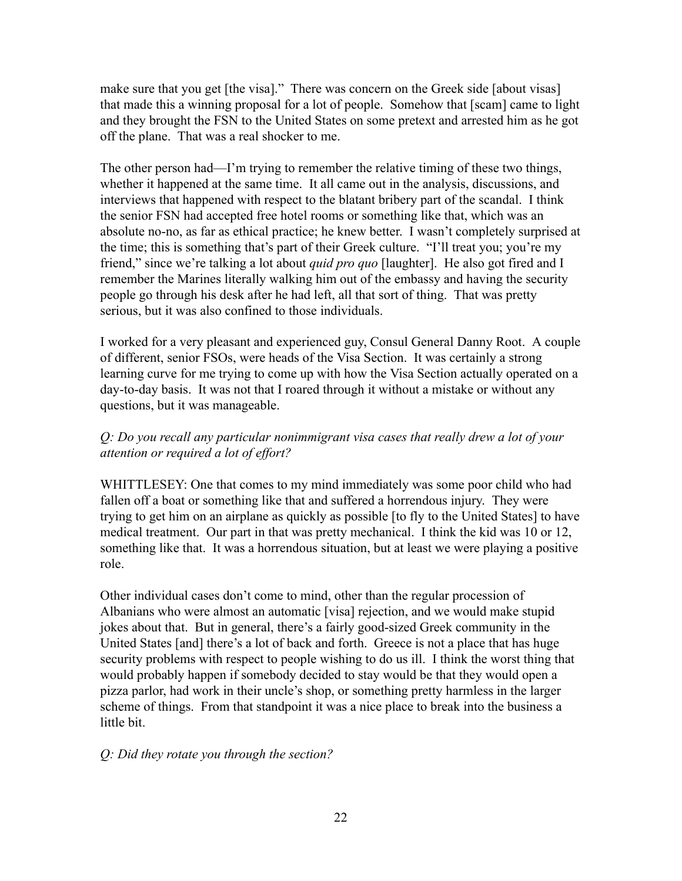make sure that you get [the visa]." There was concern on the Greek side [about visas] that made this a winning proposal for a lot of people. Somehow that [scam] came to light and they brought the FSN to the United States on some pretext and arrested him as he got off the plane. That was a real shocker to me.

The other person had—I'm trying to remember the relative timing of these two things, whether it happened at the same time. It all came out in the analysis, discussions, and interviews that happened with respect to the blatant bribery part of the scandal. I think the senior FSN had accepted free hotel rooms or something like that, which was an absolute no-no, as far as ethical practice; he knew better. I wasn't completely surprised at the time; this is something that's part of their Greek culture. "I'll treat you; you're my friend," since we're talking a lot about *quid pro quo* [laughter]. He also got fired and I remember the Marines literally walking him out of the embassy and having the security people go through his desk after he had left, all that sort of thing. That was pretty serious, but it was also confined to those individuals.

I worked for a very pleasant and experienced guy, Consul General Danny Root. A couple of different, senior FSOs, were heads of the Visa Section. It was certainly a strong learning curve for me trying to come up with how the Visa Section actually operated on a day-to-day basis. It was not that I roared through it without a mistake or without any questions, but it was manageable.

# *Q: Do you recall any particular nonimmigrant visa cases that really drew a lot of your attention or required a lot of effort?*

WHITTLESEY: One that comes to my mind immediately was some poor child who had fallen off a boat or something like that and suffered a horrendous injury. They were trying to get him on an airplane as quickly as possible [to fly to the United States] to have medical treatment. Our part in that was pretty mechanical. I think the kid was 10 or 12, something like that. It was a horrendous situation, but at least we were playing a positive role.

Other individual cases don't come to mind, other than the regular procession of Albanians who were almost an automatic [visa] rejection, and we would make stupid jokes about that. But in general, there's a fairly good-sized Greek community in the United States [and] there's a lot of back and forth. Greece is not a place that has huge security problems with respect to people wishing to do us ill. I think the worst thing that would probably happen if somebody decided to stay would be that they would open a pizza parlor, had work in their uncle's shop, or something pretty harmless in the larger scheme of things. From that standpoint it was a nice place to break into the business a little bit.

# *Q: Did they rotate you through the section?*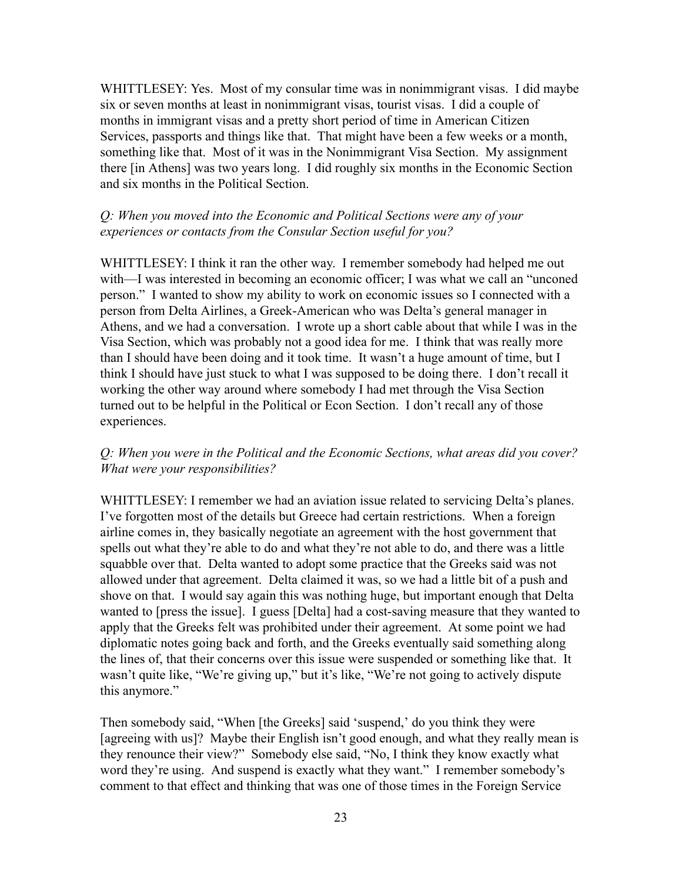WHITTLESEY: Yes. Most of my consular time was in nonimmigrant visas. I did maybe six or seven months at least in nonimmigrant visas, tourist visas. I did a couple of months in immigrant visas and a pretty short period of time in American Citizen Services, passports and things like that. That might have been a few weeks or a month, something like that. Most of it was in the Nonimmigrant Visa Section. My assignment there [in Athens] was two years long. I did roughly six months in the Economic Section and six months in the Political Section.

# *Q: When you moved into the Economic and Political Sections were any of your experiences or contacts from the Consular Section useful for you?*

WHITTLESEY: I think it ran the other way. I remember somebody had helped me out with—I was interested in becoming an economic officer; I was what we call an "unconed person." I wanted to show my ability to work on economic issues so I connected with a person from Delta Airlines, a Greek-American who was Delta's general manager in Athens, and we had a conversation. I wrote up a short cable about that while I was in the Visa Section, which was probably not a good idea for me. I think that was really more than I should have been doing and it took time. It wasn't a huge amount of time, but I think I should have just stuck to what I was supposed to be doing there. I don't recall it working the other way around where somebody I had met through the Visa Section turned out to be helpful in the Political or Econ Section. I don't recall any of those experiences.

# *Q: When you were in the Political and the Economic Sections, what areas did you cover? What were your responsibilities?*

WHITTLESEY: I remember we had an aviation issue related to servicing Delta's planes. I've forgotten most of the details but Greece had certain restrictions. When a foreign airline comes in, they basically negotiate an agreement with the host government that spells out what they're able to do and what they're not able to do, and there was a little squabble over that. Delta wanted to adopt some practice that the Greeks said was not allowed under that agreement. Delta claimed it was, so we had a little bit of a push and shove on that. I would say again this was nothing huge, but important enough that Delta wanted to [press the issue]. I guess [Delta] had a cost-saving measure that they wanted to apply that the Greeks felt was prohibited under their agreement. At some point we had diplomatic notes going back and forth, and the Greeks eventually said something along the lines of, that their concerns over this issue were suspended or something like that. It wasn't quite like, "We're giving up," but it's like, "We're not going to actively dispute this anymore."

Then somebody said, "When [the Greeks] said 'suspend,' do you think they were [agreeing with us]? Maybe their English isn't good enough, and what they really mean is they renounce their view?" Somebody else said, "No, I think they know exactly what word they're using. And suspend is exactly what they want." I remember somebody's comment to that effect and thinking that was one of those times in the Foreign Service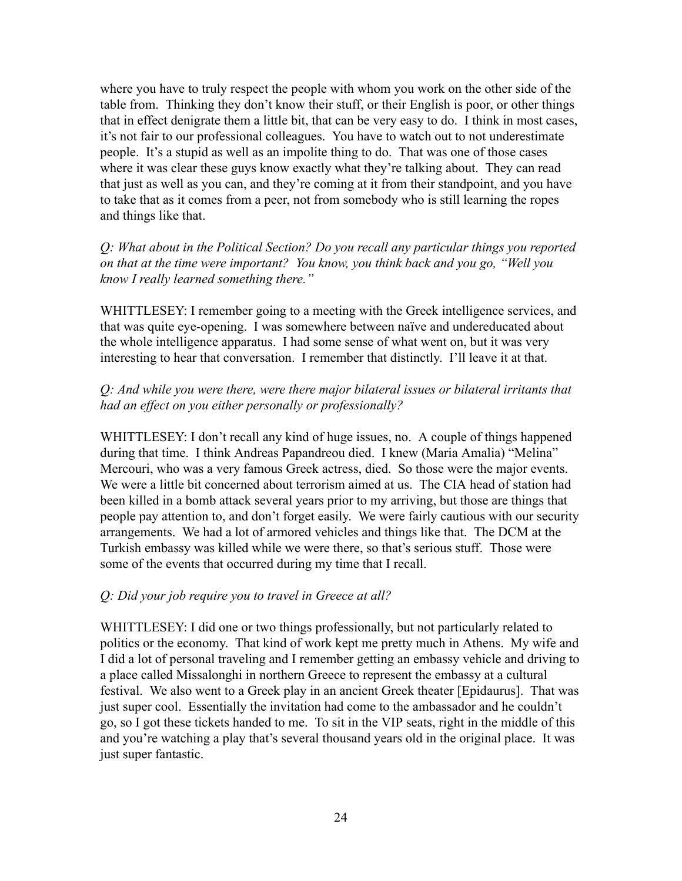where you have to truly respect the people with whom you work on the other side of the table from. Thinking they don't know their stuff, or their English is poor, or other things that in effect denigrate them a little bit, that can be very easy to do. I think in most cases, it's not fair to our professional colleagues. You have to watch out to not underestimate people. It's a stupid as well as an impolite thing to do. That was one of those cases where it was clear these guys know exactly what they're talking about. They can read that just as well as you can, and they're coming at it from their standpoint, and you have to take that as it comes from a peer, not from somebody who is still learning the ropes and things like that.

*Q: What about in the Political Section? Do you recall any particular things you reported on that at the time were important? You know, you think back and you go, "Well you know I really learned something there."*

WHITTLESEY: I remember going to a meeting with the Greek intelligence services, and that was quite eye-opening. I was somewhere between naïve and undereducated about the whole intelligence apparatus. I had some sense of what went on, but it was very interesting to hear that conversation. I remember that distinctly. I'll leave it at that.

## *Q: And while you were there, were there major bilateral issues or bilateral irritants that had an effect on you either personally or professionally?*

WHITTLESEY: I don't recall any kind of huge issues, no. A couple of things happened during that time. I think Andreas Papandreou died. I knew (Maria Amalia) "Melina" Mercouri, who was a very famous Greek actress, died. So those were the major events. We were a little bit concerned about terrorism aimed at us. The CIA head of station had been killed in a bomb attack several years prior to my arriving, but those are things that people pay attention to, and don't forget easily. We were fairly cautious with our security arrangements. We had a lot of armored vehicles and things like that. The DCM at the Turkish embassy was killed while we were there, so that's serious stuff. Those were some of the events that occurred during my time that I recall.

#### *Q: Did your job require you to travel in Greece at all?*

WHITTLESEY: I did one or two things professionally, but not particularly related to politics or the economy. That kind of work kept me pretty much in Athens. My wife and I did a lot of personal traveling and I remember getting an embassy vehicle and driving to a place called Missalonghi in northern Greece to represent the embassy at a cultural festival. We also went to a Greek play in an ancient Greek theater [Epidaurus]. That was just super cool. Essentially the invitation had come to the ambassador and he couldn't go, so I got these tickets handed to me. To sit in the VIP seats, right in the middle of this and you're watching a play that's several thousand years old in the original place. It was just super fantastic.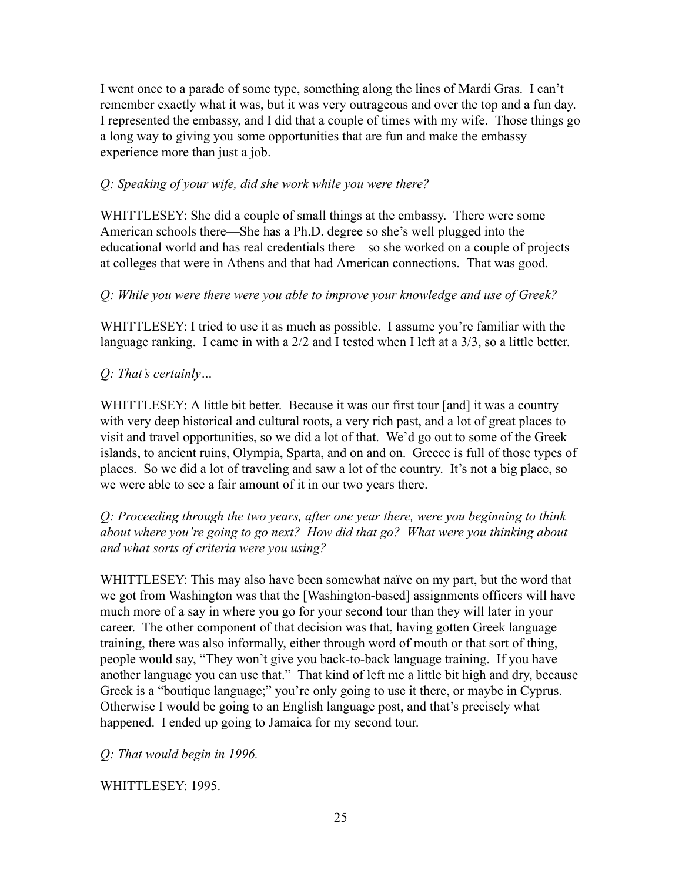I went once to a parade of some type, something along the lines of Mardi Gras. I can't remember exactly what it was, but it was very outrageous and over the top and a fun day. I represented the embassy, and I did that a couple of times with my wife. Those things go a long way to giving you some opportunities that are fun and make the embassy experience more than just a job.

# *Q: Speaking of your wife, did she work while you were there?*

WHITTLESEY: She did a couple of small things at the embassy. There were some American schools there—She has a Ph.D. degree so she's well plugged into the educational world and has real credentials there—so she worked on a couple of projects at colleges that were in Athens and that had American connections. That was good.

# *Q: While you were there were you able to improve your knowledge and use of Greek?*

WHITTLESEY: I tried to use it as much as possible. I assume you're familiar with the language ranking. I came in with a 2/2 and I tested when I left at a 3/3, so a little better.

# *Q: That's certainly…*

WHITTLESEY: A little bit better. Because it was our first tour [and] it was a country with very deep historical and cultural roots, a very rich past, and a lot of great places to visit and travel opportunities, so we did a lot of that. We'd go out to some of the Greek islands, to ancient ruins, Olympia, Sparta, and on and on. Greece is full of those types of places. So we did a lot of traveling and saw a lot of the country. It's not a big place, so we were able to see a fair amount of it in our two years there.

*Q: Proceeding through the two years, after one year there, were you beginning to think about where you're going to go next? How did that go? What were you thinking about and what sorts of criteria were you using?*

WHITTLESEY: This may also have been somewhat naïve on my part, but the word that we got from Washington was that the [Washington-based] assignments officers will have much more of a say in where you go for your second tour than they will later in your career. The other component of that decision was that, having gotten Greek language training, there was also informally, either through word of mouth or that sort of thing, people would say, "They won't give you back-to-back language training. If you have another language you can use that." That kind of left me a little bit high and dry, because Greek is a "boutique language;" you're only going to use it there, or maybe in Cyprus. Otherwise I would be going to an English language post, and that's precisely what happened. I ended up going to Jamaica for my second tour.

*Q: That would begin in 1996.*

WHITTLESEY: 1995.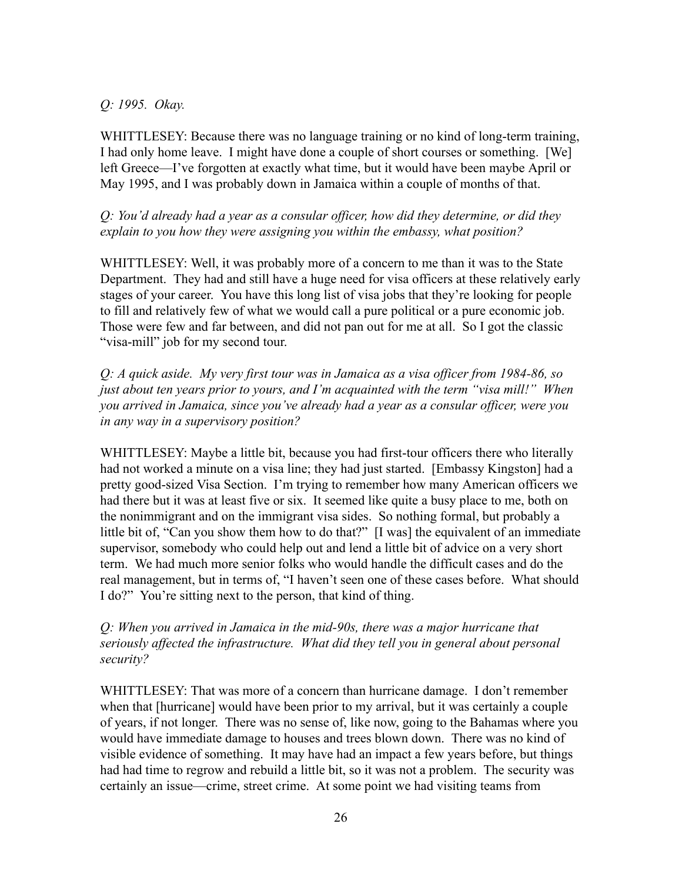# *Q: 1995. Okay.*

WHITTLESEY: Because there was no language training or no kind of long-term training, I had only home leave. I might have done a couple of short courses or something. [We] left Greece—I've forgotten at exactly what time, but it would have been maybe April or May 1995, and I was probably down in Jamaica within a couple of months of that.

*Q: You'd already had a year as a consular officer, how did they determine, or did they explain to you how they were assigning you within the embassy, what position?*

WHITTLESEY: Well, it was probably more of a concern to me than it was to the State Department. They had and still have a huge need for visa officers at these relatively early stages of your career. You have this long list of visa jobs that they're looking for people to fill and relatively few of what we would call a pure political or a pure economic job. Those were few and far between, and did not pan out for me at all. So I got the classic "visa-mill" job for my second tour.

*Q: A quick aside. My very first tour was in Jamaica as a visa officer from 1984-86, so just about ten years prior to yours, and I'm acquainted with the term "visa mill!" When you arrived in Jamaica, since you've already had a year as a consular officer, were you in any way in a supervisory position?*

WHITTLESEY: Maybe a little bit, because you had first-tour officers there who literally had not worked a minute on a visa line; they had just started. [Embassy Kingston] had a pretty good-sized Visa Section. I'm trying to remember how many American officers we had there but it was at least five or six. It seemed like quite a busy place to me, both on the nonimmigrant and on the immigrant visa sides. So nothing formal, but probably a little bit of, "Can you show them how to do that?" [I was] the equivalent of an immediate supervisor, somebody who could help out and lend a little bit of advice on a very short term. We had much more senior folks who would handle the difficult cases and do the real management, but in terms of, "I haven't seen one of these cases before. What should I do?" You're sitting next to the person, that kind of thing.

# *Q: When you arrived in Jamaica in the mid-90s, there was a major hurricane that seriously affected the infrastructure. What did they tell you in general about personal security?*

WHITTLESEY: That was more of a concern than hurricane damage. I don't remember when that [hurricane] would have been prior to my arrival, but it was certainly a couple of years, if not longer. There was no sense of, like now, going to the Bahamas where you would have immediate damage to houses and trees blown down. There was no kind of visible evidence of something. It may have had an impact a few years before, but things had had time to regrow and rebuild a little bit, so it was not a problem. The security was certainly an issue—crime, street crime. At some point we had visiting teams from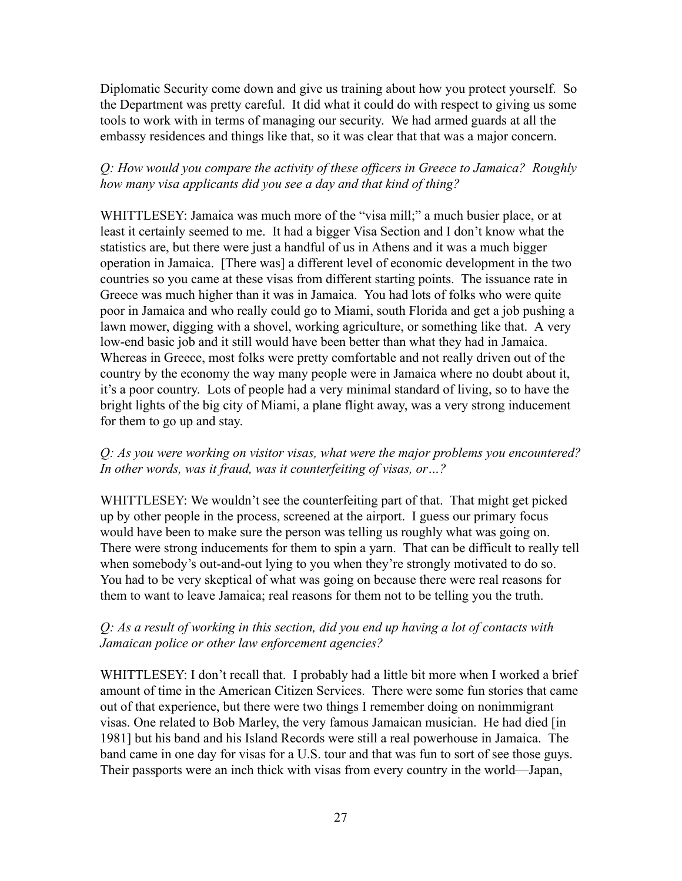Diplomatic Security come down and give us training about how you protect yourself. So the Department was pretty careful. It did what it could do with respect to giving us some tools to work with in terms of managing our security. We had armed guards at all the embassy residences and things like that, so it was clear that that was a major concern.

# *Q: How would you compare the activity of these officers in Greece to Jamaica? Roughly how many visa applicants did you see a day and that kind of thing?*

WHITTLESEY: Jamaica was much more of the "visa mill;" a much busier place, or at least it certainly seemed to me. It had a bigger Visa Section and I don't know what the statistics are, but there were just a handful of us in Athens and it was a much bigger operation in Jamaica. [There was] a different level of economic development in the two countries so you came at these visas from different starting points. The issuance rate in Greece was much higher than it was in Jamaica. You had lots of folks who were quite poor in Jamaica and who really could go to Miami, south Florida and get a job pushing a lawn mower, digging with a shovel, working agriculture, or something like that. A very low-end basic job and it still would have been better than what they had in Jamaica. Whereas in Greece, most folks were pretty comfortable and not really driven out of the country by the economy the way many people were in Jamaica where no doubt about it, it's a poor country. Lots of people had a very minimal standard of living, so to have the bright lights of the big city of Miami, a plane flight away, was a very strong inducement for them to go up and stay.

# *Q: As you were working on visitor visas, what were the major problems you encountered? In other words, was it fraud, was it counterfeiting of visas, or…?*

WHITTLESEY: We wouldn't see the counterfeiting part of that. That might get picked up by other people in the process, screened at the airport. I guess our primary focus would have been to make sure the person was telling us roughly what was going on. There were strong inducements for them to spin a yarn. That can be difficult to really tell when somebody's out-and-out lying to you when they're strongly motivated to do so. You had to be very skeptical of what was going on because there were real reasons for them to want to leave Jamaica; real reasons for them not to be telling you the truth.

# *Q: As a result of working in this section, did you end up having a lot of contacts with Jamaican police or other law enforcement agencies?*

WHITTLESEY: I don't recall that. I probably had a little bit more when I worked a brief amount of time in the American Citizen Services. There were some fun stories that came out of that experience, but there were two things I remember doing on nonimmigrant visas. One related to Bob Marley, the very famous Jamaican musician. He had died [in 1981] but his band and his Island Records were still a real powerhouse in Jamaica. The band came in one day for visas for a U.S. tour and that was fun to sort of see those guys. Their passports were an inch thick with visas from every country in the world—Japan,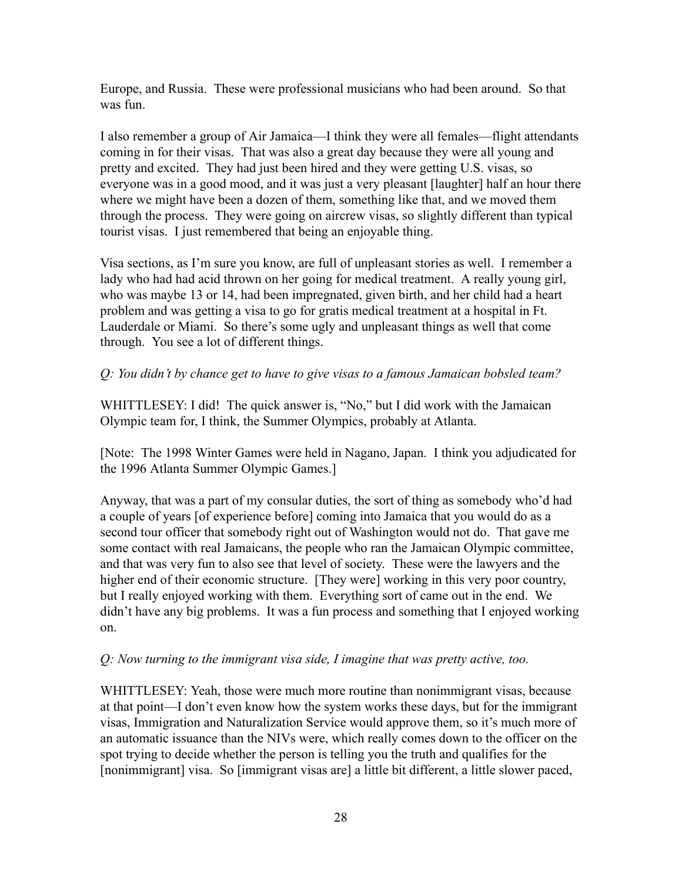Europe, and Russia. These were professional musicians who had been around. So that was fun.

I also remember a group of Air Jamaica—I think they were all females—flight attendants coming in for their visas. That was also a great day because they were all young and pretty and excited. They had just been hired and they were getting U.S. visas, so everyone was in a good mood, and it was just a very pleasant [laughter] half an hour there where we might have been a dozen of them, something like that, and we moved them through the process. They were going on aircrew visas, so slightly different than typical tourist visas. I just remembered that being an enjoyable thing.

Visa sections, as I'm sure you know, are full of unpleasant stories as well. I remember a lady who had had acid thrown on her going for medical treatment. A really young girl, who was maybe 13 or 14, had been impregnated, given birth, and her child had a heart problem and was getting a visa to go for gratis medical treatment at a hospital in Ft. Lauderdale or Miami. So there's some ugly and unpleasant things as well that come through. You see a lot of different things.

## *Q: You didn't by chance get to have to give visas to a famous Jamaican bobsled team?*

WHITTLESEY: I did! The quick answer is, "No," but I did work with the Jamaican Olympic team for, I think, the Summer Olympics, probably at Atlanta.

[Note: The 1998 Winter Games were held in Nagano, Japan. I think you adjudicated for the 1996 Atlanta Summer Olympic Games.]

Anyway, that was a part of my consular duties, the sort of thing as somebody who'd had a couple of years [of experience before] coming into Jamaica that you would do as a second tour officer that somebody right out of Washington would not do. That gave me some contact with real Jamaicans, the people who ran the Jamaican Olympic committee, and that was very fun to also see that level of society. These were the lawyers and the higher end of their economic structure. [They were] working in this very poor country, but I really enjoyed working with them. Everything sort of came out in the end. We didn't have any big problems. It was a fun process and something that I enjoyed working on.

#### *Q: Now turning to the immigrant visa side, I imagine that was pretty active, too.*

WHITTLESEY: Yeah, those were much more routine than nonimmigrant visas, because at that point—I don't even know how the system works these days, but for the immigrant visas, Immigration and Naturalization Service would approve them, so it's much more of an automatic issuance than the NIVs were, which really comes down to the officer on the spot trying to decide whether the person is telling you the truth and qualifies for the [nonimmigrant] visa. So [immigrant visas are] a little bit different, a little slower paced,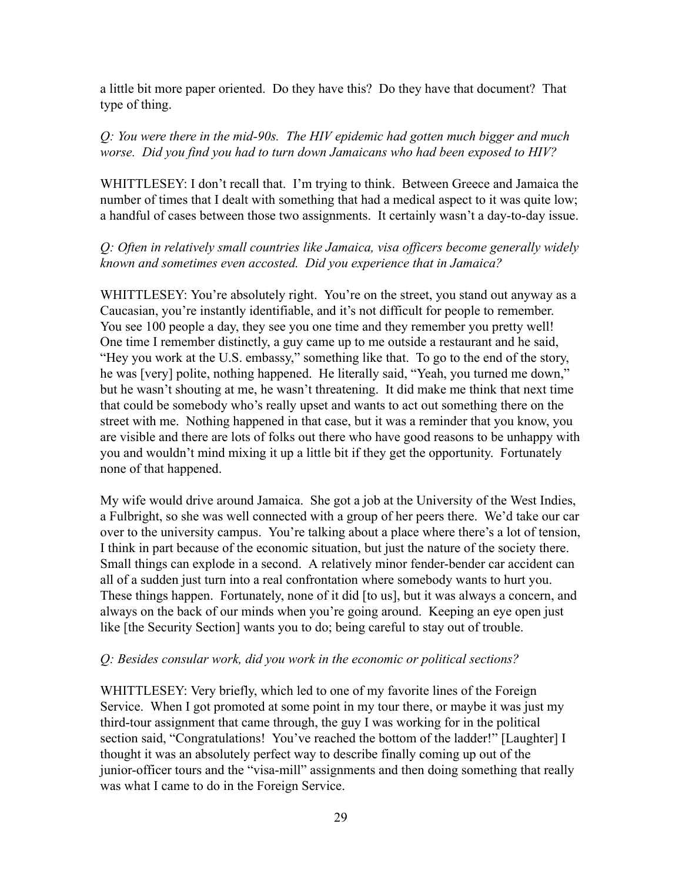a little bit more paper oriented. Do they have this? Do they have that document? That type of thing.

#### *Q: You were there in the mid-90s. The HIV epidemic had gotten much bigger and much worse. Did you find you had to turn down Jamaicans who had been exposed to HIV?*

WHITTLESEY: I don't recall that. I'm trying to think. Between Greece and Jamaica the number of times that I dealt with something that had a medical aspect to it was quite low; a handful of cases between those two assignments. It certainly wasn't a day-to-day issue.

## *Q: Often in relatively small countries like Jamaica, visa officers become generally widely known and sometimes even accosted. Did you experience that in Jamaica?*

WHITTLESEY: You're absolutely right. You're on the street, you stand out anyway as a Caucasian, you're instantly identifiable, and it's not difficult for people to remember. You see 100 people a day, they see you one time and they remember you pretty well! One time I remember distinctly, a guy came up to me outside a restaurant and he said, "Hey you work at the U.S. embassy," something like that. To go to the end of the story, he was [very] polite, nothing happened. He literally said, "Yeah, you turned me down," but he wasn't shouting at me, he wasn't threatening. It did make me think that next time that could be somebody who's really upset and wants to act out something there on the street with me. Nothing happened in that case, but it was a reminder that you know, you are visible and there are lots of folks out there who have good reasons to be unhappy with you and wouldn't mind mixing it up a little bit if they get the opportunity. Fortunately none of that happened.

My wife would drive around Jamaica. She got a job at the University of the West Indies, a Fulbright, so she was well connected with a group of her peers there. We'd take our car over to the university campus. You're talking about a place where there's a lot of tension, I think in part because of the economic situation, but just the nature of the society there. Small things can explode in a second. A relatively minor fender-bender car accident can all of a sudden just turn into a real confrontation where somebody wants to hurt you. These things happen. Fortunately, none of it did [to us], but it was always a concern, and always on the back of our minds when you're going around. Keeping an eye open just like [the Security Section] wants you to do; being careful to stay out of trouble.

#### *Q: Besides consular work, did you work in the economic or political sections?*

WHITTLESEY: Very briefly, which led to one of my favorite lines of the Foreign Service. When I got promoted at some point in my tour there, or maybe it was just my third-tour assignment that came through, the guy I was working for in the political section said, "Congratulations! You've reached the bottom of the ladder!" [Laughter] I thought it was an absolutely perfect way to describe finally coming up out of the junior-officer tours and the "visa-mill" assignments and then doing something that really was what I came to do in the Foreign Service.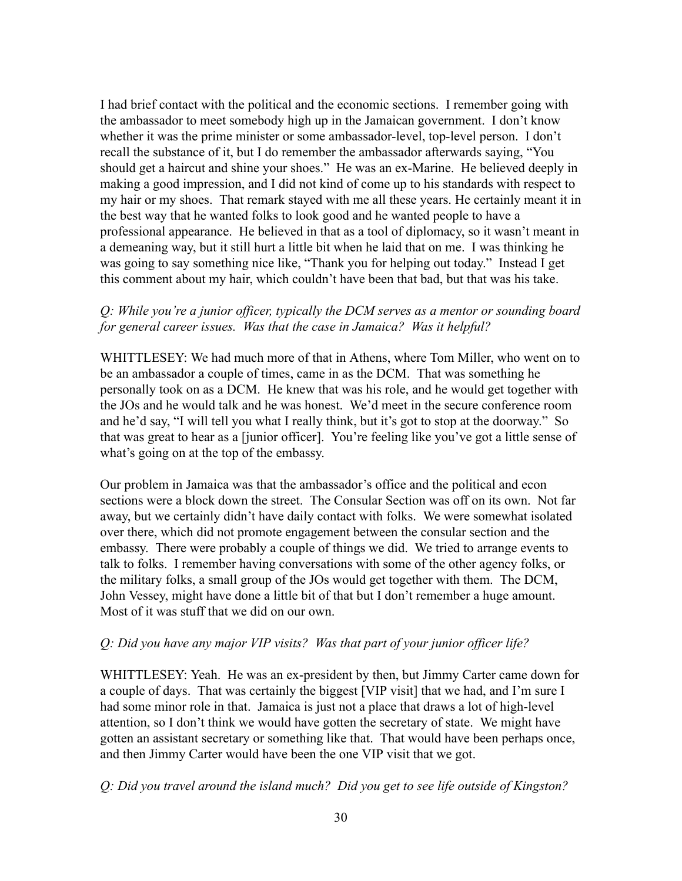I had brief contact with the political and the economic sections. I remember going with the ambassador to meet somebody high up in the Jamaican government. I don't know whether it was the prime minister or some ambassador-level, top-level person. I don't recall the substance of it, but I do remember the ambassador afterwards saying, "You should get a haircut and shine your shoes." He was an ex-Marine. He believed deeply in making a good impression, and I did not kind of come up to his standards with respect to my hair or my shoes. That remark stayed with me all these years. He certainly meant it in the best way that he wanted folks to look good and he wanted people to have a professional appearance. He believed in that as a tool of diplomacy, so it wasn't meant in a demeaning way, but it still hurt a little bit when he laid that on me. I was thinking he was going to say something nice like, "Thank you for helping out today." Instead I get this comment about my hair, which couldn't have been that bad, but that was his take.

## *Q: While you're a junior officer, typically the DCM serves as a mentor or sounding board for general career issues. Was that the case in Jamaica? Was it helpful?*

WHITTLESEY: We had much more of that in Athens, where Tom Miller, who went on to be an ambassador a couple of times, came in as the DCM. That was something he personally took on as a DCM. He knew that was his role, and he would get together with the JOs and he would talk and he was honest. We'd meet in the secure conference room and he'd say, "I will tell you what I really think, but it's got to stop at the doorway." So that was great to hear as a [junior officer]. You're feeling like you've got a little sense of what's going on at the top of the embassy.

Our problem in Jamaica was that the ambassador's office and the political and econ sections were a block down the street. The Consular Section was off on its own. Not far away, but we certainly didn't have daily contact with folks. We were somewhat isolated over there, which did not promote engagement between the consular section and the embassy. There were probably a couple of things we did. We tried to arrange events to talk to folks. I remember having conversations with some of the other agency folks, or the military folks, a small group of the JOs would get together with them. The DCM, John Vessey, might have done a little bit of that but I don't remember a huge amount. Most of it was stuff that we did on our own.

#### *Q: Did you have any major VIP visits? Was that part of your junior officer life?*

WHITTLESEY: Yeah. He was an ex-president by then, but Jimmy Carter came down for a couple of days. That was certainly the biggest [VIP visit] that we had, and I'm sure I had some minor role in that. Jamaica is just not a place that draws a lot of high-level attention, so I don't think we would have gotten the secretary of state. We might have gotten an assistant secretary or something like that. That would have been perhaps once, and then Jimmy Carter would have been the one VIP visit that we got.

*Q: Did you travel around the island much? Did you get to see life outside of Kingston?*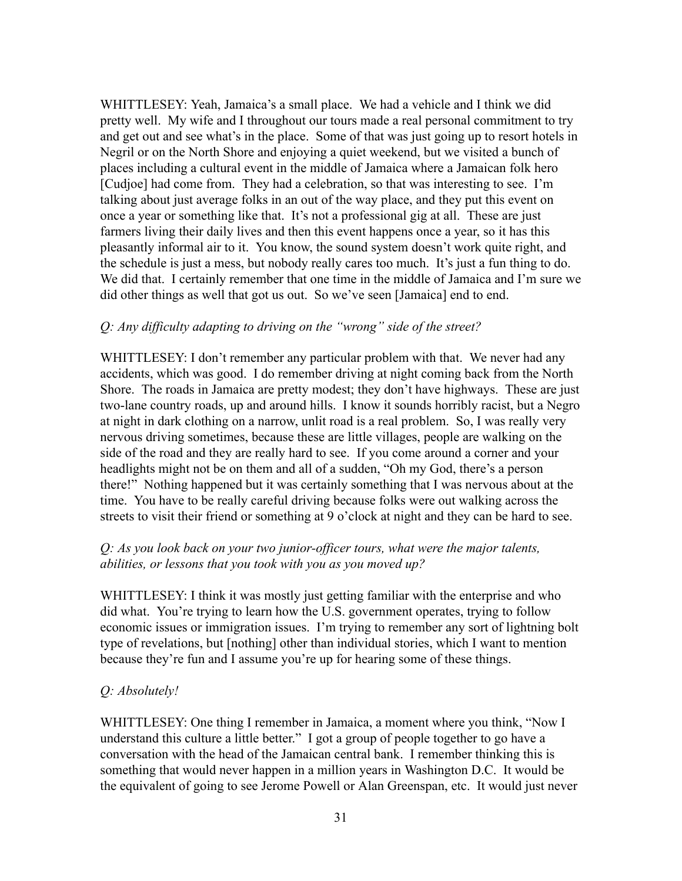WHITTLESEY: Yeah, Jamaica's a small place. We had a vehicle and I think we did pretty well. My wife and I throughout our tours made a real personal commitment to try and get out and see what's in the place. Some of that was just going up to resort hotels in Negril or on the North Shore and enjoying a quiet weekend, but we visited a bunch of places including a cultural event in the middle of Jamaica where a Jamaican folk hero [Cudjoe] had come from. They had a celebration, so that was interesting to see. I'm talking about just average folks in an out of the way place, and they put this event on once a year or something like that. It's not a professional gig at all. These are just farmers living their daily lives and then this event happens once a year, so it has this pleasantly informal air to it. You know, the sound system doesn't work quite right, and the schedule is just a mess, but nobody really cares too much. It's just a fun thing to do. We did that. I certainly remember that one time in the middle of Jamaica and I'm sure we did other things as well that got us out. So we've seen [Jamaica] end to end.

#### *Q: Any difficulty adapting to driving on the "wrong" side of the street?*

WHITTLESEY: I don't remember any particular problem with that. We never had any accidents, which was good. I do remember driving at night coming back from the North Shore. The roads in Jamaica are pretty modest; they don't have highways. These are just two-lane country roads, up and around hills. I know it sounds horribly racist, but a Negro at night in dark clothing on a narrow, unlit road is a real problem. So, I was really very nervous driving sometimes, because these are little villages, people are walking on the side of the road and they are really hard to see. If you come around a corner and your headlights might not be on them and all of a sudden, "Oh my God, there's a person there!" Nothing happened but it was certainly something that I was nervous about at the time. You have to be really careful driving because folks were out walking across the streets to visit their friend or something at 9 o'clock at night and they can be hard to see.

# *Q: As you look back on your two junior-officer tours, what were the major talents, abilities, or lessons that you took with you as you moved up?*

WHITTLESEY: I think it was mostly just getting familiar with the enterprise and who did what. You're trying to learn how the U.S. government operates, trying to follow economic issues or immigration issues. I'm trying to remember any sort of lightning bolt type of revelations, but [nothing] other than individual stories, which I want to mention because they're fun and I assume you're up for hearing some of these things.

# *Q: Absolutely!*

WHITTLESEY: One thing I remember in Jamaica, a moment where you think, "Now I understand this culture a little better." I got a group of people together to go have a conversation with the head of the Jamaican central bank. I remember thinking this is something that would never happen in a million years in Washington D.C. It would be the equivalent of going to see Jerome Powell or Alan Greenspan, etc. It would just never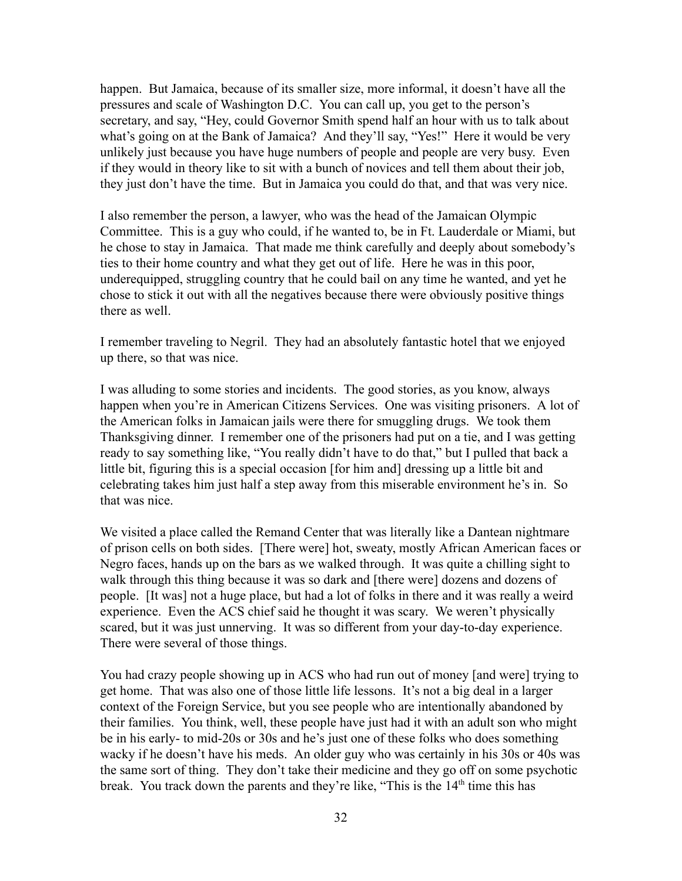happen. But Jamaica, because of its smaller size, more informal, it doesn't have all the pressures and scale of Washington D.C. You can call up, you get to the person's secretary, and say, "Hey, could Governor Smith spend half an hour with us to talk about what's going on at the Bank of Jamaica? And they'll say, "Yes!" Here it would be very unlikely just because you have huge numbers of people and people are very busy. Even if they would in theory like to sit with a bunch of novices and tell them about their job, they just don't have the time. But in Jamaica you could do that, and that was very nice.

I also remember the person, a lawyer, who was the head of the Jamaican Olympic Committee. This is a guy who could, if he wanted to, be in Ft. Lauderdale or Miami, but he chose to stay in Jamaica. That made me think carefully and deeply about somebody's ties to their home country and what they get out of life. Here he was in this poor, underequipped, struggling country that he could bail on any time he wanted, and yet he chose to stick it out with all the negatives because there were obviously positive things there as well.

I remember traveling to Negril. They had an absolutely fantastic hotel that we enjoyed up there, so that was nice.

I was alluding to some stories and incidents. The good stories, as you know, always happen when you're in American Citizens Services. One was visiting prisoners. A lot of the American folks in Jamaican jails were there for smuggling drugs. We took them Thanksgiving dinner. I remember one of the prisoners had put on a tie, and I was getting ready to say something like, "You really didn't have to do that," but I pulled that back a little bit, figuring this is a special occasion [for him and] dressing up a little bit and celebrating takes him just half a step away from this miserable environment he's in. So that was nice.

We visited a place called the Remand Center that was literally like a Dantean nightmare of prison cells on both sides. [There were] hot, sweaty, mostly African American faces or Negro faces, hands up on the bars as we walked through. It was quite a chilling sight to walk through this thing because it was so dark and [there were] dozens and dozens of people. [It was] not a huge place, but had a lot of folks in there and it was really a weird experience. Even the ACS chief said he thought it was scary. We weren't physically scared, but it was just unnerving. It was so different from your day-to-day experience. There were several of those things.

You had crazy people showing up in ACS who had run out of money [and were] trying to get home. That was also one of those little life lessons. It's not a big deal in a larger context of the Foreign Service, but you see people who are intentionally abandoned by their families. You think, well, these people have just had it with an adult son who might be in his early- to mid-20s or 30s and he's just one of these folks who does something wacky if he doesn't have his meds. An older guy who was certainly in his 30s or 40s was the same sort of thing. They don't take their medicine and they go off on some psychotic break. You track down the parents and they're like, "This is the  $14<sup>th</sup>$  time this has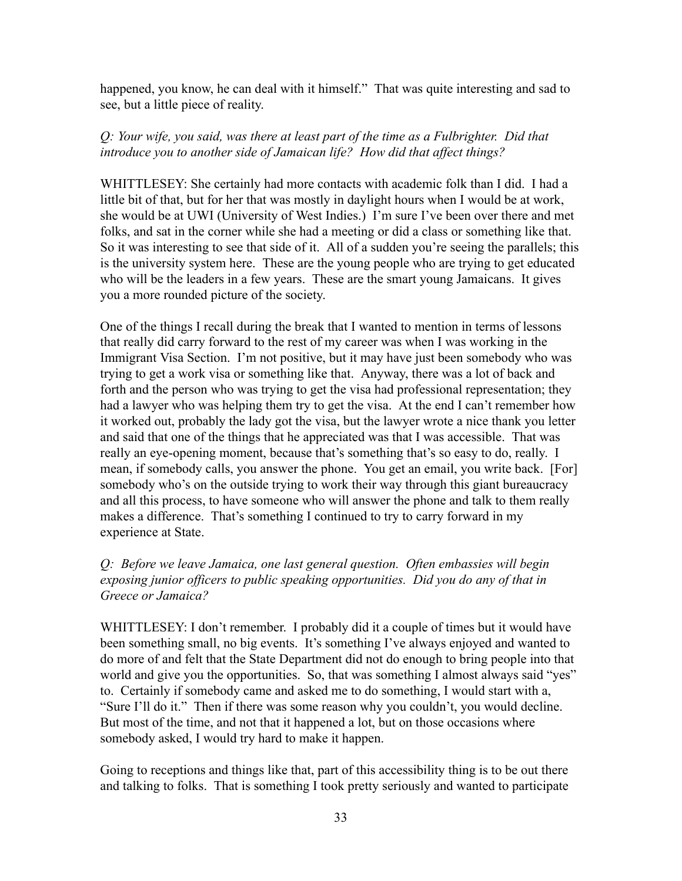happened, you know, he can deal with it himself." That was quite interesting and sad to see, but a little piece of reality.

# *Q: Your wife, you said, was there at least part of the time as a Fulbrighter. Did that introduce you to another side of Jamaican life? How did that affect things?*

WHITTLESEY: She certainly had more contacts with academic folk than I did. I had a little bit of that, but for her that was mostly in daylight hours when I would be at work, she would be at UWI (University of West Indies.) I'm sure I've been over there and met folks, and sat in the corner while she had a meeting or did a class or something like that. So it was interesting to see that side of it. All of a sudden you're seeing the parallels; this is the university system here. These are the young people who are trying to get educated who will be the leaders in a few years. These are the smart young Jamaicans. It gives you a more rounded picture of the society.

One of the things I recall during the break that I wanted to mention in terms of lessons that really did carry forward to the rest of my career was when I was working in the Immigrant Visa Section. I'm not positive, but it may have just been somebody who was trying to get a work visa or something like that. Anyway, there was a lot of back and forth and the person who was trying to get the visa had professional representation; they had a lawyer who was helping them try to get the visa. At the end I can't remember how it worked out, probably the lady got the visa, but the lawyer wrote a nice thank you letter and said that one of the things that he appreciated was that I was accessible. That was really an eye-opening moment, because that's something that's so easy to do, really. I mean, if somebody calls, you answer the phone. You get an email, you write back. [For] somebody who's on the outside trying to work their way through this giant bureaucracy and all this process, to have someone who will answer the phone and talk to them really makes a difference. That's something I continued to try to carry forward in my experience at State.

# *Q: Before we leave Jamaica, one last general question. Often embassies will begin exposing junior officers to public speaking opportunities. Did you do any of that in Greece or Jamaica?*

WHITTLESEY: I don't remember. I probably did it a couple of times but it would have been something small, no big events. It's something I've always enjoyed and wanted to do more of and felt that the State Department did not do enough to bring people into that world and give you the opportunities. So, that was something I almost always said "yes" to. Certainly if somebody came and asked me to do something, I would start with a, "Sure I'll do it." Then if there was some reason why you couldn't, you would decline. But most of the time, and not that it happened a lot, but on those occasions where somebody asked, I would try hard to make it happen.

Going to receptions and things like that, part of this accessibility thing is to be out there and talking to folks. That is something I took pretty seriously and wanted to participate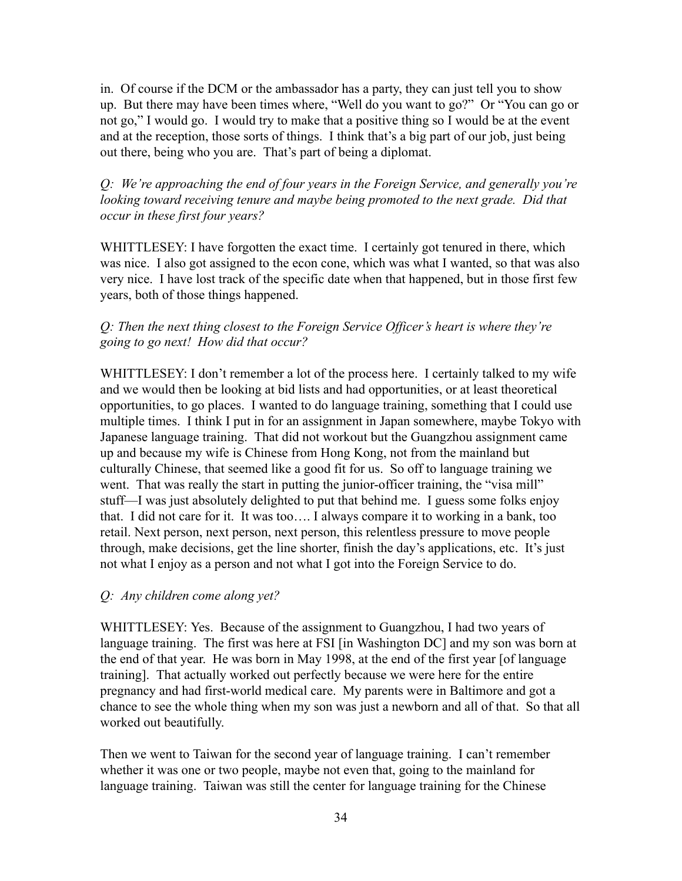in. Of course if the DCM or the ambassador has a party, they can just tell you to show up. But there may have been times where, "Well do you want to go?" Or "You can go or not go," I would go. I would try to make that a positive thing so I would be at the event and at the reception, those sorts of things. I think that's a big part of our job, just being out there, being who you are. That's part of being a diplomat.

*Q: We're approaching the end of four years in the Foreign Service, and generally you're looking toward receiving tenure and maybe being promoted to the next grade. Did that occur in these first four years?*

WHITTLESEY: I have forgotten the exact time. I certainly got tenured in there, which was nice. I also got assigned to the econ cone, which was what I wanted, so that was also very nice. I have lost track of the specific date when that happened, but in those first few years, both of those things happened.

# *Q: Then the next thing closest to the Foreign Service Officer's heart is where they're going to go next! How did that occur?*

WHITTLESEY: I don't remember a lot of the process here. I certainly talked to my wife and we would then be looking at bid lists and had opportunities, or at least theoretical opportunities, to go places. I wanted to do language training, something that I could use multiple times. I think I put in for an assignment in Japan somewhere, maybe Tokyo with Japanese language training. That did not workout but the Guangzhou assignment came up and because my wife is Chinese from Hong Kong, not from the mainland but culturally Chinese, that seemed like a good fit for us. So off to language training we went. That was really the start in putting the junior-officer training, the "visa mill" stuff—I was just absolutely delighted to put that behind me. I guess some folks enjoy that. I did not care for it. It was too…. I always compare it to working in a bank, too retail. Next person, next person, next person, this relentless pressure to move people through, make decisions, get the line shorter, finish the day's applications, etc. It's just not what I enjoy as a person and not what I got into the Foreign Service to do.

# *Q: Any children come along yet?*

WHITTLESEY: Yes. Because of the assignment to Guangzhou, I had two years of language training. The first was here at FSI [in Washington DC] and my son was born at the end of that year. He was born in May 1998, at the end of the first year [of language training]. That actually worked out perfectly because we were here for the entire pregnancy and had first-world medical care. My parents were in Baltimore and got a chance to see the whole thing when my son was just a newborn and all of that. So that all worked out beautifully.

Then we went to Taiwan for the second year of language training. I can't remember whether it was one or two people, maybe not even that, going to the mainland for language training. Taiwan was still the center for language training for the Chinese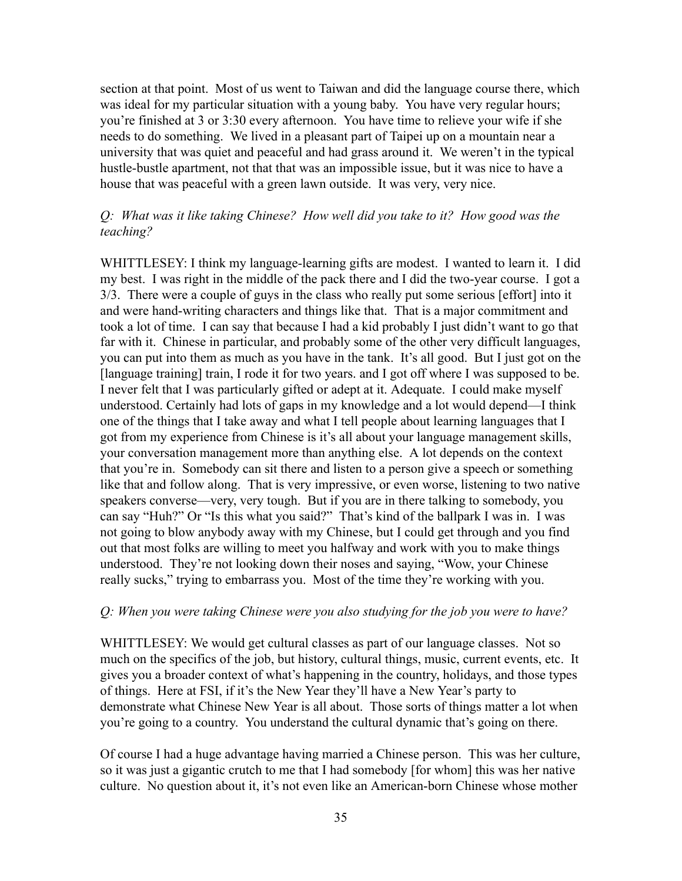section at that point. Most of us went to Taiwan and did the language course there, which was ideal for my particular situation with a young baby. You have very regular hours; you're finished at 3 or 3:30 every afternoon. You have time to relieve your wife if she needs to do something. We lived in a pleasant part of Taipei up on a mountain near a university that was quiet and peaceful and had grass around it. We weren't in the typical hustle-bustle apartment, not that that was an impossible issue, but it was nice to have a house that was peaceful with a green lawn outside. It was very, very nice.

## *Q: What was it like taking Chinese? How well did you take to it? How good was the teaching?*

WHITTLESEY: I think my language-learning gifts are modest. I wanted to learn it. I did my best. I was right in the middle of the pack there and I did the two-year course. I got a 3/3. There were a couple of guys in the class who really put some serious [effort] into it and were hand-writing characters and things like that. That is a major commitment and took a lot of time. I can say that because I had a kid probably I just didn't want to go that far with it. Chinese in particular, and probably some of the other very difficult languages, you can put into them as much as you have in the tank. It's all good. But I just got on the [language training] train, I rode it for two years, and I got off where I was supposed to be. I never felt that I was particularly gifted or adept at it. Adequate. I could make myself understood. Certainly had lots of gaps in my knowledge and a lot would depend—I think one of the things that I take away and what I tell people about learning languages that I got from my experience from Chinese is it's all about your language management skills, your conversation management more than anything else. A lot depends on the context that you're in. Somebody can sit there and listen to a person give a speech or something like that and follow along. That is very impressive, or even worse, listening to two native speakers converse—very, very tough. But if you are in there talking to somebody, you can say "Huh?" Or "Is this what you said?" That's kind of the ballpark I was in. I was not going to blow anybody away with my Chinese, but I could get through and you find out that most folks are willing to meet you halfway and work with you to make things understood. They're not looking down their noses and saying, "Wow, your Chinese really sucks," trying to embarrass you. Most of the time they're working with you.

#### *Q: When you were taking Chinese were you also studying for the job you were to have?*

WHITTLESEY: We would get cultural classes as part of our language classes. Not so much on the specifics of the job, but history, cultural things, music, current events, etc. It gives you a broader context of what's happening in the country, holidays, and those types of things. Here at FSI, if it's the New Year they'll have a New Year's party to demonstrate what Chinese New Year is all about. Those sorts of things matter a lot when you're going to a country. You understand the cultural dynamic that's going on there.

Of course I had a huge advantage having married a Chinese person. This was her culture, so it was just a gigantic crutch to me that I had somebody [for whom] this was her native culture. No question about it, it's not even like an American-born Chinese whose mother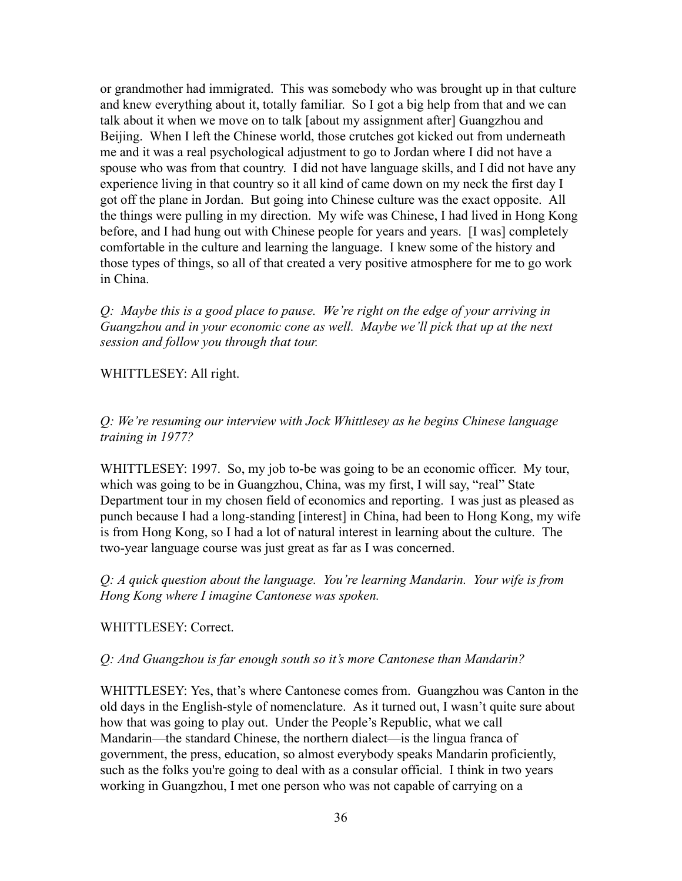or grandmother had immigrated. This was somebody who was brought up in that culture and knew everything about it, totally familiar. So I got a big help from that and we can talk about it when we move on to talk [about my assignment after] Guangzhou and Beijing. When I left the Chinese world, those crutches got kicked out from underneath me and it was a real psychological adjustment to go to Jordan where I did not have a spouse who was from that country. I did not have language skills, and I did not have any experience living in that country so it all kind of came down on my neck the first day I got off the plane in Jordan. But going into Chinese culture was the exact opposite. All the things were pulling in my direction. My wife was Chinese, I had lived in Hong Kong before, and I had hung out with Chinese people for years and years. [I was] completely comfortable in the culture and learning the language. I knew some of the history and those types of things, so all of that created a very positive atmosphere for me to go work in China.

*Q: Maybe this is a good place to pause. We're right on the edge of your arriving in Guangzhou and in your economic cone as well. Maybe we'll pick that up at the next session and follow you through that tour.*

#### WHITTLESEY: All right.

*Q: We're resuming our interview with Jock Whittlesey as he begins Chinese language training in 1977?*

WHITTLESEY: 1997. So, my job to-be was going to be an economic officer. My tour, which was going to be in Guangzhou, China, was my first, I will say, "real" State Department tour in my chosen field of economics and reporting. I was just as pleased as punch because I had a long-standing [interest] in China, had been to Hong Kong, my wife is from Hong Kong, so I had a lot of natural interest in learning about the culture. The two-year language course was just great as far as I was concerned.

*Q: A quick question about the language. You're learning Mandarin. Your wife is from Hong Kong where I imagine Cantonese was spoken.*

WHITTLESEY: Correct.

*Q: And Guangzhou is far enough south so it's more Cantonese than Mandarin?*

WHITTLESEY: Yes, that's where Cantonese comes from. Guangzhou was Canton in the old days in the English-style of nomenclature. As it turned out, I wasn't quite sure about how that was going to play out. Under the People's Republic, what we call Mandarin—the standard Chinese, the northern dialect—is the lingua franca of government, the press, education, so almost everybody speaks Mandarin proficiently, such as the folks you're going to deal with as a consular official. I think in two years working in Guangzhou, I met one person who was not capable of carrying on a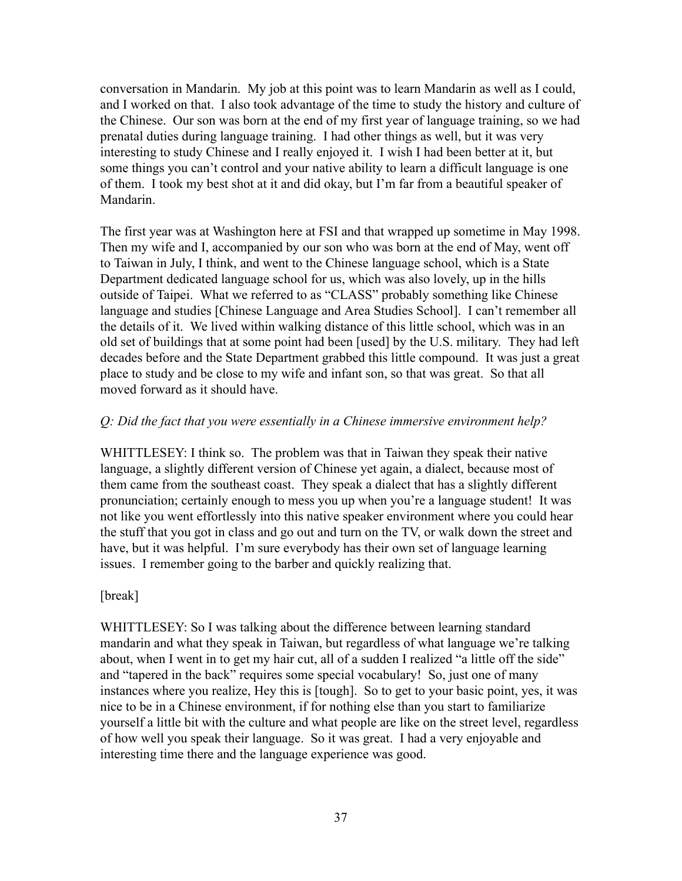conversation in Mandarin. My job at this point was to learn Mandarin as well as I could, and I worked on that. I also took advantage of the time to study the history and culture of the Chinese. Our son was born at the end of my first year of language training, so we had prenatal duties during language training. I had other things as well, but it was very interesting to study Chinese and I really enjoyed it. I wish I had been better at it, but some things you can't control and your native ability to learn a difficult language is one of them. I took my best shot at it and did okay, but I'm far from a beautiful speaker of Mandarin.

The first year was at Washington here at FSI and that wrapped up sometime in May 1998. Then my wife and I, accompanied by our son who was born at the end of May, went off to Taiwan in July, I think, and went to the Chinese language school, which is a State Department dedicated language school for us, which was also lovely, up in the hills outside of Taipei. What we referred to as "CLASS" probably something like Chinese language and studies [Chinese Language and Area Studies School]. I can't remember all the details of it. We lived within walking distance of this little school, which was in an old set of buildings that at some point had been [used] by the U.S. military. They had left decades before and the State Department grabbed this little compound. It was just a great place to study and be close to my wife and infant son, so that was great. So that all moved forward as it should have.

### *Q: Did the fact that you were essentially in a Chinese immersive environment help?*

WHITTLESEY: I think so. The problem was that in Taiwan they speak their native language, a slightly different version of Chinese yet again, a dialect, because most of them came from the southeast coast. They speak a dialect that has a slightly different pronunciation; certainly enough to mess you up when you're a language student! It was not like you went effortlessly into this native speaker environment where you could hear the stuff that you got in class and go out and turn on the TV, or walk down the street and have, but it was helpful. I'm sure everybody has their own set of language learning issues. I remember going to the barber and quickly realizing that.

### [break]

WHITTLESEY: So I was talking about the difference between learning standard mandarin and what they speak in Taiwan, but regardless of what language we're talking about, when I went in to get my hair cut, all of a sudden I realized "a little off the side" and "tapered in the back" requires some special vocabulary! So, just one of many instances where you realize, Hey this is [tough]. So to get to your basic point, yes, it was nice to be in a Chinese environment, if for nothing else than you start to familiarize yourself a little bit with the culture and what people are like on the street level, regardless of how well you speak their language. So it was great. I had a very enjoyable and interesting time there and the language experience was good.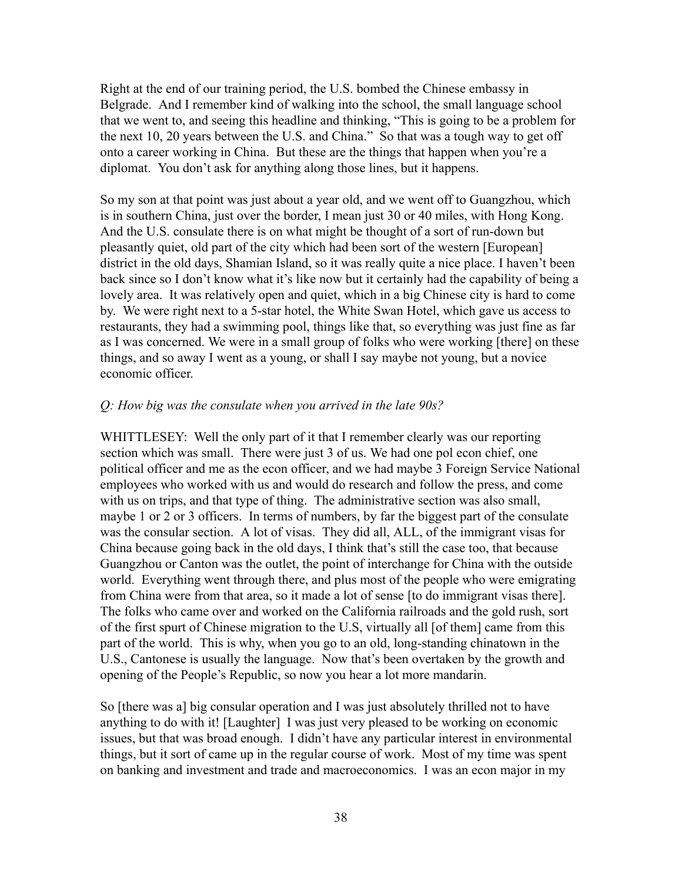Right at the end of our training period, the U.S. bombed the Chinese embassy in Belgrade. And I remember kind of walking into the school, the small language school that we went to, and seeing this headline and thinking, "This is going to be a problem for the next 10, 20 years between the U.S. and China." So that was a tough way to get off onto a career working in China. But these are the things that happen when you're a diplomat. You don't ask for anything along those lines, but it happens.

So my son at that point was just about a year old, and we went off to Guangzhou, which is in southern China, just over the border, I mean just 30 or 40 miles, with Hong Kong. And the U.S. consulate there is on what might be thought of a sort of run-down but pleasantly quiet, old part of the city which had been sort of the western [European] district in the old days, Shamian Island, so it was really quite a nice place. I haven't been back since so I don't know what it's like now but it certainly had the capability of being a lovely area. It was relatively open and quiet, which in a big Chinese city is hard to come by. We were right next to a 5-star hotel, the White Swan Hotel, which gave us access to restaurants, they had a swimming pool, things like that, so everything was just fine as far as I was concerned. We were in a small group of folks who were working [there] on these things, and so away I went as a young, or shall I say maybe not young, but a novice economic officer.

#### *Q: How big was the consulate when you arrived in the late 90s?*

WHITTLESEY: Well the only part of it that I remember clearly was our reporting section which was small. There were just 3 of us. We had one pol econ chief, one political officer and me as the econ officer, and we had maybe 3 Foreign Service National employees who worked with us and would do research and follow the press, and come with us on trips, and that type of thing. The administrative section was also small, maybe 1 or 2 or 3 officers. In terms of numbers, by far the biggest part of the consulate was the consular section. A lot of visas. They did all, ALL, of the immigrant visas for China because going back in the old days, I think that's still the case too, that because Guangzhou or Canton was the outlet, the point of interchange for China with the outside world. Everything went through there, and plus most of the people who were emigrating from China were from that area, so it made a lot of sense [to do immigrant visas there]. The folks who came over and worked on the California railroads and the gold rush, sort of the first spurt of Chinese migration to the U.S, virtually all [of them] came from this part of the world. This is why, when you go to an old, long-standing chinatown in the U.S., Cantonese is usually the language. Now that's been overtaken by the growth and opening of the People's Republic, so now you hear a lot more mandarin.

So [there was a] big consular operation and I was just absolutely thrilled not to have anything to do with it! [Laughter] I was just very pleased to be working on economic issues, but that was broad enough. I didn't have any particular interest in environmental things, but it sort of came up in the regular course of work. Most of my time was spent on banking and investment and trade and macroeconomics. I was an econ major in my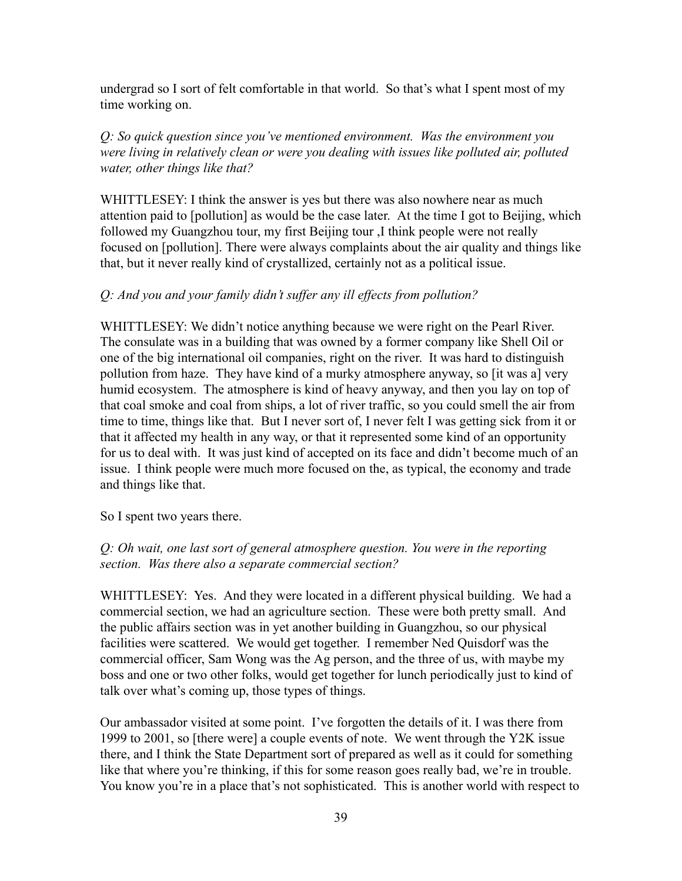undergrad so I sort of felt comfortable in that world. So that's what I spent most of my time working on.

*Q: So quick question since you've mentioned environment. Was the environment you were living in relatively clean or were you dealing with issues like polluted air, polluted water, other things like that?*

WHITTLESEY: I think the answer is yes but there was also nowhere near as much attention paid to [pollution] as would be the case later. At the time I got to Beijing, which followed my Guangzhou tour, my first Beijing tour ,I think people were not really focused on [pollution]. There were always complaints about the air quality and things like that, but it never really kind of crystallized, certainly not as a political issue.

### *Q: And you and your family didn't suffer any ill effects from pollution?*

WHITTLESEY: We didn't notice anything because we were right on the Pearl River. The consulate was in a building that was owned by a former company like Shell Oil or one of the big international oil companies, right on the river. It was hard to distinguish pollution from haze. They have kind of a murky atmosphere anyway, so [it was a] very humid ecosystem. The atmosphere is kind of heavy anyway, and then you lay on top of that coal smoke and coal from ships, a lot of river traffic, so you could smell the air from time to time, things like that. But I never sort of, I never felt I was getting sick from it or that it affected my health in any way, or that it represented some kind of an opportunity for us to deal with. It was just kind of accepted on its face and didn't become much of an issue. I think people were much more focused on the, as typical, the economy and trade and things like that.

So I spent two years there.

# *Q: Oh wait, one last sort of general atmosphere question. You were in the reporting section. Was there also a separate commercial section?*

WHITTLESEY: Yes. And they were located in a different physical building. We had a commercial section, we had an agriculture section. These were both pretty small. And the public affairs section was in yet another building in Guangzhou, so our physical facilities were scattered. We would get together. I remember Ned Quisdorf was the commercial officer, Sam Wong was the Ag person, and the three of us, with maybe my boss and one or two other folks, would get together for lunch periodically just to kind of talk over what's coming up, those types of things.

Our ambassador visited at some point. I've forgotten the details of it. I was there from 1999 to 2001, so [there were] a couple events of note. We went through the Y2K issue there, and I think the State Department sort of prepared as well as it could for something like that where you're thinking, if this for some reason goes really bad, we're in trouble. You know you're in a place that's not sophisticated. This is another world with respect to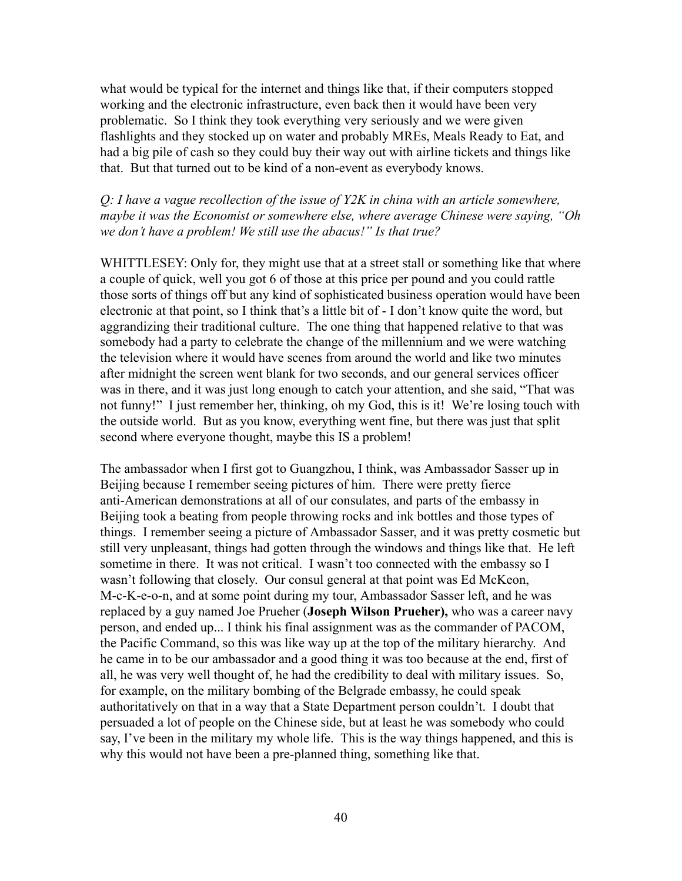what would be typical for the internet and things like that, if their computers stopped working and the electronic infrastructure, even back then it would have been very problematic. So I think they took everything very seriously and we were given flashlights and they stocked up on water and probably MREs, Meals Ready to Eat, and had a big pile of cash so they could buy their way out with airline tickets and things like that. But that turned out to be kind of a non-event as everybody knows.

*Q: I have a vague recollection of the issue of Y2K in china with an article somewhere, maybe it was the Economist or somewhere else, where average Chinese were saying, "Oh we don't have a problem! We still use the abacus!" Is that true?*

WHITTLESEY: Only for, they might use that at a street stall or something like that where a couple of quick, well you got 6 of those at this price per pound and you could rattle those sorts of things off but any kind of sophisticated business operation would have been electronic at that point, so I think that's a little bit of - I don't know quite the word, but aggrandizing their traditional culture. The one thing that happened relative to that was somebody had a party to celebrate the change of the millennium and we were watching the television where it would have scenes from around the world and like two minutes after midnight the screen went blank for two seconds, and our general services officer was in there, and it was just long enough to catch your attention, and she said, "That was not funny!" I just remember her, thinking, oh my God, this is it! We're losing touch with the outside world. But as you know, everything went fine, but there was just that split second where everyone thought, maybe this IS a problem!

The ambassador when I first got to Guangzhou, I think, was Ambassador Sasser up in Beijing because I remember seeing pictures of him. There were pretty fierce anti-American demonstrations at all of our consulates, and parts of the embassy in Beijing took a beating from people throwing rocks and ink bottles and those types of things. I remember seeing a picture of Ambassador Sasser, and it was pretty cosmetic but still very unpleasant, things had gotten through the windows and things like that. He left sometime in there. It was not critical. I wasn't too connected with the embassy so I wasn't following that closely. Our consul general at that point was Ed McKeon, M-c-K-e-o-n, and at some point during my tour, Ambassador Sasser left, and he was replaced by a guy named Joe Prueher (**Joseph Wilson Prueher),** who was a career navy person, and ended up... I think his final assignment was as the commander of PACOM, the Pacific Command, so this was like way up at the top of the military hierarchy. And he came in to be our ambassador and a good thing it was too because at the end, first of all, he was very well thought of, he had the credibility to deal with military issues. So, for example, on the military bombing of the Belgrade embassy, he could speak authoritatively on that in a way that a State Department person couldn't. I doubt that persuaded a lot of people on the Chinese side, but at least he was somebody who could say, I've been in the military my whole life. This is the way things happened, and this is why this would not have been a pre-planned thing, something like that.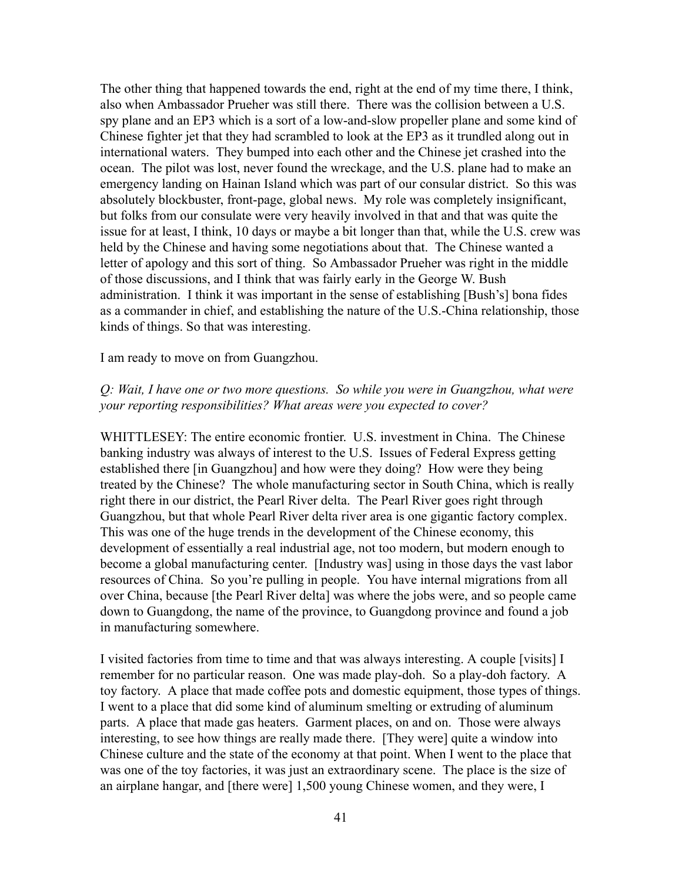The other thing that happened towards the end, right at the end of my time there, I think, also when Ambassador Prueher was still there. There was the collision between a U.S. spy plane and an EP3 which is a sort of a low-and-slow propeller plane and some kind of Chinese fighter jet that they had scrambled to look at the EP3 as it trundled along out in international waters. They bumped into each other and the Chinese jet crashed into the ocean. The pilot was lost, never found the wreckage, and the U.S. plane had to make an emergency landing on Hainan Island which was part of our consular district. So this was absolutely blockbuster, front-page, global news. My role was completely insignificant, but folks from our consulate were very heavily involved in that and that was quite the issue for at least, I think, 10 days or maybe a bit longer than that, while the U.S. crew was held by the Chinese and having some negotiations about that. The Chinese wanted a letter of apology and this sort of thing. So Ambassador Prueher was right in the middle of those discussions, and I think that was fairly early in the George W. Bush administration. I think it was important in the sense of establishing [Bush's] bona fides as a commander in chief, and establishing the nature of the U.S.-China relationship, those kinds of things. So that was interesting.

I am ready to move on from Guangzhou.

### *Q: Wait, I have one or two more questions. So while you were in Guangzhou, what were your reporting responsibilities? What areas were you expected to cover?*

WHITTLESEY: The entire economic frontier. U.S. investment in China. The Chinese banking industry was always of interest to the U.S. Issues of Federal Express getting established there [in Guangzhou] and how were they doing? How were they being treated by the Chinese? The whole manufacturing sector in South China, which is really right there in our district, the Pearl River delta. The Pearl River goes right through Guangzhou, but that whole Pearl River delta river area is one gigantic factory complex. This was one of the huge trends in the development of the Chinese economy, this development of essentially a real industrial age, not too modern, but modern enough to become a global manufacturing center. [Industry was] using in those days the vast labor resources of China. So you're pulling in people. You have internal migrations from all over China, because [the Pearl River delta] was where the jobs were, and so people came down to Guangdong, the name of the province, to Guangdong province and found a job in manufacturing somewhere.

I visited factories from time to time and that was always interesting. A couple [visits] I remember for no particular reason. One was made play-doh. So a play-doh factory. A toy factory. A place that made coffee pots and domestic equipment, those types of things. I went to a place that did some kind of aluminum smelting or extruding of aluminum parts. A place that made gas heaters. Garment places, on and on. Those were always interesting, to see how things are really made there. [They were] quite a window into Chinese culture and the state of the economy at that point. When I went to the place that was one of the toy factories, it was just an extraordinary scene. The place is the size of an airplane hangar, and [there were] 1,500 young Chinese women, and they were, I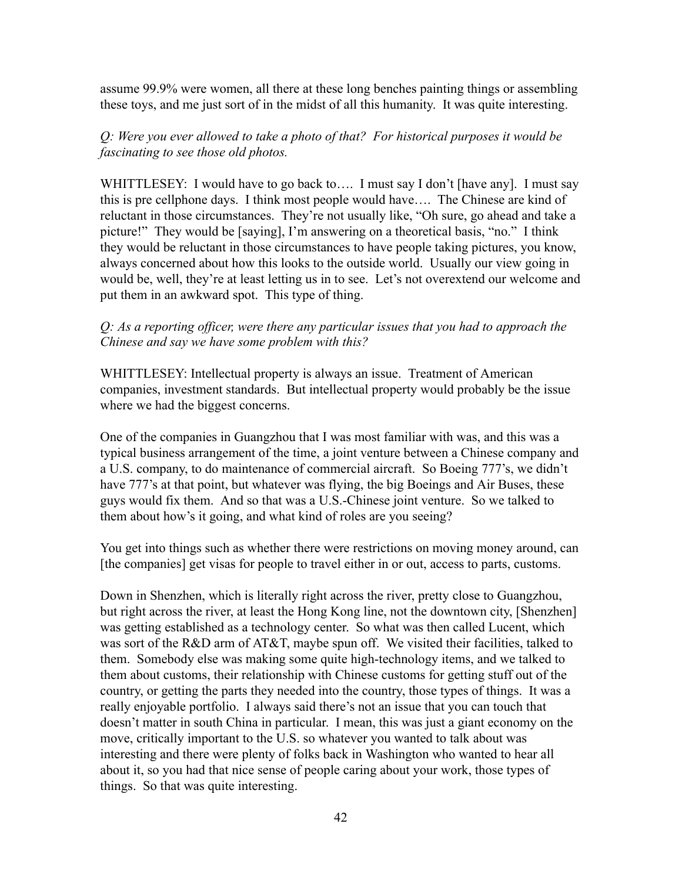assume 99.9% were women, all there at these long benches painting things or assembling these toys, and me just sort of in the midst of all this humanity. It was quite interesting.

# *Q: Were you ever allowed to take a photo of that? For historical purposes it would be fascinating to see those old photos.*

WHITTLESEY: I would have to go back to.... I must say I don't [have any]. I must say this is pre cellphone days. I think most people would have…. The Chinese are kind of reluctant in those circumstances. They're not usually like, "Oh sure, go ahead and take a picture!" They would be [saying], I'm answering on a theoretical basis, "no." I think they would be reluctant in those circumstances to have people taking pictures, you know, always concerned about how this looks to the outside world. Usually our view going in would be, well, they're at least letting us in to see. Let's not overextend our welcome and put them in an awkward spot. This type of thing.

# *Q: As a reporting officer, were there any particular issues that you had to approach the Chinese and say we have some problem with this?*

WHITTLESEY: Intellectual property is always an issue. Treatment of American companies, investment standards. But intellectual property would probably be the issue where we had the biggest concerns.

One of the companies in Guangzhou that I was most familiar with was, and this was a typical business arrangement of the time, a joint venture between a Chinese company and a U.S. company, to do maintenance of commercial aircraft. So Boeing 777's, we didn't have 777's at that point, but whatever was flying, the big Boeings and Air Buses, these guys would fix them. And so that was a U.S.-Chinese joint venture. So we talked to them about how's it going, and what kind of roles are you seeing?

You get into things such as whether there were restrictions on moving money around, can [the companies] get visas for people to travel either in or out, access to parts, customs.

Down in Shenzhen, which is literally right across the river, pretty close to Guangzhou, but right across the river, at least the Hong Kong line, not the downtown city, [Shenzhen] was getting established as a technology center. So what was then called Lucent, which was sort of the R&D arm of AT&T, maybe spun off. We visited their facilities, talked to them. Somebody else was making some quite high-technology items, and we talked to them about customs, their relationship with Chinese customs for getting stuff out of the country, or getting the parts they needed into the country, those types of things. It was a really enjoyable portfolio. I always said there's not an issue that you can touch that doesn't matter in south China in particular. I mean, this was just a giant economy on the move, critically important to the U.S. so whatever you wanted to talk about was interesting and there were plenty of folks back in Washington who wanted to hear all about it, so you had that nice sense of people caring about your work, those types of things. So that was quite interesting.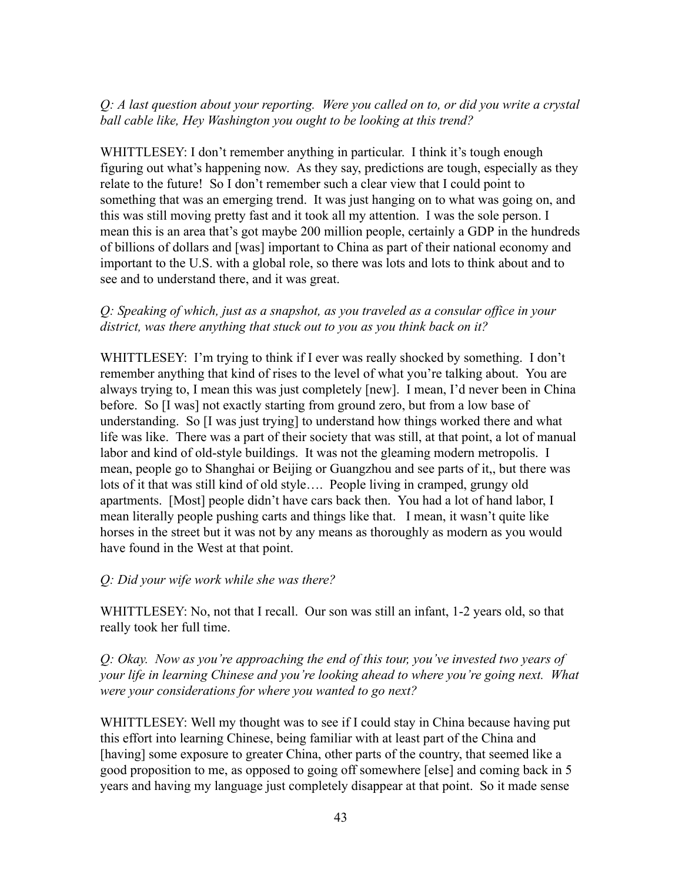# *Q: A last question about your reporting. Were you called on to, or did you write a crystal ball cable like, Hey Washington you ought to be looking at this trend?*

WHITTLESEY: I don't remember anything in particular. I think it's tough enough figuring out what's happening now. As they say, predictions are tough, especially as they relate to the future! So I don't remember such a clear view that I could point to something that was an emerging trend. It was just hanging on to what was going on, and this was still moving pretty fast and it took all my attention. I was the sole person. I mean this is an area that's got maybe 200 million people, certainly a GDP in the hundreds of billions of dollars and [was] important to China as part of their national economy and important to the U.S. with a global role, so there was lots and lots to think about and to see and to understand there, and it was great.

### *Q: Speaking of which, just as a snapshot, as you traveled as a consular office in your district, was there anything that stuck out to you as you think back on it?*

WHITTLESEY: I'm trying to think if I ever was really shocked by something. I don't remember anything that kind of rises to the level of what you're talking about. You are always trying to, I mean this was just completely [new]. I mean, I'd never been in China before. So [I was] not exactly starting from ground zero, but from a low base of understanding. So [I was just trying] to understand how things worked there and what life was like. There was a part of their society that was still, at that point, a lot of manual labor and kind of old-style buildings. It was not the gleaming modern metropolis. I mean, people go to Shanghai or Beijing or Guangzhou and see parts of it,, but there was lots of it that was still kind of old style…. People living in cramped, grungy old apartments. [Most] people didn't have cars back then. You had a lot of hand labor, I mean literally people pushing carts and things like that. I mean, it wasn't quite like horses in the street but it was not by any means as thoroughly as modern as you would have found in the West at that point.

### *Q: Did your wife work while she was there?*

WHITTLESEY: No, not that I recall. Our son was still an infant, 1-2 years old, so that really took her full time.

*Q: Okay. Now as you're approaching the end of this tour, you've invested two years of your life in learning Chinese and you're looking ahead to where you're going next. What were your considerations for where you wanted to go next?*

WHITTLESEY: Well my thought was to see if I could stay in China because having put this effort into learning Chinese, being familiar with at least part of the China and [having] some exposure to greater China, other parts of the country, that seemed like a good proposition to me, as opposed to going off somewhere [else] and coming back in 5 years and having my language just completely disappear at that point. So it made sense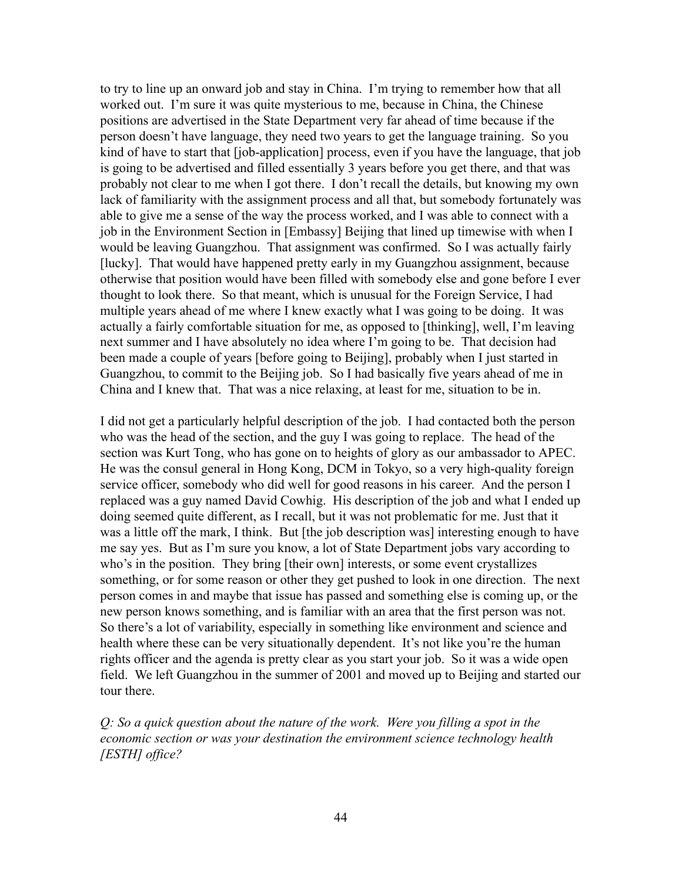to try to line up an onward job and stay in China. I'm trying to remember how that all worked out. I'm sure it was quite mysterious to me, because in China, the Chinese positions are advertised in the State Department very far ahead of time because if the person doesn't have language, they need two years to get the language training. So you kind of have to start that [job-application] process, even if you have the language, that job is going to be advertised and filled essentially 3 years before you get there, and that was probably not clear to me when I got there. I don't recall the details, but knowing my own lack of familiarity with the assignment process and all that, but somebody fortunately was able to give me a sense of the way the process worked, and I was able to connect with a job in the Environment Section in [Embassy] Beijing that lined up timewise with when I would be leaving Guangzhou. That assignment was confirmed. So I was actually fairly [lucky]. That would have happened pretty early in my Guangzhou assignment, because otherwise that position would have been filled with somebody else and gone before I ever thought to look there. So that meant, which is unusual for the Foreign Service, I had multiple years ahead of me where I knew exactly what I was going to be doing. It was actually a fairly comfortable situation for me, as opposed to [thinking], well, I'm leaving next summer and I have absolutely no idea where I'm going to be. That decision had been made a couple of years [before going to Beijing], probably when I just started in Guangzhou, to commit to the Beijing job. So I had basically five years ahead of me in China and I knew that. That was a nice relaxing, at least for me, situation to be in.

I did not get a particularly helpful description of the job. I had contacted both the person who was the head of the section, and the guy I was going to replace. The head of the section was Kurt Tong, who has gone on to heights of glory as our ambassador to APEC. He was the consul general in Hong Kong, DCM in Tokyo, so a very high-quality foreign service officer, somebody who did well for good reasons in his career. And the person I replaced was a guy named David Cowhig. His description of the job and what I ended up doing seemed quite different, as I recall, but it was not problematic for me. Just that it was a little off the mark, I think. But [the job description was] interesting enough to have me say yes. But as I'm sure you know, a lot of State Department jobs vary according to who's in the position. They bring [their own] interests, or some event crystallizes something, or for some reason or other they get pushed to look in one direction. The next person comes in and maybe that issue has passed and something else is coming up, or the new person knows something, and is familiar with an area that the first person was not. So there's a lot of variability, especially in something like environment and science and health where these can be very situationally dependent. It's not like you're the human rights officer and the agenda is pretty clear as you start your job. So it was a wide open field. We left Guangzhou in the summer of 2001 and moved up to Beijing and started our tour there.

*Q: So a quick question about the nature of the work. Were you filling a spot in the economic section or was your destination the environment science technology health [ESTH] office?*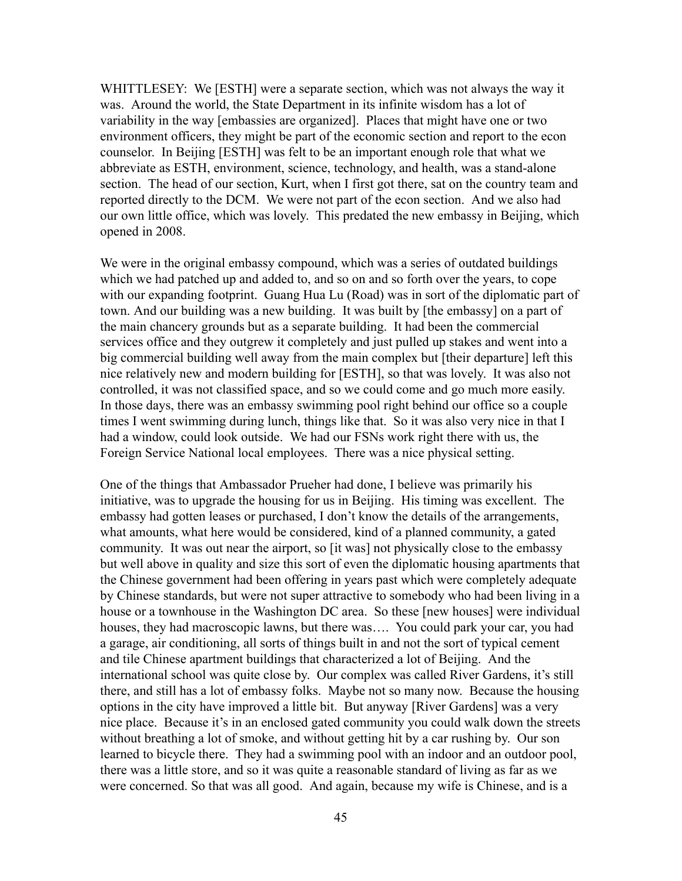WHITTLESEY: We [ESTH] were a separate section, which was not always the way it was. Around the world, the State Department in its infinite wisdom has a lot of variability in the way [embassies are organized]. Places that might have one or two environment officers, they might be part of the economic section and report to the econ counselor. In Beijing [ESTH] was felt to be an important enough role that what we abbreviate as ESTH, environment, science, technology, and health, was a stand-alone section. The head of our section, Kurt, when I first got there, sat on the country team and reported directly to the DCM. We were not part of the econ section. And we also had our own little office, which was lovely. This predated the new embassy in Beijing, which opened in 2008.

We were in the original embassy compound, which was a series of outdated buildings which we had patched up and added to, and so on and so forth over the years, to cope with our expanding footprint. Guang Hua Lu (Road) was in sort of the diplomatic part of town. And our building was a new building. It was built by [the embassy] on a part of the main chancery grounds but as a separate building. It had been the commercial services office and they outgrew it completely and just pulled up stakes and went into a big commercial building well away from the main complex but [their departure] left this nice relatively new and modern building for [ESTH], so that was lovely. It was also not controlled, it was not classified space, and so we could come and go much more easily. In those days, there was an embassy swimming pool right behind our office so a couple times I went swimming during lunch, things like that. So it was also very nice in that I had a window, could look outside. We had our FSNs work right there with us, the Foreign Service National local employees. There was a nice physical setting.

One of the things that Ambassador Prueher had done, I believe was primarily his initiative, was to upgrade the housing for us in Beijing. His timing was excellent. The embassy had gotten leases or purchased, I don't know the details of the arrangements, what amounts, what here would be considered, kind of a planned community, a gated community. It was out near the airport, so [it was] not physically close to the embassy but well above in quality and size this sort of even the diplomatic housing apartments that the Chinese government had been offering in years past which were completely adequate by Chinese standards, but were not super attractive to somebody who had been living in a house or a townhouse in the Washington DC area. So these [new houses] were individual houses, they had macroscopic lawns, but there was…. You could park your car, you had a garage, air conditioning, all sorts of things built in and not the sort of typical cement and tile Chinese apartment buildings that characterized a lot of Beijing. And the international school was quite close by. Our complex was called River Gardens, it's still there, and still has a lot of embassy folks. Maybe not so many now. Because the housing options in the city have improved a little bit. But anyway [River Gardens] was a very nice place. Because it's in an enclosed gated community you could walk down the streets without breathing a lot of smoke, and without getting hit by a car rushing by. Our son learned to bicycle there. They had a swimming pool with an indoor and an outdoor pool, there was a little store, and so it was quite a reasonable standard of living as far as we were concerned. So that was all good. And again, because my wife is Chinese, and is a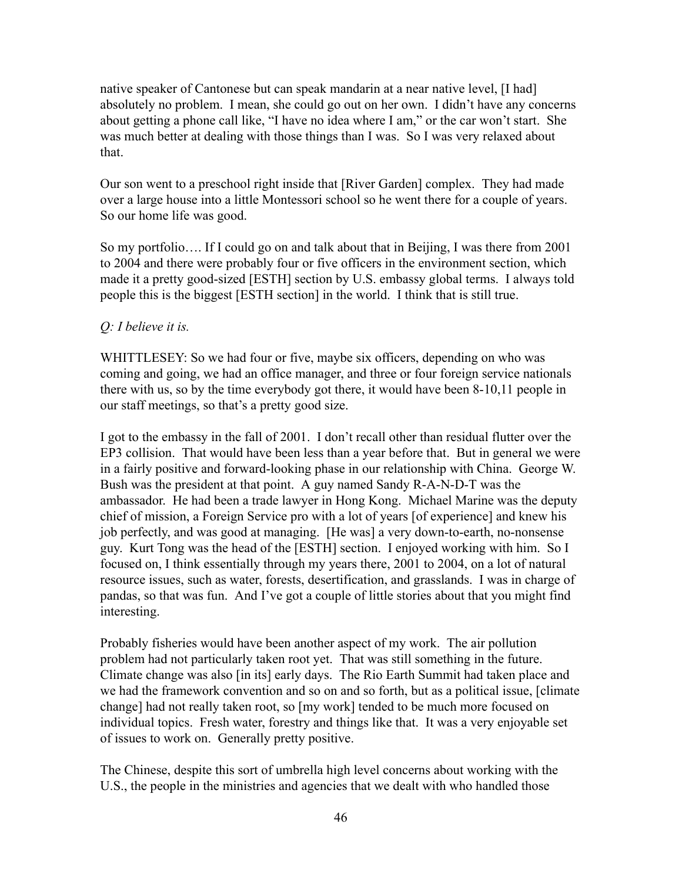native speaker of Cantonese but can speak mandarin at a near native level, [I had] absolutely no problem. I mean, she could go out on her own. I didn't have any concerns about getting a phone call like, "I have no idea where I am," or the car won't start. She was much better at dealing with those things than I was. So I was very relaxed about that.

Our son went to a preschool right inside that [River Garden] complex. They had made over a large house into a little Montessori school so he went there for a couple of years. So our home life was good.

So my portfolio…. If I could go on and talk about that in Beijing, I was there from 2001 to 2004 and there were probably four or five officers in the environment section, which made it a pretty good-sized [ESTH] section by U.S. embassy global terms. I always told people this is the biggest [ESTH section] in the world. I think that is still true.

# *Q: I believe it is.*

WHITTLESEY: So we had four or five, maybe six officers, depending on who was coming and going, we had an office manager, and three or four foreign service nationals there with us, so by the time everybody got there, it would have been 8-10,11 people in our staff meetings, so that's a pretty good size.

I got to the embassy in the fall of 2001. I don't recall other than residual flutter over the EP3 collision. That would have been less than a year before that. But in general we were in a fairly positive and forward-looking phase in our relationship with China. George W. Bush was the president at that point. A guy named Sandy R-A-N-D-T was the ambassador. He had been a trade lawyer in Hong Kong. Michael Marine was the deputy chief of mission, a Foreign Service pro with a lot of years [of experience] and knew his job perfectly, and was good at managing. [He was] a very down-to-earth, no-nonsense guy. Kurt Tong was the head of the [ESTH] section. I enjoyed working with him. So I focused on, I think essentially through my years there, 2001 to 2004, on a lot of natural resource issues, such as water, forests, desertification, and grasslands. I was in charge of pandas, so that was fun. And I've got a couple of little stories about that you might find interesting.

Probably fisheries would have been another aspect of my work. The air pollution problem had not particularly taken root yet. That was still something in the future. Climate change was also [in its] early days. The Rio Earth Summit had taken place and we had the framework convention and so on and so forth, but as a political issue, [climate change] had not really taken root, so [my work] tended to be much more focused on individual topics. Fresh water, forestry and things like that. It was a very enjoyable set of issues to work on. Generally pretty positive.

The Chinese, despite this sort of umbrella high level concerns about working with the U.S., the people in the ministries and agencies that we dealt with who handled those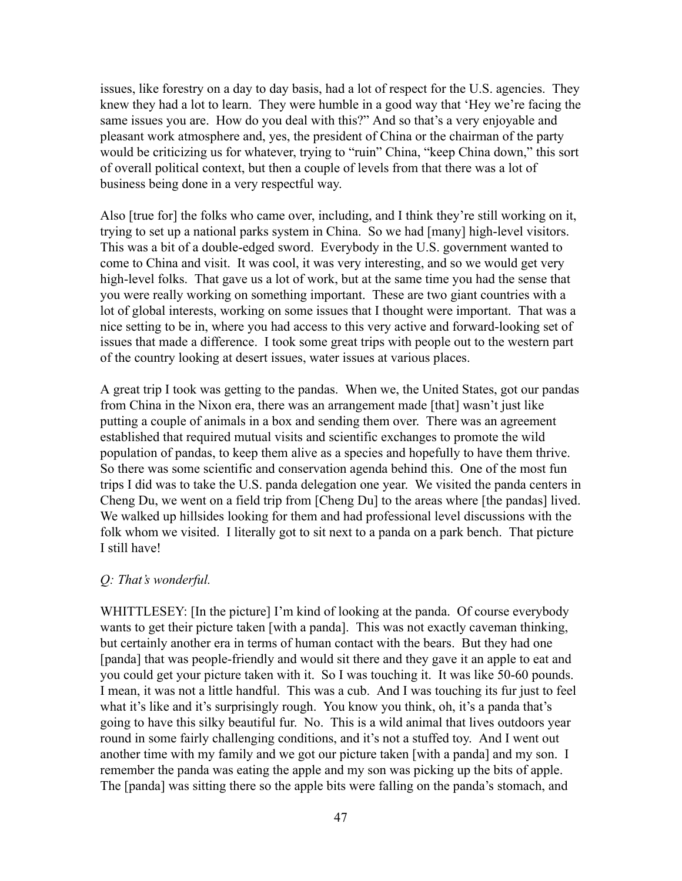issues, like forestry on a day to day basis, had a lot of respect for the U.S. agencies. They knew they had a lot to learn. They were humble in a good way that 'Hey we're facing the same issues you are. How do you deal with this?" And so that's a very enjoyable and pleasant work atmosphere and, yes, the president of China or the chairman of the party would be criticizing us for whatever, trying to "ruin" China, "keep China down," this sort of overall political context, but then a couple of levels from that there was a lot of business being done in a very respectful way.

Also [true for] the folks who came over, including, and I think they're still working on it, trying to set up a national parks system in China. So we had [many] high-level visitors. This was a bit of a double-edged sword. Everybody in the U.S. government wanted to come to China and visit. It was cool, it was very interesting, and so we would get very high-level folks. That gave us a lot of work, but at the same time you had the sense that you were really working on something important. These are two giant countries with a lot of global interests, working on some issues that I thought were important. That was a nice setting to be in, where you had access to this very active and forward-looking set of issues that made a difference. I took some great trips with people out to the western part of the country looking at desert issues, water issues at various places.

A great trip I took was getting to the pandas. When we, the United States, got our pandas from China in the Nixon era, there was an arrangement made [that] wasn't just like putting a couple of animals in a box and sending them over. There was an agreement established that required mutual visits and scientific exchanges to promote the wild population of pandas, to keep them alive as a species and hopefully to have them thrive. So there was some scientific and conservation agenda behind this. One of the most fun trips I did was to take the U.S. panda delegation one year. We visited the panda centers in Cheng Du, we went on a field trip from [Cheng Du] to the areas where [the pandas] lived. We walked up hillsides looking for them and had professional level discussions with the folk whom we visited. I literally got to sit next to a panda on a park bench. That picture I still have!

#### *Q: That's wonderful.*

WHITTLESEY: [In the picture] I'm kind of looking at the panda. Of course everybody wants to get their picture taken [with a panda]. This was not exactly caveman thinking, but certainly another era in terms of human contact with the bears. But they had one [panda] that was people-friendly and would sit there and they gave it an apple to eat and you could get your picture taken with it. So I was touching it. It was like 50-60 pounds. I mean, it was not a little handful. This was a cub. And I was touching its fur just to feel what it's like and it's surprisingly rough. You know you think, oh, it's a panda that's going to have this silky beautiful fur. No. This is a wild animal that lives outdoors year round in some fairly challenging conditions, and it's not a stuffed toy. And I went out another time with my family and we got our picture taken [with a panda] and my son. I remember the panda was eating the apple and my son was picking up the bits of apple. The [panda] was sitting there so the apple bits were falling on the panda's stomach, and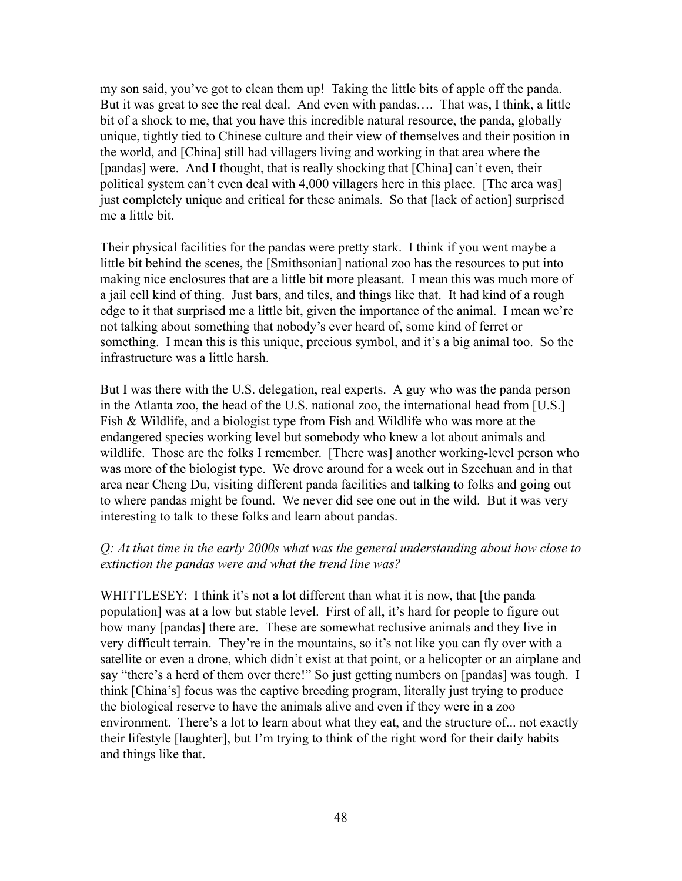my son said, you've got to clean them up! Taking the little bits of apple off the panda. But it was great to see the real deal. And even with pandas…. That was, I think, a little bit of a shock to me, that you have this incredible natural resource, the panda, globally unique, tightly tied to Chinese culture and their view of themselves and their position in the world, and [China] still had villagers living and working in that area where the [pandas] were. And I thought, that is really shocking that [China] can't even, their political system can't even deal with 4,000 villagers here in this place. [The area was] just completely unique and critical for these animals. So that [lack of action] surprised me a little bit.

Their physical facilities for the pandas were pretty stark. I think if you went maybe a little bit behind the scenes, the [Smithsonian] national zoo has the resources to put into making nice enclosures that are a little bit more pleasant. I mean this was much more of a jail cell kind of thing. Just bars, and tiles, and things like that. It had kind of a rough edge to it that surprised me a little bit, given the importance of the animal. I mean we're not talking about something that nobody's ever heard of, some kind of ferret or something. I mean this is this unique, precious symbol, and it's a big animal too. So the infrastructure was a little harsh.

But I was there with the U.S. delegation, real experts. A guy who was the panda person in the Atlanta zoo, the head of the U.S. national zoo, the international head from [U.S.] Fish & Wildlife, and a biologist type from Fish and Wildlife who was more at the endangered species working level but somebody who knew a lot about animals and wildlife. Those are the folks I remember. [There was] another working-level person who was more of the biologist type. We drove around for a week out in Szechuan and in that area near Cheng Du, visiting different panda facilities and talking to folks and going out to where pandas might be found. We never did see one out in the wild. But it was very interesting to talk to these folks and learn about pandas.

### *Q: At that time in the early 2000s what was the general understanding about how close to extinction the pandas were and what the trend line was?*

WHITTLESEY: I think it's not a lot different than what it is now, that [the panda population] was at a low but stable level. First of all, it's hard for people to figure out how many [pandas] there are. These are somewhat reclusive animals and they live in very difficult terrain. They're in the mountains, so it's not like you can fly over with a satellite or even a drone, which didn't exist at that point, or a helicopter or an airplane and say "there's a herd of them over there!" So just getting numbers on [pandas] was tough. I think [China's] focus was the captive breeding program, literally just trying to produce the biological reserve to have the animals alive and even if they were in a zoo environment. There's a lot to learn about what they eat, and the structure of... not exactly their lifestyle [laughter], but I'm trying to think of the right word for their daily habits and things like that.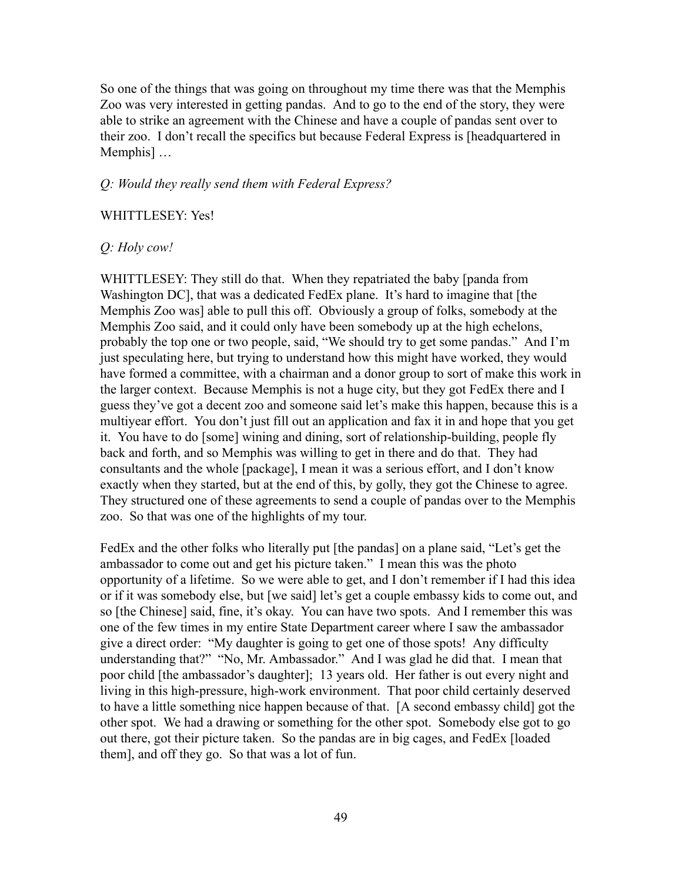So one of the things that was going on throughout my time there was that the Memphis Zoo was very interested in getting pandas. And to go to the end of the story, they were able to strike an agreement with the Chinese and have a couple of pandas sent over to their zoo. I don't recall the specifics but because Federal Express is [headquartered in Memphis] …

#### *Q: Would they really send them with Federal Express?*

#### WHITTLESEY: Yes!

### *Q: Holy cow!*

WHITTLESEY: They still do that. When they repatriated the baby [panda from Washington DC], that was a dedicated FedEx plane. It's hard to imagine that [the Memphis Zoo was] able to pull this off. Obviously a group of folks, somebody at the Memphis Zoo said, and it could only have been somebody up at the high echelons, probably the top one or two people, said, "We should try to get some pandas." And I'm just speculating here, but trying to understand how this might have worked, they would have formed a committee, with a chairman and a donor group to sort of make this work in the larger context. Because Memphis is not a huge city, but they got FedEx there and I guess they've got a decent zoo and someone said let's make this happen, because this is a multiyear effort. You don't just fill out an application and fax it in and hope that you get it. You have to do [some] wining and dining, sort of relationship-building, people fly back and forth, and so Memphis was willing to get in there and do that. They had consultants and the whole [package], I mean it was a serious effort, and I don't know exactly when they started, but at the end of this, by golly, they got the Chinese to agree. They structured one of these agreements to send a couple of pandas over to the Memphis zoo. So that was one of the highlights of my tour.

FedEx and the other folks who literally put [the pandas] on a plane said, "Let's get the ambassador to come out and get his picture taken." I mean this was the photo opportunity of a lifetime. So we were able to get, and I don't remember if I had this idea or if it was somebody else, but [we said] let's get a couple embassy kids to come out, and so [the Chinese] said, fine, it's okay. You can have two spots. And I remember this was one of the few times in my entire State Department career where I saw the ambassador give a direct order: "My daughter is going to get one of those spots! Any difficulty understanding that?" "No, Mr. Ambassador." And I was glad he did that. I mean that poor child [the ambassador's daughter]; 13 years old. Her father is out every night and living in this high-pressure, high-work environment. That poor child certainly deserved to have a little something nice happen because of that. [A second embassy child] got the other spot. We had a drawing or something for the other spot. Somebody else got to go out there, got their picture taken. So the pandas are in big cages, and FedEx [loaded them], and off they go. So that was a lot of fun.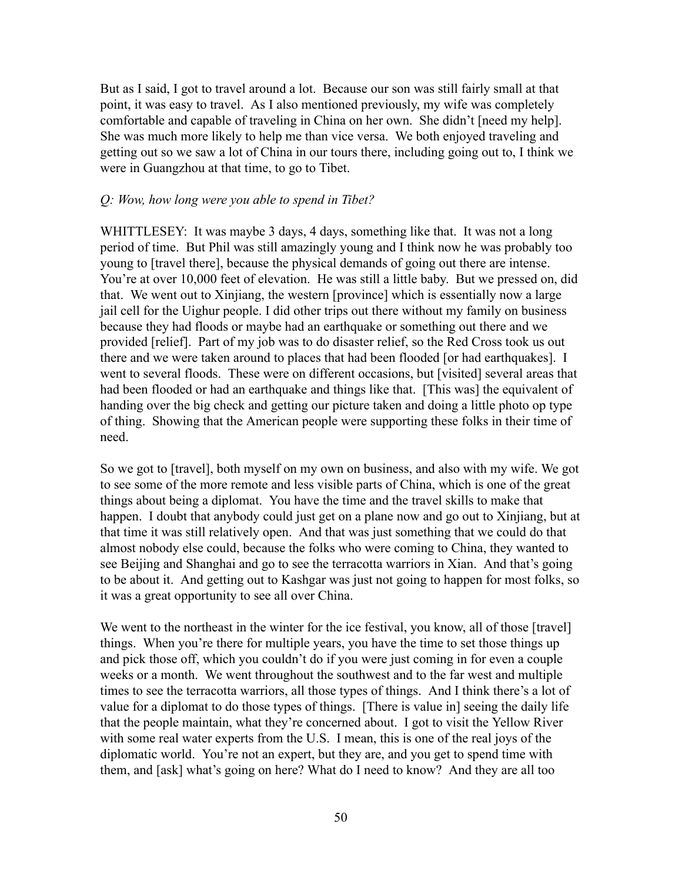But as I said, I got to travel around a lot. Because our son was still fairly small at that point, it was easy to travel. As I also mentioned previously, my wife was completely comfortable and capable of traveling in China on her own. She didn't [need my help]. She was much more likely to help me than vice versa. We both enjoyed traveling and getting out so we saw a lot of China in our tours there, including going out to, I think we were in Guangzhou at that time, to go to Tibet.

#### *Q: Wow, how long were you able to spend in Tibet?*

WHITTLESEY: It was maybe 3 days, 4 days, something like that. It was not a long period of time. But Phil was still amazingly young and I think now he was probably too young to [travel there], because the physical demands of going out there are intense. You're at over 10,000 feet of elevation. He was still a little baby. But we pressed on, did that. We went out to Xinjiang, the western [province] which is essentially now a large jail cell for the Uighur people. I did other trips out there without my family on business because they had floods or maybe had an earthquake or something out there and we provided [relief]. Part of my job was to do disaster relief, so the Red Cross took us out there and we were taken around to places that had been flooded [or had earthquakes]. I went to several floods. These were on different occasions, but [visited] several areas that had been flooded or had an earthquake and things like that. [This was] the equivalent of handing over the big check and getting our picture taken and doing a little photo op type of thing. Showing that the American people were supporting these folks in their time of need.

So we got to [travel], both myself on my own on business, and also with my wife. We got to see some of the more remote and less visible parts of China, which is one of the great things about being a diplomat. You have the time and the travel skills to make that happen. I doubt that anybody could just get on a plane now and go out to Xinjiang, but at that time it was still relatively open. And that was just something that we could do that almost nobody else could, because the folks who were coming to China, they wanted to see Beijing and Shanghai and go to see the terracotta warriors in Xian. And that's going to be about it. And getting out to Kashgar was just not going to happen for most folks, so it was a great opportunity to see all over China.

We went to the northeast in the winter for the ice festival, you know, all of those [travel] things. When you're there for multiple years, you have the time to set those things up and pick those off, which you couldn't do if you were just coming in for even a couple weeks or a month. We went throughout the southwest and to the far west and multiple times to see the terracotta warriors, all those types of things. And I think there's a lot of value for a diplomat to do those types of things. [There is value in] seeing the daily life that the people maintain, what they're concerned about. I got to visit the Yellow River with some real water experts from the U.S. I mean, this is one of the real joys of the diplomatic world. You're not an expert, but they are, and you get to spend time with them, and [ask] what's going on here? What do I need to know? And they are all too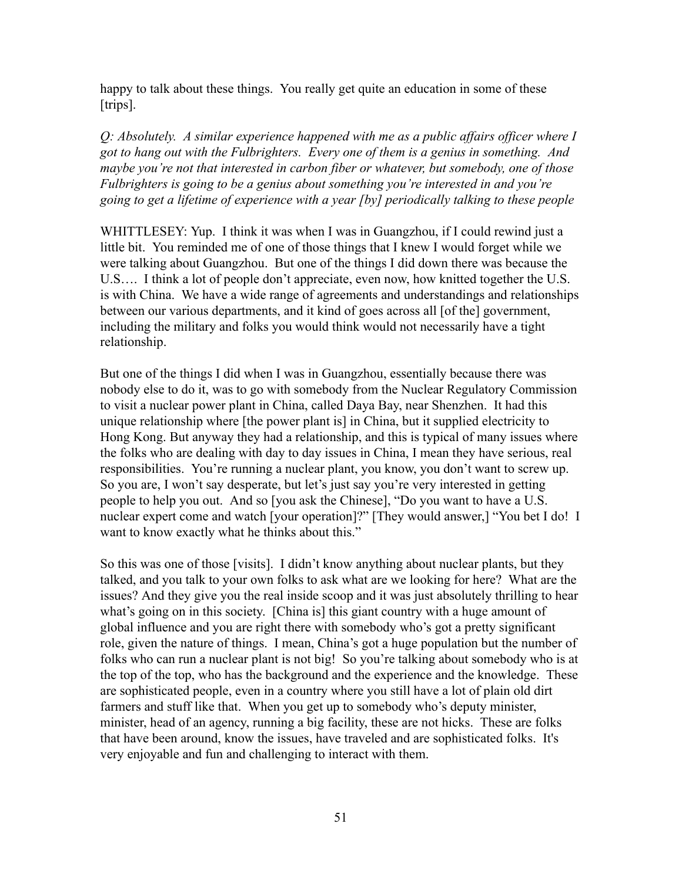happy to talk about these things. You really get quite an education in some of these [trips].

*Q: Absolutely. A similar experience happened with me as a public affairs officer where I got to hang out with the Fulbrighters. Every one of them is a genius in something. And maybe you're not that interested in carbon fiber or whatever, but somebody, one of those Fulbrighters is going to be a genius about something you're interested in and you're going to get a lifetime of experience with a year [by] periodically talking to these people*

WHITTLESEY: Yup. I think it was when I was in Guangzhou, if I could rewind just a little bit. You reminded me of one of those things that I knew I would forget while we were talking about Guangzhou. But one of the things I did down there was because the U.S…. I think a lot of people don't appreciate, even now, how knitted together the U.S. is with China. We have a wide range of agreements and understandings and relationships between our various departments, and it kind of goes across all [of the] government, including the military and folks you would think would not necessarily have a tight relationship.

But one of the things I did when I was in Guangzhou, essentially because there was nobody else to do it, was to go with somebody from the Nuclear Regulatory Commission to visit a nuclear power plant in China, called Daya Bay, near Shenzhen. It had this unique relationship where [the power plant is] in China, but it supplied electricity to Hong Kong. But anyway they had a relationship, and this is typical of many issues where the folks who are dealing with day to day issues in China, I mean they have serious, real responsibilities. You're running a nuclear plant, you know, you don't want to screw up. So you are, I won't say desperate, but let's just say you're very interested in getting people to help you out. And so [you ask the Chinese], "Do you want to have a U.S. nuclear expert come and watch [your operation]?" [They would answer,] "You bet I do! I want to know exactly what he thinks about this."

So this was one of those [visits]. I didn't know anything about nuclear plants, but they talked, and you talk to your own folks to ask what are we looking for here? What are the issues? And they give you the real inside scoop and it was just absolutely thrilling to hear what's going on in this society. [China is] this giant country with a huge amount of global influence and you are right there with somebody who's got a pretty significant role, given the nature of things. I mean, China's got a huge population but the number of folks who can run a nuclear plant is not big! So you're talking about somebody who is at the top of the top, who has the background and the experience and the knowledge. These are sophisticated people, even in a country where you still have a lot of plain old dirt farmers and stuff like that. When you get up to somebody who's deputy minister, minister, head of an agency, running a big facility, these are not hicks. These are folks that have been around, know the issues, have traveled and are sophisticated folks. It's very enjoyable and fun and challenging to interact with them.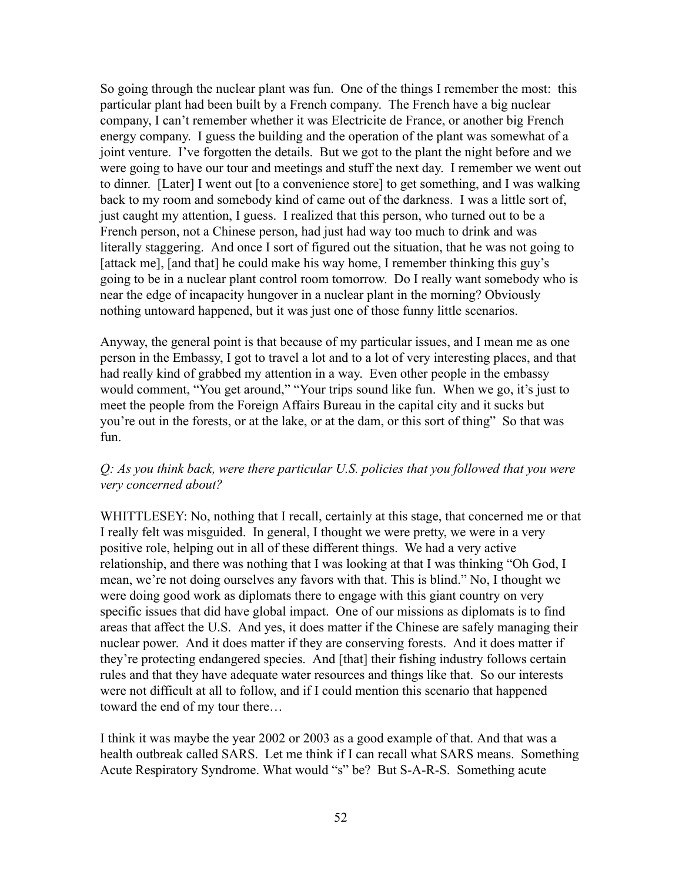So going through the nuclear plant was fun. One of the things I remember the most: this particular plant had been built by a French company. The French have a big nuclear company, I can't remember whether it was Electricite de France, or another big French energy company. I guess the building and the operation of the plant was somewhat of a joint venture. I've forgotten the details. But we got to the plant the night before and we were going to have our tour and meetings and stuff the next day. I remember we went out to dinner. [Later] I went out [to a convenience store] to get something, and I was walking back to my room and somebody kind of came out of the darkness. I was a little sort of, just caught my attention, I guess. I realized that this person, who turned out to be a French person, not a Chinese person, had just had way too much to drink and was literally staggering. And once I sort of figured out the situation, that he was not going to [attack me], [and that] he could make his way home, I remember thinking this guy's going to be in a nuclear plant control room tomorrow. Do I really want somebody who is near the edge of incapacity hungover in a nuclear plant in the morning? Obviously nothing untoward happened, but it was just one of those funny little scenarios.

Anyway, the general point is that because of my particular issues, and I mean me as one person in the Embassy, I got to travel a lot and to a lot of very interesting places, and that had really kind of grabbed my attention in a way. Even other people in the embassy would comment, "You get around," "Your trips sound like fun. When we go, it's just to meet the people from the Foreign Affairs Bureau in the capital city and it sucks but you're out in the forests, or at the lake, or at the dam, or this sort of thing" So that was fun.

# *Q: As you think back, were there particular U.S. policies that you followed that you were very concerned about?*

WHITTLESEY: No, nothing that I recall, certainly at this stage, that concerned me or that I really felt was misguided. In general, I thought we were pretty, we were in a very positive role, helping out in all of these different things. We had a very active relationship, and there was nothing that I was looking at that I was thinking "Oh God, I mean, we're not doing ourselves any favors with that. This is blind." No, I thought we were doing good work as diplomats there to engage with this giant country on very specific issues that did have global impact. One of our missions as diplomats is to find areas that affect the U.S. And yes, it does matter if the Chinese are safely managing their nuclear power. And it does matter if they are conserving forests. And it does matter if they're protecting endangered species. And [that] their fishing industry follows certain rules and that they have adequate water resources and things like that. So our interests were not difficult at all to follow, and if I could mention this scenario that happened toward the end of my tour there…

I think it was maybe the year 2002 or 2003 as a good example of that. And that was a health outbreak called SARS. Let me think if I can recall what SARS means. Something Acute Respiratory Syndrome. What would "s" be? But S-A-R-S. Something acute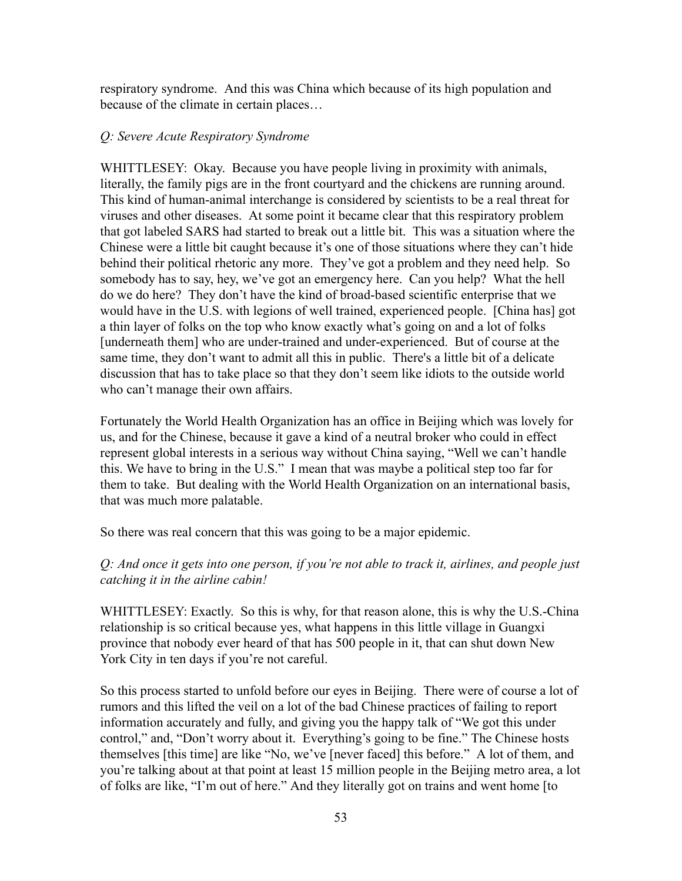respiratory syndrome. And this was China which because of its high population and because of the climate in certain places…

### *Q: Severe Acute Respiratory Syndrome*

WHITTLESEY: Okay. Because you have people living in proximity with animals, literally, the family pigs are in the front courtyard and the chickens are running around. This kind of human-animal interchange is considered by scientists to be a real threat for viruses and other diseases. At some point it became clear that this respiratory problem that got labeled SARS had started to break out a little bit. This was a situation where the Chinese were a little bit caught because it's one of those situations where they can't hide behind their political rhetoric any more. They've got a problem and they need help. So somebody has to say, hey, we've got an emergency here. Can you help? What the hell do we do here? They don't have the kind of broad-based scientific enterprise that we would have in the U.S. with legions of well trained, experienced people. [China has] got a thin layer of folks on the top who know exactly what's going on and a lot of folks [underneath them] who are under-trained and under-experienced. But of course at the same time, they don't want to admit all this in public. There's a little bit of a delicate discussion that has to take place so that they don't seem like idiots to the outside world who can't manage their own affairs.

Fortunately the World Health Organization has an office in Beijing which was lovely for us, and for the Chinese, because it gave a kind of a neutral broker who could in effect represent global interests in a serious way without China saying, "Well we can't handle this. We have to bring in the U.S." I mean that was maybe a political step too far for them to take. But dealing with the World Health Organization on an international basis, that was much more palatable.

So there was real concern that this was going to be a major epidemic.

# *Q: And once it gets into one person, if you're not able to track it, airlines, and people just catching it in the airline cabin!*

WHITTLESEY: Exactly. So this is why, for that reason alone, this is why the U.S.-China relationship is so critical because yes, what happens in this little village in Guangxi province that nobody ever heard of that has 500 people in it, that can shut down New York City in ten days if you're not careful.

So this process started to unfold before our eyes in Beijing. There were of course a lot of rumors and this lifted the veil on a lot of the bad Chinese practices of failing to report information accurately and fully, and giving you the happy talk of "We got this under control," and, "Don't worry about it. Everything's going to be fine." The Chinese hosts themselves [this time] are like "No, we've [never faced] this before." A lot of them, and you're talking about at that point at least 15 million people in the Beijing metro area, a lot of folks are like, "I'm out of here." And they literally got on trains and went home [to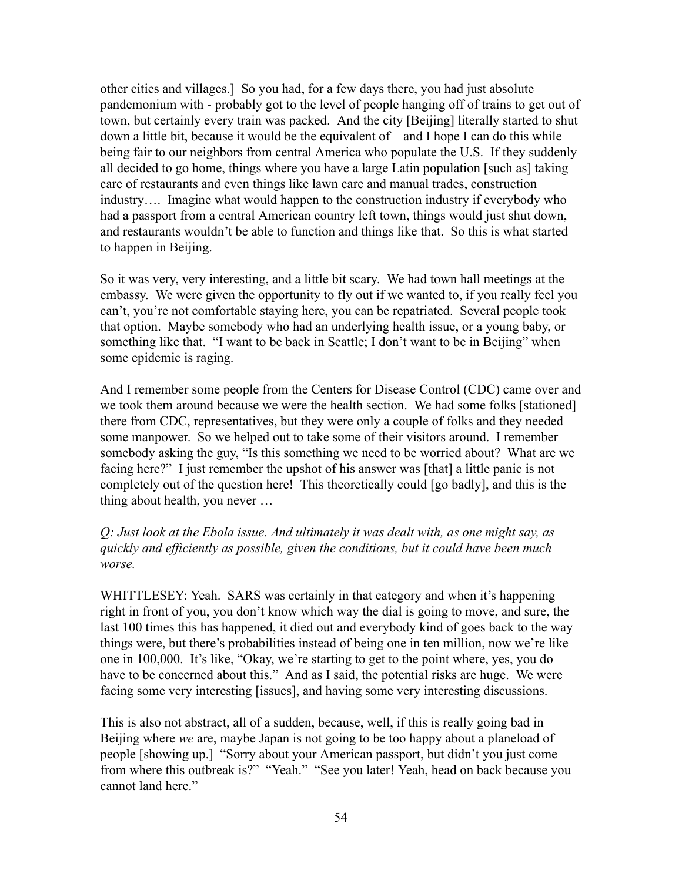other cities and villages.] So you had, for a few days there, you had just absolute pandemonium with - probably got to the level of people hanging off of trains to get out of town, but certainly every train was packed. And the city [Beijing] literally started to shut down a little bit, because it would be the equivalent of – and I hope I can do this while being fair to our neighbors from central America who populate the U.S. If they suddenly all decided to go home, things where you have a large Latin population [such as] taking care of restaurants and even things like lawn care and manual trades, construction industry…. Imagine what would happen to the construction industry if everybody who had a passport from a central American country left town, things would just shut down, and restaurants wouldn't be able to function and things like that. So this is what started to happen in Beijing.

So it was very, very interesting, and a little bit scary. We had town hall meetings at the embassy. We were given the opportunity to fly out if we wanted to, if you really feel you can't, you're not comfortable staying here, you can be repatriated. Several people took that option. Maybe somebody who had an underlying health issue, or a young baby, or something like that. "I want to be back in Seattle; I don't want to be in Beijing" when some epidemic is raging.

And I remember some people from the Centers for Disease Control (CDC) came over and we took them around because we were the health section. We had some folks [stationed] there from CDC, representatives, but they were only a couple of folks and they needed some manpower. So we helped out to take some of their visitors around. I remember somebody asking the guy, "Is this something we need to be worried about? What are we facing here?" I just remember the upshot of his answer was [that] a little panic is not completely out of the question here! This theoretically could [go badly], and this is the thing about health, you never …

*Q: Just look at the Ebola issue. And ultimately it was dealt with, as one might say, as quickly and efficiently as possible, given the conditions, but it could have been much worse.*

WHITTLESEY: Yeah. SARS was certainly in that category and when it's happening right in front of you, you don't know which way the dial is going to move, and sure, the last 100 times this has happened, it died out and everybody kind of goes back to the way things were, but there's probabilities instead of being one in ten million, now we're like one in 100,000. It's like, "Okay, we're starting to get to the point where, yes, you do have to be concerned about this." And as I said, the potential risks are huge. We were facing some very interesting [issues], and having some very interesting discussions.

This is also not abstract, all of a sudden, because, well, if this is really going bad in Beijing where *we* are, maybe Japan is not going to be too happy about a planeload of people [showing up.] "Sorry about your American passport, but didn't you just come from where this outbreak is?" "Yeah." "See you later! Yeah, head on back because you cannot land here."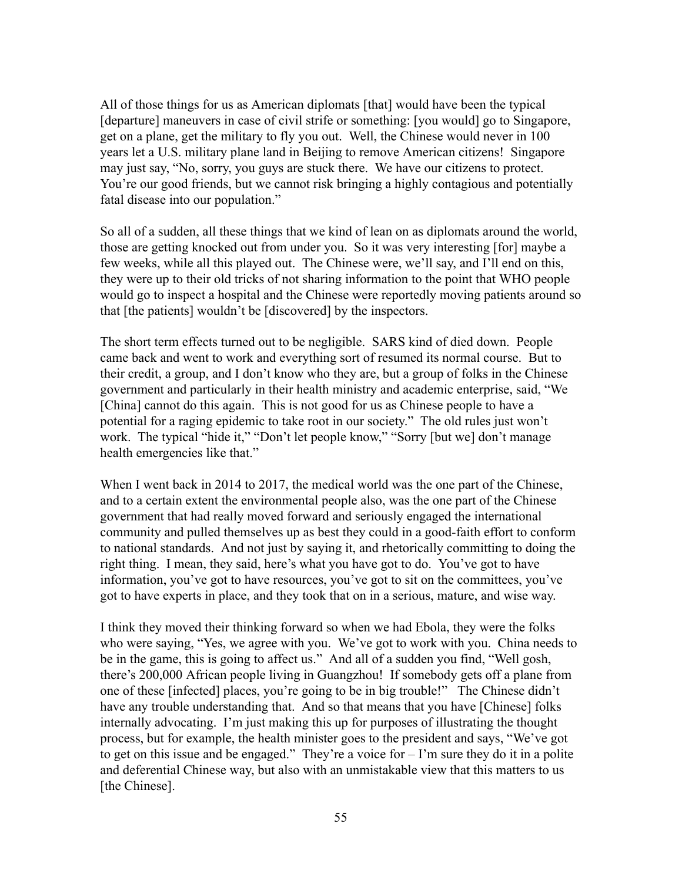All of those things for us as American diplomats [that] would have been the typical [departure] maneuvers in case of civil strife or something: [you would] go to Singapore, get on a plane, get the military to fly you out. Well, the Chinese would never in 100 years let a U.S. military plane land in Beijing to remove American citizens! Singapore may just say, "No, sorry, you guys are stuck there. We have our citizens to protect. You're our good friends, but we cannot risk bringing a highly contagious and potentially fatal disease into our population."

So all of a sudden, all these things that we kind of lean on as diplomats around the world, those are getting knocked out from under you. So it was very interesting [for] maybe a few weeks, while all this played out. The Chinese were, we'll say, and I'll end on this, they were up to their old tricks of not sharing information to the point that WHO people would go to inspect a hospital and the Chinese were reportedly moving patients around so that [the patients] wouldn't be [discovered] by the inspectors.

The short term effects turned out to be negligible. SARS kind of died down. People came back and went to work and everything sort of resumed its normal course. But to their credit, a group, and I don't know who they are, but a group of folks in the Chinese government and particularly in their health ministry and academic enterprise, said, "We [China] cannot do this again. This is not good for us as Chinese people to have a potential for a raging epidemic to take root in our society." The old rules just won't work. The typical "hide it," "Don't let people know," "Sorry [but we] don't manage health emergencies like that."

When I went back in 2014 to 2017, the medical world was the one part of the Chinese, and to a certain extent the environmental people also, was the one part of the Chinese government that had really moved forward and seriously engaged the international community and pulled themselves up as best they could in a good-faith effort to conform to national standards. And not just by saying it, and rhetorically committing to doing the right thing. I mean, they said, here's what you have got to do. You've got to have information, you've got to have resources, you've got to sit on the committees, you've got to have experts in place, and they took that on in a serious, mature, and wise way.

I think they moved their thinking forward so when we had Ebola, they were the folks who were saying, "Yes, we agree with you. We've got to work with you. China needs to be in the game, this is going to affect us." And all of a sudden you find, "Well gosh, there's 200,000 African people living in Guangzhou! If somebody gets off a plane from one of these [infected] places, you're going to be in big trouble!" The Chinese didn't have any trouble understanding that. And so that means that you have [Chinese] folks internally advocating. I'm just making this up for purposes of illustrating the thought process, but for example, the health minister goes to the president and says, "We've got to get on this issue and be engaged." They're a voice for – I'm sure they do it in a polite and deferential Chinese way, but also with an unmistakable view that this matters to us [the Chinese].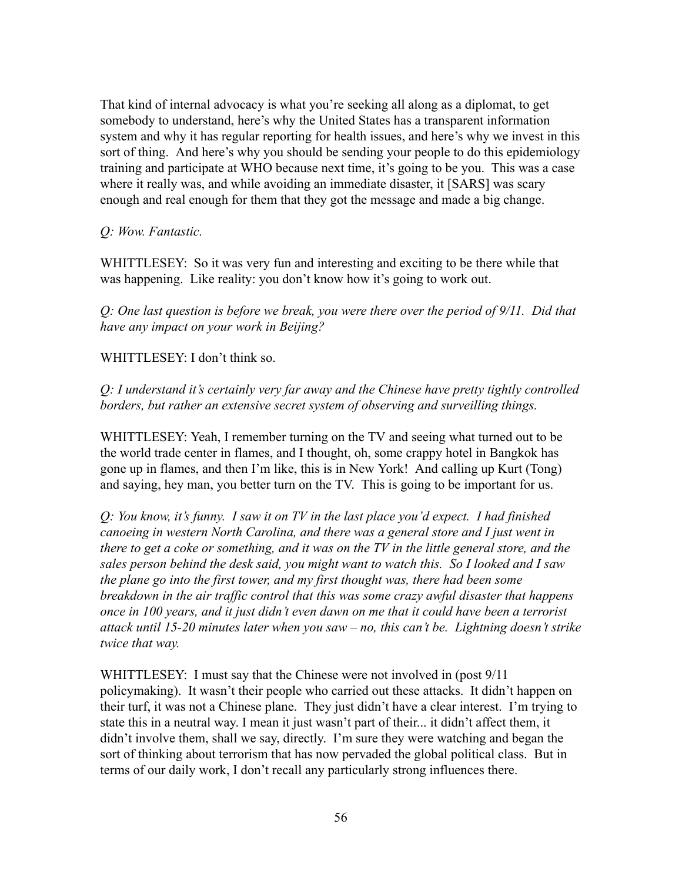That kind of internal advocacy is what you're seeking all along as a diplomat, to get somebody to understand, here's why the United States has a transparent information system and why it has regular reporting for health issues, and here's why we invest in this sort of thing. And here's why you should be sending your people to do this epidemiology training and participate at WHO because next time, it's going to be you. This was a case where it really was, and while avoiding an immediate disaster, it [SARS] was scary enough and real enough for them that they got the message and made a big change.

### *Q: Wow. Fantastic.*

WHITTLESEY: So it was very fun and interesting and exciting to be there while that was happening. Like reality: you don't know how it's going to work out.

*Q: One last question is before we break, you were there over the period of 9/11. Did that have any impact on your work in Beijing?*

WHITTLESEY: I don't think so.

*Q: I understand it's certainly very far away and the Chinese have pretty tightly controlled borders, but rather an extensive secret system of observing and surveilling things.*

WHITTLESEY: Yeah, I remember turning on the TV and seeing what turned out to be the world trade center in flames, and I thought, oh, some crappy hotel in Bangkok has gone up in flames, and then I'm like, this is in New York! And calling up Kurt (Tong) and saying, hey man, you better turn on the TV. This is going to be important for us.

*Q: You know, it's funny. I saw it on TV in the last place you'd expect. I had finished canoeing in western North Carolina, and there was a general store and I just went in there to get a coke or something, and it was on the TV in the little general store, and the sales person behind the desk said, you might want to watch this. So I looked and I saw the plane go into the first tower, and my first thought was, there had been some breakdown in the air traffic control that this was some crazy awful disaster that happens once in 100 years, and it just didn't even dawn on me that it could have been a terrorist attack until 15-20 minutes later when you saw – no, this can't be. Lightning doesn't strike twice that way.*

WHITTLESEY: I must say that the Chinese were not involved in (post 9/11) policymaking). It wasn't their people who carried out these attacks. It didn't happen on their turf, it was not a Chinese plane. They just didn't have a clear interest. I'm trying to state this in a neutral way. I mean it just wasn't part of their... it didn't affect them, it didn't involve them, shall we say, directly. I'm sure they were watching and began the sort of thinking about terrorism that has now pervaded the global political class. But in terms of our daily work, I don't recall any particularly strong influences there.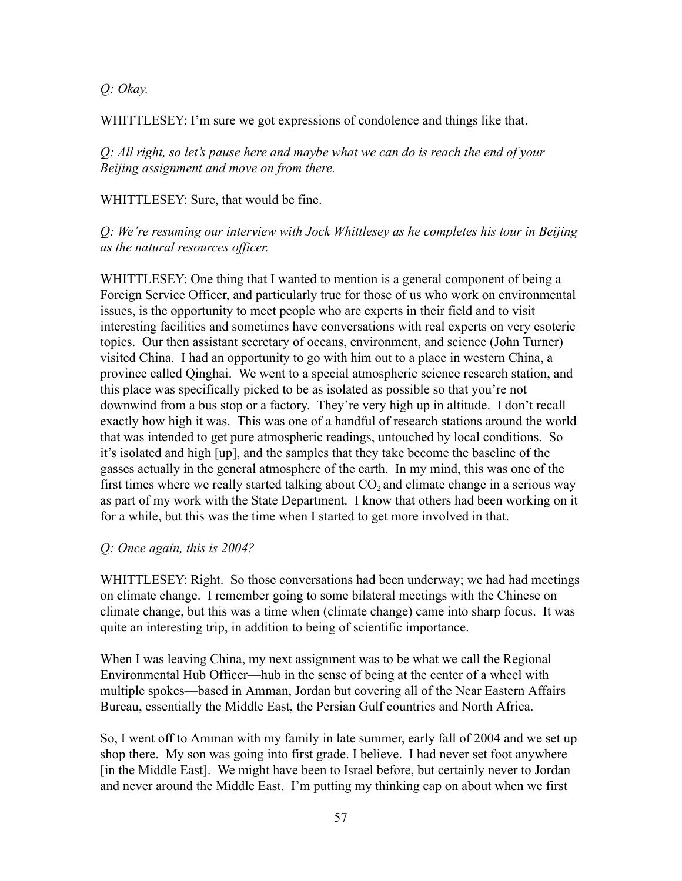*Q: Okay.*

WHITTLESEY: I'm sure we got expressions of condolence and things like that.

*Q: All right, so let's pause here and maybe what we can do is reach the end of your Beijing assignment and move on from there.*

WHITTLESEY: Sure, that would be fine.

*Q: We're resuming our interview with Jock Whittlesey as he completes his tour in Beijing as the natural resources officer.*

WHITTLESEY: One thing that I wanted to mention is a general component of being a Foreign Service Officer, and particularly true for those of us who work on environmental issues, is the opportunity to meet people who are experts in their field and to visit interesting facilities and sometimes have conversations with real experts on very esoteric topics. Our then assistant secretary of oceans, environment, and science (John Turner) visited China. I had an opportunity to go with him out to a place in western China, a province called Qinghai. We went to a special atmospheric science research station, and this place was specifically picked to be as isolated as possible so that you're not downwind from a bus stop or a factory. They're very high up in altitude. I don't recall exactly how high it was. This was one of a handful of research stations around the world that was intended to get pure atmospheric readings, untouched by local conditions. So it's isolated and high [up], and the samples that they take become the baseline of the gasses actually in the general atmosphere of the earth. In my mind, this was one of the first times where we really started talking about  $CO<sub>2</sub>$  and climate change in a serious way as part of my work with the State Department. I know that others had been working on it for a while, but this was the time when I started to get more involved in that.

### *Q: Once again, this is 2004?*

WHITTLESEY: Right. So those conversations had been underway; we had had meetings on climate change. I remember going to some bilateral meetings with the Chinese on climate change, but this was a time when (climate change) came into sharp focus. It was quite an interesting trip, in addition to being of scientific importance.

When I was leaving China, my next assignment was to be what we call the Regional Environmental Hub Officer—hub in the sense of being at the center of a wheel with multiple spokes—based in Amman, Jordan but covering all of the Near Eastern Affairs Bureau, essentially the Middle East, the Persian Gulf countries and North Africa.

So, I went off to Amman with my family in late summer, early fall of 2004 and we set up shop there. My son was going into first grade. I believe. I had never set foot anywhere [in the Middle East]. We might have been to Israel before, but certainly never to Jordan and never around the Middle East. I'm putting my thinking cap on about when we first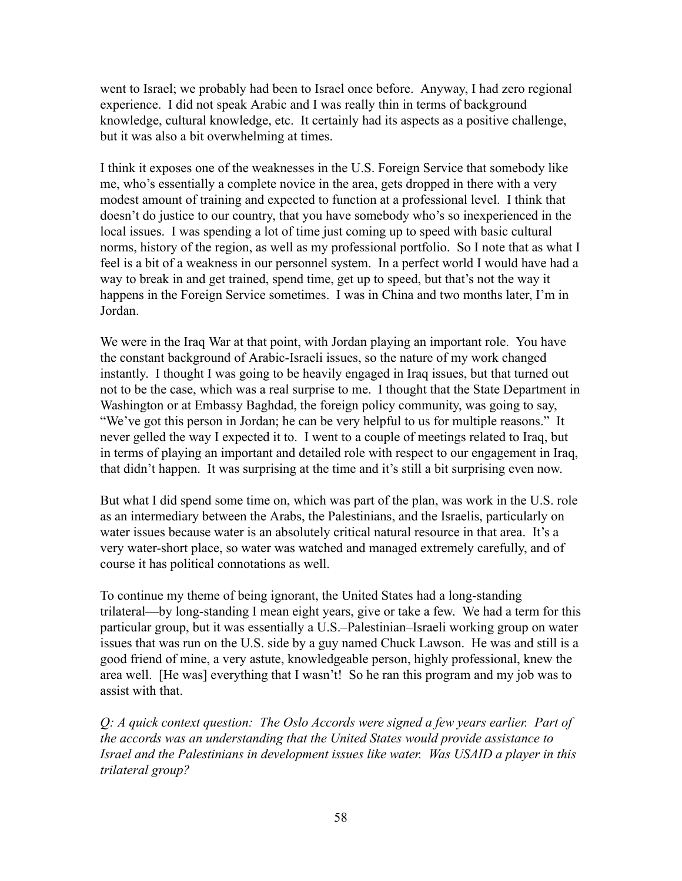went to Israel; we probably had been to Israel once before. Anyway, I had zero regional experience. I did not speak Arabic and I was really thin in terms of background knowledge, cultural knowledge, etc. It certainly had its aspects as a positive challenge, but it was also a bit overwhelming at times.

I think it exposes one of the weaknesses in the U.S. Foreign Service that somebody like me, who's essentially a complete novice in the area, gets dropped in there with a very modest amount of training and expected to function at a professional level. I think that doesn't do justice to our country, that you have somebody who's so inexperienced in the local issues. I was spending a lot of time just coming up to speed with basic cultural norms, history of the region, as well as my professional portfolio. So I note that as what I feel is a bit of a weakness in our personnel system. In a perfect world I would have had a way to break in and get trained, spend time, get up to speed, but that's not the way it happens in the Foreign Service sometimes. I was in China and two months later, I'm in Jordan.

We were in the Iraq War at that point, with Jordan playing an important role. You have the constant background of Arabic-Israeli issues, so the nature of my work changed instantly. I thought I was going to be heavily engaged in Iraq issues, but that turned out not to be the case, which was a real surprise to me. I thought that the State Department in Washington or at Embassy Baghdad, the foreign policy community, was going to say, "We've got this person in Jordan; he can be very helpful to us for multiple reasons." It never gelled the way I expected it to. I went to a couple of meetings related to Iraq, but in terms of playing an important and detailed role with respect to our engagement in Iraq, that didn't happen. It was surprising at the time and it's still a bit surprising even now.

But what I did spend some time on, which was part of the plan, was work in the U.S. role as an intermediary between the Arabs, the Palestinians, and the Israelis, particularly on water issues because water is an absolutely critical natural resource in that area. It's a very water-short place, so water was watched and managed extremely carefully, and of course it has political connotations as well.

To continue my theme of being ignorant, the United States had a long-standing trilateral—by long-standing I mean eight years, give or take a few. We had a term for this particular group, but it was essentially a U.S.–Palestinian–Israeli working group on water issues that was run on the U.S. side by a guy named Chuck Lawson. He was and still is a good friend of mine, a very astute, knowledgeable person, highly professional, knew the area well. [He was] everything that I wasn't! So he ran this program and my job was to assist with that.

*Q: A quick context question: The Oslo Accords were signed a few years earlier. Part of the accords was an understanding that the United States would provide assistance to Israel and the Palestinians in development issues like water. Was USAID a player in this trilateral group?*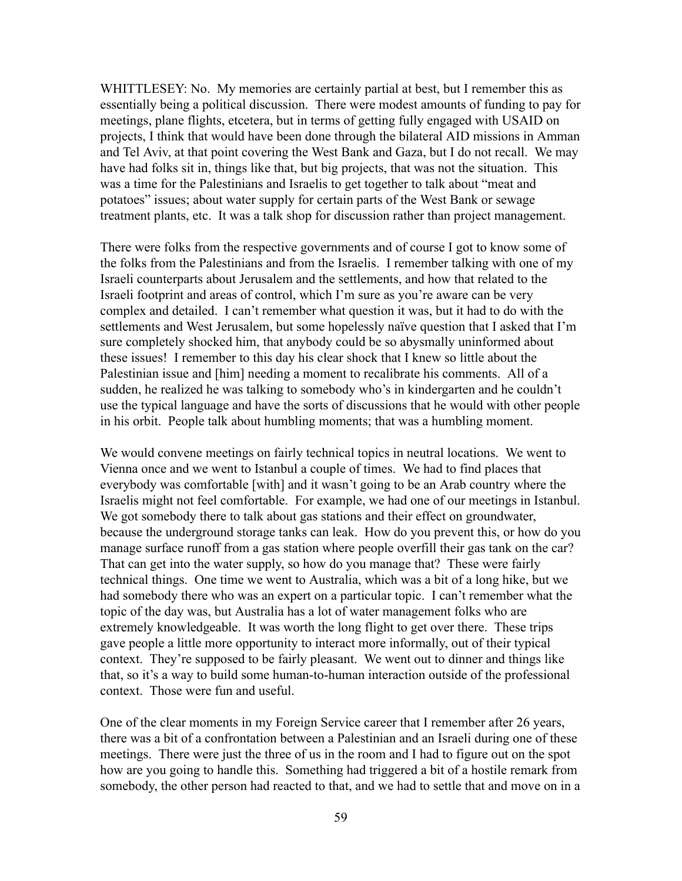WHITTLESEY: No. My memories are certainly partial at best, but I remember this as essentially being a political discussion. There were modest amounts of funding to pay for meetings, plane flights, etcetera, but in terms of getting fully engaged with USAID on projects, I think that would have been done through the bilateral AID missions in Amman and Tel Aviv, at that point covering the West Bank and Gaza, but I do not recall. We may have had folks sit in, things like that, but big projects, that was not the situation. This was a time for the Palestinians and Israelis to get together to talk about "meat and potatoes" issues; about water supply for certain parts of the West Bank or sewage treatment plants, etc. It was a talk shop for discussion rather than project management.

There were folks from the respective governments and of course I got to know some of the folks from the Palestinians and from the Israelis. I remember talking with one of my Israeli counterparts about Jerusalem and the settlements, and how that related to the Israeli footprint and areas of control, which I'm sure as you're aware can be very complex and detailed. I can't remember what question it was, but it had to do with the settlements and West Jerusalem, but some hopelessly naïve question that I asked that I'm sure completely shocked him, that anybody could be so abysmally uninformed about these issues! I remember to this day his clear shock that I knew so little about the Palestinian issue and [him] needing a moment to recalibrate his comments. All of a sudden, he realized he was talking to somebody who's in kindergarten and he couldn't use the typical language and have the sorts of discussions that he would with other people in his orbit. People talk about humbling moments; that was a humbling moment.

We would convene meetings on fairly technical topics in neutral locations. We went to Vienna once and we went to Istanbul a couple of times. We had to find places that everybody was comfortable [with] and it wasn't going to be an Arab country where the Israelis might not feel comfortable. For example, we had one of our meetings in Istanbul. We got somebody there to talk about gas stations and their effect on groundwater, because the underground storage tanks can leak. How do you prevent this, or how do you manage surface runoff from a gas station where people overfill their gas tank on the car? That can get into the water supply, so how do you manage that? These were fairly technical things. One time we went to Australia, which was a bit of a long hike, but we had somebody there who was an expert on a particular topic. I can't remember what the topic of the day was, but Australia has a lot of water management folks who are extremely knowledgeable. It was worth the long flight to get over there. These trips gave people a little more opportunity to interact more informally, out of their typical context. They're supposed to be fairly pleasant. We went out to dinner and things like that, so it's a way to build some human-to-human interaction outside of the professional context. Those were fun and useful.

One of the clear moments in my Foreign Service career that I remember after 26 years, there was a bit of a confrontation between a Palestinian and an Israeli during one of these meetings. There were just the three of us in the room and I had to figure out on the spot how are you going to handle this. Something had triggered a bit of a hostile remark from somebody, the other person had reacted to that, and we had to settle that and move on in a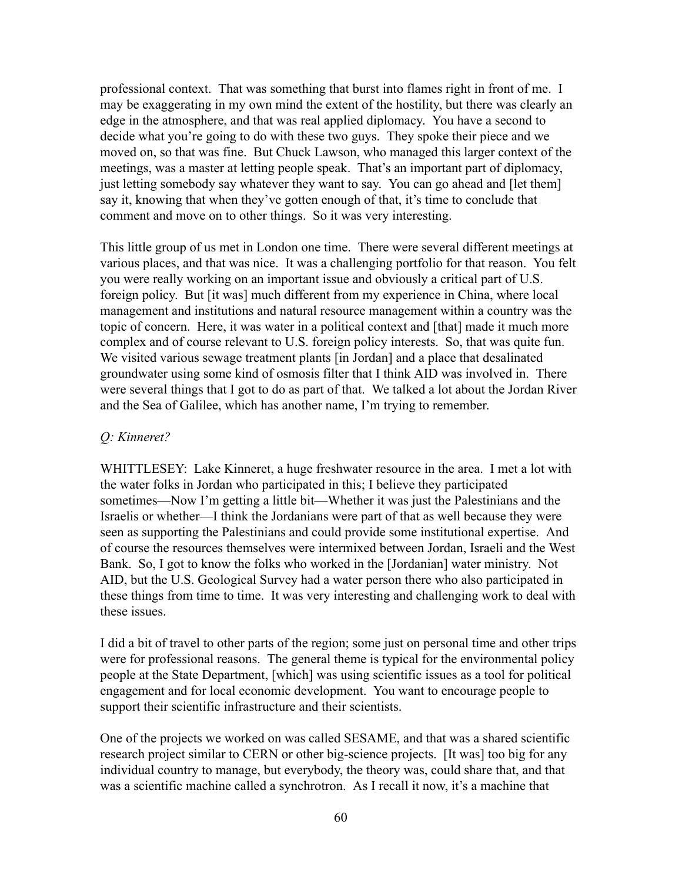professional context. That was something that burst into flames right in front of me. I may be exaggerating in my own mind the extent of the hostility, but there was clearly an edge in the atmosphere, and that was real applied diplomacy. You have a second to decide what you're going to do with these two guys. They spoke their piece and we moved on, so that was fine. But Chuck Lawson, who managed this larger context of the meetings, was a master at letting people speak. That's an important part of diplomacy, just letting somebody say whatever they want to say. You can go ahead and [let them] say it, knowing that when they've gotten enough of that, it's time to conclude that comment and move on to other things. So it was very interesting.

This little group of us met in London one time. There were several different meetings at various places, and that was nice. It was a challenging portfolio for that reason. You felt you were really working on an important issue and obviously a critical part of U.S. foreign policy. But [it was] much different from my experience in China, where local management and institutions and natural resource management within a country was the topic of concern. Here, it was water in a political context and [that] made it much more complex and of course relevant to U.S. foreign policy interests. So, that was quite fun. We visited various sewage treatment plants [in Jordan] and a place that desalinated groundwater using some kind of osmosis filter that I think AID was involved in. There were several things that I got to do as part of that. We talked a lot about the Jordan River and the Sea of Galilee, which has another name, I'm trying to remember.

### *Q: Kinneret?*

WHITTLESEY: Lake Kinneret, a huge freshwater resource in the area. I met a lot with the water folks in Jordan who participated in this; I believe they participated sometimes—Now I'm getting a little bit—Whether it was just the Palestinians and the Israelis or whether—I think the Jordanians were part of that as well because they were seen as supporting the Palestinians and could provide some institutional expertise. And of course the resources themselves were intermixed between Jordan, Israeli and the West Bank. So, I got to know the folks who worked in the [Jordanian] water ministry. Not AID, but the U.S. Geological Survey had a water person there who also participated in these things from time to time. It was very interesting and challenging work to deal with these issues.

I did a bit of travel to other parts of the region; some just on personal time and other trips were for professional reasons. The general theme is typical for the environmental policy people at the State Department, [which] was using scientific issues as a tool for political engagement and for local economic development. You want to encourage people to support their scientific infrastructure and their scientists.

One of the projects we worked on was called SESAME, and that was a shared scientific research project similar to CERN or other big-science projects. [It was] too big for any individual country to manage, but everybody, the theory was, could share that, and that was a scientific machine called a synchrotron. As I recall it now, it's a machine that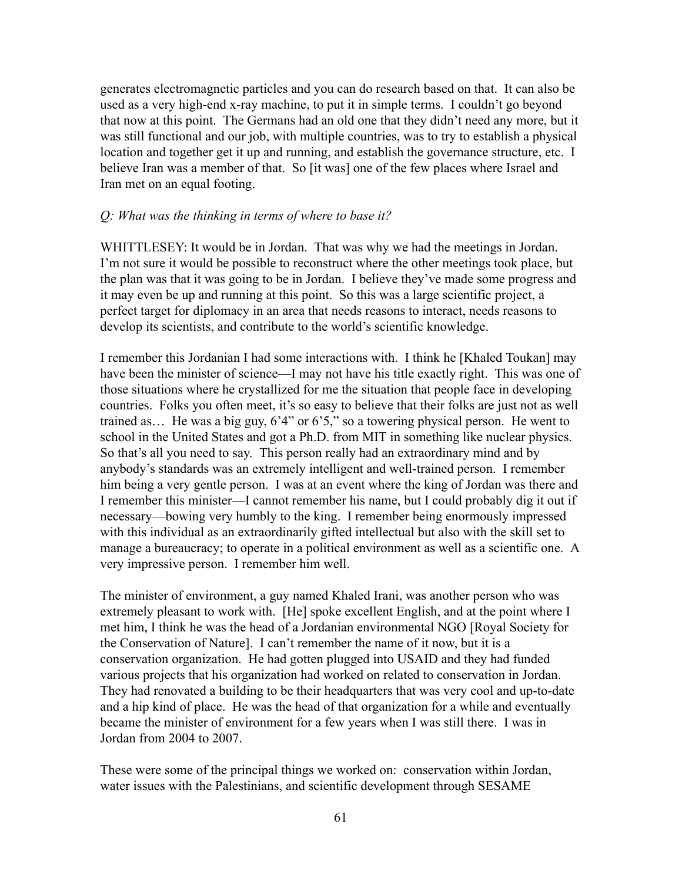generates electromagnetic particles and you can do research based on that. It can also be used as a very high-end x-ray machine, to put it in simple terms. I couldn't go beyond that now at this point. The Germans had an old one that they didn't need any more, but it was still functional and our job, with multiple countries, was to try to establish a physical location and together get it up and running, and establish the governance structure, etc. I believe Iran was a member of that. So [it was] one of the few places where Israel and Iran met on an equal footing.

#### *Q: What was the thinking in terms of where to base it?*

WHITTLESEY: It would be in Jordan. That was why we had the meetings in Jordan. I'm not sure it would be possible to reconstruct where the other meetings took place, but the plan was that it was going to be in Jordan. I believe they've made some progress and it may even be up and running at this point. So this was a large scientific project, a perfect target for diplomacy in an area that needs reasons to interact, needs reasons to develop its scientists, and contribute to the world's scientific knowledge.

I remember this Jordanian I had some interactions with. I think he [Khaled Toukan] may have been the minister of science—I may not have his title exactly right. This was one of those situations where he crystallized for me the situation that people face in developing countries. Folks you often meet, it's so easy to believe that their folks are just not as well trained as… He was a big guy, 6'4" or 6'5," so a towering physical person. He went to school in the United States and got a Ph.D. from MIT in something like nuclear physics. So that's all you need to say. This person really had an extraordinary mind and by anybody's standards was an extremely intelligent and well-trained person. I remember him being a very gentle person. I was at an event where the king of Jordan was there and I remember this minister—I cannot remember his name, but I could probably dig it out if necessary—bowing very humbly to the king. I remember being enormously impressed with this individual as an extraordinarily gifted intellectual but also with the skill set to manage a bureaucracy; to operate in a political environment as well as a scientific one. A very impressive person. I remember him well.

The minister of environment, a guy named Khaled Irani, was another person who was extremely pleasant to work with. [He] spoke excellent English, and at the point where I met him, I think he was the head of a Jordanian environmental NGO [Royal Society for the Conservation of Nature]. I can't remember the name of it now, but it is a conservation organization. He had gotten plugged into USAID and they had funded various projects that his organization had worked on related to conservation in Jordan. They had renovated a building to be their headquarters that was very cool and up-to-date and a hip kind of place. He was the head of that organization for a while and eventually became the minister of environment for a few years when I was still there. I was in Jordan from 2004 to 2007.

These were some of the principal things we worked on: conservation within Jordan, water issues with the Palestinians, and scientific development through SESAME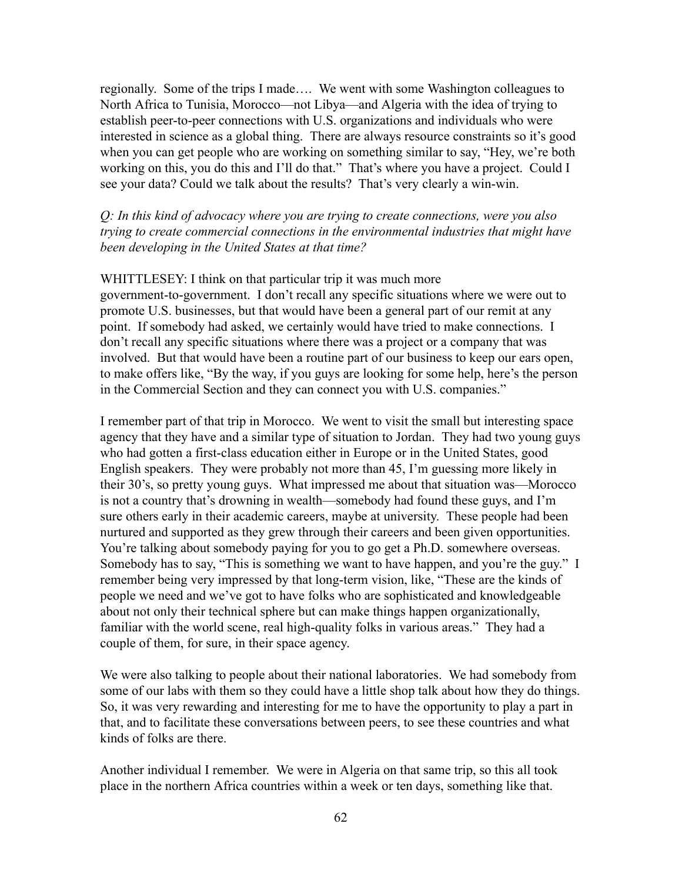regionally. Some of the trips I made…. We went with some Washington colleagues to North Africa to Tunisia, Morocco—not Libya—and Algeria with the idea of trying to establish peer-to-peer connections with U.S. organizations and individuals who were interested in science as a global thing. There are always resource constraints so it's good when you can get people who are working on something similar to say, "Hey, we're both working on this, you do this and I'll do that." That's where you have a project. Could I see your data? Could we talk about the results? That's very clearly a win-win.

*Q: In this kind of advocacy where you are trying to create connections, were you also trying to create commercial connections in the environmental industries that might have been developing in the United States at that time?*

### WHITTLESEY: I think on that particular trip it was much more

government-to-government. I don't recall any specific situations where we were out to promote U.S. businesses, but that would have been a general part of our remit at any point. If somebody had asked, we certainly would have tried to make connections. I don't recall any specific situations where there was a project or a company that was involved. But that would have been a routine part of our business to keep our ears open, to make offers like, "By the way, if you guys are looking for some help, here's the person in the Commercial Section and they can connect you with U.S. companies."

I remember part of that trip in Morocco. We went to visit the small but interesting space agency that they have and a similar type of situation to Jordan. They had two young guys who had gotten a first-class education either in Europe or in the United States, good English speakers. They were probably not more than 45, I'm guessing more likely in their 30's, so pretty young guys. What impressed me about that situation was—Morocco is not a country that's drowning in wealth—somebody had found these guys, and I'm sure others early in their academic careers, maybe at university. These people had been nurtured and supported as they grew through their careers and been given opportunities. You're talking about somebody paying for you to go get a Ph.D. somewhere overseas. Somebody has to say, "This is something we want to have happen, and you're the guy." I remember being very impressed by that long-term vision, like, "These are the kinds of people we need and we've got to have folks who are sophisticated and knowledgeable about not only their technical sphere but can make things happen organizationally, familiar with the world scene, real high-quality folks in various areas." They had a couple of them, for sure, in their space agency.

We were also talking to people about their national laboratories. We had somebody from some of our labs with them so they could have a little shop talk about how they do things. So, it was very rewarding and interesting for me to have the opportunity to play a part in that, and to facilitate these conversations between peers, to see these countries and what kinds of folks are there.

Another individual I remember. We were in Algeria on that same trip, so this all took place in the northern Africa countries within a week or ten days, something like that.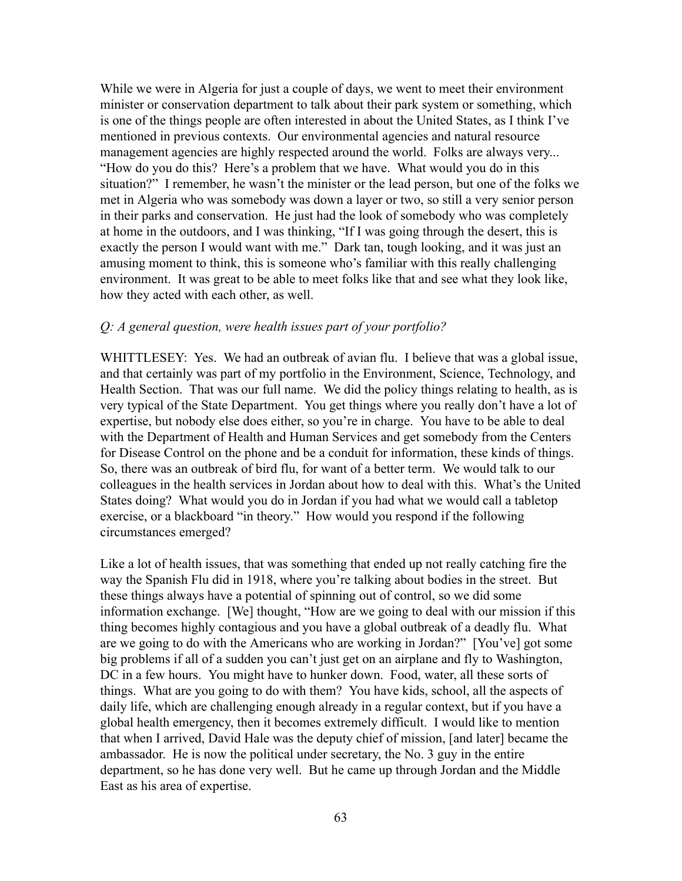While we were in Algeria for just a couple of days, we went to meet their environment minister or conservation department to talk about their park system or something, which is one of the things people are often interested in about the United States, as I think I've mentioned in previous contexts. Our environmental agencies and natural resource management agencies are highly respected around the world. Folks are always very... "How do you do this? Here's a problem that we have. What would you do in this situation?" I remember, he wasn't the minister or the lead person, but one of the folks we met in Algeria who was somebody was down a layer or two, so still a very senior person in their parks and conservation. He just had the look of somebody who was completely at home in the outdoors, and I was thinking, "If I was going through the desert, this is exactly the person I would want with me." Dark tan, tough looking, and it was just an amusing moment to think, this is someone who's familiar with this really challenging environment. It was great to be able to meet folks like that and see what they look like, how they acted with each other, as well.

### *Q: A general question, were health issues part of your portfolio?*

WHITTLESEY: Yes. We had an outbreak of avian flu. I believe that was a global issue, and that certainly was part of my portfolio in the Environment, Science, Technology, and Health Section. That was our full name. We did the policy things relating to health, as is very typical of the State Department. You get things where you really don't have a lot of expertise, but nobody else does either, so you're in charge. You have to be able to deal with the Department of Health and Human Services and get somebody from the Centers for Disease Control on the phone and be a conduit for information, these kinds of things. So, there was an outbreak of bird flu, for want of a better term. We would talk to our colleagues in the health services in Jordan about how to deal with this. What's the United States doing? What would you do in Jordan if you had what we would call a tabletop exercise, or a blackboard "in theory." How would you respond if the following circumstances emerged?

Like a lot of health issues, that was something that ended up not really catching fire the way the Spanish Flu did in 1918, where you're talking about bodies in the street. But these things always have a potential of spinning out of control, so we did some information exchange. [We] thought, "How are we going to deal with our mission if this thing becomes highly contagious and you have a global outbreak of a deadly flu. What are we going to do with the Americans who are working in Jordan?" [You've] got some big problems if all of a sudden you can't just get on an airplane and fly to Washington, DC in a few hours. You might have to hunker down. Food, water, all these sorts of things. What are you going to do with them? You have kids, school, all the aspects of daily life, which are challenging enough already in a regular context, but if you have a global health emergency, then it becomes extremely difficult. I would like to mention that when I arrived, David Hale was the deputy chief of mission, [and later] became the ambassador. He is now the political under secretary, the No. 3 guy in the entire department, so he has done very well. But he came up through Jordan and the Middle East as his area of expertise.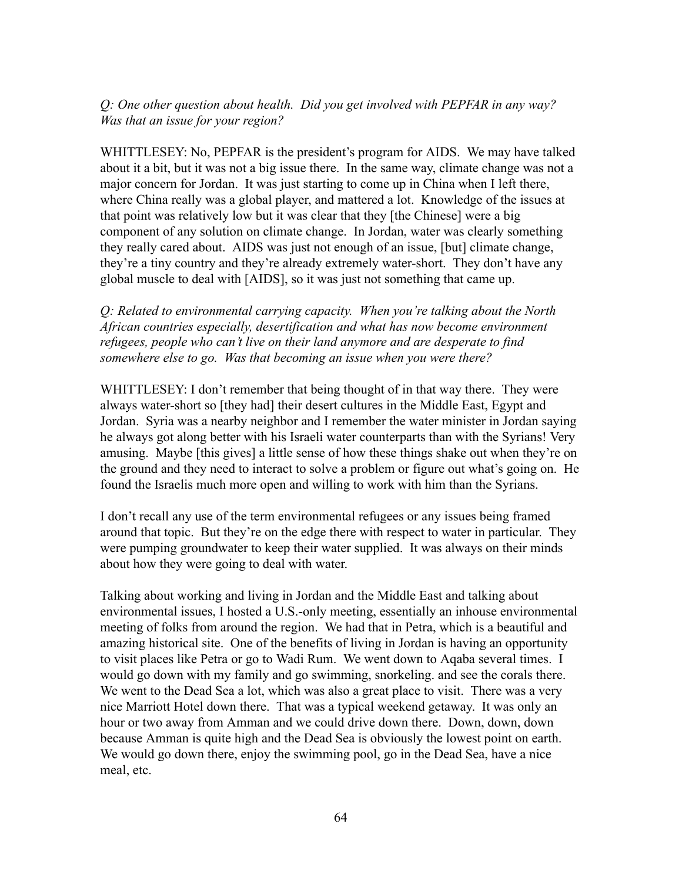# *Q: One other question about health. Did you get involved with PEPFAR in any way? Was that an issue for your region?*

WHITTLESEY: No, PEPFAR is the president's program for AIDS. We may have talked about it a bit, but it was not a big issue there. In the same way, climate change was not a major concern for Jordan. It was just starting to come up in China when I left there, where China really was a global player, and mattered a lot. Knowledge of the issues at that point was relatively low but it was clear that they [the Chinese] were a big component of any solution on climate change. In Jordan, water was clearly something they really cared about. AIDS was just not enough of an issue, [but] climate change, they're a tiny country and they're already extremely water-short. They don't have any global muscle to deal with [AIDS], so it was just not something that came up.

*Q: Related to environmental carrying capacity. When you're talking about the North African countries especially, desertification and what has now become environment refugees, people who can't live on their land anymore and are desperate to find somewhere else to go. Was that becoming an issue when you were there?*

WHITTLESEY: I don't remember that being thought of in that way there. They were always water-short so [they had] their desert cultures in the Middle East, Egypt and Jordan. Syria was a nearby neighbor and I remember the water minister in Jordan saying he always got along better with his Israeli water counterparts than with the Syrians! Very amusing. Maybe [this gives] a little sense of how these things shake out when they're on the ground and they need to interact to solve a problem or figure out what's going on. He found the Israelis much more open and willing to work with him than the Syrians.

I don't recall any use of the term environmental refugees or any issues being framed around that topic. But they're on the edge there with respect to water in particular. They were pumping groundwater to keep their water supplied. It was always on their minds about how they were going to deal with water.

Talking about working and living in Jordan and the Middle East and talking about environmental issues, I hosted a U.S.-only meeting, essentially an inhouse environmental meeting of folks from around the region. We had that in Petra, which is a beautiful and amazing historical site. One of the benefits of living in Jordan is having an opportunity to visit places like Petra or go to Wadi Rum. We went down to Aqaba several times. I would go down with my family and go swimming, snorkeling. and see the corals there. We went to the Dead Sea a lot, which was also a great place to visit. There was a very nice Marriott Hotel down there. That was a typical weekend getaway. It was only an hour or two away from Amman and we could drive down there. Down, down, down because Amman is quite high and the Dead Sea is obviously the lowest point on earth. We would go down there, enjoy the swimming pool, go in the Dead Sea, have a nice meal, etc.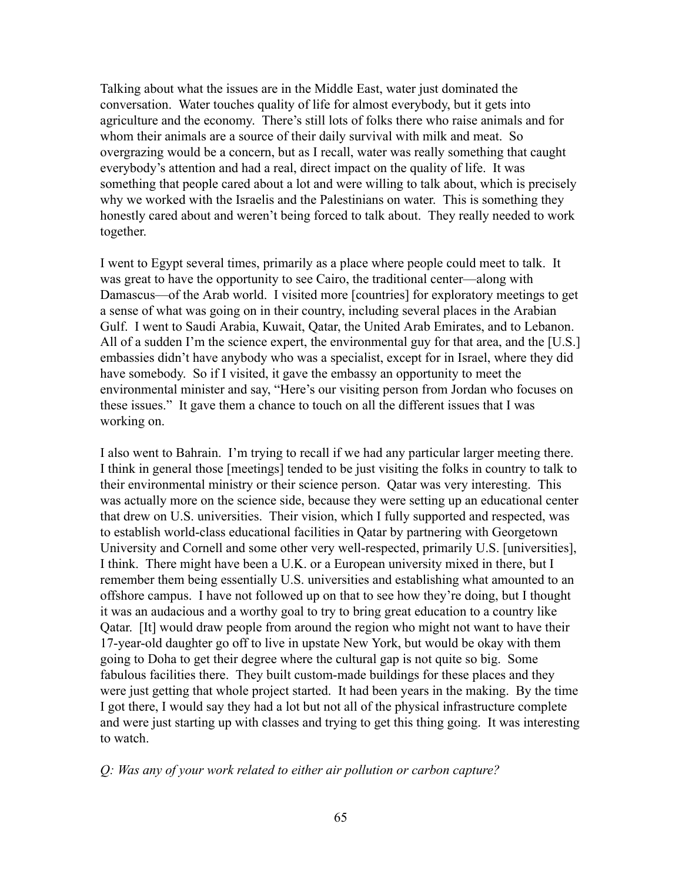Talking about what the issues are in the Middle East, water just dominated the conversation. Water touches quality of life for almost everybody, but it gets into agriculture and the economy. There's still lots of folks there who raise animals and for whom their animals are a source of their daily survival with milk and meat. So overgrazing would be a concern, but as I recall, water was really something that caught everybody's attention and had a real, direct impact on the quality of life. It was something that people cared about a lot and were willing to talk about, which is precisely why we worked with the Israelis and the Palestinians on water. This is something they honestly cared about and weren't being forced to talk about. They really needed to work together.

I went to Egypt several times, primarily as a place where people could meet to talk. It was great to have the opportunity to see Cairo, the traditional center—along with Damascus—of the Arab world. I visited more [countries] for exploratory meetings to get a sense of what was going on in their country, including several places in the Arabian Gulf. I went to Saudi Arabia, Kuwait, Qatar, the United Arab Emirates, and to Lebanon. All of a sudden I'm the science expert, the environmental guy for that area, and the [U.S.] embassies didn't have anybody who was a specialist, except for in Israel, where they did have somebody. So if I visited, it gave the embassy an opportunity to meet the environmental minister and say, "Here's our visiting person from Jordan who focuses on these issues." It gave them a chance to touch on all the different issues that I was working on.

I also went to Bahrain. I'm trying to recall if we had any particular larger meeting there. I think in general those [meetings] tended to be just visiting the folks in country to talk to their environmental ministry or their science person. Qatar was very interesting. This was actually more on the science side, because they were setting up an educational center that drew on U.S. universities. Their vision, which I fully supported and respected, was to establish world-class educational facilities in Qatar by partnering with Georgetown University and Cornell and some other very well-respected, primarily U.S. [universities], I think. There might have been a U.K. or a European university mixed in there, but I remember them being essentially U.S. universities and establishing what amounted to an offshore campus. I have not followed up on that to see how they're doing, but I thought it was an audacious and a worthy goal to try to bring great education to a country like Qatar. [It] would draw people from around the region who might not want to have their 17-year-old daughter go off to live in upstate New York, but would be okay with them going to Doha to get their degree where the cultural gap is not quite so big. Some fabulous facilities there. They built custom-made buildings for these places and they were just getting that whole project started. It had been years in the making. By the time I got there, I would say they had a lot but not all of the physical infrastructure complete and were just starting up with classes and trying to get this thing going. It was interesting to watch.

#### *Q: Was any of your work related to either air pollution or carbon capture?*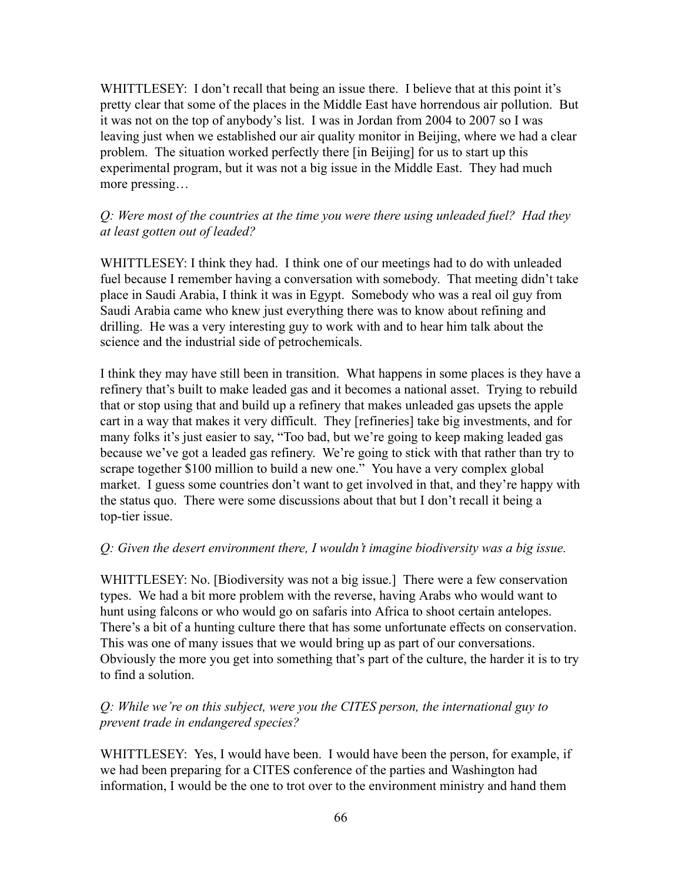WHITTLESEY: I don't recall that being an issue there. I believe that at this point it's pretty clear that some of the places in the Middle East have horrendous air pollution. But it was not on the top of anybody's list. I was in Jordan from 2004 to 2007 so I was leaving just when we established our air quality monitor in Beijing, where we had a clear problem. The situation worked perfectly there [in Beijing] for us to start up this experimental program, but it was not a big issue in the Middle East. They had much more pressing…

# *Q: Were most of the countries at the time you were there using unleaded fuel? Had they at least gotten out of leaded?*

WHITTLESEY: I think they had. I think one of our meetings had to do with unleaded fuel because I remember having a conversation with somebody. That meeting didn't take place in Saudi Arabia, I think it was in Egypt. Somebody who was a real oil guy from Saudi Arabia came who knew just everything there was to know about refining and drilling. He was a very interesting guy to work with and to hear him talk about the science and the industrial side of petrochemicals.

I think they may have still been in transition. What happens in some places is they have a refinery that's built to make leaded gas and it becomes a national asset. Trying to rebuild that or stop using that and build up a refinery that makes unleaded gas upsets the apple cart in a way that makes it very difficult. They [refineries] take big investments, and for many folks it's just easier to say, "Too bad, but we're going to keep making leaded gas because we've got a leaded gas refinery. We're going to stick with that rather than try to scrape together \$100 million to build a new one." You have a very complex global market. I guess some countries don't want to get involved in that, and they're happy with the status quo. There were some discussions about that but I don't recall it being a top-tier issue.

# *Q: Given the desert environment there, I wouldn't imagine biodiversity was a big issue.*

WHITTLESEY: No. [Biodiversity was not a big issue.] There were a few conservation types. We had a bit more problem with the reverse, having Arabs who would want to hunt using falcons or who would go on safaris into Africa to shoot certain antelopes. There's a bit of a hunting culture there that has some unfortunate effects on conservation. This was one of many issues that we would bring up as part of our conversations. Obviously the more you get into something that's part of the culture, the harder it is to try to find a solution.

# *Q: While we're on this subject, were you the CITES person, the international guy to prevent trade in endangered species?*

WHITTLESEY: Yes, I would have been. I would have been the person, for example, if we had been preparing for a CITES conference of the parties and Washington had information, I would be the one to trot over to the environment ministry and hand them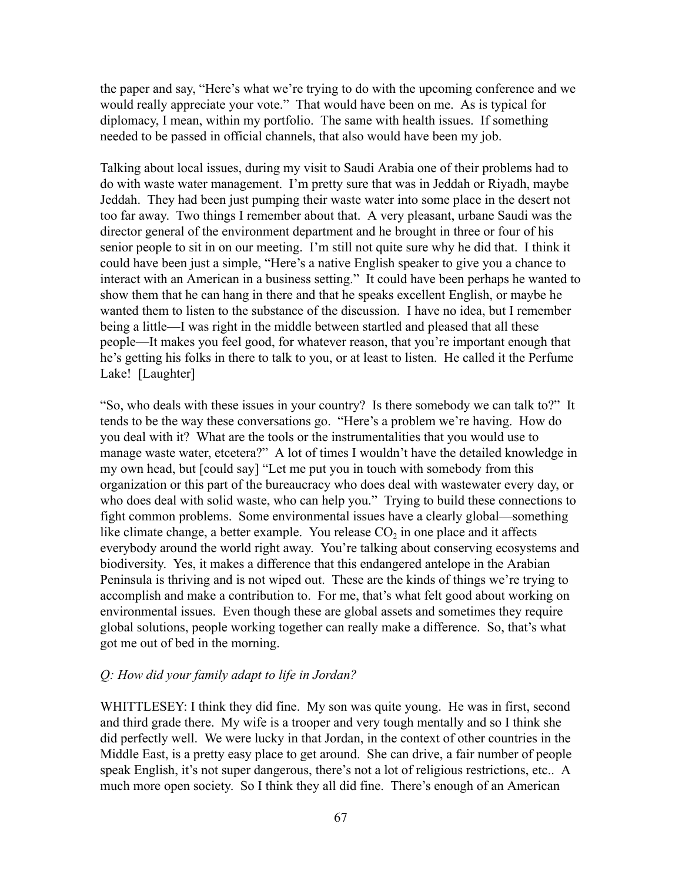the paper and say, "Here's what we're trying to do with the upcoming conference and we would really appreciate your vote." That would have been on me. As is typical for diplomacy, I mean, within my portfolio. The same with health issues. If something needed to be passed in official channels, that also would have been my job.

Talking about local issues, during my visit to Saudi Arabia one of their problems had to do with waste water management. I'm pretty sure that was in Jeddah or Riyadh, maybe Jeddah. They had been just pumping their waste water into some place in the desert not too far away. Two things I remember about that. A very pleasant, urbane Saudi was the director general of the environment department and he brought in three or four of his senior people to sit in on our meeting. I'm still not quite sure why he did that. I think it could have been just a simple, "Here's a native English speaker to give you a chance to interact with an American in a business setting." It could have been perhaps he wanted to show them that he can hang in there and that he speaks excellent English, or maybe he wanted them to listen to the substance of the discussion. I have no idea, but I remember being a little—I was right in the middle between startled and pleased that all these people—It makes you feel good, for whatever reason, that you're important enough that he's getting his folks in there to talk to you, or at least to listen. He called it the Perfume Lake! [Laughter]

"So, who deals with these issues in your country? Is there somebody we can talk to?" It tends to be the way these conversations go. "Here's a problem we're having. How do you deal with it? What are the tools or the instrumentalities that you would use to manage waste water, etcetera?" A lot of times I wouldn't have the detailed knowledge in my own head, but [could say] "Let me put you in touch with somebody from this organization or this part of the bureaucracy who does deal with wastewater every day, or who does deal with solid waste, who can help you." Trying to build these connections to fight common problems. Some environmental issues have a clearly global—something like climate change, a better example. You release  $CO_2$  in one place and it affects everybody around the world right away. You're talking about conserving ecosystems and biodiversity. Yes, it makes a difference that this endangered antelope in the Arabian Peninsula is thriving and is not wiped out. These are the kinds of things we're trying to accomplish and make a contribution to. For me, that's what felt good about working on environmental issues. Even though these are global assets and sometimes they require global solutions, people working together can really make a difference. So, that's what got me out of bed in the morning.

#### *Q: How did your family adapt to life in Jordan?*

WHITTLESEY: I think they did fine. My son was quite young. He was in first, second and third grade there. My wife is a trooper and very tough mentally and so I think she did perfectly well. We were lucky in that Jordan, in the context of other countries in the Middle East, is a pretty easy place to get around. She can drive, a fair number of people speak English, it's not super dangerous, there's not a lot of religious restrictions, etc.. A much more open society. So I think they all did fine. There's enough of an American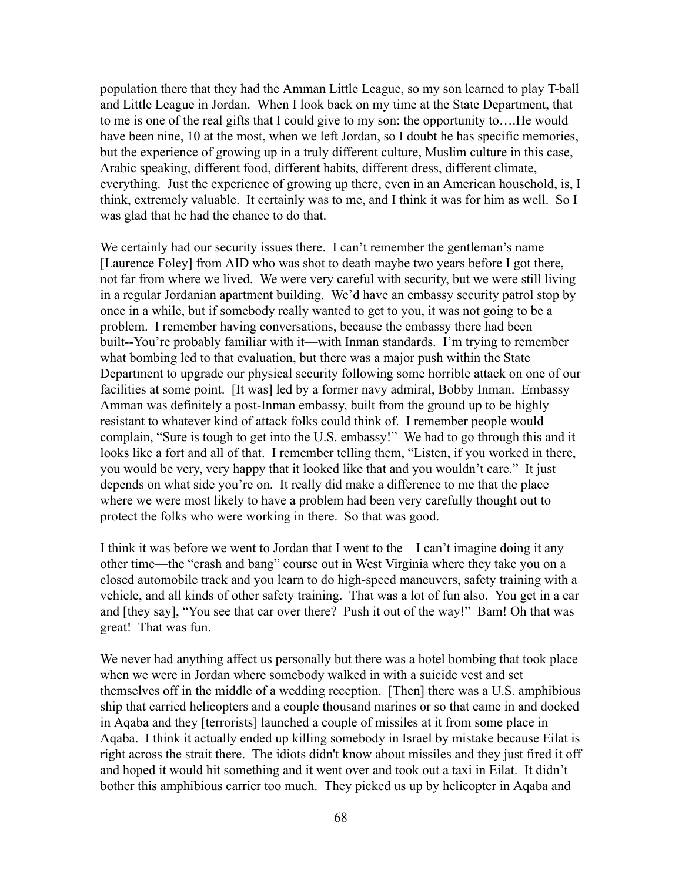population there that they had the Amman Little League, so my son learned to play T-ball and Little League in Jordan. When I look back on my time at the State Department, that to me is one of the real gifts that I could give to my son: the opportunity to….He would have been nine, 10 at the most, when we left Jordan, so I doubt he has specific memories, but the experience of growing up in a truly different culture, Muslim culture in this case, Arabic speaking, different food, different habits, different dress, different climate, everything. Just the experience of growing up there, even in an American household, is, I think, extremely valuable. It certainly was to me, and I think it was for him as well. So I was glad that he had the chance to do that.

We certainly had our security issues there. I can't remember the gentleman's name [Laurence Foley] from AID who was shot to death maybe two years before I got there, not far from where we lived. We were very careful with security, but we were still living in a regular Jordanian apartment building. We'd have an embassy security patrol stop by once in a while, but if somebody really wanted to get to you, it was not going to be a problem. I remember having conversations, because the embassy there had been built--You're probably familiar with it—with Inman standards. I'm trying to remember what bombing led to that evaluation, but there was a major push within the State Department to upgrade our physical security following some horrible attack on one of our facilities at some point. [It was] led by a former navy admiral, Bobby Inman. Embassy Amman was definitely a post-Inman embassy, built from the ground up to be highly resistant to whatever kind of attack folks could think of. I remember people would complain, "Sure is tough to get into the U.S. embassy!" We had to go through this and it looks like a fort and all of that. I remember telling them, "Listen, if you worked in there, you would be very, very happy that it looked like that and you wouldn't care." It just depends on what side you're on. It really did make a difference to me that the place where we were most likely to have a problem had been very carefully thought out to protect the folks who were working in there. So that was good.

I think it was before we went to Jordan that I went to the—I can't imagine doing it any other time—the "crash and bang" course out in West Virginia where they take you on a closed automobile track and you learn to do high-speed maneuvers, safety training with a vehicle, and all kinds of other safety training. That was a lot of fun also. You get in a car and [they say], "You see that car over there? Push it out of the way!" Bam! Oh that was great! That was fun.

We never had anything affect us personally but there was a hotel bombing that took place when we were in Jordan where somebody walked in with a suicide vest and set themselves off in the middle of a wedding reception. [Then] there was a U.S. amphibious ship that carried helicopters and a couple thousand marines or so that came in and docked in Aqaba and they [terrorists] launched a couple of missiles at it from some place in Aqaba. I think it actually ended up killing somebody in Israel by mistake because Eilat is right across the strait there. The idiots didn't know about missiles and they just fired it off and hoped it would hit something and it went over and took out a taxi in Eilat. It didn't bother this amphibious carrier too much. They picked us up by helicopter in Aqaba and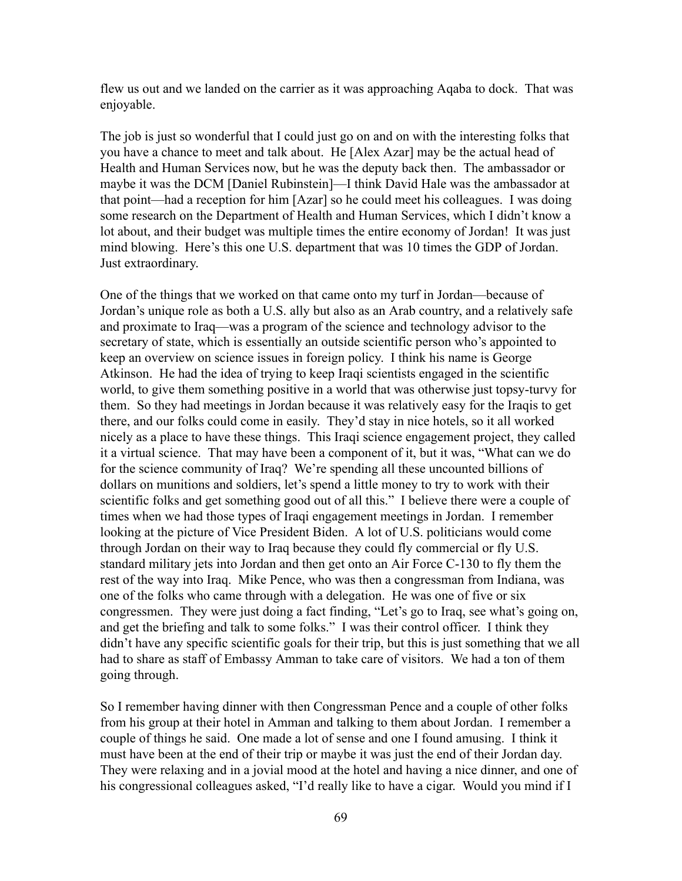flew us out and we landed on the carrier as it was approaching Aqaba to dock. That was enjoyable.

The job is just so wonderful that I could just go on and on with the interesting folks that you have a chance to meet and talk about. He [Alex Azar] may be the actual head of Health and Human Services now, but he was the deputy back then. The ambassador or maybe it was the DCM [Daniel Rubinstein]—I think David Hale was the ambassador at that point—had a reception for him [Azar] so he could meet his colleagues. I was doing some research on the Department of Health and Human Services, which I didn't know a lot about, and their budget was multiple times the entire economy of Jordan! It was just mind blowing. Here's this one U.S. department that was 10 times the GDP of Jordan. Just extraordinary.

One of the things that we worked on that came onto my turf in Jordan—because of Jordan's unique role as both a U.S. ally but also as an Arab country, and a relatively safe and proximate to Iraq—was a program of the science and technology advisor to the secretary of state, which is essentially an outside scientific person who's appointed to keep an overview on science issues in foreign policy. I think his name is George Atkinson. He had the idea of trying to keep Iraqi scientists engaged in the scientific world, to give them something positive in a world that was otherwise just topsy-turvy for them. So they had meetings in Jordan because it was relatively easy for the Iraqis to get there, and our folks could come in easily. They'd stay in nice hotels, so it all worked nicely as a place to have these things. This Iraqi science engagement project, they called it a virtual science. That may have been a component of it, but it was, "What can we do for the science community of Iraq? We're spending all these uncounted billions of dollars on munitions and soldiers, let's spend a little money to try to work with their scientific folks and get something good out of all this." I believe there were a couple of times when we had those types of Iraqi engagement meetings in Jordan. I remember looking at the picture of Vice President Biden. A lot of U.S. politicians would come through Jordan on their way to Iraq because they could fly commercial or fly U.S. standard military jets into Jordan and then get onto an Air Force C-130 to fly them the rest of the way into Iraq. Mike Pence, who was then a congressman from Indiana, was one of the folks who came through with a delegation. He was one of five or six congressmen. They were just doing a fact finding, "Let's go to Iraq, see what's going on, and get the briefing and talk to some folks." I was their control officer. I think they didn't have any specific scientific goals for their trip, but this is just something that we all had to share as staff of Embassy Amman to take care of visitors. We had a ton of them going through.

So I remember having dinner with then Congressman Pence and a couple of other folks from his group at their hotel in Amman and talking to them about Jordan. I remember a couple of things he said. One made a lot of sense and one I found amusing. I think it must have been at the end of their trip or maybe it was just the end of their Jordan day. They were relaxing and in a jovial mood at the hotel and having a nice dinner, and one of his congressional colleagues asked, "I'd really like to have a cigar. Would you mind if I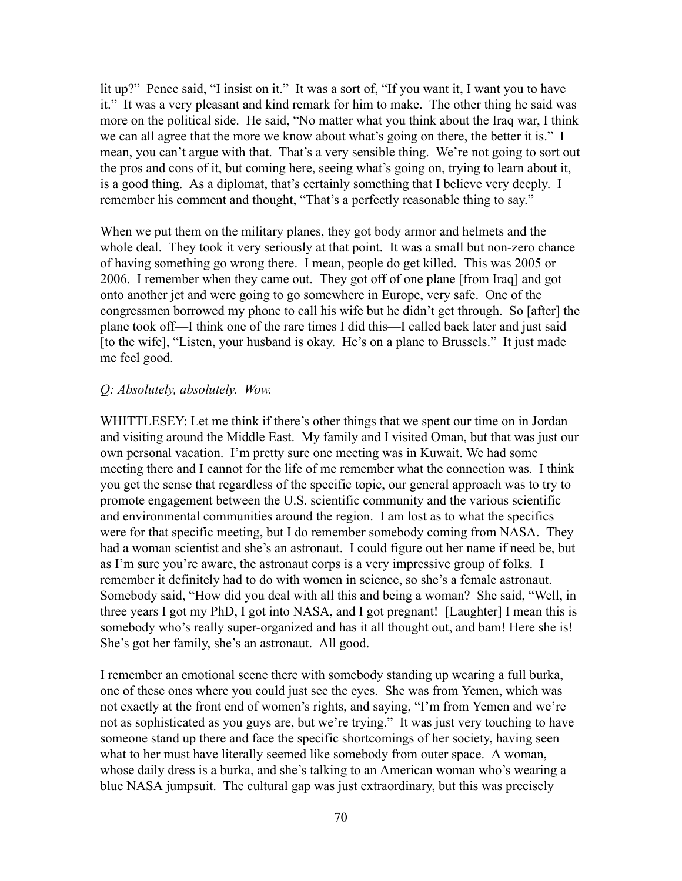lit up?" Pence said, "I insist on it." It was a sort of, "If you want it, I want you to have it." It was a very pleasant and kind remark for him to make. The other thing he said was more on the political side. He said, "No matter what you think about the Iraq war, I think we can all agree that the more we know about what's going on there, the better it is." I mean, you can't argue with that. That's a very sensible thing. We're not going to sort out the pros and cons of it, but coming here, seeing what's going on, trying to learn about it, is a good thing. As a diplomat, that's certainly something that I believe very deeply. I remember his comment and thought, "That's a perfectly reasonable thing to say."

When we put them on the military planes, they got body armor and helmets and the whole deal. They took it very seriously at that point. It was a small but non-zero chance of having something go wrong there. I mean, people do get killed. This was 2005 or 2006. I remember when they came out. They got off of one plane [from Iraq] and got onto another jet and were going to go somewhere in Europe, very safe. One of the congressmen borrowed my phone to call his wife but he didn't get through. So [after] the plane took off—I think one of the rare times I did this—I called back later and just said [to the wife], "Listen, your husband is okay. He's on a plane to Brussels." It just made me feel good.

### *Q: Absolutely, absolutely. Wow.*

WHITTLESEY: Let me think if there's other things that we spent our time on in Jordan and visiting around the Middle East. My family and I visited Oman, but that was just our own personal vacation. I'm pretty sure one meeting was in Kuwait. We had some meeting there and I cannot for the life of me remember what the connection was. I think you get the sense that regardless of the specific topic, our general approach was to try to promote engagement between the U.S. scientific community and the various scientific and environmental communities around the region. I am lost as to what the specifics were for that specific meeting, but I do remember somebody coming from NASA. They had a woman scientist and she's an astronaut. I could figure out her name if need be, but as I'm sure you're aware, the astronaut corps is a very impressive group of folks. I remember it definitely had to do with women in science, so she's a female astronaut. Somebody said, "How did you deal with all this and being a woman? She said, "Well, in three years I got my PhD, I got into NASA, and I got pregnant! [Laughter] I mean this is somebody who's really super-organized and has it all thought out, and bam! Here she is! She's got her family, she's an astronaut. All good.

I remember an emotional scene there with somebody standing up wearing a full burka, one of these ones where you could just see the eyes. She was from Yemen, which was not exactly at the front end of women's rights, and saying, "I'm from Yemen and we're not as sophisticated as you guys are, but we're trying." It was just very touching to have someone stand up there and face the specific shortcomings of her society, having seen what to her must have literally seemed like somebody from outer space. A woman, whose daily dress is a burka, and she's talking to an American woman who's wearing a blue NASA jumpsuit. The cultural gap was just extraordinary, but this was precisely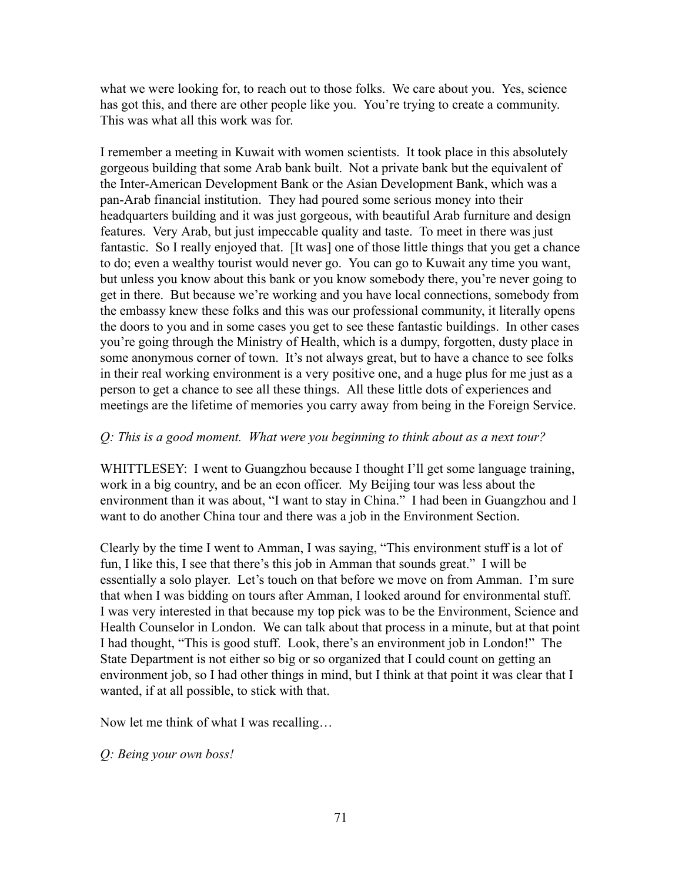what we were looking for, to reach out to those folks. We care about you. Yes, science has got this, and there are other people like you. You're trying to create a community. This was what all this work was for.

I remember a meeting in Kuwait with women scientists. It took place in this absolutely gorgeous building that some Arab bank built. Not a private bank but the equivalent of the Inter-American Development Bank or the Asian Development Bank, which was a pan-Arab financial institution. They had poured some serious money into their headquarters building and it was just gorgeous, with beautiful Arab furniture and design features. Very Arab, but just impeccable quality and taste. To meet in there was just fantastic. So I really enjoyed that. [It was] one of those little things that you get a chance to do; even a wealthy tourist would never go. You can go to Kuwait any time you want, but unless you know about this bank or you know somebody there, you're never going to get in there. But because we're working and you have local connections, somebody from the embassy knew these folks and this was our professional community, it literally opens the doors to you and in some cases you get to see these fantastic buildings. In other cases you're going through the Ministry of Health, which is a dumpy, forgotten, dusty place in some anonymous corner of town. It's not always great, but to have a chance to see folks in their real working environment is a very positive one, and a huge plus for me just as a person to get a chance to see all these things. All these little dots of experiences and meetings are the lifetime of memories you carry away from being in the Foreign Service.

### *Q: This is a good moment. What were you beginning to think about as a next tour?*

WHITTLESEY: I went to Guangzhou because I thought I'll get some language training, work in a big country, and be an econ officer. My Beijing tour was less about the environment than it was about, "I want to stay in China." I had been in Guangzhou and I want to do another China tour and there was a job in the Environment Section.

Clearly by the time I went to Amman, I was saying, "This environment stuff is a lot of fun, I like this, I see that there's this job in Amman that sounds great." I will be essentially a solo player. Let's touch on that before we move on from Amman. I'm sure that when I was bidding on tours after Amman, I looked around for environmental stuff. I was very interested in that because my top pick was to be the Environment, Science and Health Counselor in London. We can talk about that process in a minute, but at that point I had thought, "This is good stuff. Look, there's an environment job in London!" The State Department is not either so big or so organized that I could count on getting an environment job, so I had other things in mind, but I think at that point it was clear that I wanted, if at all possible, to stick with that.

Now let me think of what I was recalling…

*Q: Being your own boss!*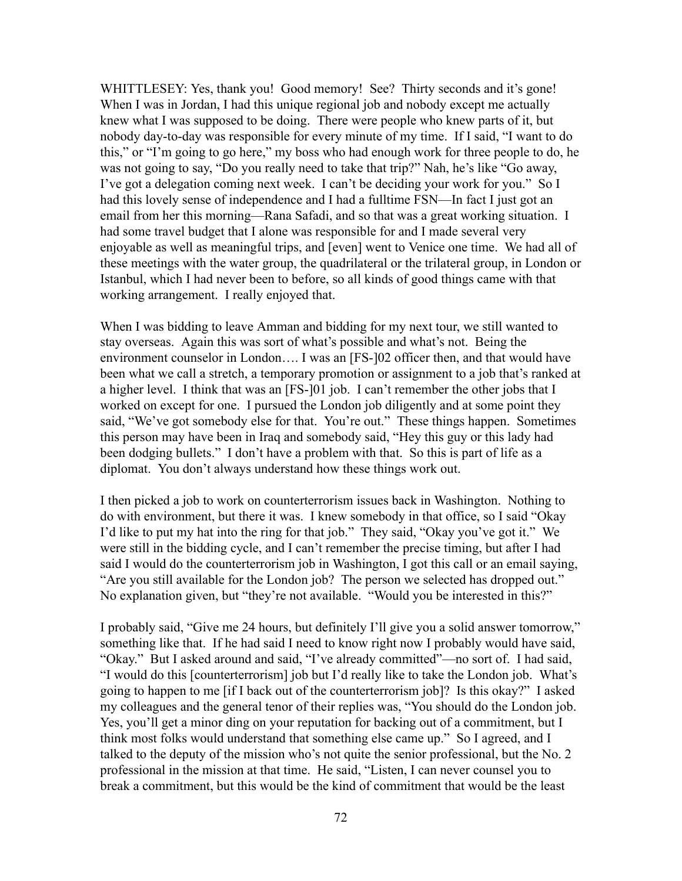WHITTLESEY: Yes, thank you! Good memory! See? Thirty seconds and it's gone! When I was in Jordan, I had this unique regional job and nobody except me actually knew what I was supposed to be doing. There were people who knew parts of it, but nobody day-to-day was responsible for every minute of my time. If I said, "I want to do this," or "I'm going to go here," my boss who had enough work for three people to do, he was not going to say, "Do you really need to take that trip?" Nah, he's like "Go away, I've got a delegation coming next week. I can't be deciding your work for you." So I had this lovely sense of independence and I had a fulltime FSN—In fact I just got an email from her this morning—Rana Safadi, and so that was a great working situation. I had some travel budget that I alone was responsible for and I made several very enjoyable as well as meaningful trips, and [even] went to Venice one time. We had all of these meetings with the water group, the quadrilateral or the trilateral group, in London or Istanbul, which I had never been to before, so all kinds of good things came with that working arrangement. I really enjoyed that.

When I was bidding to leave Amman and bidding for my next tour, we still wanted to stay overseas. Again this was sort of what's possible and what's not. Being the environment counselor in London…. I was an [FS-]02 officer then, and that would have been what we call a stretch, a temporary promotion or assignment to a job that's ranked at a higher level. I think that was an [FS-]01 job. I can't remember the other jobs that I worked on except for one. I pursued the London job diligently and at some point they said, "We've got somebody else for that. You're out." These things happen. Sometimes this person may have been in Iraq and somebody said, "Hey this guy or this lady had been dodging bullets." I don't have a problem with that. So this is part of life as a diplomat. You don't always understand how these things work out.

I then picked a job to work on counterterrorism issues back in Washington. Nothing to do with environment, but there it was. I knew somebody in that office, so I said "Okay I'd like to put my hat into the ring for that job." They said, "Okay you've got it." We were still in the bidding cycle, and I can't remember the precise timing, but after I had said I would do the counterterrorism job in Washington, I got this call or an email saying, "Are you still available for the London job? The person we selected has dropped out." No explanation given, but "they're not available. "Would you be interested in this?"

I probably said, "Give me 24 hours, but definitely I'll give you a solid answer tomorrow," something like that. If he had said I need to know right now I probably would have said, "Okay." But I asked around and said, "I've already committed"—no sort of. I had said, "I would do this [counterterrorism] job but I'd really like to take the London job. What's going to happen to me [if I back out of the counterterrorism job]? Is this okay?" I asked my colleagues and the general tenor of their replies was, "You should do the London job. Yes, you'll get a minor ding on your reputation for backing out of a commitment, but I think most folks would understand that something else came up." So I agreed, and I talked to the deputy of the mission who's not quite the senior professional, but the No. 2 professional in the mission at that time. He said, "Listen, I can never counsel you to break a commitment, but this would be the kind of commitment that would be the least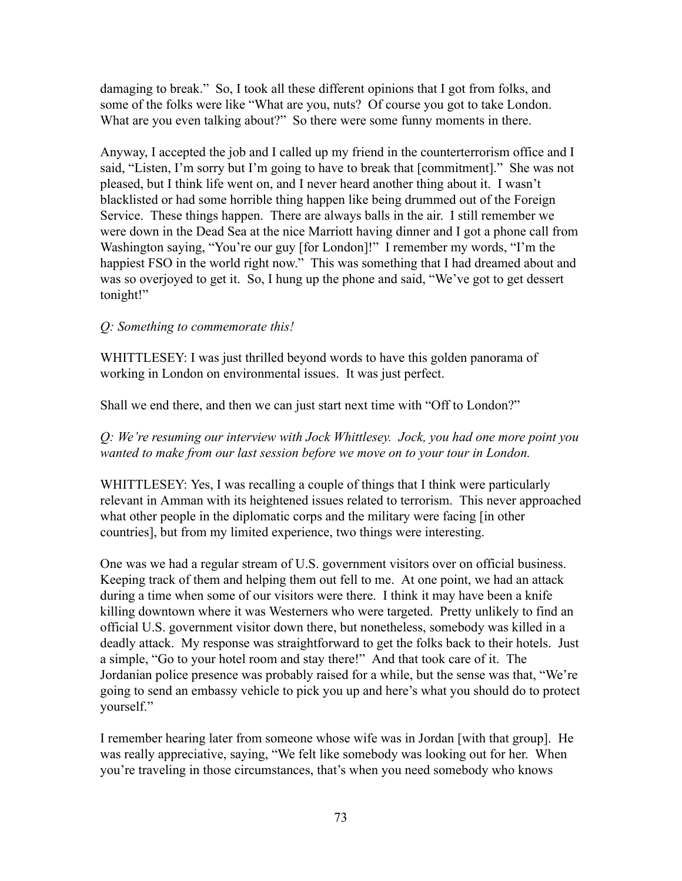damaging to break." So, I took all these different opinions that I got from folks, and some of the folks were like "What are you, nuts? Of course you got to take London. What are you even talking about?" So there were some funny moments in there.

Anyway, I accepted the job and I called up my friend in the counterterrorism office and I said, "Listen, I'm sorry but I'm going to have to break that [commitment]." She was not pleased, but I think life went on, and I never heard another thing about it. I wasn't blacklisted or had some horrible thing happen like being drummed out of the Foreign Service. These things happen. There are always balls in the air. I still remember we were down in the Dead Sea at the nice Marriott having dinner and I got a phone call from Washington saying, "You're our guy [for London]!" I remember my words, "I'm the happiest FSO in the world right now." This was something that I had dreamed about and was so overjoyed to get it. So, I hung up the phone and said, "We've got to get dessert tonight!"

# *Q: Something to commemorate this!*

WHITTLESEY: I was just thrilled beyond words to have this golden panorama of working in London on environmental issues. It was just perfect.

Shall we end there, and then we can just start next time with "Off to London?"

*Q: We're resuming our interview with Jock Whittlesey. Jock, you had one more point you wanted to make from our last session before we move on to your tour in London.*

WHITTLESEY: Yes, I was recalling a couple of things that I think were particularly relevant in Amman with its heightened issues related to terrorism. This never approached what other people in the diplomatic corps and the military were facing [in other countries], but from my limited experience, two things were interesting.

One was we had a regular stream of U.S. government visitors over on official business. Keeping track of them and helping them out fell to me. At one point, we had an attack during a time when some of our visitors were there. I think it may have been a knife killing downtown where it was Westerners who were targeted. Pretty unlikely to find an official U.S. government visitor down there, but nonetheless, somebody was killed in a deadly attack. My response was straightforward to get the folks back to their hotels. Just a simple, "Go to your hotel room and stay there!" And that took care of it. The Jordanian police presence was probably raised for a while, but the sense was that, "We're going to send an embassy vehicle to pick you up and here's what you should do to protect yourself."

I remember hearing later from someone whose wife was in Jordan [with that group]. He was really appreciative, saying, "We felt like somebody was looking out for her. When you're traveling in those circumstances, that's when you need somebody who knows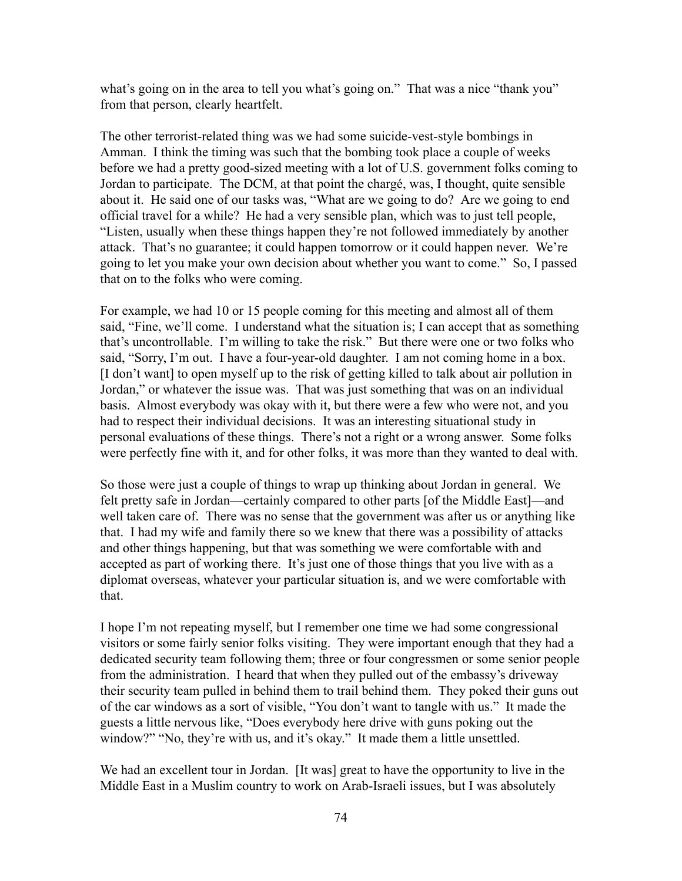what's going on in the area to tell you what's going on." That was a nice "thank you" from that person, clearly heartfelt.

The other terrorist-related thing was we had some suicide-vest-style bombings in Amman. I think the timing was such that the bombing took place a couple of weeks before we had a pretty good-sized meeting with a lot of U.S. government folks coming to Jordan to participate. The DCM, at that point the chargé, was, I thought, quite sensible about it. He said one of our tasks was, "What are we going to do? Are we going to end official travel for a while? He had a very sensible plan, which was to just tell people, "Listen, usually when these things happen they're not followed immediately by another attack. That's no guarantee; it could happen tomorrow or it could happen never. We're going to let you make your own decision about whether you want to come." So, I passed that on to the folks who were coming.

For example, we had 10 or 15 people coming for this meeting and almost all of them said, "Fine, we'll come. I understand what the situation is; I can accept that as something that's uncontrollable. I'm willing to take the risk." But there were one or two folks who said, "Sorry, I'm out. I have a four-year-old daughter. I am not coming home in a box. [I don't want] to open myself up to the risk of getting killed to talk about air pollution in Jordan," or whatever the issue was. That was just something that was on an individual basis. Almost everybody was okay with it, but there were a few who were not, and you had to respect their individual decisions. It was an interesting situational study in personal evaluations of these things. There's not a right or a wrong answer. Some folks were perfectly fine with it, and for other folks, it was more than they wanted to deal with.

So those were just a couple of things to wrap up thinking about Jordan in general. We felt pretty safe in Jordan—certainly compared to other parts [of the Middle East]—and well taken care of. There was no sense that the government was after us or anything like that. I had my wife and family there so we knew that there was a possibility of attacks and other things happening, but that was something we were comfortable with and accepted as part of working there. It's just one of those things that you live with as a diplomat overseas, whatever your particular situation is, and we were comfortable with that.

I hope I'm not repeating myself, but I remember one time we had some congressional visitors or some fairly senior folks visiting. They were important enough that they had a dedicated security team following them; three or four congressmen or some senior people from the administration. I heard that when they pulled out of the embassy's driveway their security team pulled in behind them to trail behind them. They poked their guns out of the car windows as a sort of visible, "You don't want to tangle with us." It made the guests a little nervous like, "Does everybody here drive with guns poking out the window?" "No, they're with us, and it's okay." It made them a little unsettled.

We had an excellent tour in Jordan. [It was] great to have the opportunity to live in the Middle East in a Muslim country to work on Arab-Israeli issues, but I was absolutely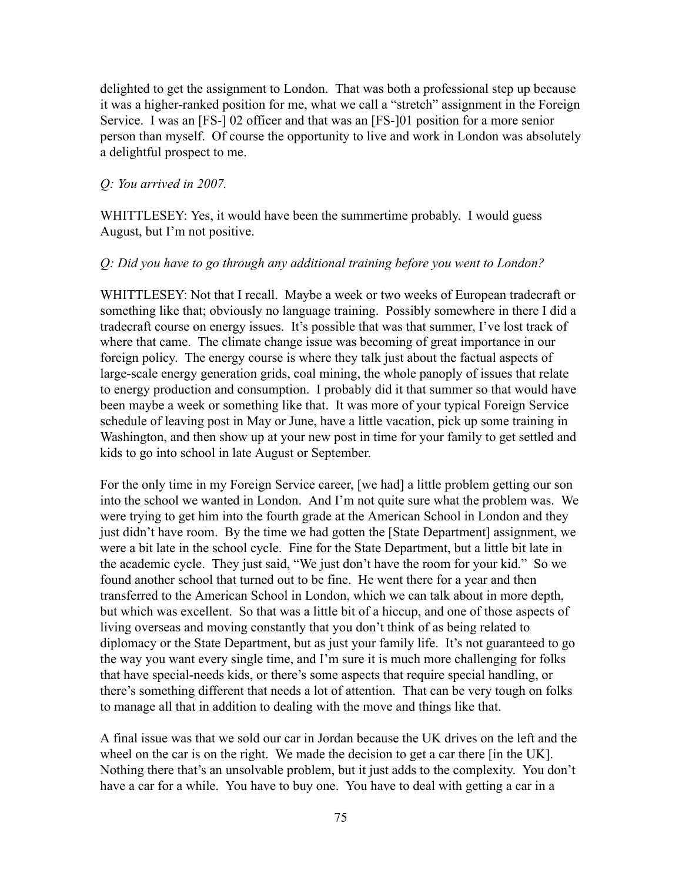delighted to get the assignment to London. That was both a professional step up because it was a higher-ranked position for me, what we call a "stretch" assignment in the Foreign Service. I was an [FS-] 02 officer and that was an [FS-]01 position for a more senior person than myself. Of course the opportunity to live and work in London was absolutely a delightful prospect to me.

### *Q: You arrived in 2007.*

WHITTLESEY: Yes, it would have been the summertime probably. I would guess August, but I'm not positive.

### *Q: Did you have to go through any additional training before you went to London?*

WHITTLESEY: Not that I recall. Maybe a week or two weeks of European tradecraft or something like that; obviously no language training. Possibly somewhere in there I did a tradecraft course on energy issues. It's possible that was that summer, I've lost track of where that came. The climate change issue was becoming of great importance in our foreign policy. The energy course is where they talk just about the factual aspects of large-scale energy generation grids, coal mining, the whole panoply of issues that relate to energy production and consumption. I probably did it that summer so that would have been maybe a week or something like that. It was more of your typical Foreign Service schedule of leaving post in May or June, have a little vacation, pick up some training in Washington, and then show up at your new post in time for your family to get settled and kids to go into school in late August or September.

For the only time in my Foreign Service career, [we had] a little problem getting our son into the school we wanted in London. And I'm not quite sure what the problem was. We were trying to get him into the fourth grade at the American School in London and they just didn't have room. By the time we had gotten the [State Department] assignment, we were a bit late in the school cycle. Fine for the State Department, but a little bit late in the academic cycle. They just said, "We just don't have the room for your kid." So we found another school that turned out to be fine. He went there for a year and then transferred to the American School in London, which we can talk about in more depth, but which was excellent. So that was a little bit of a hiccup, and one of those aspects of living overseas and moving constantly that you don't think of as being related to diplomacy or the State Department, but as just your family life. It's not guaranteed to go the way you want every single time, and I'm sure it is much more challenging for folks that have special-needs kids, or there's some aspects that require special handling, or there's something different that needs a lot of attention. That can be very tough on folks to manage all that in addition to dealing with the move and things like that.

A final issue was that we sold our car in Jordan because the UK drives on the left and the wheel on the car is on the right. We made the decision to get a car there [in the UK]. Nothing there that's an unsolvable problem, but it just adds to the complexity. You don't have a car for a while. You have to buy one. You have to deal with getting a car in a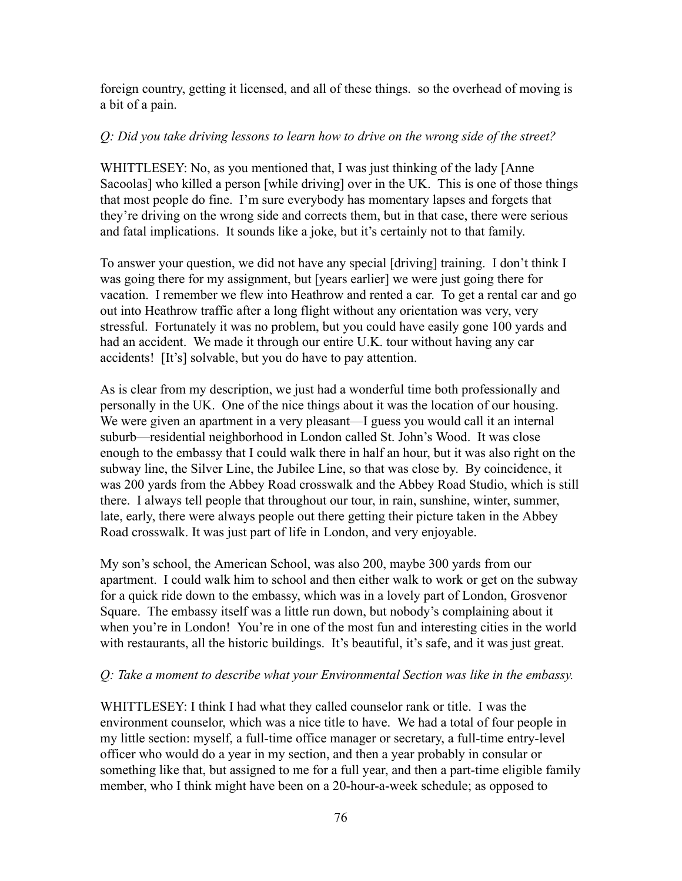foreign country, getting it licensed, and all of these things. so the overhead of moving is a bit of a pain.

## *Q: Did you take driving lessons to learn how to drive on the wrong side of the street?*

WHITTLESEY: No, as you mentioned that, I was just thinking of the lady [Anne Sacoolas] who killed a person [while driving] over in the UK. This is one of those things that most people do fine. I'm sure everybody has momentary lapses and forgets that they're driving on the wrong side and corrects them, but in that case, there were serious and fatal implications. It sounds like a joke, but it's certainly not to that family.

To answer your question, we did not have any special [driving] training. I don't think I was going there for my assignment, but [years earlier] we were just going there for vacation. I remember we flew into Heathrow and rented a car. To get a rental car and go out into Heathrow traffic after a long flight without any orientation was very, very stressful. Fortunately it was no problem, but you could have easily gone 100 yards and had an accident. We made it through our entire U.K. tour without having any car accidents! [It's] solvable, but you do have to pay attention.

As is clear from my description, we just had a wonderful time both professionally and personally in the UK. One of the nice things about it was the location of our housing. We were given an apartment in a very pleasant—I guess you would call it an internal suburb—residential neighborhood in London called St. John's Wood. It was close enough to the embassy that I could walk there in half an hour, but it was also right on the subway line, the Silver Line, the Jubilee Line, so that was close by. By coincidence, it was 200 yards from the Abbey Road crosswalk and the Abbey Road Studio, which is still there. I always tell people that throughout our tour, in rain, sunshine, winter, summer, late, early, there were always people out there getting their picture taken in the Abbey Road crosswalk. It was just part of life in London, and very enjoyable.

My son's school, the American School, was also 200, maybe 300 yards from our apartment. I could walk him to school and then either walk to work or get on the subway for a quick ride down to the embassy, which was in a lovely part of London, Grosvenor Square. The embassy itself was a little run down, but nobody's complaining about it when you're in London! You're in one of the most fun and interesting cities in the world with restaurants, all the historic buildings. It's beautiful, it's safe, and it was just great.

## *Q: Take a moment to describe what your Environmental Section was like in the embassy.*

WHITTLESEY: I think I had what they called counselor rank or title. I was the environment counselor, which was a nice title to have. We had a total of four people in my little section: myself, a full-time office manager or secretary, a full-time entry-level officer who would do a year in my section, and then a year probably in consular or something like that, but assigned to me for a full year, and then a part-time eligible family member, who I think might have been on a 20-hour-a-week schedule; as opposed to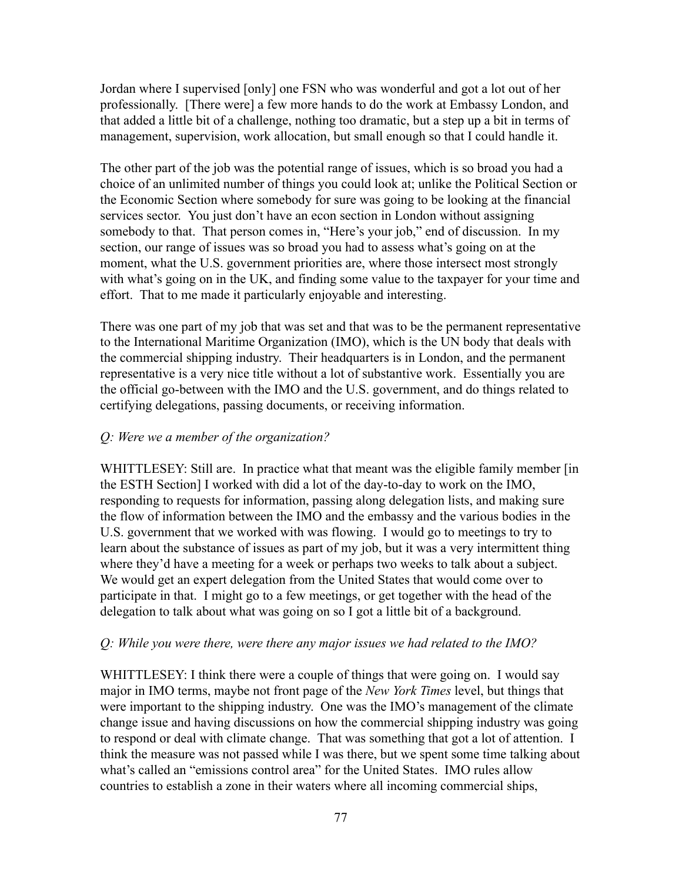Jordan where I supervised [only] one FSN who was wonderful and got a lot out of her professionally. [There were] a few more hands to do the work at Embassy London, and that added a little bit of a challenge, nothing too dramatic, but a step up a bit in terms of management, supervision, work allocation, but small enough so that I could handle it.

The other part of the job was the potential range of issues, which is so broad you had a choice of an unlimited number of things you could look at; unlike the Political Section or the Economic Section where somebody for sure was going to be looking at the financial services sector. You just don't have an econ section in London without assigning somebody to that. That person comes in, "Here's your job," end of discussion. In my section, our range of issues was so broad you had to assess what's going on at the moment, what the U.S. government priorities are, where those intersect most strongly with what's going on in the UK, and finding some value to the taxpayer for your time and effort. That to me made it particularly enjoyable and interesting.

There was one part of my job that was set and that was to be the permanent representative to the International Maritime Organization (IMO), which is the UN body that deals with the commercial shipping industry. Their headquarters is in London, and the permanent representative is a very nice title without a lot of substantive work. Essentially you are the official go-between with the IMO and the U.S. government, and do things related to certifying delegations, passing documents, or receiving information.

# *Q: Were we a member of the organization?*

WHITTLESEY: Still are. In practice what that meant was the eligible family member [in the ESTH Section] I worked with did a lot of the day-to-day to work on the IMO, responding to requests for information, passing along delegation lists, and making sure the flow of information between the IMO and the embassy and the various bodies in the U.S. government that we worked with was flowing. I would go to meetings to try to learn about the substance of issues as part of my job, but it was a very intermittent thing where they'd have a meeting for a week or perhaps two weeks to talk about a subject. We would get an expert delegation from the United States that would come over to participate in that. I might go to a few meetings, or get together with the head of the delegation to talk about what was going on so I got a little bit of a background.

## *Q: While you were there, were there any major issues we had related to the IMO?*

WHITTLESEY: I think there were a couple of things that were going on. I would say major in IMO terms, maybe not front page of the *New York Times* level, but things that were important to the shipping industry. One was the IMO's management of the climate change issue and having discussions on how the commercial shipping industry was going to respond or deal with climate change. That was something that got a lot of attention. I think the measure was not passed while I was there, but we spent some time talking about what's called an "emissions control area" for the United States. IMO rules allow countries to establish a zone in their waters where all incoming commercial ships,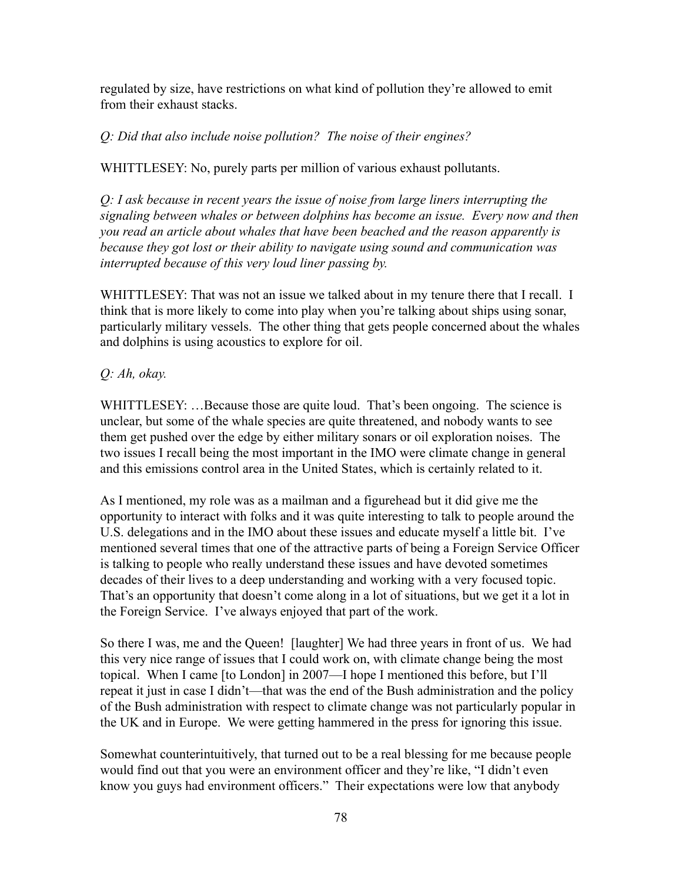regulated by size, have restrictions on what kind of pollution they're allowed to emit from their exhaust stacks.

# *Q: Did that also include noise pollution? The noise of their engines?*

WHITTLESEY: No, purely parts per million of various exhaust pollutants.

*Q: I ask because in recent years the issue of noise from large liners interrupting the signaling between whales or between dolphins has become an issue. Every now and then you read an article about whales that have been beached and the reason apparently is because they got lost or their ability to navigate using sound and communication was interrupted because of this very loud liner passing by.*

WHITTLESEY: That was not an issue we talked about in my tenure there that I recall. I think that is more likely to come into play when you're talking about ships using sonar, particularly military vessels. The other thing that gets people concerned about the whales and dolphins is using acoustics to explore for oil.

# *Q: Ah, okay.*

WHITTLESEY: ...Because those are quite loud. That's been ongoing. The science is unclear, but some of the whale species are quite threatened, and nobody wants to see them get pushed over the edge by either military sonars or oil exploration noises. The two issues I recall being the most important in the IMO were climate change in general and this emissions control area in the United States, which is certainly related to it.

As I mentioned, my role was as a mailman and a figurehead but it did give me the opportunity to interact with folks and it was quite interesting to talk to people around the U.S. delegations and in the IMO about these issues and educate myself a little bit. I've mentioned several times that one of the attractive parts of being a Foreign Service Officer is talking to people who really understand these issues and have devoted sometimes decades of their lives to a deep understanding and working with a very focused topic. That's an opportunity that doesn't come along in a lot of situations, but we get it a lot in the Foreign Service. I've always enjoyed that part of the work.

So there I was, me and the Queen! [laughter] We had three years in front of us. We had this very nice range of issues that I could work on, with climate change being the most topical. When I came [to London] in 2007—I hope I mentioned this before, but I'll repeat it just in case I didn't—that was the end of the Bush administration and the policy of the Bush administration with respect to climate change was not particularly popular in the UK and in Europe. We were getting hammered in the press for ignoring this issue.

Somewhat counterintuitively, that turned out to be a real blessing for me because people would find out that you were an environment officer and they're like, "I didn't even know you guys had environment officers." Their expectations were low that anybody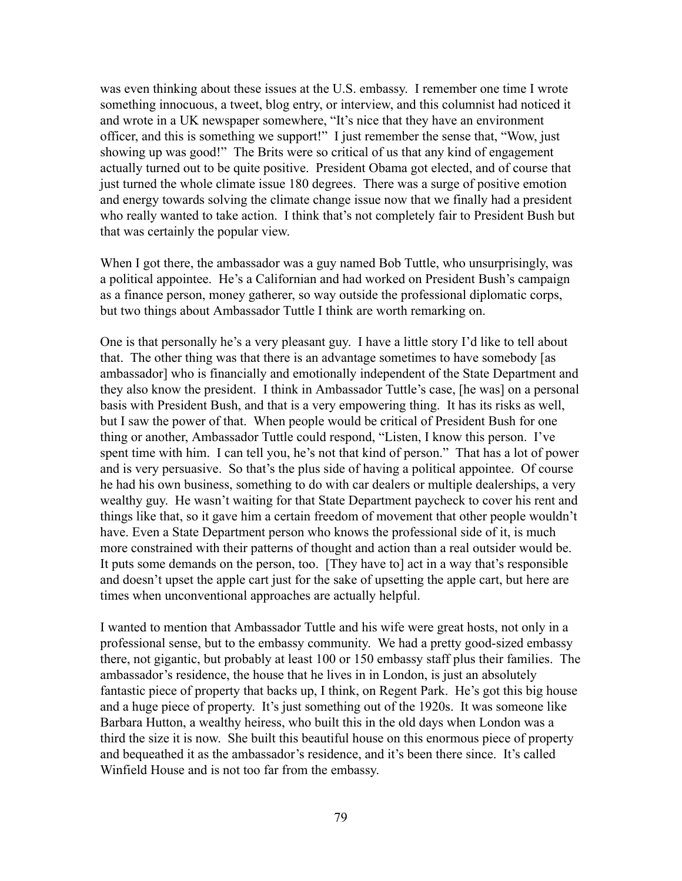was even thinking about these issues at the U.S. embassy. I remember one time I wrote something innocuous, a tweet, blog entry, or interview, and this columnist had noticed it and wrote in a UK newspaper somewhere, "It's nice that they have an environment officer, and this is something we support!" I just remember the sense that, "Wow, just showing up was good!" The Brits were so critical of us that any kind of engagement actually turned out to be quite positive. President Obama got elected, and of course that just turned the whole climate issue 180 degrees. There was a surge of positive emotion and energy towards solving the climate change issue now that we finally had a president who really wanted to take action. I think that's not completely fair to President Bush but that was certainly the popular view.

When I got there, the ambassador was a guy named Bob Tuttle, who unsurprisingly, was a political appointee. He's a Californian and had worked on President Bush's campaign as a finance person, money gatherer, so way outside the professional diplomatic corps, but two things about Ambassador Tuttle I think are worth remarking on.

One is that personally he's a very pleasant guy. I have a little story I'd like to tell about that. The other thing was that there is an advantage sometimes to have somebody [as ambassador] who is financially and emotionally independent of the State Department and they also know the president. I think in Ambassador Tuttle's case, [he was] on a personal basis with President Bush, and that is a very empowering thing. It has its risks as well, but I saw the power of that. When people would be critical of President Bush for one thing or another, Ambassador Tuttle could respond, "Listen, I know this person. I've spent time with him. I can tell you, he's not that kind of person." That has a lot of power and is very persuasive. So that's the plus side of having a political appointee. Of course he had his own business, something to do with car dealers or multiple dealerships, a very wealthy guy. He wasn't waiting for that State Department paycheck to cover his rent and things like that, so it gave him a certain freedom of movement that other people wouldn't have. Even a State Department person who knows the professional side of it, is much more constrained with their patterns of thought and action than a real outsider would be. It puts some demands on the person, too. [They have to] act in a way that's responsible and doesn't upset the apple cart just for the sake of upsetting the apple cart, but here are times when unconventional approaches are actually helpful.

I wanted to mention that Ambassador Tuttle and his wife were great hosts, not only in a professional sense, but to the embassy community. We had a pretty good-sized embassy there, not gigantic, but probably at least 100 or 150 embassy staff plus their families. The ambassador's residence, the house that he lives in in London, is just an absolutely fantastic piece of property that backs up, I think, on Regent Park. He's got this big house and a huge piece of property. It's just something out of the 1920s. It was someone like Barbara Hutton, a wealthy heiress, who built this in the old days when London was a third the size it is now. She built this beautiful house on this enormous piece of property and bequeathed it as the ambassador's residence, and it's been there since. It's called Winfield House and is not too far from the embassy.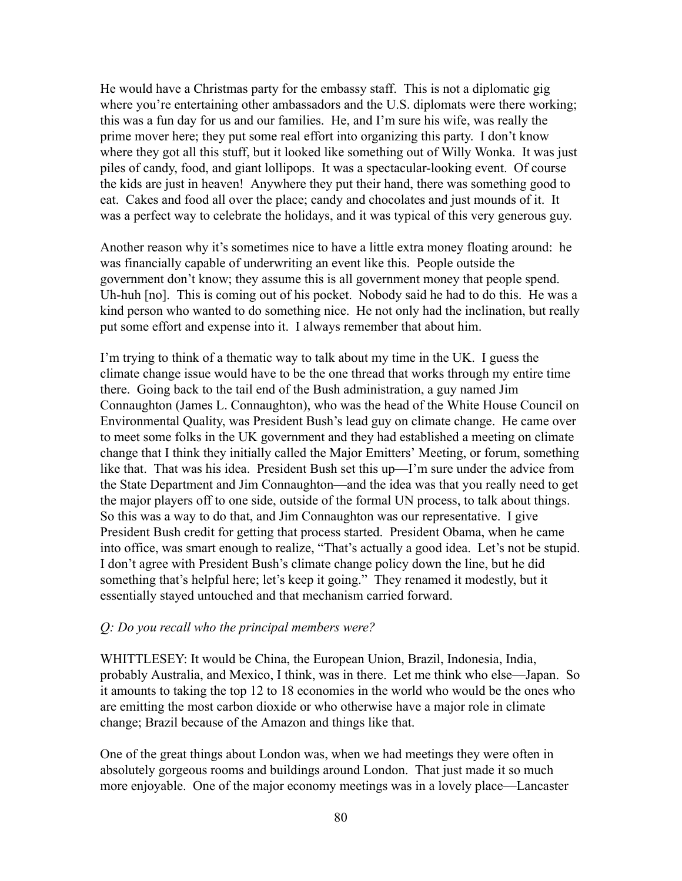He would have a Christmas party for the embassy staff. This is not a diplomatic gig where you're entertaining other ambassadors and the U.S. diplomats were there working; this was a fun day for us and our families. He, and I'm sure his wife, was really the prime mover here; they put some real effort into organizing this party. I don't know where they got all this stuff, but it looked like something out of Willy Wonka. It was just piles of candy, food, and giant lollipops. It was a spectacular-looking event. Of course the kids are just in heaven! Anywhere they put their hand, there was something good to eat. Cakes and food all over the place; candy and chocolates and just mounds of it. It was a perfect way to celebrate the holidays, and it was typical of this very generous guy.

Another reason why it's sometimes nice to have a little extra money floating around: he was financially capable of underwriting an event like this. People outside the government don't know; they assume this is all government money that people spend. Uh-huh [no]. This is coming out of his pocket. Nobody said he had to do this. He was a kind person who wanted to do something nice. He not only had the inclination, but really put some effort and expense into it. I always remember that about him.

I'm trying to think of a thematic way to talk about my time in the UK. I guess the climate change issue would have to be the one thread that works through my entire time there. Going back to the tail end of the Bush administration, a guy named Jim Connaughton ([James L. Connaughton\)](https://en.wikipedia.org/wiki/James_L._Connaughton), who was the head of the White House Council on Environmental Quality, was President Bush's lead guy on climate change. He came over to meet some folks in the UK government and they had established a meeting on climate change that I think they initially called the Major Emitters' Meeting, or forum, something like that. That was his idea. President Bush set this up—I'm sure under the advice from the State Department and Jim Connaughton—and the idea was that you really need to get the major players off to one side, outside of the formal UN process, to talk about things. So this was a way to do that, and Jim Connaughton was our representative. I give President Bush credit for getting that process started. President Obama, when he came into office, was smart enough to realize, "That's actually a good idea. Let's not be stupid. I don't agree with President Bush's climate change policy down the line, but he did something that's helpful here; let's keep it going." They renamed it modestly, but it essentially stayed untouched and that mechanism carried forward.

### *Q: Do you recall who the principal members were?*

WHITTLESEY: It would be China, the European Union, Brazil, Indonesia, India, probably Australia, and Mexico, I think, was in there. Let me think who else—Japan. So it amounts to taking the top 12 to 18 economies in the world who would be the ones who are emitting the most carbon dioxide or who otherwise have a major role in climate change; Brazil because of the Amazon and things like that.

One of the great things about London was, when we had meetings they were often in absolutely gorgeous rooms and buildings around London. That just made it so much more enjoyable. One of the major economy meetings was in a lovely place—Lancaster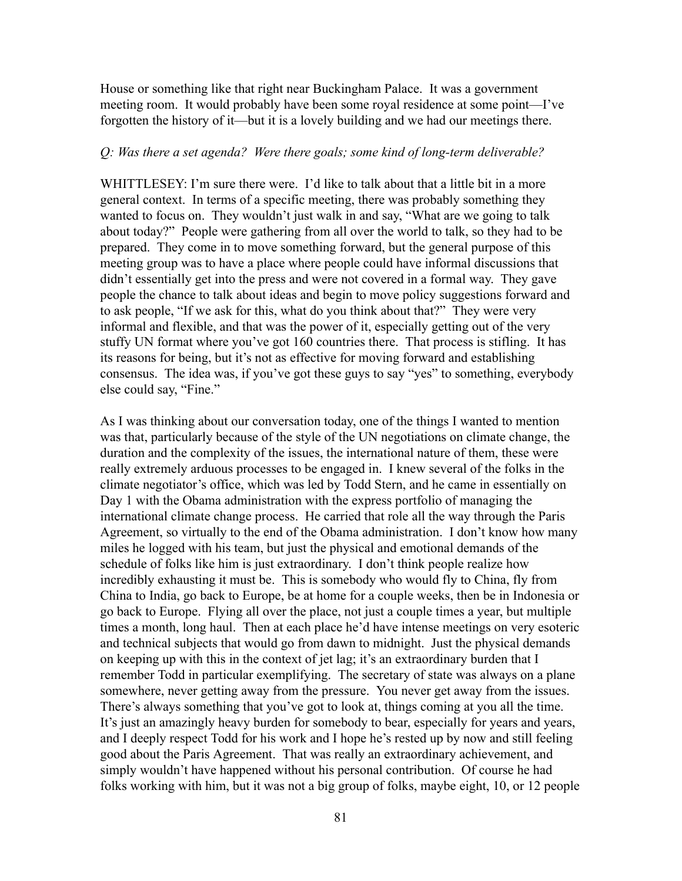House or something like that right near Buckingham Palace. It was a government meeting room. It would probably have been some royal residence at some point—I've forgotten the history of it—but it is a lovely building and we had our meetings there.

### *Q: Was there a set agenda? Were there goals; some kind of long-term deliverable?*

WHITTLESEY: I'm sure there were. I'd like to talk about that a little bit in a more general context. In terms of a specific meeting, there was probably something they wanted to focus on. They wouldn't just walk in and say, "What are we going to talk about today?" People were gathering from all over the world to talk, so they had to be prepared. They come in to move something forward, but the general purpose of this meeting group was to have a place where people could have informal discussions that didn't essentially get into the press and were not covered in a formal way. They gave people the chance to talk about ideas and begin to move policy suggestions forward and to ask people, "If we ask for this, what do you think about that?" They were very informal and flexible, and that was the power of it, especially getting out of the very stuffy UN format where you've got 160 countries there. That process is stifling. It has its reasons for being, but it's not as effective for moving forward and establishing consensus. The idea was, if you've got these guys to say "yes" to something, everybody else could say, "Fine."

As I was thinking about our conversation today, one of the things I wanted to mention was that, particularly because of the style of the UN negotiations on climate change, the duration and the complexity of the issues, the international nature of them, these were really extremely arduous processes to be engaged in. I knew several of the folks in the climate negotiator's office, which was led by Todd Stern, and he came in essentially on Day 1 with the Obama administration with the express portfolio of managing the international climate change process. He carried that role all the way through the Paris Agreement, so virtually to the end of the Obama administration. I don't know how many miles he logged with his team, but just the physical and emotional demands of the schedule of folks like him is just extraordinary. I don't think people realize how incredibly exhausting it must be. This is somebody who would fly to China, fly from China to India, go back to Europe, be at home for a couple weeks, then be in Indonesia or go back to Europe. Flying all over the place, not just a couple times a year, but multiple times a month, long haul. Then at each place he'd have intense meetings on very esoteric and technical subjects that would go from dawn to midnight. Just the physical demands on keeping up with this in the context of jet lag; it's an extraordinary burden that I remember Todd in particular exemplifying. The secretary of state was always on a plane somewhere, never getting away from the pressure. You never get away from the issues. There's always something that you've got to look at, things coming at you all the time. It's just an amazingly heavy burden for somebody to bear, especially for years and years, and I deeply respect Todd for his work and I hope he's rested up by now and still feeling good about the Paris Agreement. That was really an extraordinary achievement, and simply wouldn't have happened without his personal contribution. Of course he had folks working with him, but it was not a big group of folks, maybe eight, 10, or 12 people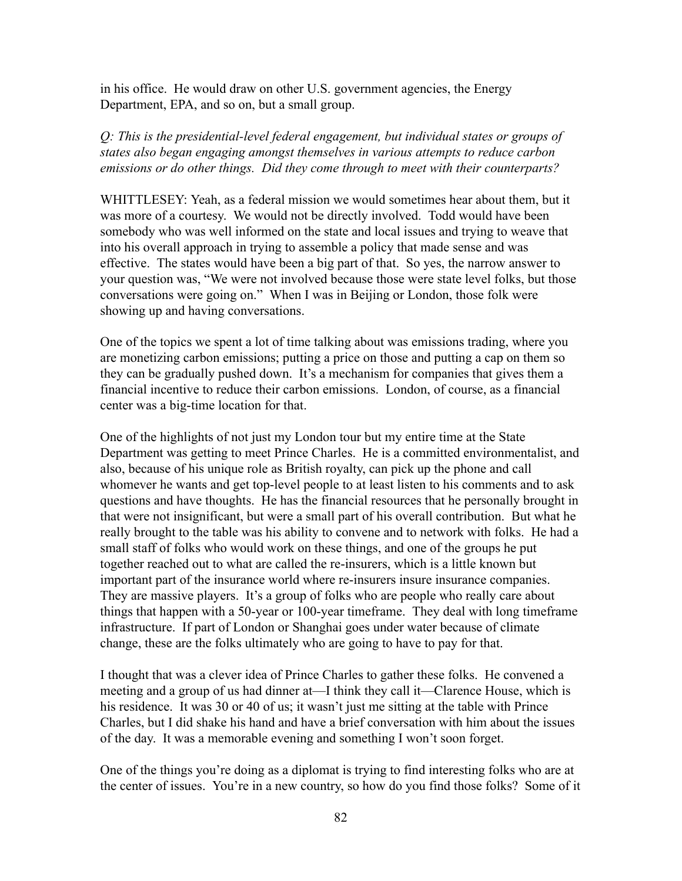in his office. He would draw on other U.S. government agencies, the Energy Department, EPA, and so on, but a small group.

*Q: This is the presidential-level federal engagement, but individual states or groups of states also began engaging amongst themselves in various attempts to reduce carbon emissions or do other things. Did they come through to meet with their counterparts?*

WHITTLESEY: Yeah, as a federal mission we would sometimes hear about them, but it was more of a courtesy. We would not be directly involved. Todd would have been somebody who was well informed on the state and local issues and trying to weave that into his overall approach in trying to assemble a policy that made sense and was effective. The states would have been a big part of that. So yes, the narrow answer to your question was, "We were not involved because those were state level folks, but those conversations were going on." When I was in Beijing or London, those folk were showing up and having conversations.

One of the topics we spent a lot of time talking about was emissions trading, where you are monetizing carbon emissions; putting a price on those and putting a cap on them so they can be gradually pushed down. It's a mechanism for companies that gives them a financial incentive to reduce their carbon emissions. London, of course, as a financial center was a big-time location for that.

One of the highlights of not just my London tour but my entire time at the State Department was getting to meet Prince Charles. He is a committed environmentalist, and also, because of his unique role as British royalty, can pick up the phone and call whomever he wants and get top-level people to at least listen to his comments and to ask questions and have thoughts. He has the financial resources that he personally brought in that were not insignificant, but were a small part of his overall contribution. But what he really brought to the table was his ability to convene and to network with folks. He had a small staff of folks who would work on these things, and one of the groups he put together reached out to what are called the re-insurers, which is a little known but important part of the insurance world where re-insurers insure insurance companies. They are massive players. It's a group of folks who are people who really care about things that happen with a 50-year or 100-year timeframe. They deal with long timeframe infrastructure. If part of London or Shanghai goes under water because of climate change, these are the folks ultimately who are going to have to pay for that.

I thought that was a clever idea of Prince Charles to gather these folks. He convened a meeting and a group of us had dinner at—I think they call it—Clarence House, which is his residence. It was 30 or 40 of us; it wasn't just me sitting at the table with Prince Charles, but I did shake his hand and have a brief conversation with him about the issues of the day. It was a memorable evening and something I won't soon forget.

One of the things you're doing as a diplomat is trying to find interesting folks who are at the center of issues. You're in a new country, so how do you find those folks? Some of it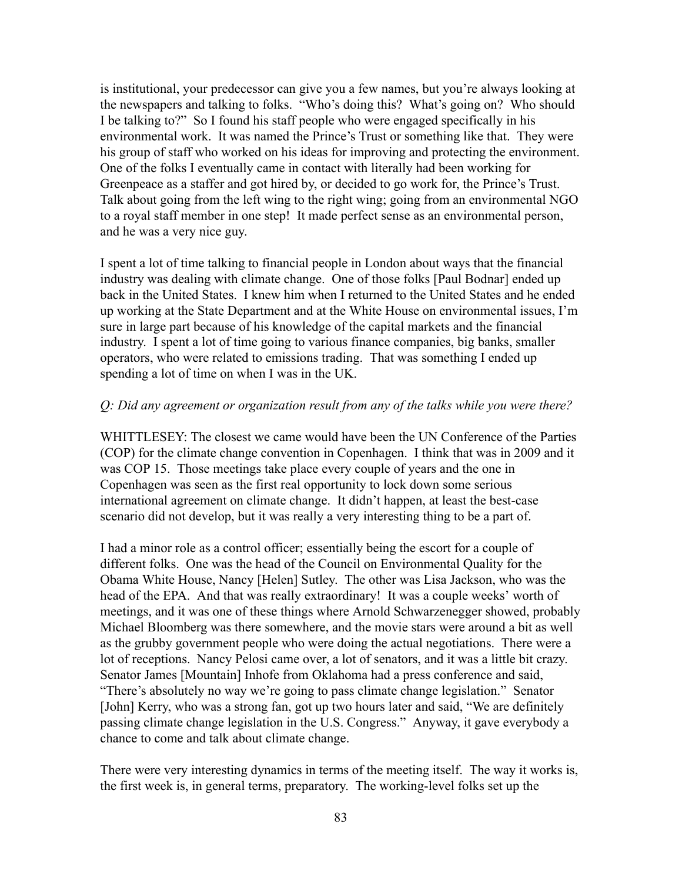is institutional, your predecessor can give you a few names, but you're always looking at the newspapers and talking to folks. "Who's doing this? What's going on? Who should I be talking to?" So I found his staff people who were engaged specifically in his environmental work. It was named the Prince's Trust or something like that. They were his group of staff who worked on his ideas for improving and protecting the environment. One of the folks I eventually came in contact with literally had been working for Greenpeace as a staffer and got hired by, or decided to go work for, the Prince's Trust. Talk about going from the left wing to the right wing; going from an environmental NGO to a royal staff member in one step! It made perfect sense as an environmental person, and he was a very nice guy.

I spent a lot of time talking to financial people in London about ways that the financial industry was dealing with climate change. One of those folks [Paul Bodnar] ended up back in the United States. I knew him when I returned to the United States and he ended up working at the State Department and at the White House on environmental issues, I'm sure in large part because of his knowledge of the capital markets and the financial industry. I spent a lot of time going to various finance companies, big banks, smaller operators, who were related to emissions trading. That was something I ended up spending a lot of time on when I was in the UK.

### *Q: Did any agreement or organization result from any of the talks while you were there?*

WHITTLESEY: The closest we came would have been the UN Conference of the Parties (COP) for the climate change convention in Copenhagen. I think that was in 2009 and it was COP 15. Those meetings take place every couple of years and the one in Copenhagen was seen as the first real opportunity to lock down some serious international agreement on climate change. It didn't happen, at least the best-case scenario did not develop, but it was really a very interesting thing to be a part of.

I had a minor role as a control officer; essentially being the escort for a couple of different folks. One was the head of the Council on Environmental Quality for the Obama White House, Nancy [Helen] Sutley. The other was Lisa Jackson, who was the head of the EPA. And that was really extraordinary! It was a couple weeks' worth of meetings, and it was one of these things where Arnold Schwarzenegger showed, probably Michael Bloomberg was there somewhere, and the movie stars were around a bit as well as the grubby government people who were doing the actual negotiations. There were a lot of receptions. Nancy Pelosi came over, a lot of senators, and it was a little bit crazy. Senator James [Mountain] Inhofe from Oklahoma had a press conference and said, "There's absolutely no way we're going to pass climate change legislation." Senator [John] Kerry, who was a strong fan, got up two hours later and said, "We are definitely passing climate change legislation in the U.S. Congress." Anyway, it gave everybody a chance to come and talk about climate change.

There were very interesting dynamics in terms of the meeting itself. The way it works is, the first week is, in general terms, preparatory. The working-level folks set up the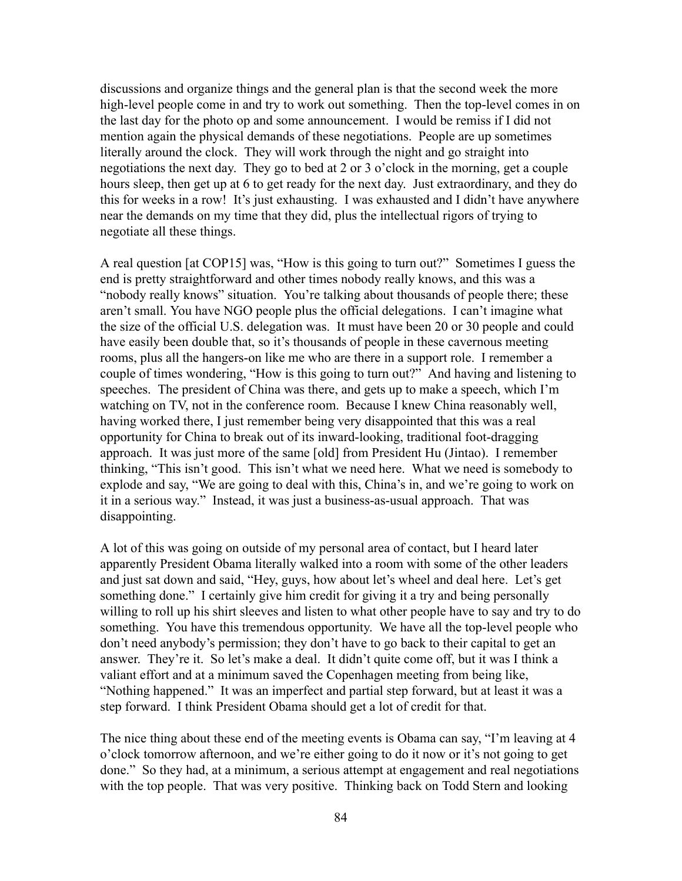discussions and organize things and the general plan is that the second week the more high-level people come in and try to work out something. Then the top-level comes in on the last day for the photo op and some announcement. I would be remiss if I did not mention again the physical demands of these negotiations. People are up sometimes literally around the clock. They will work through the night and go straight into negotiations the next day. They go to bed at 2 or 3 o'clock in the morning, get a couple hours sleep, then get up at 6 to get ready for the next day. Just extraordinary, and they do this for weeks in a row! It's just exhausting. I was exhausted and I didn't have anywhere near the demands on my time that they did, plus the intellectual rigors of trying to negotiate all these things.

A real question [at COP15] was, "How is this going to turn out?" Sometimes I guess the end is pretty straightforward and other times nobody really knows, and this was a "nobody really knows" situation. You're talking about thousands of people there; these aren't small. You have NGO people plus the official delegations. I can't imagine what the size of the official U.S. delegation was. It must have been 20 or 30 people and could have easily been double that, so it's thousands of people in these cavernous meeting rooms, plus all the hangers-on like me who are there in a support role. I remember a couple of times wondering, "How is this going to turn out?" And having and listening to speeches. The president of China was there, and gets up to make a speech, which I'm watching on TV, not in the conference room. Because I knew China reasonably well, having worked there, I just remember being very disappointed that this was a real opportunity for China to break out of its inward-looking, traditional foot-dragging approach. It was just more of the same [old] from President Hu (Jintao). I remember thinking, "This isn't good. This isn't what we need here. What we need is somebody to explode and say, "We are going to deal with this, China's in, and we're going to work on it in a serious way." Instead, it was just a business-as-usual approach. That was disappointing.

A lot of this was going on outside of my personal area of contact, but I heard later apparently President Obama literally walked into a room with some of the other leaders and just sat down and said, "Hey, guys, how about let's wheel and deal here. Let's get something done." I certainly give him credit for giving it a try and being personally willing to roll up his shirt sleeves and listen to what other people have to say and try to do something. You have this tremendous opportunity. We have all the top-level people who don't need anybody's permission; they don't have to go back to their capital to get an answer. They're it. So let's make a deal. It didn't quite come off, but it was I think a valiant effort and at a minimum saved the Copenhagen meeting from being like, "Nothing happened." It was an imperfect and partial step forward, but at least it was a step forward. I think President Obama should get a lot of credit for that.

The nice thing about these end of the meeting events is Obama can say, "I'm leaving at 4 o'clock tomorrow afternoon, and we're either going to do it now or it's not going to get done." So they had, at a minimum, a serious attempt at engagement and real negotiations with the top people. That was very positive. Thinking back on Todd Stern and looking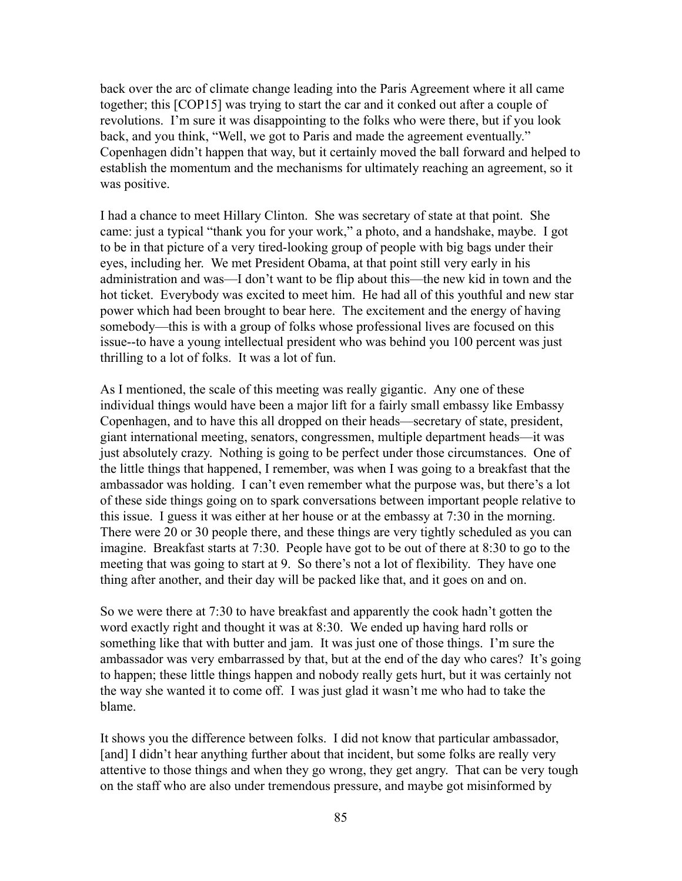back over the arc of climate change leading into the Paris Agreement where it all came together; this [COP15] was trying to start the car and it conked out after a couple of revolutions. I'm sure it was disappointing to the folks who were there, but if you look back, and you think, "Well, we got to Paris and made the agreement eventually." Copenhagen didn't happen that way, but it certainly moved the ball forward and helped to establish the momentum and the mechanisms for ultimately reaching an agreement, so it was positive.

I had a chance to meet Hillary Clinton. She was secretary of state at that point. She came: just a typical "thank you for your work," a photo, and a handshake, maybe. I got to be in that picture of a very tired-looking group of people with big bags under their eyes, including her. We met President Obama, at that point still very early in his administration and was—I don't want to be flip about this—the new kid in town and the hot ticket. Everybody was excited to meet him. He had all of this youthful and new star power which had been brought to bear here. The excitement and the energy of having somebody—this is with a group of folks whose professional lives are focused on this issue--to have a young intellectual president who was behind you 100 percent was just thrilling to a lot of folks. It was a lot of fun.

As I mentioned, the scale of this meeting was really gigantic. Any one of these individual things would have been a major lift for a fairly small embassy like Embassy Copenhagen, and to have this all dropped on their heads—secretary of state, president, giant international meeting, senators, congressmen, multiple department heads—it was just absolutely crazy. Nothing is going to be perfect under those circumstances. One of the little things that happened, I remember, was when I was going to a breakfast that the ambassador was holding. I can't even remember what the purpose was, but there's a lot of these side things going on to spark conversations between important people relative to this issue. I guess it was either at her house or at the embassy at 7:30 in the morning. There were 20 or 30 people there, and these things are very tightly scheduled as you can imagine. Breakfast starts at 7:30. People have got to be out of there at 8:30 to go to the meeting that was going to start at 9. So there's not a lot of flexibility. They have one thing after another, and their day will be packed like that, and it goes on and on.

So we were there at 7:30 to have breakfast and apparently the cook hadn't gotten the word exactly right and thought it was at 8:30. We ended up having hard rolls or something like that with butter and jam. It was just one of those things. I'm sure the ambassador was very embarrassed by that, but at the end of the day who cares? It's going to happen; these little things happen and nobody really gets hurt, but it was certainly not the way she wanted it to come off. I was just glad it wasn't me who had to take the blame.

It shows you the difference between folks. I did not know that particular ambassador, [and] I didn't hear anything further about that incident, but some folks are really very attentive to those things and when they go wrong, they get angry. That can be very tough on the staff who are also under tremendous pressure, and maybe got misinformed by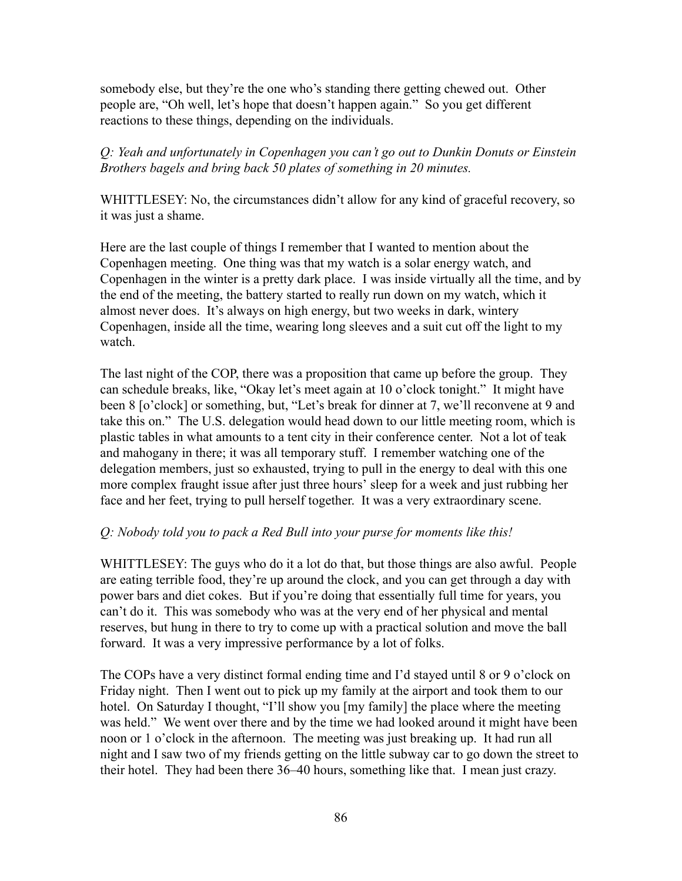somebody else, but they're the one who's standing there getting chewed out. Other people are, "Oh well, let's hope that doesn't happen again." So you get different reactions to these things, depending on the individuals.

# *Q: Yeah and unfortunately in Copenhagen you can't go out to Dunkin Donuts or Einstein Brothers bagels and bring back 50 plates of something in 20 minutes.*

WHITTLESEY: No, the circumstances didn't allow for any kind of graceful recovery, so it was just a shame.

Here are the last couple of things I remember that I wanted to mention about the Copenhagen meeting. One thing was that my watch is a solar energy watch, and Copenhagen in the winter is a pretty dark place. I was inside virtually all the time, and by the end of the meeting, the battery started to really run down on my watch, which it almost never does. It's always on high energy, but two weeks in dark, wintery Copenhagen, inside all the time, wearing long sleeves and a suit cut off the light to my watch.

The last night of the COP, there was a proposition that came up before the group. They can schedule breaks, like, "Okay let's meet again at 10 o'clock tonight." It might have been 8 [o'clock] or something, but, "Let's break for dinner at 7, we'll reconvene at 9 and take this on." The U.S. delegation would head down to our little meeting room, which is plastic tables in what amounts to a tent city in their conference center. Not a lot of teak and mahogany in there; it was all temporary stuff. I remember watching one of the delegation members, just so exhausted, trying to pull in the energy to deal with this one more complex fraught issue after just three hours' sleep for a week and just rubbing her face and her feet, trying to pull herself together. It was a very extraordinary scene.

# *Q: Nobody told you to pack a Red Bull into your purse for moments like this!*

WHITTLESEY: The guys who do it a lot do that, but those things are also awful. People are eating terrible food, they're up around the clock, and you can get through a day with power bars and diet cokes. But if you're doing that essentially full time for years, you can't do it. This was somebody who was at the very end of her physical and mental reserves, but hung in there to try to come up with a practical solution and move the ball forward. It was a very impressive performance by a lot of folks.

The COPs have a very distinct formal ending time and I'd stayed until 8 or 9 o'clock on Friday night. Then I went out to pick up my family at the airport and took them to our hotel. On Saturday I thought, "I'll show you [my family] the place where the meeting was held." We went over there and by the time we had looked around it might have been noon or 1 o'clock in the afternoon. The meeting was just breaking up. It had run all night and I saw two of my friends getting on the little subway car to go down the street to their hotel. They had been there 36–40 hours, something like that. I mean just crazy.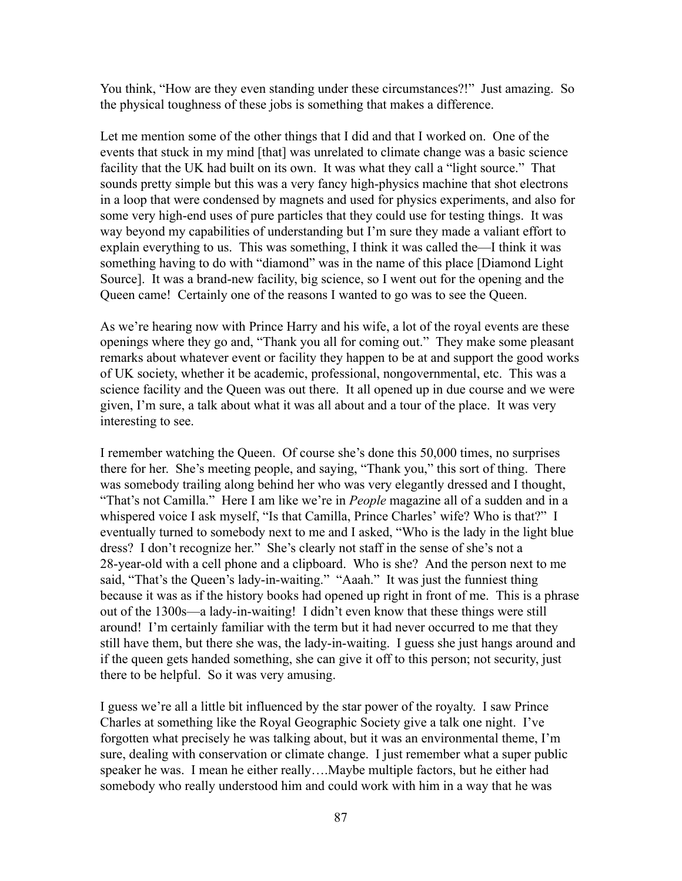You think, "How are they even standing under these circumstances?!" Just amazing. So the physical toughness of these jobs is something that makes a difference.

Let me mention some of the other things that I did and that I worked on. One of the events that stuck in my mind [that] was unrelated to climate change was a basic science facility that the UK had built on its own. It was what they call a "light source." That sounds pretty simple but this was a very fancy high-physics machine that shot electrons in a loop that were condensed by magnets and used for physics experiments, and also for some very high-end uses of pure particles that they could use for testing things. It was way beyond my capabilities of understanding but I'm sure they made a valiant effort to explain everything to us. This was something, I think it was called the—I think it was something having to do with "diamond" was in the name of this place [Diamond Light Source]. It was a brand-new facility, big science, so I went out for the opening and the Queen came! Certainly one of the reasons I wanted to go was to see the Queen.

As we're hearing now with Prince Harry and his wife, a lot of the royal events are these openings where they go and, "Thank you all for coming out." They make some pleasant remarks about whatever event or facility they happen to be at and support the good works of UK society, whether it be academic, professional, nongovernmental, etc. This was a science facility and the Queen was out there. It all opened up in due course and we were given, I'm sure, a talk about what it was all about and a tour of the place. It was very interesting to see.

I remember watching the Queen. Of course she's done this 50,000 times, no surprises there for her. She's meeting people, and saying, "Thank you," this sort of thing. There was somebody trailing along behind her who was very elegantly dressed and I thought, "That's not Camilla." Here I am like we're in *People* magazine all of a sudden and in a whispered voice I ask myself, "Is that Camilla, Prince Charles' wife? Who is that?" I eventually turned to somebody next to me and I asked, "Who is the lady in the light blue dress? I don't recognize her." She's clearly not staff in the sense of she's not a 28-year-old with a cell phone and a clipboard. Who is she? And the person next to me said, "That's the Queen's lady-in-waiting." "Aaah." It was just the funniest thing because it was as if the history books had opened up right in front of me. This is a phrase out of the 1300s—a lady-in-waiting! I didn't even know that these things were still around! I'm certainly familiar with the term but it had never occurred to me that they still have them, but there she was, the lady-in-waiting. I guess she just hangs around and if the queen gets handed something, she can give it off to this person; not security, just there to be helpful. So it was very amusing.

I guess we're all a little bit influenced by the star power of the royalty. I saw Prince Charles at something like the Royal Geographic Society give a talk one night. I've forgotten what precisely he was talking about, but it was an environmental theme, I'm sure, dealing with conservation or climate change. I just remember what a super public speaker he was. I mean he either really….Maybe multiple factors, but he either had somebody who really understood him and could work with him in a way that he was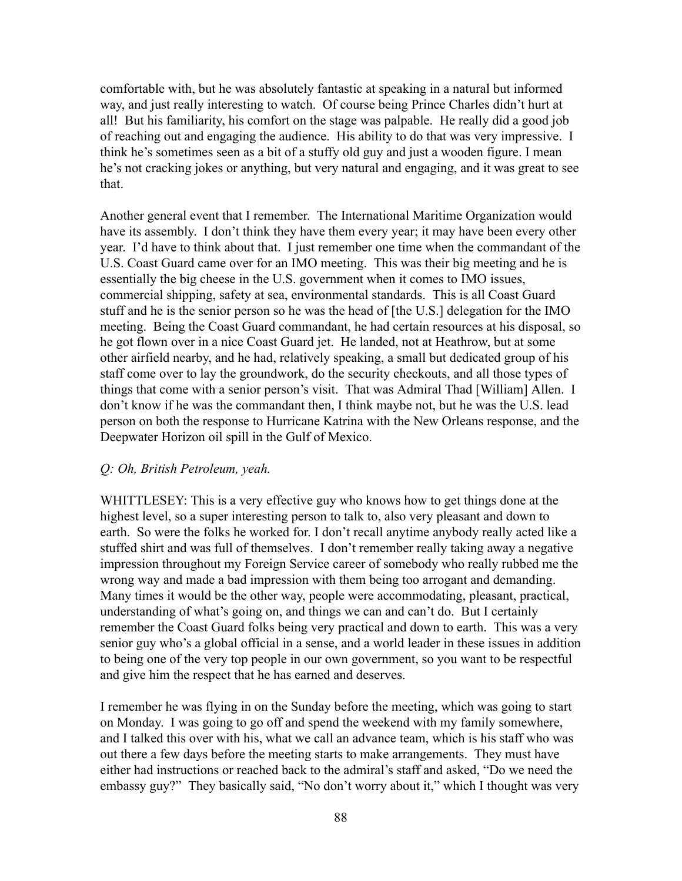comfortable with, but he was absolutely fantastic at speaking in a natural but informed way, and just really interesting to watch. Of course being Prince Charles didn't hurt at all! But his familiarity, his comfort on the stage was palpable. He really did a good job of reaching out and engaging the audience. His ability to do that was very impressive. I think he's sometimes seen as a bit of a stuffy old guy and just a wooden figure. I mean he's not cracking jokes or anything, but very natural and engaging, and it was great to see that.

Another general event that I remember. The International Maritime Organization would have its assembly. I don't think they have them every year; it may have been every other year. I'd have to think about that. I just remember one time when the commandant of the U.S. Coast Guard came over for an IMO meeting. This was their big meeting and he is essentially the big cheese in the U.S. government when it comes to IMO issues, commercial shipping, safety at sea, environmental standards. This is all Coast Guard stuff and he is the senior person so he was the head of [the U.S.] delegation for the IMO meeting. Being the Coast Guard commandant, he had certain resources at his disposal, so he got flown over in a nice Coast Guard jet. He landed, not at Heathrow, but at some other airfield nearby, and he had, relatively speaking, a small but dedicated group of his staff come over to lay the groundwork, do the security checkouts, and all those types of things that come with a senior person's visit. That was Admiral Thad [William] Allen. I don't know if he was the commandant then, I think maybe not, but he was the U.S. lead person on both the response to Hurricane Katrina with the New Orleans response, and the Deepwater Horizon oil spill in the Gulf of Mexico.

### *Q: Oh, British Petroleum, yeah.*

WHITTLESEY: This is a very effective guy who knows how to get things done at the highest level, so a super interesting person to talk to, also very pleasant and down to earth. So were the folks he worked for. I don't recall anytime anybody really acted like a stuffed shirt and was full of themselves. I don't remember really taking away a negative impression throughout my Foreign Service career of somebody who really rubbed me the wrong way and made a bad impression with them being too arrogant and demanding. Many times it would be the other way, people were accommodating, pleasant, practical, understanding of what's going on, and things we can and can't do. But I certainly remember the Coast Guard folks being very practical and down to earth. This was a very senior guy who's a global official in a sense, and a world leader in these issues in addition to being one of the very top people in our own government, so you want to be respectful and give him the respect that he has earned and deserves.

I remember he was flying in on the Sunday before the meeting, which was going to start on Monday. I was going to go off and spend the weekend with my family somewhere, and I talked this over with his, what we call an advance team, which is his staff who was out there a few days before the meeting starts to make arrangements. They must have either had instructions or reached back to the admiral's staff and asked, "Do we need the embassy guy?" They basically said, "No don't worry about it," which I thought was very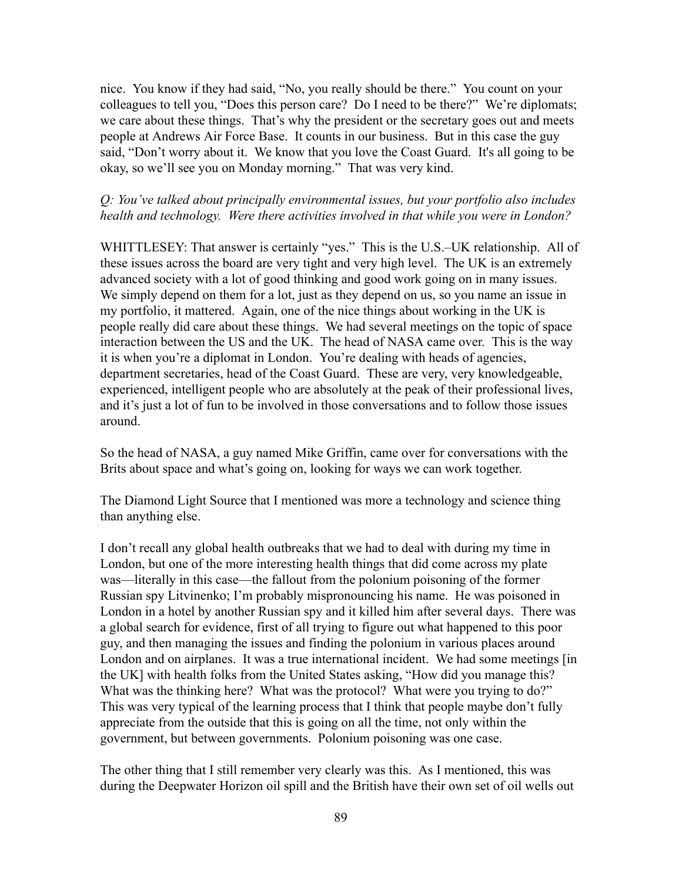nice. You know if they had said, "No, you really should be there." You count on your colleagues to tell you, "Does this person care? Do I need to be there?" We're diplomats; we care about these things. That's why the president or the secretary goes out and meets people at Andrews Air Force Base. It counts in our business. But in this case the guy said, "Don't worry about it. We know that you love the Coast Guard. It's all going to be okay, so we'll see you on Monday morning." That was very kind.

# *Q: You've talked about principally environmental issues, but your portfolio also includes health and technology. Were there activities involved in that while you were in London?*

WHITTLESEY: That answer is certainly "yes." This is the U.S.–UK relationship. All of these issues across the board are very tight and very high level. The UK is an extremely advanced society with a lot of good thinking and good work going on in many issues. We simply depend on them for a lot, just as they depend on us, so you name an issue in my portfolio, it mattered. Again, one of the nice things about working in the UK is people really did care about these things. We had several meetings on the topic of space interaction between the US and the UK. The head of NASA came over. This is the way it is when you're a diplomat in London. You're dealing with heads of agencies, department secretaries, head of the Coast Guard. These are very, very knowledgeable, experienced, intelligent people who are absolutely at the peak of their professional lives, and it's just a lot of fun to be involved in those conversations and to follow those issues around.

So the head of NASA, a guy named Mike Griffin, came over for conversations with the Brits about space and what's going on, looking for ways we can work together.

The Diamond Light Source that I mentioned was more a technology and science thing than anything else.

I don't recall any global health outbreaks that we had to deal with during my time in London, but one of the more interesting health things that did come across my plate was—literally in this case—the fallout from the polonium poisoning of the former Russian spy Litvinenko; I'm probably mispronouncing his name. He was poisoned in London in a hotel by another Russian spy and it killed him after several days. There was a global search for evidence, first of all trying to figure out what happened to this poor guy, and then managing the issues and finding the polonium in various places around London and on airplanes. It was a true international incident. We had some meetings [in the UK] with health folks from the United States asking, "How did you manage this? What was the thinking here? What was the protocol? What were you trying to do?" This was very typical of the learning process that I think that people maybe don't fully appreciate from the outside that this is going on all the time, not only within the government, but between governments. Polonium poisoning was one case.

The other thing that I still remember very clearly was this. As I mentioned, this was during the Deepwater Horizon oil spill and the British have their own set of oil wells out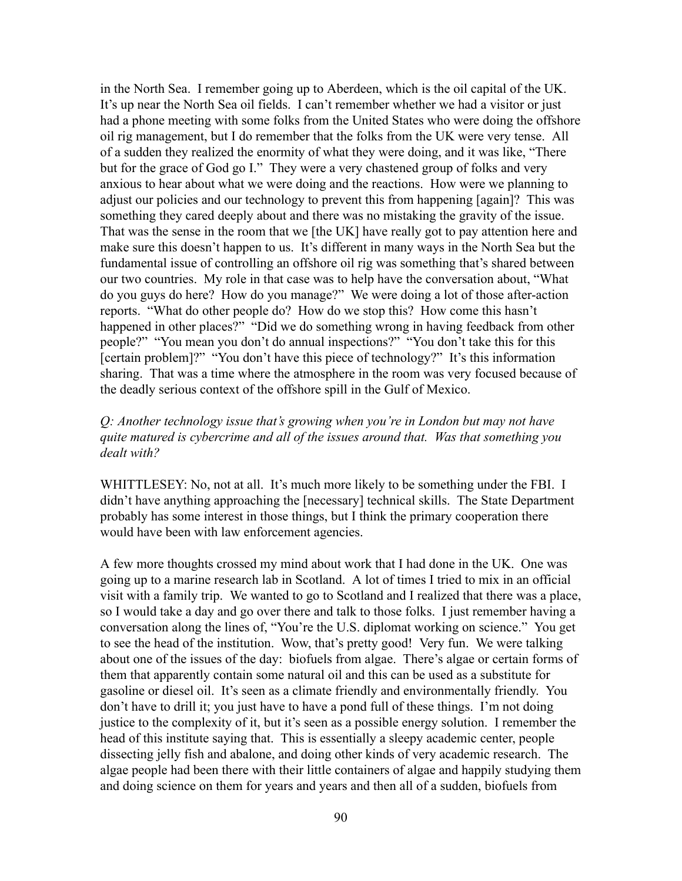in the North Sea. I remember going up to Aberdeen, which is the oil capital of the UK. It's up near the North Sea oil fields. I can't remember whether we had a visitor or just had a phone meeting with some folks from the United States who were doing the offshore oil rig management, but I do remember that the folks from the UK were very tense. All of a sudden they realized the enormity of what they were doing, and it was like, "There but for the grace of God go I." They were a very chastened group of folks and very anxious to hear about what we were doing and the reactions. How were we planning to adjust our policies and our technology to prevent this from happening [again]? This was something they cared deeply about and there was no mistaking the gravity of the issue. That was the sense in the room that we [the UK] have really got to pay attention here and make sure this doesn't happen to us. It's different in many ways in the North Sea but the fundamental issue of controlling an offshore oil rig was something that's shared between our two countries. My role in that case was to help have the conversation about, "What do you guys do here? How do you manage?" We were doing a lot of those after-action reports. "What do other people do? How do we stop this? How come this hasn't happened in other places?" "Did we do something wrong in having feedback from other people?" "You mean you don't do annual inspections?" "You don't take this for this [certain problem]?" "You don't have this piece of technology?" It's this information sharing. That was a time where the atmosphere in the room was very focused because of the deadly serious context of the offshore spill in the Gulf of Mexico.

# *Q: Another technology issue that's growing when you're in London but may not have quite matured is cybercrime and all of the issues around that. Was that something you dealt with?*

WHITTLESEY: No, not at all. It's much more likely to be something under the FBI. I didn't have anything approaching the [necessary] technical skills. The State Department probably has some interest in those things, but I think the primary cooperation there would have been with law enforcement agencies.

A few more thoughts crossed my mind about work that I had done in the UK. One was going up to a marine research lab in Scotland. A lot of times I tried to mix in an official visit with a family trip. We wanted to go to Scotland and I realized that there was a place, so I would take a day and go over there and talk to those folks. I just remember having a conversation along the lines of, "You're the U.S. diplomat working on science." You get to see the head of the institution. Wow, that's pretty good! Very fun. We were talking about one of the issues of the day: biofuels from algae. There's algae or certain forms of them that apparently contain some natural oil and this can be used as a substitute for gasoline or diesel oil. It's seen as a climate friendly and environmentally friendly. You don't have to drill it; you just have to have a pond full of these things. I'm not doing justice to the complexity of it, but it's seen as a possible energy solution. I remember the head of this institute saying that. This is essentially a sleepy academic center, people dissecting jelly fish and abalone, and doing other kinds of very academic research. The algae people had been there with their little containers of algae and happily studying them and doing science on them for years and years and then all of a sudden, biofuels from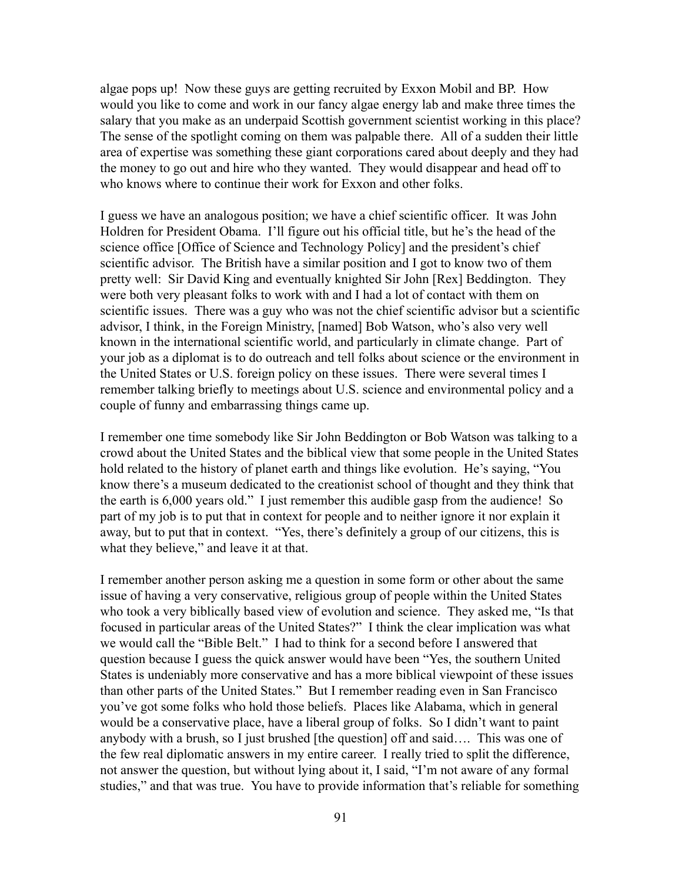algae pops up! Now these guys are getting recruited by Exxon Mobil and BP. How would you like to come and work in our fancy algae energy lab and make three times the salary that you make as an underpaid Scottish government scientist working in this place? The sense of the spotlight coming on them was palpable there. All of a sudden their little area of expertise was something these giant corporations cared about deeply and they had the money to go out and hire who they wanted. They would disappear and head off to who knows where to continue their work for Exxon and other folks.

I guess we have an analogous position; we have a chief scientific officer. It was John Holdren for President Obama. I'll figure out his official title, but he's the head of the science office [Office of Science and Technology Policy] and the president's chief scientific advisor. The British have a similar position and I got to know two of them pretty well: Sir David King and eventually knighted Sir John [Rex] Beddington. They were both very pleasant folks to work with and I had a lot of contact with them on scientific issues. There was a guy who was not the chief scientific advisor but a scientific advisor, I think, in the Foreign Ministry, [named] Bob Watson, who's also very well known in the international scientific world, and particularly in climate change. Part of your job as a diplomat is to do outreach and tell folks about science or the environment in the United States or U.S. foreign policy on these issues. There were several times I remember talking briefly to meetings about U.S. science and environmental policy and a couple of funny and embarrassing things came up.

I remember one time somebody like Sir John Beddington or Bob Watson was talking to a crowd about the United States and the biblical view that some people in the United States hold related to the history of planet earth and things like evolution. He's saying, "You know there's a museum dedicated to the creationist school of thought and they think that the earth is 6,000 years old." I just remember this audible gasp from the audience! So part of my job is to put that in context for people and to neither ignore it nor explain it away, but to put that in context. "Yes, there's definitely a group of our citizens, this is what they believe," and leave it at that.

I remember another person asking me a question in some form or other about the same issue of having a very conservative, religious group of people within the United States who took a very biblically based view of evolution and science. They asked me, "Is that focused in particular areas of the United States?" I think the clear implication was what we would call the "Bible Belt." I had to think for a second before I answered that question because I guess the quick answer would have been "Yes, the southern United States is undeniably more conservative and has a more biblical viewpoint of these issues than other parts of the United States." But I remember reading even in San Francisco you've got some folks who hold those beliefs. Places like Alabama, which in general would be a conservative place, have a liberal group of folks. So I didn't want to paint anybody with a brush, so I just brushed [the question] off and said…. This was one of the few real diplomatic answers in my entire career. I really tried to split the difference, not answer the question, but without lying about it, I said, "I'm not aware of any formal studies," and that was true. You have to provide information that's reliable for something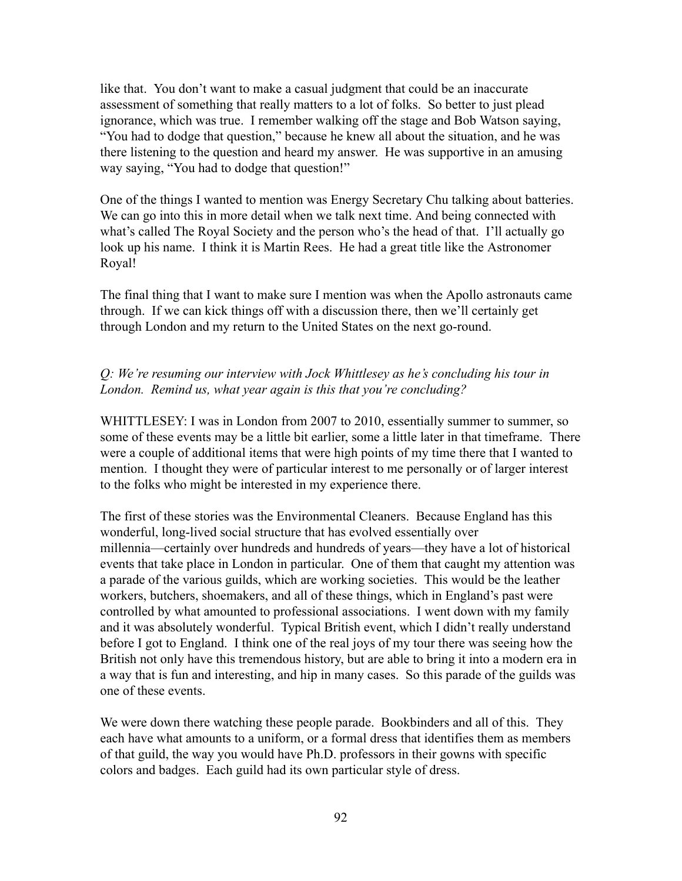like that. You don't want to make a casual judgment that could be an inaccurate assessment of something that really matters to a lot of folks. So better to just plead ignorance, which was true. I remember walking off the stage and Bob Watson saying, "You had to dodge that question," because he knew all about the situation, and he was there listening to the question and heard my answer. He was supportive in an amusing way saying, "You had to dodge that question!"

One of the things I wanted to mention was Energy Secretary Chu talking about batteries. We can go into this in more detail when we talk next time. And being connected with what's called The Royal Society and the person who's the head of that. I'll actually go look up his name. I think it is Martin Rees. He had a great title like the Astronomer Royal!

The final thing that I want to make sure I mention was when the Apollo astronauts came through. If we can kick things off with a discussion there, then we'll certainly get through London and my return to the United States on the next go-round.

# *Q: We're resuming our interview with Jock Whittlesey as he's concluding his tour in London. Remind us, what year again is this that you're concluding?*

WHITTLESEY: I was in London from 2007 to 2010, essentially summer to summer, so some of these events may be a little bit earlier, some a little later in that timeframe. There were a couple of additional items that were high points of my time there that I wanted to mention. I thought they were of particular interest to me personally or of larger interest to the folks who might be interested in my experience there.

The first of these stories was the Environmental Cleaners. Because England has this wonderful, long-lived social structure that has evolved essentially over millennia—certainly over hundreds and hundreds of years—they have a lot of historical events that take place in London in particular. One of them that caught my attention was a parade of the various guilds, which are working societies. This would be the leather workers, butchers, shoemakers, and all of these things, which in England's past were controlled by what amounted to professional associations. I went down with my family and it was absolutely wonderful. Typical British event, which I didn't really understand before I got to England. I think one of the real joys of my tour there was seeing how the British not only have this tremendous history, but are able to bring it into a modern era in a way that is fun and interesting, and hip in many cases. So this parade of the guilds was one of these events.

We were down there watching these people parade. Bookbinders and all of this. They each have what amounts to a uniform, or a formal dress that identifies them as members of that guild, the way you would have Ph.D. professors in their gowns with specific colors and badges. Each guild had its own particular style of dress.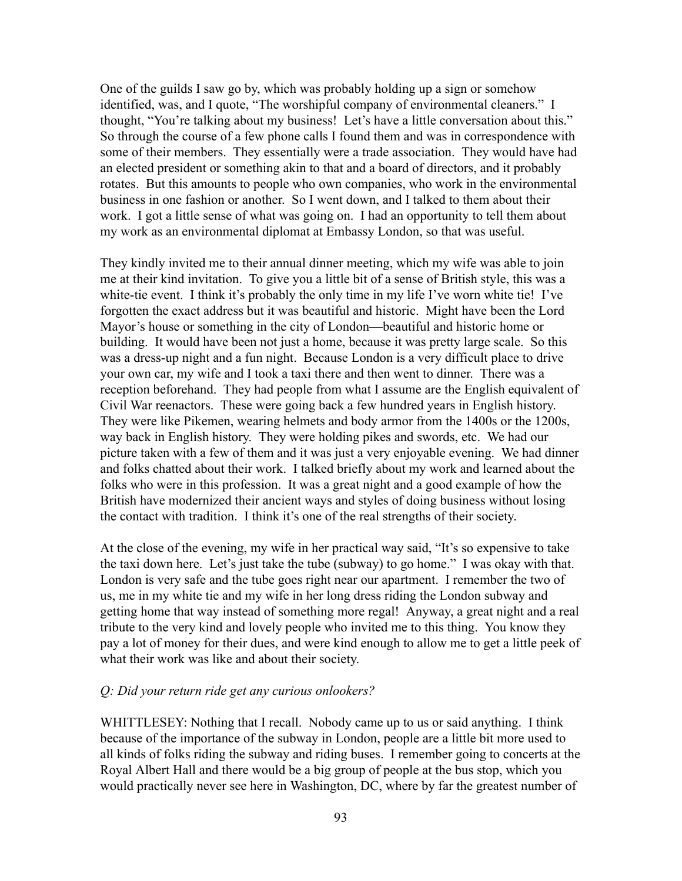One of the guilds I saw go by, which was probably holding up a sign or somehow identified, was, and I quote, "The worshipful company of environmental cleaners." I thought, "You're talking about my business! Let's have a little conversation about this." So through the course of a few phone calls I found them and was in correspondence with some of their members. They essentially were a trade association. They would have had an elected president or something akin to that and a board of directors, and it probably rotates. But this amounts to people who own companies, who work in the environmental business in one fashion or another. So I went down, and I talked to them about their work. I got a little sense of what was going on. I had an opportunity to tell them about my work as an environmental diplomat at Embassy London, so that was useful.

They kindly invited me to their annual dinner meeting, which my wife was able to join me at their kind invitation. To give you a little bit of a sense of British style, this was a white-tie event. I think it's probably the only time in my life I've worn white tie! I've forgotten the exact address but it was beautiful and historic. Might have been the Lord Mayor's house or something in the city of London—beautiful and historic home or building. It would have been not just a home, because it was pretty large scale. So this was a dress-up night and a fun night. Because London is a very difficult place to drive your own car, my wife and I took a taxi there and then went to dinner. There was a reception beforehand. They had people from what I assume are the English equivalent of Civil War reenactors. These were going back a few hundred years in English history. They were like Pikemen, wearing helmets and body armor from the 1400s or the 1200s, way back in English history. They were holding pikes and swords, etc. We had our picture taken with a few of them and it was just a very enjoyable evening. We had dinner and folks chatted about their work. I talked briefly about my work and learned about the folks who were in this profession. It was a great night and a good example of how the British have modernized their ancient ways and styles of doing business without losing the contact with tradition. I think it's one of the real strengths of their society.

At the close of the evening, my wife in her practical way said, "It's so expensive to take the taxi down here. Let's just take the tube (subway) to go home." I was okay with that. London is very safe and the tube goes right near our apartment. I remember the two of us, me in my white tie and my wife in her long dress riding the London subway and getting home that way instead of something more regal! Anyway, a great night and a real tribute to the very kind and lovely people who invited me to this thing. You know they pay a lot of money for their dues, and were kind enough to allow me to get a little peek of what their work was like and about their society.

### *Q: Did your return ride get any curious onlookers?*

WHITTLESEY: Nothing that I recall. Nobody came up to us or said anything. I think because of the importance of the subway in London, people are a little bit more used to all kinds of folks riding the subway and riding buses. I remember going to concerts at the Royal Albert Hall and there would be a big group of people at the bus stop, which you would practically never see here in Washington, DC, where by far the greatest number of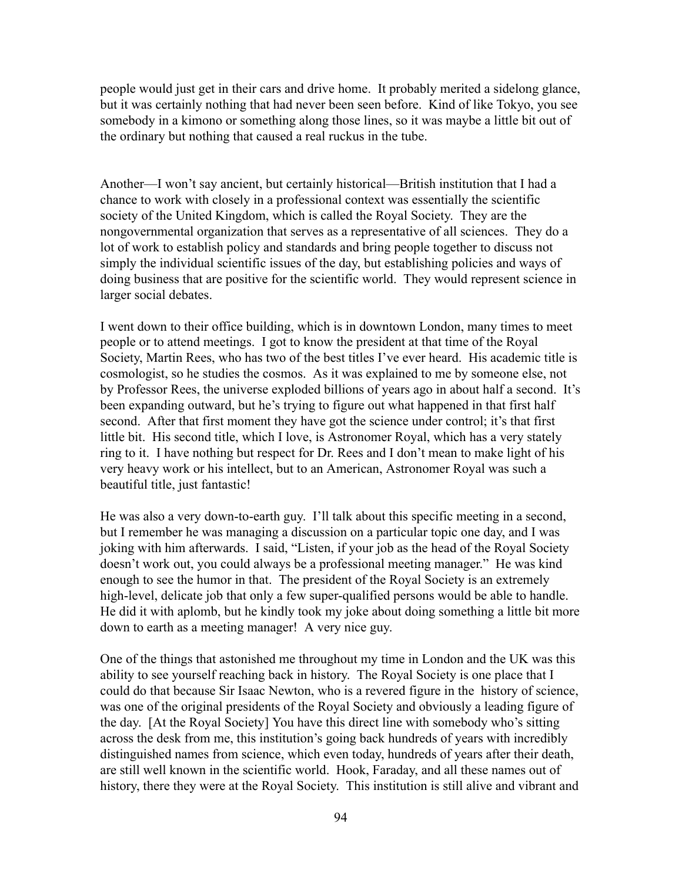people would just get in their cars and drive home. It probably merited a sidelong glance, but it was certainly nothing that had never been seen before. Kind of like Tokyo, you see somebody in a kimono or something along those lines, so it was maybe a little bit out of the ordinary but nothing that caused a real ruckus in the tube.

Another—I won't say ancient, but certainly historical—British institution that I had a chance to work with closely in a professional context was essentially the scientific society of the United Kingdom, which is called the Royal Society. They are the nongovernmental organization that serves as a representative of all sciences. They do a lot of work to establish policy and standards and bring people together to discuss not simply the individual scientific issues of the day, but establishing policies and ways of doing business that are positive for the scientific world. They would represent science in larger social debates.

I went down to their office building, which is in downtown London, many times to meet people or to attend meetings. I got to know the president at that time of the Royal Society, Martin Rees, who has two of the best titles I've ever heard. His academic title is cosmologist, so he studies the cosmos. As it was explained to me by someone else, not by Professor Rees, the universe exploded billions of years ago in about half a second. It's been expanding outward, but he's trying to figure out what happened in that first half second. After that first moment they have got the science under control; it's that first little bit. His second title, which I love, is Astronomer Royal, which has a very stately ring to it. I have nothing but respect for Dr. Rees and I don't mean to make light of his very heavy work or his intellect, but to an American, Astronomer Royal was such a beautiful title, just fantastic!

He was also a very down-to-earth guy. I'll talk about this specific meeting in a second, but I remember he was managing a discussion on a particular topic one day, and I was joking with him afterwards. I said, "Listen, if your job as the head of the Royal Society doesn't work out, you could always be a professional meeting manager." He was kind enough to see the humor in that. The president of the Royal Society is an extremely high-level, delicate job that only a few super-qualified persons would be able to handle. He did it with aplomb, but he kindly took my joke about doing something a little bit more down to earth as a meeting manager! A very nice guy.

One of the things that astonished me throughout my time in London and the UK was this ability to see yourself reaching back in history. The Royal Society is one place that I could do that because Sir Isaac Newton, who is a revered figure in the history of science, was one of the original presidents of the Royal Society and obviously a leading figure of the day. [At the Royal Society] You have this direct line with somebody who's sitting across the desk from me, this institution's going back hundreds of years with incredibly distinguished names from science, which even today, hundreds of years after their death, are still well known in the scientific world. Hook, Faraday, and all these names out of history, there they were at the Royal Society. This institution is still alive and vibrant and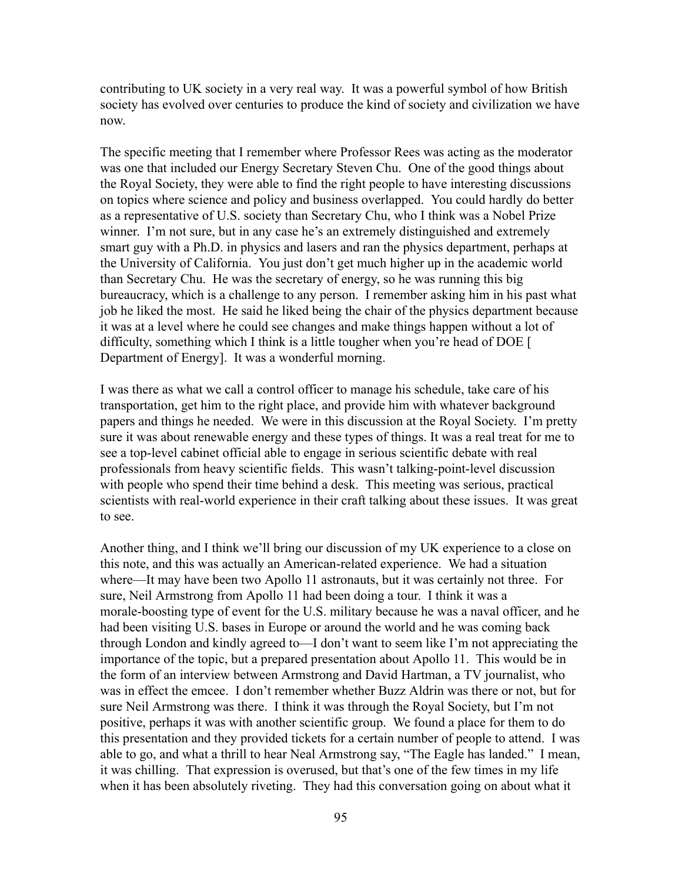contributing to UK society in a very real way. It was a powerful symbol of how British society has evolved over centuries to produce the kind of society and civilization we have now.

The specific meeting that I remember where Professor Rees was acting as the moderator was one that included our Energy Secretary Steven Chu. One of the good things about the Royal Society, they were able to find the right people to have interesting discussions on topics where science and policy and business overlapped. You could hardly do better as a representative of U.S. society than Secretary Chu, who I think was a Nobel Prize winner. I'm not sure, but in any case he's an extremely distinguished and extremely smart guy with a Ph.D. in physics and lasers and ran the physics department, perhaps at the University of California. You just don't get much higher up in the academic world than Secretary Chu. He was the secretary of energy, so he was running this big bureaucracy, which is a challenge to any person. I remember asking him in his past what job he liked the most. He said he liked being the chair of the physics department because it was at a level where he could see changes and make things happen without a lot of difficulty, something which I think is a little tougher when you're head of DOE [ Department of Energy]. It was a wonderful morning.

I was there as what we call a control officer to manage his schedule, take care of his transportation, get him to the right place, and provide him with whatever background papers and things he needed. We were in this discussion at the Royal Society. I'm pretty sure it was about renewable energy and these types of things. It was a real treat for me to see a top-level cabinet official able to engage in serious scientific debate with real professionals from heavy scientific fields. This wasn't talking-point-level discussion with people who spend their time behind a desk. This meeting was serious, practical scientists with real-world experience in their craft talking about these issues. It was great to see.

Another thing, and I think we'll bring our discussion of my UK experience to a close on this note, and this was actually an American-related experience. We had a situation where—It may have been two Apollo 11 astronauts, but it was certainly not three. For sure, Neil Armstrong from Apollo 11 had been doing a tour. I think it was a morale-boosting type of event for the U.S. military because he was a naval officer, and he had been visiting U.S. bases in Europe or around the world and he was coming back through London and kindly agreed to—I don't want to seem like I'm not appreciating the importance of the topic, but a prepared presentation about Apollo 11. This would be in the form of an interview between Armstrong and David Hartman, a TV journalist, who was in effect the emcee. I don't remember whether Buzz Aldrin was there or not, but for sure Neil Armstrong was there. I think it was through the Royal Society, but I'm not positive, perhaps it was with another scientific group. We found a place for them to do this presentation and they provided tickets for a certain number of people to attend. I was able to go, and what a thrill to hear Neal Armstrong say, "The Eagle has landed." I mean, it was chilling. That expression is overused, but that's one of the few times in my life when it has been absolutely riveting. They had this conversation going on about what it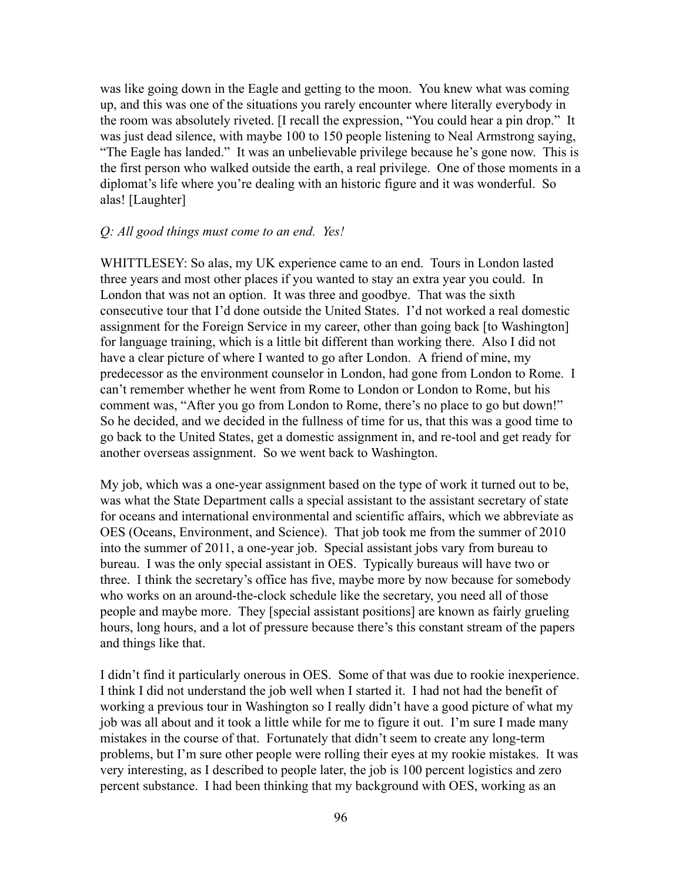was like going down in the Eagle and getting to the moon. You knew what was coming up, and this was one of the situations you rarely encounter where literally everybody in the room was absolutely riveted. [I recall the expression, "You could hear a pin drop." It was just dead silence, with maybe 100 to 150 people listening to Neal Armstrong saying, "The Eagle has landed." It was an unbelievable privilege because he's gone now. This is the first person who walked outside the earth, a real privilege. One of those moments in a diplomat's life where you're dealing with an historic figure and it was wonderful. So alas! [Laughter]

### *Q: All good things must come to an end. Yes!*

WHITTLESEY: So alas, my UK experience came to an end. Tours in London lasted three years and most other places if you wanted to stay an extra year you could. In London that was not an option. It was three and goodbye. That was the sixth consecutive tour that I'd done outside the United States. I'd not worked a real domestic assignment for the Foreign Service in my career, other than going back [to Washington] for language training, which is a little bit different than working there. Also I did not have a clear picture of where I wanted to go after London. A friend of mine, my predecessor as the environment counselor in London, had gone from London to Rome. I can't remember whether he went from Rome to London or London to Rome, but his comment was, "After you go from London to Rome, there's no place to go but down!" So he decided, and we decided in the fullness of time for us, that this was a good time to go back to the United States, get a domestic assignment in, and re-tool and get ready for another overseas assignment. So we went back to Washington.

My job, which was a one-year assignment based on the type of work it turned out to be, was what the State Department calls a special assistant to the assistant secretary of state for oceans and international environmental and scientific affairs, which we abbreviate as OES (Oceans, Environment, and Science). That job took me from the summer of 2010 into the summer of 2011, a one-year job. Special assistant jobs vary from bureau to bureau. I was the only special assistant in OES. Typically bureaus will have two or three. I think the secretary's office has five, maybe more by now because for somebody who works on an around-the-clock schedule like the secretary, you need all of those people and maybe more. They [special assistant positions] are known as fairly grueling hours, long hours, and a lot of pressure because there's this constant stream of the papers and things like that.

I didn't find it particularly onerous in OES. Some of that was due to rookie inexperience. I think I did not understand the job well when I started it. I had not had the benefit of working a previous tour in Washington so I really didn't have a good picture of what my job was all about and it took a little while for me to figure it out. I'm sure I made many mistakes in the course of that. Fortunately that didn't seem to create any long-term problems, but I'm sure other people were rolling their eyes at my rookie mistakes. It was very interesting, as I described to people later, the job is 100 percent logistics and zero percent substance. I had been thinking that my background with OES, working as an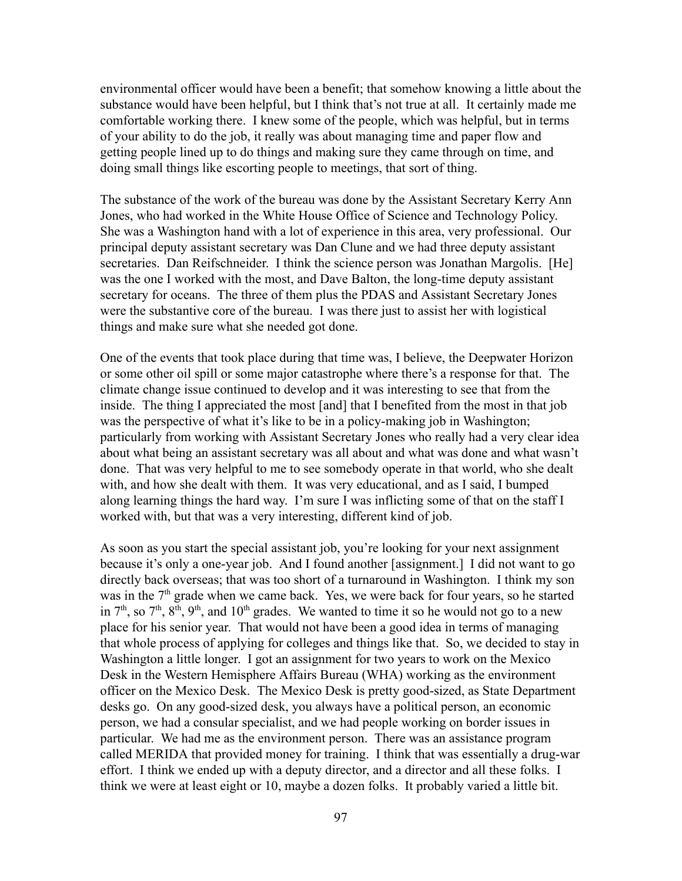environmental officer would have been a benefit; that somehow knowing a little about the substance would have been helpful, but I think that's not true at all. It certainly made me comfortable working there. I knew some of the people, which was helpful, but in terms of your ability to do the job, it really was about managing time and paper flow and getting people lined up to do things and making sure they came through on time, and doing small things like escorting people to meetings, that sort of thing.

The substance of the work of the bureau was done by the Assistant Secretary Kerry Ann Jones, who had worked in the White House Office of Science and Technology Policy. She was a Washington hand with a lot of experience in this area, very professional. Our principal deputy assistant secretary was Dan Clune and we had three deputy assistant secretaries. Dan Reifschneider. I think the science person was Jonathan Margolis. [He] was the one I worked with the most, and Dave Balton, the long-time deputy assistant secretary for oceans. The three of them plus the PDAS and Assistant Secretary Jones were the substantive core of the bureau. I was there just to assist her with logistical things and make sure what she needed got done.

One of the events that took place during that time was, I believe, the Deepwater Horizon or some other oil spill or some major catastrophe where there's a response for that. The climate change issue continued to develop and it was interesting to see that from the inside. The thing I appreciated the most [and] that I benefited from the most in that job was the perspective of what it's like to be in a policy-making job in Washington; particularly from working with Assistant Secretary Jones who really had a very clear idea about what being an assistant secretary was all about and what was done and what wasn't done. That was very helpful to me to see somebody operate in that world, who she dealt with, and how she dealt with them. It was very educational, and as I said, I bumped along learning things the hard way. I'm sure I was inflicting some of that on the staff I worked with, but that was a very interesting, different kind of job.

As soon as you start the special assistant job, you're looking for your next assignment because it's only a one-year job. And I found another [assignment.] I did not want to go directly back overseas; that was too short of a turnaround in Washington. I think my son was in the  $7<sup>th</sup>$  grade when we came back. Yes, we were back for four years, so he started in  $7<sup>th</sup>$ , so  $7<sup>th</sup>$ ,  $8<sup>th</sup>$ ,  $9<sup>th</sup>$ , and  $10<sup>th</sup>$  grades. We wanted to time it so he would not go to a new place for his senior year. That would not have been a good idea in terms of managing that whole process of applying for colleges and things like that. So, we decided to stay in Washington a little longer. I got an assignment for two years to work on the Mexico Desk in the Western Hemisphere Affairs Bureau (WHA) working as the environment officer on the Mexico Desk. The Mexico Desk is pretty good-sized, as State Department desks go. On any good-sized desk, you always have a political person, an economic person, we had a consular specialist, and we had people working on border issues in particular. We had me as the environment person. There was an assistance program called MERIDA that provided money for training. I think that was essentially a drug-war effort. I think we ended up with a deputy director, and a director and all these folks. I think we were at least eight or 10, maybe a dozen folks. It probably varied a little bit.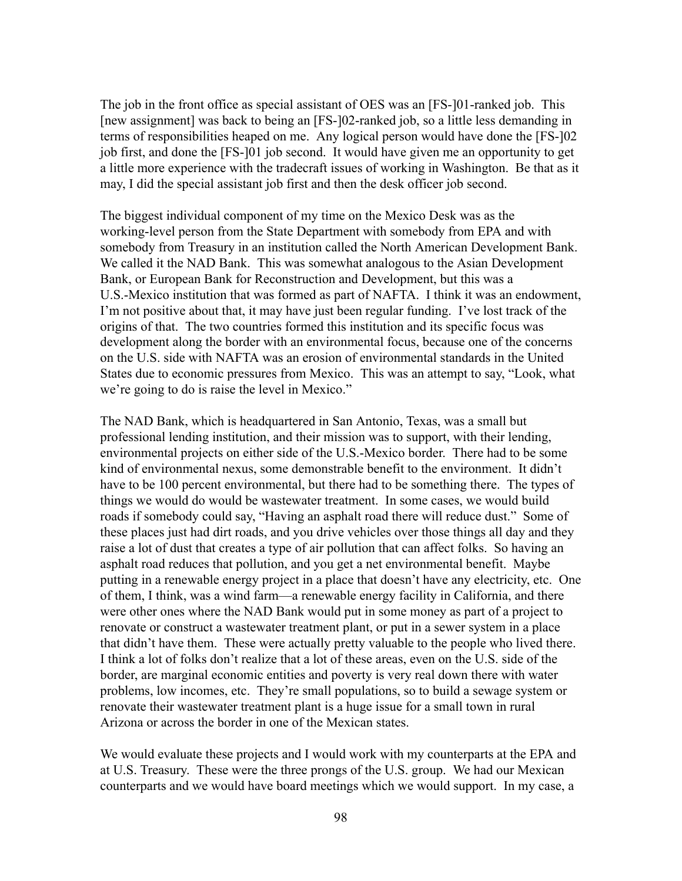The job in the front office as special assistant of OES was an [FS-]01-ranked job. This [new assignment] was back to being an [FS-]02-ranked job, so a little less demanding in terms of responsibilities heaped on me. Any logical person would have done the [FS-]02 job first, and done the [FS-]01 job second. It would have given me an opportunity to get a little more experience with the tradecraft issues of working in Washington. Be that as it may, I did the special assistant job first and then the desk officer job second.

The biggest individual component of my time on the Mexico Desk was as the working-level person from the State Department with somebody from EPA and with somebody from Treasury in an institution called the North American Development Bank. We called it the NAD Bank. This was somewhat analogous to the Asian Development Bank, or European Bank for Reconstruction and Development, but this was a U.S.-Mexico institution that was formed as part of NAFTA. I think it was an endowment, I'm not positive about that, it may have just been regular funding. I've lost track of the origins of that. The two countries formed this institution and its specific focus was development along the border with an environmental focus, because one of the concerns on the U.S. side with NAFTA was an erosion of environmental standards in the United States due to economic pressures from Mexico. This was an attempt to say, "Look, what we're going to do is raise the level in Mexico."

The NAD Bank, which is headquartered in San Antonio, Texas, was a small but professional lending institution, and their mission was to support, with their lending, environmental projects on either side of the U.S.-Mexico border. There had to be some kind of environmental nexus, some demonstrable benefit to the environment. It didn't have to be 100 percent environmental, but there had to be something there. The types of things we would do would be wastewater treatment. In some cases, we would build roads if somebody could say, "Having an asphalt road there will reduce dust." Some of these places just had dirt roads, and you drive vehicles over those things all day and they raise a lot of dust that creates a type of air pollution that can affect folks. So having an asphalt road reduces that pollution, and you get a net environmental benefit. Maybe putting in a renewable energy project in a place that doesn't have any electricity, etc. One of them, I think, was a wind farm—a renewable energy facility in California, and there were other ones where the NAD Bank would put in some money as part of a project to renovate or construct a wastewater treatment plant, or put in a sewer system in a place that didn't have them. These were actually pretty valuable to the people who lived there. I think a lot of folks don't realize that a lot of these areas, even on the U.S. side of the border, are marginal economic entities and poverty is very real down there with water problems, low incomes, etc. They're small populations, so to build a sewage system or renovate their wastewater treatment plant is a huge issue for a small town in rural Arizona or across the border in one of the Mexican states.

We would evaluate these projects and I would work with my counterparts at the EPA and at U.S. Treasury. These were the three prongs of the U.S. group. We had our Mexican counterparts and we would have board meetings which we would support. In my case, a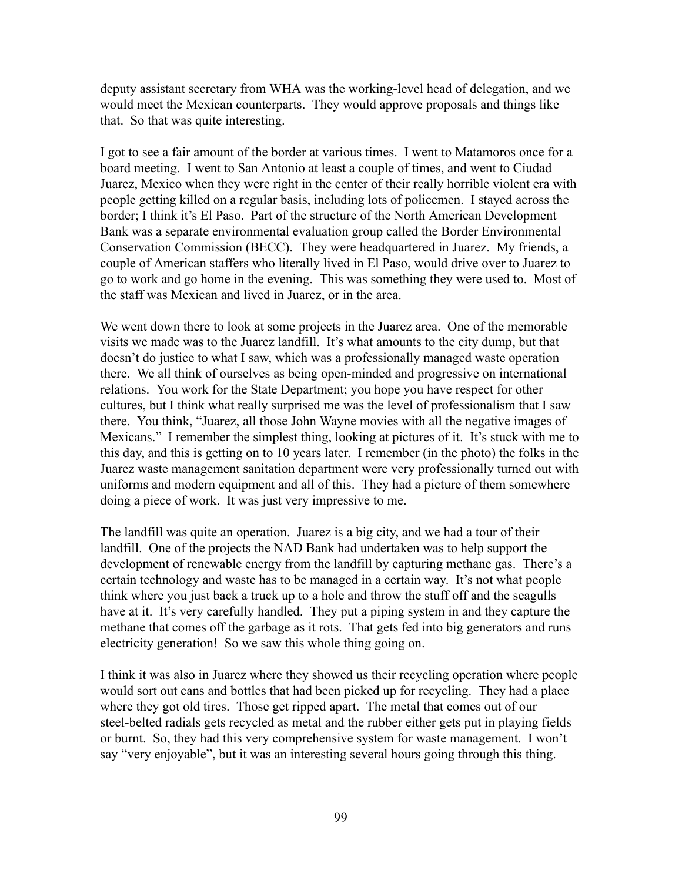deputy assistant secretary from WHA was the working-level head of delegation, and we would meet the Mexican counterparts. They would approve proposals and things like that. So that was quite interesting.

I got to see a fair amount of the border at various times. I went to Matamoros once for a board meeting. I went to San Antonio at least a couple of times, and went to Ciudad Juarez, Mexico when they were right in the center of their really horrible violent era with people getting killed on a regular basis, including lots of policemen. I stayed across the border; I think it's El Paso. Part of the structure of the North American Development Bank was a separate environmental evaluation group called the Border Environmental Conservation Commission (BECC). They were headquartered in Juarez. My friends, a couple of American staffers who literally lived in El Paso, would drive over to Juarez to go to work and go home in the evening. This was something they were used to. Most of the staff was Mexican and lived in Juarez, or in the area.

We went down there to look at some projects in the Juarez area. One of the memorable visits we made was to the Juarez landfill. It's what amounts to the city dump, but that doesn't do justice to what I saw, which was a professionally managed waste operation there. We all think of ourselves as being open-minded and progressive on international relations. You work for the State Department; you hope you have respect for other cultures, but I think what really surprised me was the level of professionalism that I saw there. You think, "Juarez, all those John Wayne movies with all the negative images of Mexicans." I remember the simplest thing, looking at pictures of it. It's stuck with me to this day, and this is getting on to 10 years later. I remember (in the photo) the folks in the Juarez waste management sanitation department were very professionally turned out with uniforms and modern equipment and all of this. They had a picture of them somewhere doing a piece of work. It was just very impressive to me.

The landfill was quite an operation. Juarez is a big city, and we had a tour of their landfill. One of the projects the NAD Bank had undertaken was to help support the development of renewable energy from the landfill by capturing methane gas. There's a certain technology and waste has to be managed in a certain way. It's not what people think where you just back a truck up to a hole and throw the stuff off and the seagulls have at it. It's very carefully handled. They put a piping system in and they capture the methane that comes off the garbage as it rots. That gets fed into big generators and runs electricity generation! So we saw this whole thing going on.

I think it was also in Juarez where they showed us their recycling operation where people would sort out cans and bottles that had been picked up for recycling. They had a place where they got old tires. Those get ripped apart. The metal that comes out of our steel-belted radials gets recycled as metal and the rubber either gets put in playing fields or burnt. So, they had this very comprehensive system for waste management. I won't say "very enjoyable", but it was an interesting several hours going through this thing.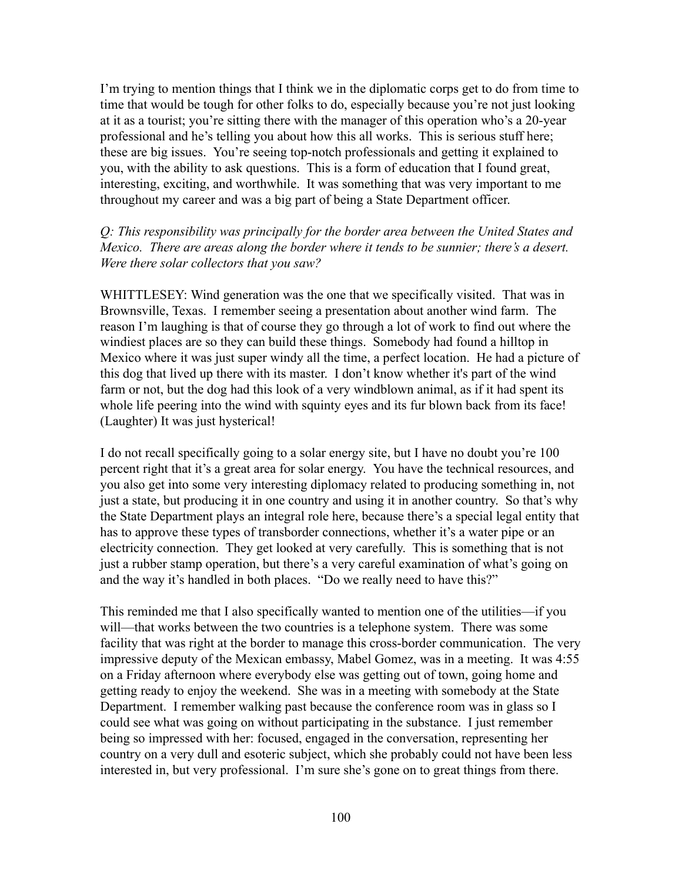I'm trying to mention things that I think we in the diplomatic corps get to do from time to time that would be tough for other folks to do, especially because you're not just looking at it as a tourist; you're sitting there with the manager of this operation who's a 20-year professional and he's telling you about how this all works. This is serious stuff here; these are big issues. You're seeing top-notch professionals and getting it explained to you, with the ability to ask questions. This is a form of education that I found great, interesting, exciting, and worthwhile. It was something that was very important to me throughout my career and was a big part of being a State Department officer.

# *Q: This responsibility was principally for the border area between the United States and Mexico. There are areas along the border where it tends to be sunnier; there's a desert. Were there solar collectors that you saw?*

WHITTLESEY: Wind generation was the one that we specifically visited. That was in Brownsville, Texas. I remember seeing a presentation about another wind farm. The reason I'm laughing is that of course they go through a lot of work to find out where the windiest places are so they can build these things. Somebody had found a hilltop in Mexico where it was just super windy all the time, a perfect location. He had a picture of this dog that lived up there with its master. I don't know whether it's part of the wind farm or not, but the dog had this look of a very windblown animal, as if it had spent its whole life peering into the wind with squinty eyes and its fur blown back from its face! (Laughter) It was just hysterical!

I do not recall specifically going to a solar energy site, but I have no doubt you're 100 percent right that it's a great area for solar energy. You have the technical resources, and you also get into some very interesting diplomacy related to producing something in, not just a state, but producing it in one country and using it in another country. So that's why the State Department plays an integral role here, because there's a special legal entity that has to approve these types of transborder connections, whether it's a water pipe or an electricity connection. They get looked at very carefully. This is something that is not just a rubber stamp operation, but there's a very careful examination of what's going on and the way it's handled in both places. "Do we really need to have this?"

This reminded me that I also specifically wanted to mention one of the utilities—if you will—that works between the two countries is a telephone system. There was some facility that was right at the border to manage this cross-border communication. The very impressive deputy of the Mexican embassy, Mabel Gomez, was in a meeting. It was 4:55 on a Friday afternoon where everybody else was getting out of town, going home and getting ready to enjoy the weekend. She was in a meeting with somebody at the State Department. I remember walking past because the conference room was in glass so I could see what was going on without participating in the substance. I just remember being so impressed with her: focused, engaged in the conversation, representing her country on a very dull and esoteric subject, which she probably could not have been less interested in, but very professional. I'm sure she's gone on to great things from there.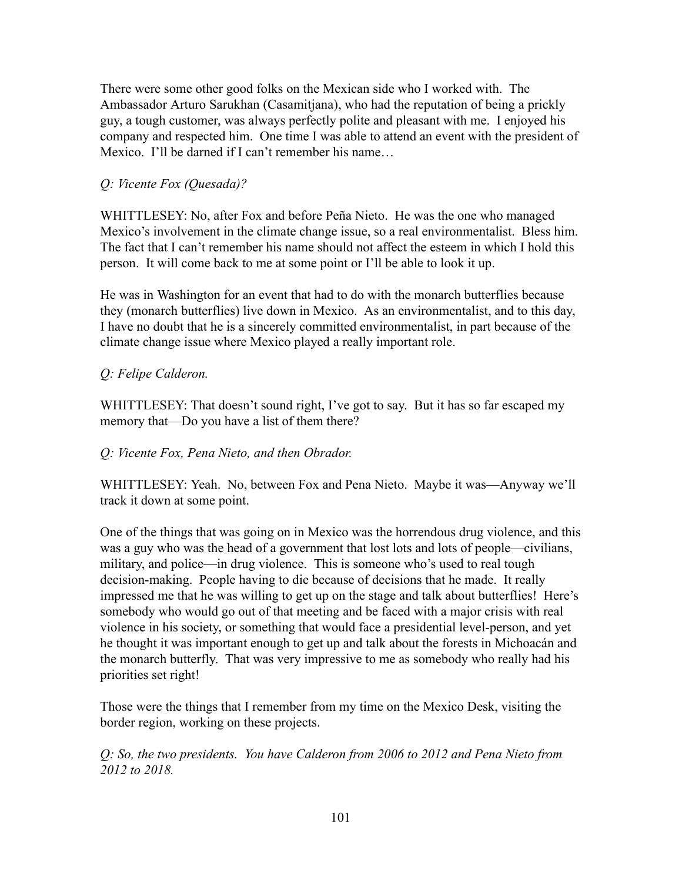There were some other good folks on the Mexican side who I worked with. The Ambassador Arturo Sarukhan (Casamitjana), who had the reputation of being a prickly guy, a tough customer, was always perfectly polite and pleasant with me. I enjoyed his company and respected him. One time I was able to attend an event with the president of Mexico. I'll be darned if I can't remember his name…

# *Q: Vicente Fox (Quesada)?*

WHITTLESEY: No, after Fox and before Peña Nieto. He was the one who managed Mexico's involvement in the climate change issue, so a real environmentalist. Bless him. The fact that I can't remember his name should not affect the esteem in which I hold this person. It will come back to me at some point or I'll be able to look it up.

He was in Washington for an event that had to do with the monarch butterflies because they (monarch butterflies) live down in Mexico. As an environmentalist, and to this day, I have no doubt that he is a sincerely committed environmentalist, in part because of the climate change issue where Mexico played a really important role.

# *Q: Felipe Calderon.*

WHITTLESEY: That doesn't sound right, I've got to say. But it has so far escaped my memory that—Do you have a list of them there?

# *Q: Vicente Fox, Pena Nieto, and then Obrador.*

WHITTLESEY: Yeah. No, between Fox and Pena Nieto. Maybe it was—Anyway we'll track it down at some point.

One of the things that was going on in Mexico was the horrendous drug violence, and this was a guy who was the head of a government that lost lots and lots of people—civilians, military, and police—in drug violence. This is someone who's used to real tough decision-making. People having to die because of decisions that he made. It really impressed me that he was willing to get up on the stage and talk about butterflies! Here's somebody who would go out of that meeting and be faced with a major crisis with real violence in his society, or something that would face a presidential level-person, and yet he thought it was important enough to get up and talk about the forests in [Michoacán](https://www.planeta.com/michoacan) and the monarch butterfly. That was very impressive to me as somebody who really had his priorities set right!

Those were the things that I remember from my time on the Mexico Desk, visiting the border region, working on these projects.

*Q: So, the two presidents. You have Calderon from 2006 to 2012 and Pena Nieto from 2012 to 2018.*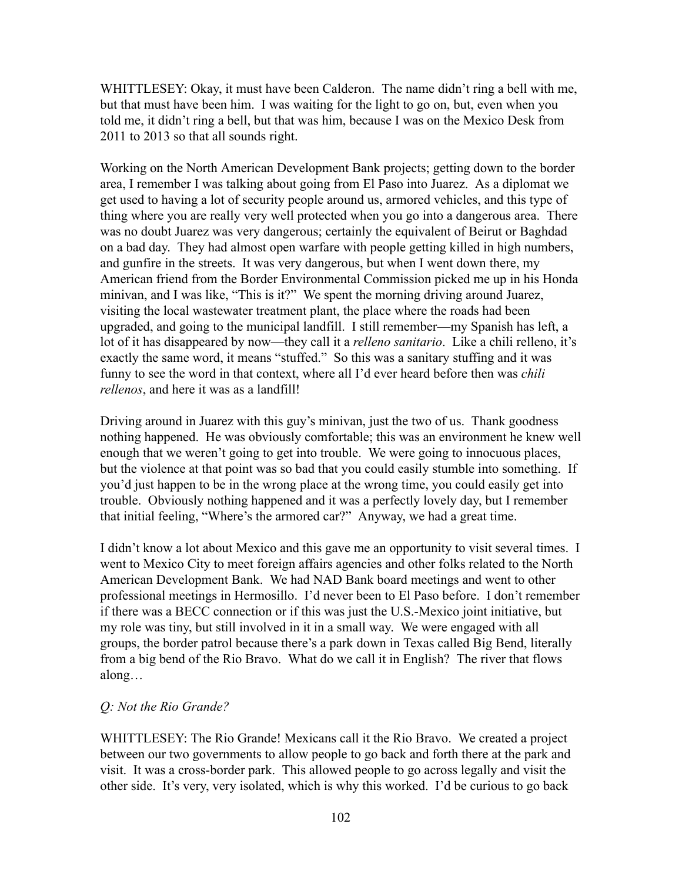WHITTLESEY: Okay, it must have been Calderon. The name didn't ring a bell with me, but that must have been him. I was waiting for the light to go on, but, even when you told me, it didn't ring a bell, but that was him, because I was on the Mexico Desk from 2011 to 2013 so that all sounds right.

Working on the North American Development Bank projects; getting down to the border area, I remember I was talking about going from El Paso into Juarez. As a diplomat we get used to having a lot of security people around us, armored vehicles, and this type of thing where you are really very well protected when you go into a dangerous area. There was no doubt Juarez was very dangerous; certainly the equivalent of Beirut or Baghdad on a bad day. They had almost open warfare with people getting killed in high numbers, and gunfire in the streets. It was very dangerous, but when I went down there, my American friend from the Border Environmental Commission picked me up in his Honda minivan, and I was like, "This is it?" We spent the morning driving around Juarez, visiting the local wastewater treatment plant, the place where the roads had been upgraded, and going to the municipal landfill. I still remember—my Spanish has left, a lot of it has disappeared by now—they call it a *relleno sanitario*. Like a chili relleno, it's exactly the same word, it means "stuffed." So this was a sanitary stuffing and it was funny to see the word in that context, where all I'd ever heard before then was *chili rellenos*, and here it was as a landfill!

Driving around in Juarez with this guy's minivan, just the two of us. Thank goodness nothing happened. He was obviously comfortable; this was an environment he knew well enough that we weren't going to get into trouble. We were going to innocuous places, but the violence at that point was so bad that you could easily stumble into something. If you'd just happen to be in the wrong place at the wrong time, you could easily get into trouble. Obviously nothing happened and it was a perfectly lovely day, but I remember that initial feeling, "Where's the armored car?" Anyway, we had a great time.

I didn't know a lot about Mexico and this gave me an opportunity to visit several times. I went to Mexico City to meet foreign affairs agencies and other folks related to the North American Development Bank. We had NAD Bank board meetings and went to other professional meetings in Hermosillo. I'd never been to El Paso before. I don't remember if there was a BECC connection or if this was just the U.S.-Mexico joint initiative, but my role was tiny, but still involved in it in a small way. We were engaged with all groups, the border patrol because there's a park down in Texas called Big Bend, literally from a big bend of the Rio Bravo. What do we call it in English? The river that flows along…

## *Q: Not the Rio Grande?*

WHITTLESEY: The Rio Grande! Mexicans call it the Rio Bravo. We created a project between our two governments to allow people to go back and forth there at the park and visit. It was a cross-border park. This allowed people to go across legally and visit the other side. It's very, very isolated, which is why this worked. I'd be curious to go back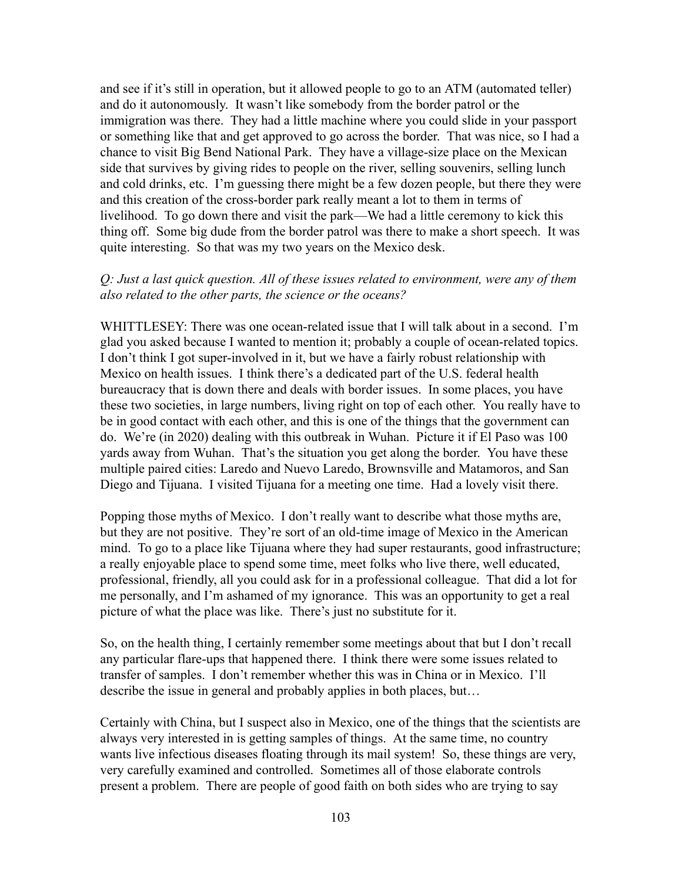and see if it's still in operation, but it allowed people to go to an ATM (automated teller) and do it autonomously. It wasn't like somebody from the border patrol or the immigration was there. They had a little machine where you could slide in your passport or something like that and get approved to go across the border. That was nice, so I had a chance to visit Big Bend National Park. They have a village-size place on the Mexican side that survives by giving rides to people on the river, selling souvenirs, selling lunch and cold drinks, etc. I'm guessing there might be a few dozen people, but there they were and this creation of the cross-border park really meant a lot to them in terms of livelihood. To go down there and visit the park—We had a little ceremony to kick this thing off. Some big dude from the border patrol was there to make a short speech. It was quite interesting. So that was my two years on the Mexico desk.

# *Q: Just a last quick question. All of these issues related to environment, were any of them also related to the other parts, the science or the oceans?*

WHITTLESEY: There was one ocean-related issue that I will talk about in a second. I'm glad you asked because I wanted to mention it; probably a couple of ocean-related topics. I don't think I got super-involved in it, but we have a fairly robust relationship with Mexico on health issues. I think there's a dedicated part of the U.S. federal health bureaucracy that is down there and deals with border issues. In some places, you have these two societies, in large numbers, living right on top of each other. You really have to be in good contact with each other, and this is one of the things that the government can do. We're (in 2020) dealing with this outbreak in Wuhan. Picture it if El Paso was 100 yards away from Wuhan. That's the situation you get along the border. You have these multiple paired cities: Laredo and Nuevo Laredo, Brownsville and Matamoros, and San Diego and Tijuana. I visited Tijuana for a meeting one time. Had a lovely visit there.

Popping those myths of Mexico. I don't really want to describe what those myths are, but they are not positive. They're sort of an old-time image of Mexico in the American mind. To go to a place like Tijuana where they had super restaurants, good infrastructure; a really enjoyable place to spend some time, meet folks who live there, well educated, professional, friendly, all you could ask for in a professional colleague. That did a lot for me personally, and I'm ashamed of my ignorance. This was an opportunity to get a real picture of what the place was like. There's just no substitute for it.

So, on the health thing, I certainly remember some meetings about that but I don't recall any particular flare-ups that happened there. I think there were some issues related to transfer of samples. I don't remember whether this was in China or in Mexico. I'll describe the issue in general and probably applies in both places, but…

Certainly with China, but I suspect also in Mexico, one of the things that the scientists are always very interested in is getting samples of things. At the same time, no country wants live infectious diseases floating through its mail system! So, these things are very, very carefully examined and controlled. Sometimes all of those elaborate controls present a problem. There are people of good faith on both sides who are trying to say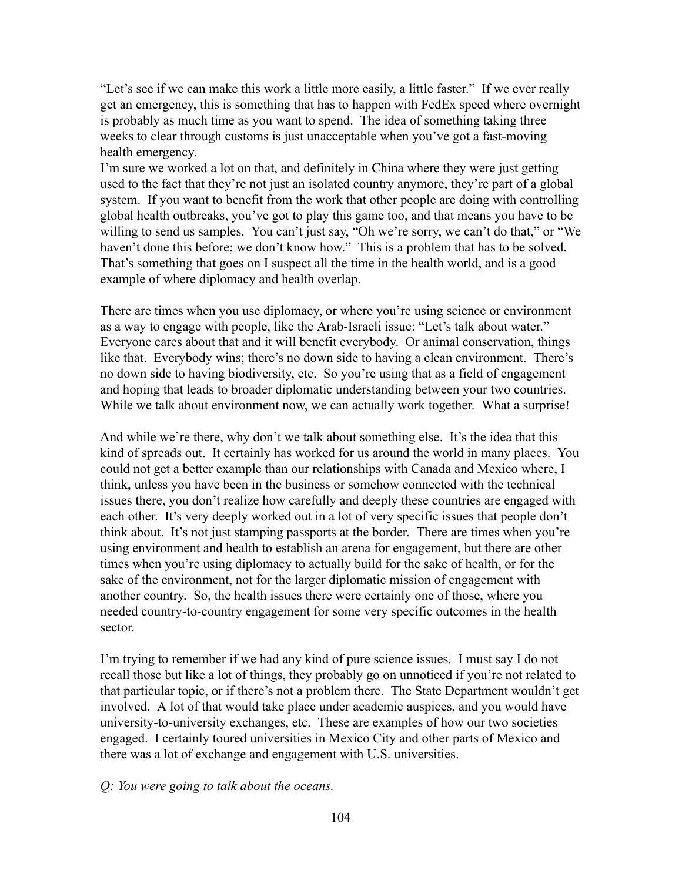"Let's see if we can make this work a little more easily, a little faster." If we ever really get an emergency, this is something that has to happen with FedEx speed where overnight is probably as much time as you want to spend. The idea of something taking three weeks to clear through customs is just unacceptable when you've got a fast-moving health emergency.

I'm sure we worked a lot on that, and definitely in China where they were just getting used to the fact that they're not just an isolated country anymore, they're part of a global system. If you want to benefit from the work that other people are doing with controlling global health outbreaks, you've got to play this game too, and that means you have to be willing to send us samples. You can't just say, "Oh we're sorry, we can't do that," or "We haven't done this before; we don't know how." This is a problem that has to be solved. That's something that goes on I suspect all the time in the health world, and is a good example of where diplomacy and health overlap.

There are times when you use diplomacy, or where you're using science or environment as a way to engage with people, like the Arab-Israeli issue: "Let's talk about water." Everyone cares about that and it will benefit everybody. Or animal conservation, things like that. Everybody wins; there's no down side to having a clean environment. There's no down side to having biodiversity, etc. So you're using that as a field of engagement and hoping that leads to broader diplomatic understanding between your two countries. While we talk about environment now, we can actually work together. What a surprise!

And while we're there, why don't we talk about something else. It's the idea that this kind of spreads out. It certainly has worked for us around the world in many places. You could not get a better example than our relationships with Canada and Mexico where, I think, unless you have been in the business or somehow connected with the technical issues there, you don't realize how carefully and deeply these countries are engaged with each other. It's very deeply worked out in a lot of very specific issues that people don't think about. It's not just stamping passports at the border. There are times when you're using environment and health to establish an arena for engagement, but there are other times when you're using diplomacy to actually build for the sake of health, or for the sake of the environment, not for the larger diplomatic mission of engagement with another country. So, the health issues there were certainly one of those, where you needed country-to-country engagement for some very specific outcomes in the health sector.

I'm trying to remember if we had any kind of pure science issues. I must say I do not recall those but like a lot of things, they probably go on unnoticed if you're not related to that particular topic, or if there's not a problem there. The State Department wouldn't get involved. A lot of that would take place under academic auspices, and you would have university-to-university exchanges, etc. These are examples of how our two societies engaged. I certainly toured universities in Mexico City and other parts of Mexico and there was a lot of exchange and engagement with U.S. universities.

### *Q: You were going to talk about the oceans.*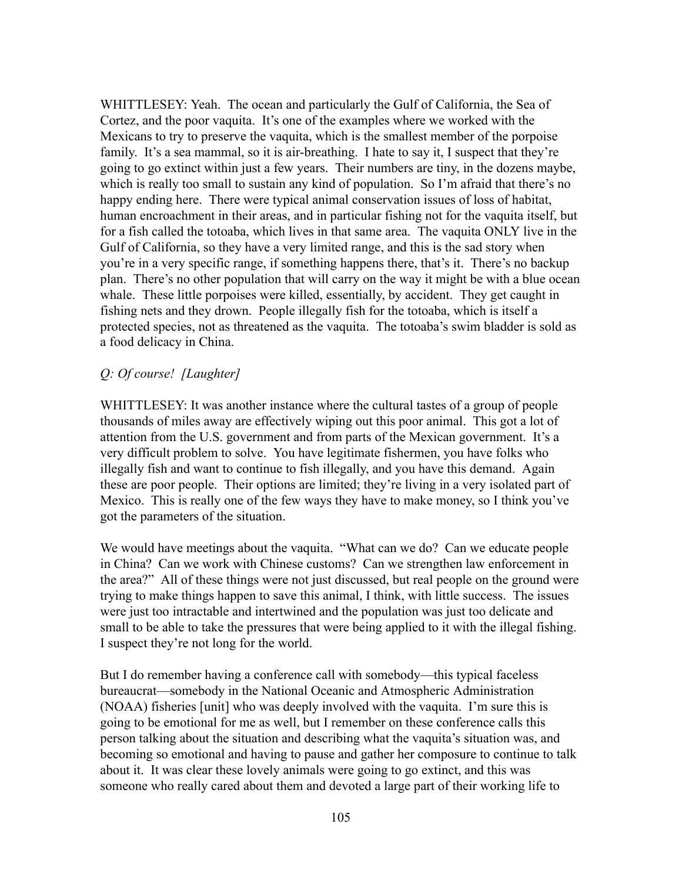WHITTLESEY: Yeah. The ocean and particularly the Gulf of California, the Sea of Cortez, and the poor vaquita. It's one of the examples where we worked with the Mexicans to try to preserve the vaquita, which is the smallest member of the porpoise family. It's a sea mammal, so it is air-breathing. I hate to say it, I suspect that they're going to go extinct within just a few years. Their numbers are tiny, in the dozens maybe, which is really too small to sustain any kind of population. So I'm afraid that there's no happy ending here. There were typical animal conservation issues of loss of habitat, human encroachment in their areas, and in particular fishing not for the vaquita itself, but for a fish called the totoaba, which lives in that same area. The vaquita ONLY live in the Gulf of California, so they have a very limited range, and this is the sad story when you're in a very specific range, if something happens there, that's it. There's no backup plan. There's no other population that will carry on the way it might be with a blue ocean whale. These little porpoises were killed, essentially, by accident. They get caught in fishing nets and they drown. People illegally fish for the totoaba, which is itself a protected species, not as threatened as the vaquita. The totoaba's swim bladder is sold as a food delicacy in China.

## *Q: Of course! [Laughter]*

WHITTLESEY: It was another instance where the cultural tastes of a group of people thousands of miles away are effectively wiping out this poor animal. This got a lot of attention from the U.S. government and from parts of the Mexican government. It's a very difficult problem to solve. You have legitimate fishermen, you have folks who illegally fish and want to continue to fish illegally, and you have this demand. Again these are poor people. Their options are limited; they're living in a very isolated part of Mexico. This is really one of the few ways they have to make money, so I think you've got the parameters of the situation.

We would have meetings about the vaquita. "What can we do? Can we educate people in China? Can we work with Chinese customs? Can we strengthen law enforcement in the area?" All of these things were not just discussed, but real people on the ground were trying to make things happen to save this animal, I think, with little success. The issues were just too intractable and intertwined and the population was just too delicate and small to be able to take the pressures that were being applied to it with the illegal fishing. I suspect they're not long for the world.

But I do remember having a conference call with somebody—this typical faceless bureaucrat—somebody in the National Oceanic and Atmospheric Administration (NOAA) fisheries [unit] who was deeply involved with the vaquita. I'm sure this is going to be emotional for me as well, but I remember on these conference calls this person talking about the situation and describing what the vaquita's situation was, and becoming so emotional and having to pause and gather her composure to continue to talk about it. It was clear these lovely animals were going to go extinct, and this was someone who really cared about them and devoted a large part of their working life to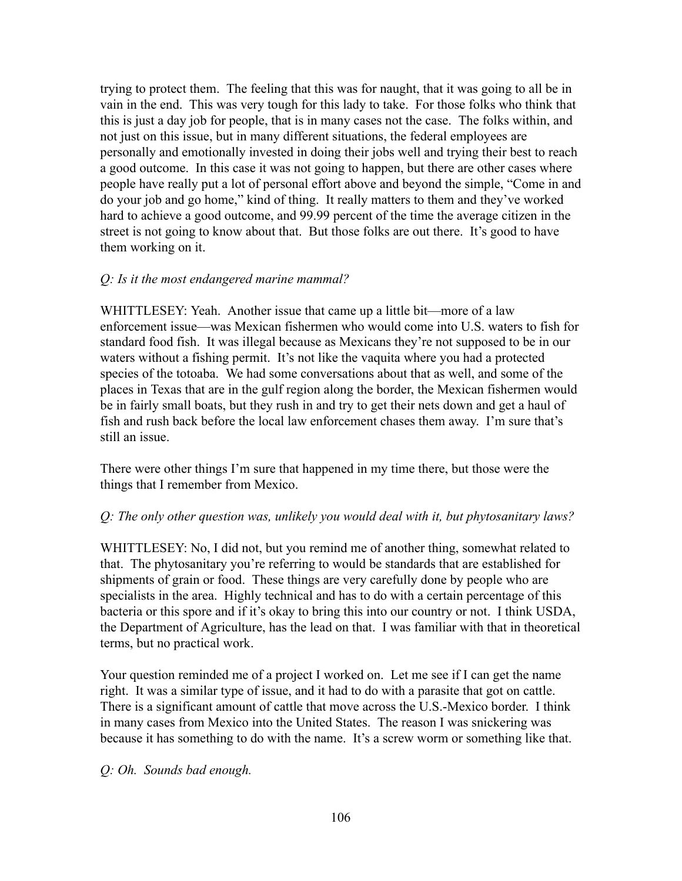trying to protect them. The feeling that this was for naught, that it was going to all be in vain in the end. This was very tough for this lady to take. For those folks who think that this is just a day job for people, that is in many cases not the case. The folks within, and not just on this issue, but in many different situations, the federal employees are personally and emotionally invested in doing their jobs well and trying their best to reach a good outcome. In this case it was not going to happen, but there are other cases where people have really put a lot of personal effort above and beyond the simple, "Come in and do your job and go home," kind of thing. It really matters to them and they've worked hard to achieve a good outcome, and 99.99 percent of the time the average citizen in the street is not going to know about that. But those folks are out there. It's good to have them working on it.

# *Q: Is it the most endangered marine mammal?*

WHITTLESEY: Yeah. Another issue that came up a little bit—more of a law enforcement issue—was Mexican fishermen who would come into U.S. waters to fish for standard food fish. It was illegal because as Mexicans they're not supposed to be in our waters without a fishing permit. It's not like the vaquita where you had a protected species of the totoaba. We had some conversations about that as well, and some of the places in Texas that are in the gulf region along the border, the Mexican fishermen would be in fairly small boats, but they rush in and try to get their nets down and get a haul of fish and rush back before the local law enforcement chases them away. I'm sure that's still an issue.

There were other things I'm sure that happened in my time there, but those were the things that I remember from Mexico.

# *Q: The only other question was, unlikely you would deal with it, but phytosanitary laws?*

WHITTLESEY: No, I did not, but you remind me of another thing, somewhat related to that. The phytosanitary you're referring to would be standards that are established for shipments of grain or food. These things are very carefully done by people who are specialists in the area. Highly technical and has to do with a certain percentage of this bacteria or this spore and if it's okay to bring this into our country or not. I think USDA, the Department of Agriculture, has the lead on that. I was familiar with that in theoretical terms, but no practical work.

Your question reminded me of a project I worked on. Let me see if I can get the name right. It was a similar type of issue, and it had to do with a parasite that got on cattle. There is a significant amount of cattle that move across the U.S.-Mexico border. I think in many cases from Mexico into the United States. The reason I was snickering was because it has something to do with the name. It's a screw worm or something like that.

## *Q: Oh. Sounds bad enough.*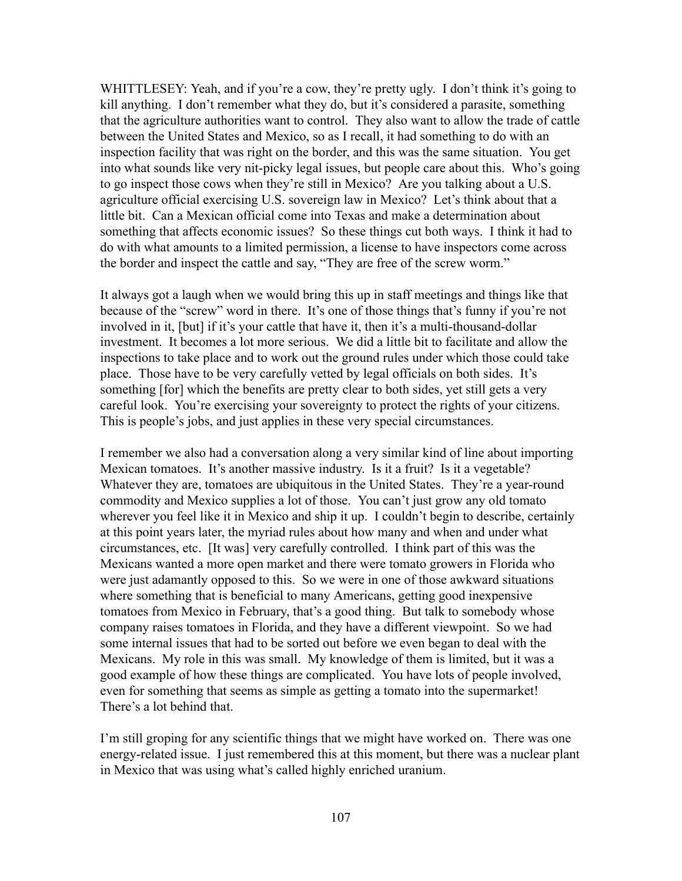WHITTLESEY: Yeah, and if you're a cow, they're pretty ugly. I don't think it's going to kill anything. I don't remember what they do, but it's considered a parasite, something that the agriculture authorities want to control. They also want to allow the trade of cattle between the United States and Mexico, so as I recall, it had something to do with an inspection facility that was right on the border, and this was the same situation. You get into what sounds like very nit-picky legal issues, but people care about this. Who's going to go inspect those cows when they're still in Mexico? Are you talking about a U.S. agriculture official exercising U.S. sovereign law in Mexico? Let's think about that a little bit. Can a Mexican official come into Texas and make a determination about something that affects economic issues? So these things cut both ways. I think it had to do with what amounts to a limited permission, a license to have inspectors come across the border and inspect the cattle and say, "They are free of the screw worm."

It always got a laugh when we would bring this up in staff meetings and things like that because of the "screw" word in there. It's one of those things that's funny if you're not involved in it, [but] if it's your cattle that have it, then it's a multi-thousand-dollar investment. It becomes a lot more serious. We did a little bit to facilitate and allow the inspections to take place and to work out the ground rules under which those could take place. Those have to be very carefully vetted by legal officials on both sides. It's something [for] which the benefits are pretty clear to both sides, yet still gets a very careful look. You're exercising your sovereignty to protect the rights of your citizens. This is people's jobs, and just applies in these very special circumstances.

I remember we also had a conversation along a very similar kind of line about importing Mexican tomatoes. It's another massive industry. Is it a fruit? Is it a vegetable? Whatever they are, tomatoes are ubiquitous in the United States. They're a year-round commodity and Mexico supplies a lot of those. You can't just grow any old tomato wherever you feel like it in Mexico and ship it up. I couldn't begin to describe, certainly at this point years later, the myriad rules about how many and when and under what circumstances, etc. [It was] very carefully controlled. I think part of this was the Mexicans wanted a more open market and there were tomato growers in Florida who were just adamantly opposed to this. So we were in one of those awkward situations where something that is beneficial to many Americans, getting good inexpensive tomatoes from Mexico in February, that's a good thing. But talk to somebody whose company raises tomatoes in Florida, and they have a different viewpoint. So we had some internal issues that had to be sorted out before we even began to deal with the Mexicans. My role in this was small. My knowledge of them is limited, but it was a good example of how these things are complicated. You have lots of people involved, even for something that seems as simple as getting a tomato into the supermarket! There's a lot behind that.

I'm still groping for any scientific things that we might have worked on. There was one energy-related issue. I just remembered this at this moment, but there was a nuclear plant in Mexico that was using what's called highly enriched uranium.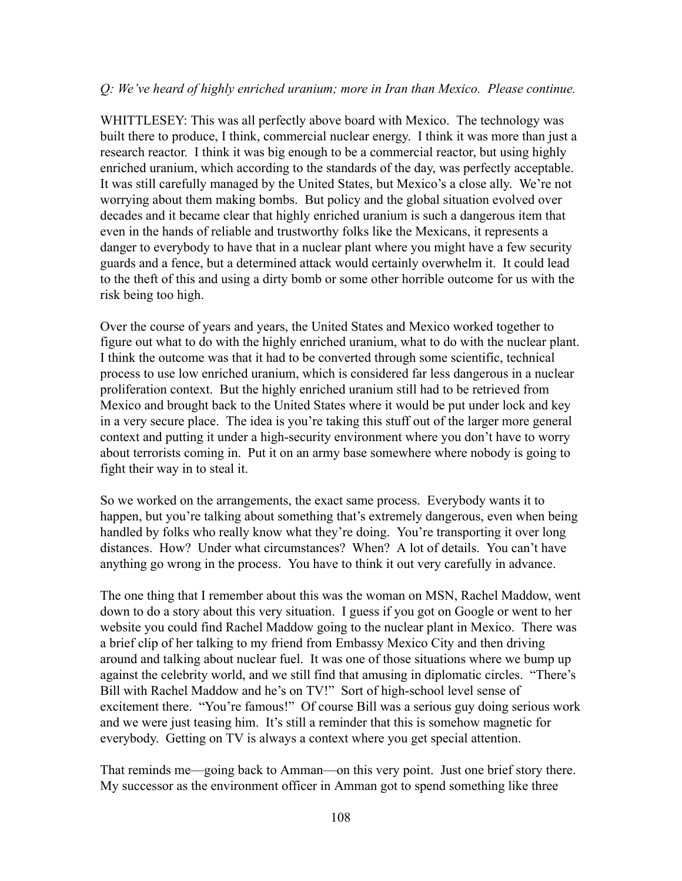## *Q: We've heard of highly enriched uranium; more in Iran than Mexico. Please continue.*

WHITTLESEY: This was all perfectly above board with Mexico. The technology was built there to produce, I think, commercial nuclear energy. I think it was more than just a research reactor. I think it was big enough to be a commercial reactor, but using highly enriched uranium, which according to the standards of the day, was perfectly acceptable. It was still carefully managed by the United States, but Mexico's a close ally. We're not worrying about them making bombs. But policy and the global situation evolved over decades and it became clear that highly enriched uranium is such a dangerous item that even in the hands of reliable and trustworthy folks like the Mexicans, it represents a danger to everybody to have that in a nuclear plant where you might have a few security guards and a fence, but a determined attack would certainly overwhelm it. It could lead to the theft of this and using a dirty bomb or some other horrible outcome for us with the risk being too high.

Over the course of years and years, the United States and Mexico worked together to figure out what to do with the highly enriched uranium, what to do with the nuclear plant. I think the outcome was that it had to be converted through some scientific, technical process to use low enriched uranium, which is considered far less dangerous in a nuclear proliferation context. But the highly enriched uranium still had to be retrieved from Mexico and brought back to the United States where it would be put under lock and key in a very secure place. The idea is you're taking this stuff out of the larger more general context and putting it under a high-security environment where you don't have to worry about terrorists coming in. Put it on an army base somewhere where nobody is going to fight their way in to steal it.

So we worked on the arrangements, the exact same process. Everybody wants it to happen, but you're talking about something that's extremely dangerous, even when being handled by folks who really know what they're doing. You're transporting it over long distances. How? Under what circumstances? When? A lot of details. You can't have anything go wrong in the process. You have to think it out very carefully in advance.

The one thing that I remember about this was the woman on MSN, Rachel Maddow, went down to do a story about this very situation. I guess if you got on Google or went to her website you could find Rachel Maddow going to the nuclear plant in Mexico. There was a brief clip of her talking to my friend from Embassy Mexico City and then driving around and talking about nuclear fuel. It was one of those situations where we bump up against the celebrity world, and we still find that amusing in diplomatic circles. "There's Bill with Rachel Maddow and he's on TV!" Sort of high-school level sense of excitement there. "You're famous!" Of course Bill was a serious guy doing serious work and we were just teasing him. It's still a reminder that this is somehow magnetic for everybody. Getting on TV is always a context where you get special attention.

That reminds me—going back to Amman—on this very point. Just one brief story there. My successor as the environment officer in Amman got to spend something like three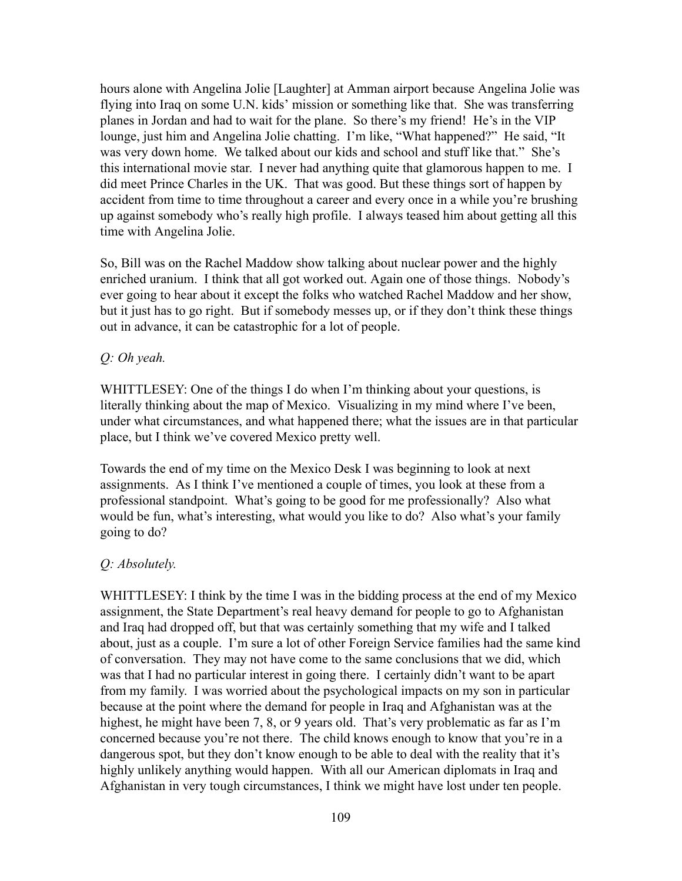hours alone with Angelina Jolie [Laughter] at Amman airport because Angelina Jolie was flying into Iraq on some U.N. kids' mission or something like that. She was transferring planes in Jordan and had to wait for the plane. So there's my friend! He's in the VIP lounge, just him and Angelina Jolie chatting. I'm like, "What happened?" He said, "It was very down home. We talked about our kids and school and stuff like that." She's this international movie star. I never had anything quite that glamorous happen to me. I did meet Prince Charles in the UK. That was good. But these things sort of happen by accident from time to time throughout a career and every once in a while you're brushing up against somebody who's really high profile. I always teased him about getting all this time with Angelina Jolie.

So, Bill was on the Rachel Maddow show talking about nuclear power and the highly enriched uranium. I think that all got worked out. Again one of those things. Nobody's ever going to hear about it except the folks who watched Rachel Maddow and her show, but it just has to go right. But if somebody messes up, or if they don't think these things out in advance, it can be catastrophic for a lot of people.

#### *Q: Oh yeah.*

WHITTLESEY: One of the things I do when I'm thinking about your questions, is literally thinking about the map of Mexico. Visualizing in my mind where I've been, under what circumstances, and what happened there; what the issues are in that particular place, but I think we've covered Mexico pretty well.

Towards the end of my time on the Mexico Desk I was beginning to look at next assignments. As I think I've mentioned a couple of times, you look at these from a professional standpoint. What's going to be good for me professionally? Also what would be fun, what's interesting, what would you like to do? Also what's your family going to do?

#### *Q: Absolutely.*

WHITTLESEY: I think by the time I was in the bidding process at the end of my Mexico assignment, the State Department's real heavy demand for people to go to Afghanistan and Iraq had dropped off, but that was certainly something that my wife and I talked about, just as a couple. I'm sure a lot of other Foreign Service families had the same kind of conversation. They may not have come to the same conclusions that we did, which was that I had no particular interest in going there. I certainly didn't want to be apart from my family. I was worried about the psychological impacts on my son in particular because at the point where the demand for people in Iraq and Afghanistan was at the highest, he might have been 7, 8, or 9 years old. That's very problematic as far as I'm concerned because you're not there. The child knows enough to know that you're in a dangerous spot, but they don't know enough to be able to deal with the reality that it's highly unlikely anything would happen. With all our American diplomats in Iraq and Afghanistan in very tough circumstances, I think we might have lost under ten people.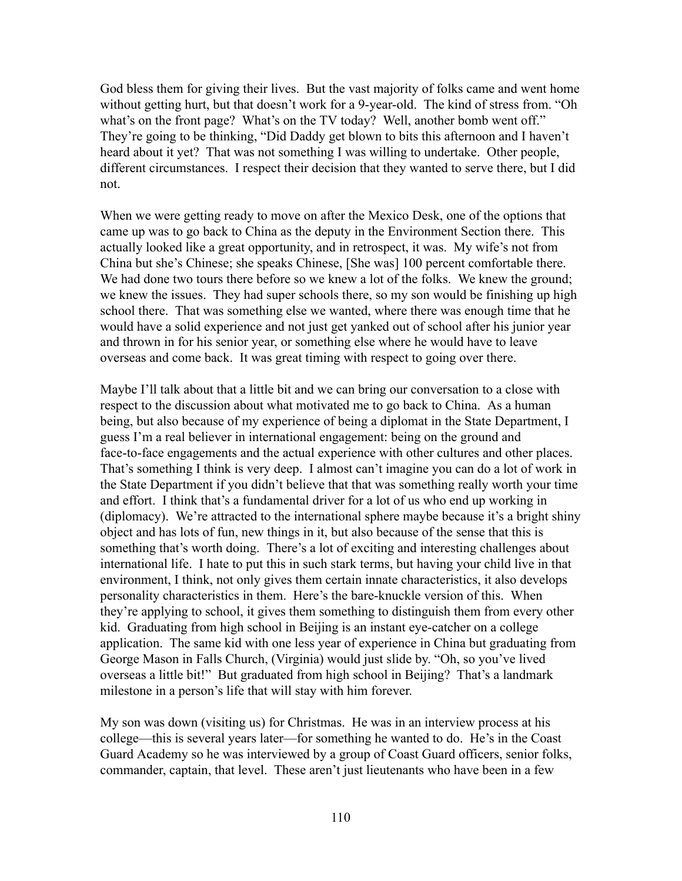God bless them for giving their lives. But the vast majority of folks came and went home without getting hurt, but that doesn't work for a 9-year-old. The kind of stress from. "Oh what's on the front page? What's on the TV today? Well, another bomb went off." They're going to be thinking, "Did Daddy get blown to bits this afternoon and I haven't heard about it yet? That was not something I was willing to undertake. Other people, different circumstances. I respect their decision that they wanted to serve there, but I did not.

When we were getting ready to move on after the Mexico Desk, one of the options that came up was to go back to China as the deputy in the Environment Section there. This actually looked like a great opportunity, and in retrospect, it was. My wife's not from China but she's Chinese; she speaks Chinese, [She was] 100 percent comfortable there. We had done two tours there before so we knew a lot of the folks. We knew the ground; we knew the issues. They had super schools there, so my son would be finishing up high school there. That was something else we wanted, where there was enough time that he would have a solid experience and not just get yanked out of school after his junior year and thrown in for his senior year, or something else where he would have to leave overseas and come back. It was great timing with respect to going over there.

Maybe I'll talk about that a little bit and we can bring our conversation to a close with respect to the discussion about what motivated me to go back to China. As a human being, but also because of my experience of being a diplomat in the State Department, I guess I'm a real believer in international engagement: being on the ground and face-to-face engagements and the actual experience with other cultures and other places. That's something I think is very deep. I almost can't imagine you can do a lot of work in the State Department if you didn't believe that that was something really worth your time and effort. I think that's a fundamental driver for a lot of us who end up working in (diplomacy). We're attracted to the international sphere maybe because it's a bright shiny object and has lots of fun, new things in it, but also because of the sense that this is something that's worth doing. There's a lot of exciting and interesting challenges about international life. I hate to put this in such stark terms, but having your child live in that environment, I think, not only gives them certain innate characteristics, it also develops personality characteristics in them. Here's the bare-knuckle version of this. When they're applying to school, it gives them something to distinguish them from every other kid. Graduating from high school in Beijing is an instant eye-catcher on a college application. The same kid with one less year of experience in China but graduating from George Mason in Falls Church, (Virginia) would just slide by. "Oh, so you've lived overseas a little bit!" But graduated from high school in Beijing? That's a landmark milestone in a person's life that will stay with him forever.

My son was down (visiting us) for Christmas. He was in an interview process at his college—this is several years later—for something he wanted to do. He's in the Coast Guard Academy so he was interviewed by a group of Coast Guard officers, senior folks, commander, captain, that level. These aren't just lieutenants who have been in a few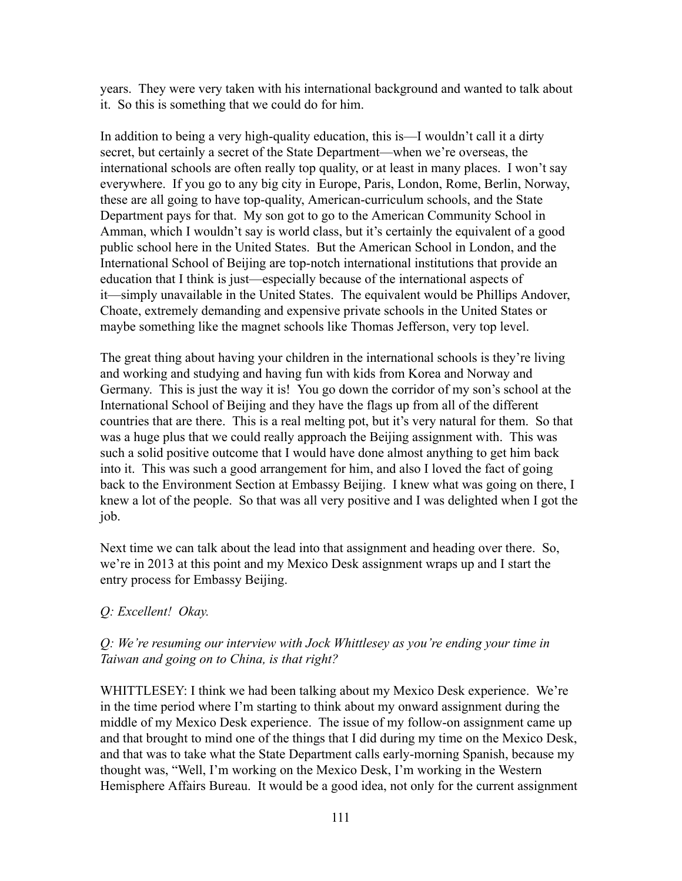years. They were very taken with his international background and wanted to talk about it. So this is something that we could do for him.

In addition to being a very high-quality education, this is—I wouldn't call it a dirty secret, but certainly a secret of the State Department—when we're overseas, the international schools are often really top quality, or at least in many places. I won't say everywhere. If you go to any big city in Europe, Paris, London, Rome, Berlin, Norway, these are all going to have top-quality, American-curriculum schools, and the State Department pays for that. My son got to go to the American Community School in Amman, which I wouldn't say is world class, but it's certainly the equivalent of a good public school here in the United States. But the American School in London, and the International School of Beijing are top-notch international institutions that provide an education that I think is just—especially because of the international aspects of it—simply unavailable in the United States. The equivalent would be Phillips Andover, Choate, extremely demanding and expensive private schools in the United States or maybe something like the magnet schools like Thomas Jefferson, very top level.

The great thing about having your children in the international schools is they're living and working and studying and having fun with kids from Korea and Norway and Germany. This is just the way it is! You go down the corridor of my son's school at the International School of Beijing and they have the flags up from all of the different countries that are there. This is a real melting pot, but it's very natural for them. So that was a huge plus that we could really approach the Beijing assignment with. This was such a solid positive outcome that I would have done almost anything to get him back into it. This was such a good arrangement for him, and also I loved the fact of going back to the Environment Section at Embassy Beijing. I knew what was going on there, I knew a lot of the people. So that was all very positive and I was delighted when I got the job.

Next time we can talk about the lead into that assignment and heading over there. So, we're in 2013 at this point and my Mexico Desk assignment wraps up and I start the entry process for Embassy Beijing.

## *Q: Excellent! Okay.*

## *Q: We're resuming our interview with Jock Whittlesey as you're ending your time in Taiwan and going on to China, is that right?*

WHITTLESEY: I think we had been talking about my Mexico Desk experience. We're in the time period where I'm starting to think about my onward assignment during the middle of my Mexico Desk experience. The issue of my follow-on assignment came up and that brought to mind one of the things that I did during my time on the Mexico Desk, and that was to take what the State Department calls early-morning Spanish, because my thought was, "Well, I'm working on the Mexico Desk, I'm working in the Western Hemisphere Affairs Bureau. It would be a good idea, not only for the current assignment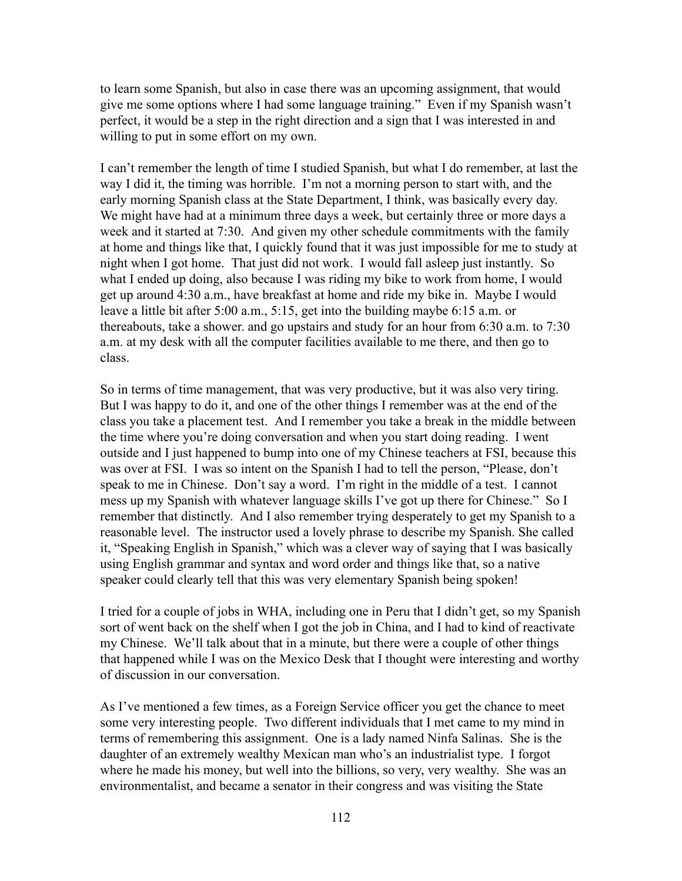to learn some Spanish, but also in case there was an upcoming assignment, that would give me some options where I had some language training." Even if my Spanish wasn't perfect, it would be a step in the right direction and a sign that I was interested in and willing to put in some effort on my own.

I can't remember the length of time I studied Spanish, but what I do remember, at last the way I did it, the timing was horrible. I'm not a morning person to start with, and the early morning Spanish class at the State Department, I think, was basically every day. We might have had at a minimum three days a week, but certainly three or more days a week and it started at 7:30. And given my other schedule commitments with the family at home and things like that, I quickly found that it was just impossible for me to study at night when I got home. That just did not work. I would fall asleep just instantly. So what I ended up doing, also because I was riding my bike to work from home, I would get up around 4:30 a.m., have breakfast at home and ride my bike in. Maybe I would leave a little bit after 5:00 a.m., 5:15, get into the building maybe 6:15 a.m. or thereabouts, take a shower. and go upstairs and study for an hour from 6:30 a.m. to 7:30 a.m. at my desk with all the computer facilities available to me there, and then go to class.

So in terms of time management, that was very productive, but it was also very tiring. But I was happy to do it, and one of the other things I remember was at the end of the class you take a placement test. And I remember you take a break in the middle between the time where you're doing conversation and when you start doing reading. I went outside and I just happened to bump into one of my Chinese teachers at FSI, because this was over at FSI. I was so intent on the Spanish I had to tell the person, "Please, don't speak to me in Chinese. Don't say a word. I'm right in the middle of a test. I cannot mess up my Spanish with whatever language skills I've got up there for Chinese." So I remember that distinctly. And I also remember trying desperately to get my Spanish to a reasonable level. The instructor used a lovely phrase to describe my Spanish. She called it, "Speaking English in Spanish," which was a clever way of saying that I was basically using English grammar and syntax and word order and things like that, so a native speaker could clearly tell that this was very elementary Spanish being spoken!

I tried for a couple of jobs in WHA, including one in Peru that I didn't get, so my Spanish sort of went back on the shelf when I got the job in China, and I had to kind of reactivate my Chinese. We'll talk about that in a minute, but there were a couple of other things that happened while I was on the Mexico Desk that I thought were interesting and worthy of discussion in our conversation.

As I've mentioned a few times, as a Foreign Service officer you get the chance to meet some very interesting people. Two different individuals that I met came to my mind in terms of remembering this assignment. One is a lady named Ninfa Salinas. She is the daughter of an extremely wealthy Mexican man who's an industrialist type. I forgot where he made his money, but well into the billions, so very, very wealthy. She was an environmentalist, and became a senator in their congress and was visiting the State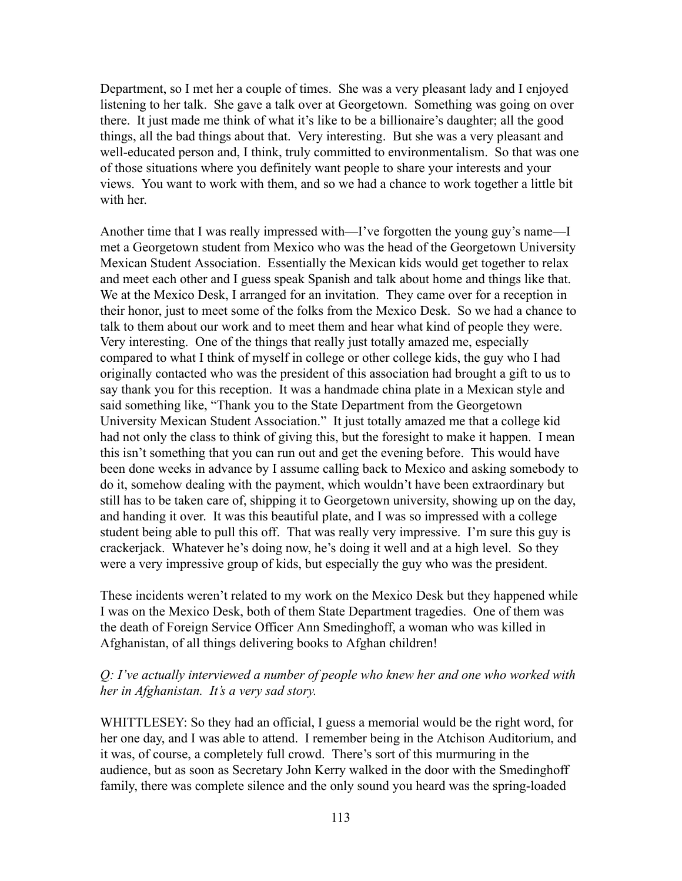Department, so I met her a couple of times. She was a very pleasant lady and I enjoyed listening to her talk. She gave a talk over at Georgetown. Something was going on over there. It just made me think of what it's like to be a billionaire's daughter; all the good things, all the bad things about that. Very interesting. But she was a very pleasant and well-educated person and, I think, truly committed to environmentalism. So that was one of those situations where you definitely want people to share your interests and your views. You want to work with them, and so we had a chance to work together a little bit with her.

Another time that I was really impressed with—I've forgotten the young guy's name—I met a Georgetown student from Mexico who was the head of the Georgetown University Mexican Student Association. Essentially the Mexican kids would get together to relax and meet each other and I guess speak Spanish and talk about home and things like that. We at the Mexico Desk, I arranged for an invitation. They came over for a reception in their honor, just to meet some of the folks from the Mexico Desk. So we had a chance to talk to them about our work and to meet them and hear what kind of people they were. Very interesting. One of the things that really just totally amazed me, especially compared to what I think of myself in college or other college kids, the guy who I had originally contacted who was the president of this association had brought a gift to us to say thank you for this reception. It was a handmade china plate in a Mexican style and said something like, "Thank you to the State Department from the Georgetown University Mexican Student Association." It just totally amazed me that a college kid had not only the class to think of giving this, but the foresight to make it happen. I mean this isn't something that you can run out and get the evening before. This would have been done weeks in advance by I assume calling back to Mexico and asking somebody to do it, somehow dealing with the payment, which wouldn't have been extraordinary but still has to be taken care of, shipping it to Georgetown university, showing up on the day, and handing it over. It was this beautiful plate, and I was so impressed with a college student being able to pull this off. That was really very impressive. I'm sure this guy is crackerjack. Whatever he's doing now, he's doing it well and at a high level. So they were a very impressive group of kids, but especially the guy who was the president.

These incidents weren't related to my work on the Mexico Desk but they happened while I was on the Mexico Desk, both of them State Department tragedies. One of them was the death of Foreign Service Officer Ann Smedinghoff, a woman who was killed in Afghanistan, of all things delivering books to Afghan children!

#### *Q: I've actually interviewed a number of people who knew her and one who worked with her in Afghanistan. It's a very sad story.*

WHITTLESEY: So they had an official, I guess a memorial would be the right word, for her one day, and I was able to attend. I remember being in the Atchison Auditorium, and it was, of course, a completely full crowd. There's sort of this murmuring in the audience, but as soon as Secretary John Kerry walked in the door with the Smedinghoff family, there was complete silence and the only sound you heard was the spring-loaded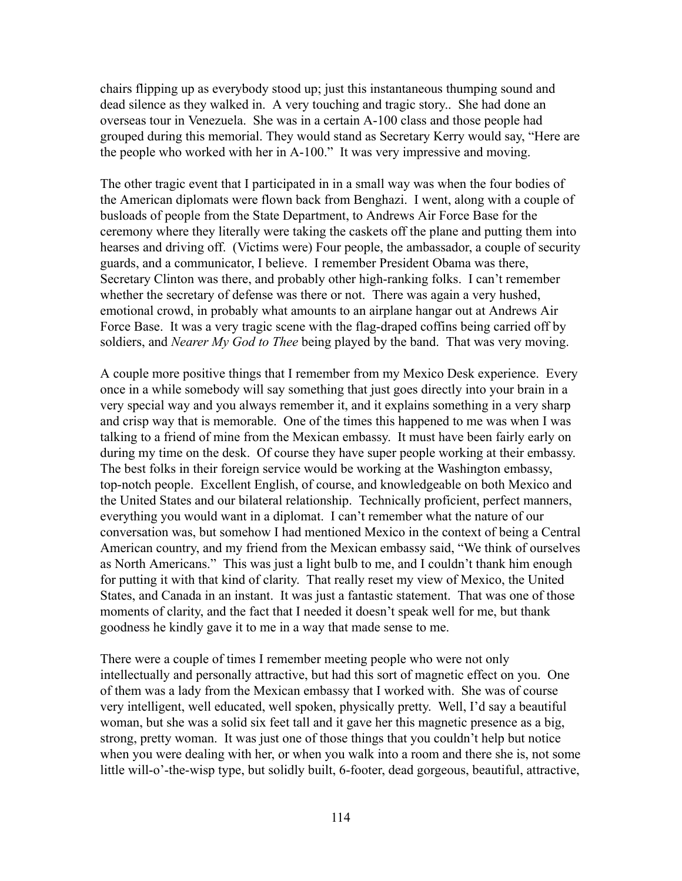chairs flipping up as everybody stood up; just this instantaneous thumping sound and dead silence as they walked in. A very touching and tragic story.. She had done an overseas tour in Venezuela. She was in a certain A-100 class and those people had grouped during this memorial. They would stand as Secretary Kerry would say, "Here are the people who worked with her in A-100." It was very impressive and moving.

The other tragic event that I participated in in a small way was when the four bodies of the American diplomats were flown back from Benghazi. I went, along with a couple of busloads of people from the State Department, to Andrews Air Force Base for the ceremony where they literally were taking the caskets off the plane and putting them into hearses and driving off. (Victims were) Four people, the ambassador, a couple of security guards, and a communicator, I believe. I remember President Obama was there, Secretary Clinton was there, and probably other high-ranking folks. I can't remember whether the secretary of defense was there or not. There was again a very hushed, emotional crowd, in probably what amounts to an airplane hangar out at Andrews Air Force Base. It was a very tragic scene with the flag-draped coffins being carried off by soldiers, and *Nearer My God to Thee* being played by the band. That was very moving.

A couple more positive things that I remember from my Mexico Desk experience. Every once in a while somebody will say something that just goes directly into your brain in a very special way and you always remember it, and it explains something in a very sharp and crisp way that is memorable. One of the times this happened to me was when I was talking to a friend of mine from the Mexican embassy. It must have been fairly early on during my time on the desk. Of course they have super people working at their embassy. The best folks in their foreign service would be working at the Washington embassy, top-notch people. Excellent English, of course, and knowledgeable on both Mexico and the United States and our bilateral relationship. Technically proficient, perfect manners, everything you would want in a diplomat. I can't remember what the nature of our conversation was, but somehow I had mentioned Mexico in the context of being a Central American country, and my friend from the Mexican embassy said, "We think of ourselves as North Americans." This was just a light bulb to me, and I couldn't thank him enough for putting it with that kind of clarity. That really reset my view of Mexico, the United States, and Canada in an instant. It was just a fantastic statement. That was one of those moments of clarity, and the fact that I needed it doesn't speak well for me, but thank goodness he kindly gave it to me in a way that made sense to me.

There were a couple of times I remember meeting people who were not only intellectually and personally attractive, but had this sort of magnetic effect on you. One of them was a lady from the Mexican embassy that I worked with. She was of course very intelligent, well educated, well spoken, physically pretty. Well, I'd say a beautiful woman, but she was a solid six feet tall and it gave her this magnetic presence as a big, strong, pretty woman. It was just one of those things that you couldn't help but notice when you were dealing with her, or when you walk into a room and there she is, not some little will-o'-the-wisp type, but solidly built, 6-footer, dead gorgeous, beautiful, attractive,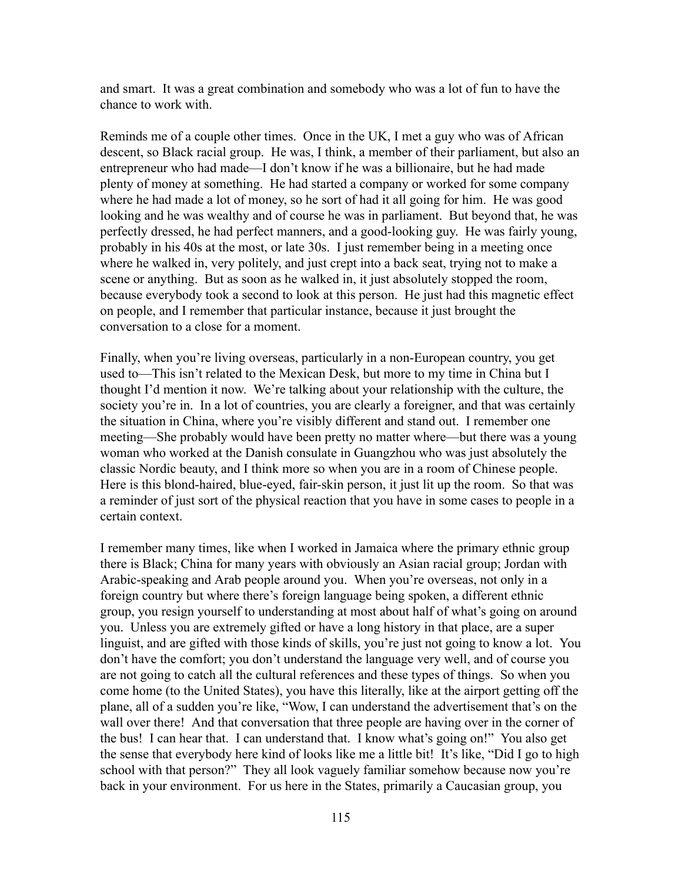and smart. It was a great combination and somebody who was a lot of fun to have the chance to work with.

Reminds me of a couple other times. Once in the UK, I met a guy who was of African descent, so Black racial group. He was, I think, a member of their parliament, but also an entrepreneur who had made—I don't know if he was a billionaire, but he had made plenty of money at something. He had started a company or worked for some company where he had made a lot of money, so he sort of had it all going for him. He was good looking and he was wealthy and of course he was in parliament. But beyond that, he was perfectly dressed, he had perfect manners, and a good-looking guy. He was fairly young, probably in his 40s at the most, or late 30s. I just remember being in a meeting once where he walked in, very politely, and just crept into a back seat, trying not to make a scene or anything. But as soon as he walked in, it just absolutely stopped the room, because everybody took a second to look at this person. He just had this magnetic effect on people, and I remember that particular instance, because it just brought the conversation to a close for a moment.

Finally, when you're living overseas, particularly in a non-European country, you get used to—This isn't related to the Mexican Desk, but more to my time in China but I thought I'd mention it now. We're talking about your relationship with the culture, the society you're in. In a lot of countries, you are clearly a foreigner, and that was certainly the situation in China, where you're visibly different and stand out. I remember one meeting—She probably would have been pretty no matter where—but there was a young woman who worked at the Danish consulate in Guangzhou who was just absolutely the classic Nordic beauty, and I think more so when you are in a room of Chinese people. Here is this blond-haired, blue-eyed, fair-skin person, it just lit up the room. So that was a reminder of just sort of the physical reaction that you have in some cases to people in a certain context.

I remember many times, like when I worked in Jamaica where the primary ethnic group there is Black; China for many years with obviously an Asian racial group; Jordan with Arabic-speaking and Arab people around you. When you're overseas, not only in a foreign country but where there's foreign language being spoken, a different ethnic group, you resign yourself to understanding at most about half of what's going on around you. Unless you are extremely gifted or have a long history in that place, are a super linguist, and are gifted with those kinds of skills, you're just not going to know a lot. You don't have the comfort; you don't understand the language very well, and of course you are not going to catch all the cultural references and these types of things. So when you come home (to the United States), you have this literally, like at the airport getting off the plane, all of a sudden you're like, "Wow, I can understand the advertisement that's on the wall over there! And that conversation that three people are having over in the corner of the bus! I can hear that. I can understand that. I know what's going on!" You also get the sense that everybody here kind of looks like me a little bit! It's like, "Did I go to high school with that person?" They all look vaguely familiar somehow because now you're back in your environment. For us here in the States, primarily a Caucasian group, you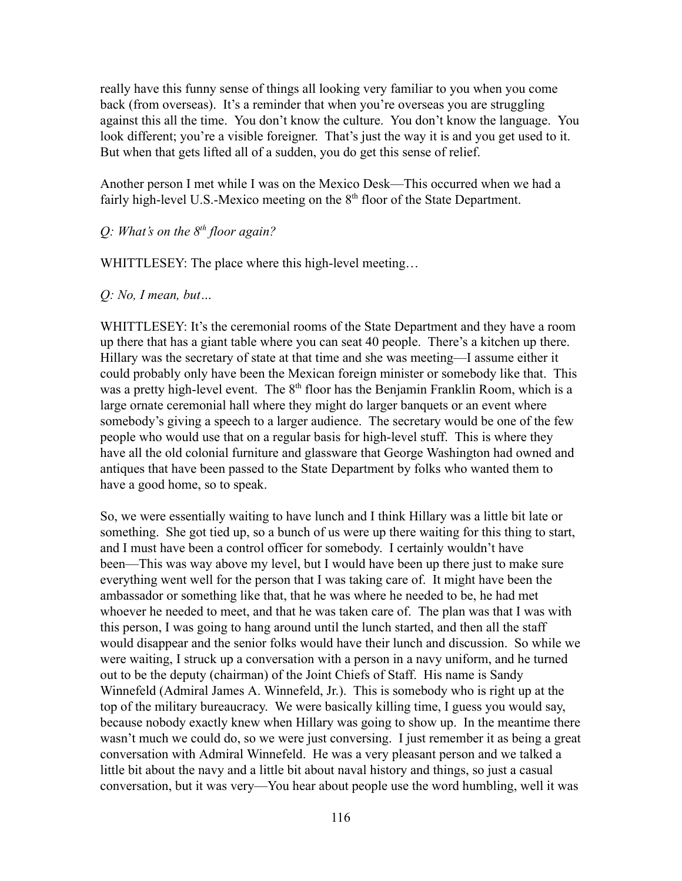really have this funny sense of things all looking very familiar to you when you come back (from overseas). It's a reminder that when you're overseas you are struggling against this all the time. You don't know the culture. You don't know the language. You look different; you're a visible foreigner. That's just the way it is and you get used to it. But when that gets lifted all of a sudden, you do get this sense of relief.

Another person I met while I was on the Mexico Desk—This occurred when we had a fairly high-level U.S.-Mexico meeting on the  $8<sup>th</sup>$  floor of the State Department.

#### *Q: What's on the 8th floor again?*

WHITTLESEY: The place where this high-level meeting...

#### *Q: No, I mean, but…*

WHITTLESEY: It's the ceremonial rooms of the State Department and they have a room up there that has a giant table where you can seat 40 people. There's a kitchen up there. Hillary was the secretary of state at that time and she was meeting—I assume either it could probably only have been the Mexican foreign minister or somebody like that. This was a pretty high-level event. The  $8<sup>th</sup>$  floor has the Benjamin Franklin Room, which is a large ornate ceremonial hall where they might do larger banquets or an event where somebody's giving a speech to a larger audience. The secretary would be one of the few people who would use that on a regular basis for high-level stuff. This is where they have all the old colonial furniture and glassware that George Washington had owned and antiques that have been passed to the State Department by folks who wanted them to have a good home, so to speak.

So, we were essentially waiting to have lunch and I think Hillary was a little bit late or something. She got tied up, so a bunch of us were up there waiting for this thing to start, and I must have been a control officer for somebody. I certainly wouldn't have been—This was way above my level, but I would have been up there just to make sure everything went well for the person that I was taking care of. It might have been the ambassador or something like that, that he was where he needed to be, he had met whoever he needed to meet, and that he was taken care of. The plan was that I was with this person, I was going to hang around until the lunch started, and then all the staff would disappear and the senior folks would have their lunch and discussion. So while we were waiting, I struck up a conversation with a person in a navy uniform, and he turned out to be the deputy (chairman) of the Joint Chiefs of Staff. His name is Sandy Winnefeld (Admiral James A. Winnefeld, Jr.). This is somebody who is right up at the top of the military bureaucracy. We were basically killing time, I guess you would say, because nobody exactly knew when Hillary was going to show up. In the meantime there wasn't much we could do, so we were just conversing. I just remember it as being a great conversation with Admiral Winnefeld. He was a very pleasant person and we talked a little bit about the navy and a little bit about naval history and things, so just a casual conversation, but it was very—You hear about people use the word humbling, well it was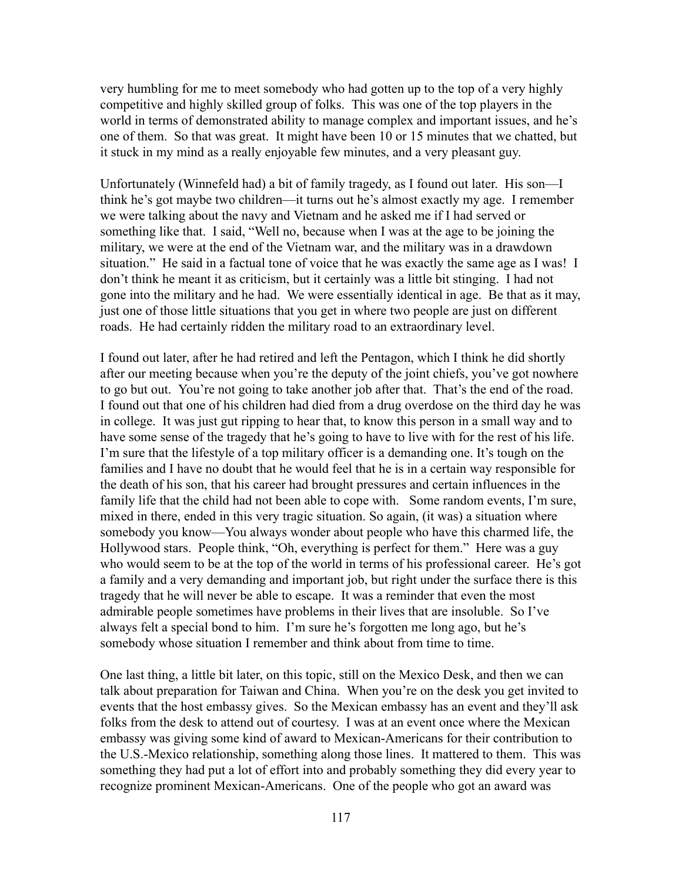very humbling for me to meet somebody who had gotten up to the top of a very highly competitive and highly skilled group of folks. This was one of the top players in the world in terms of demonstrated ability to manage complex and important issues, and he's one of them. So that was great. It might have been 10 or 15 minutes that we chatted, but it stuck in my mind as a really enjoyable few minutes, and a very pleasant guy.

Unfortunately (Winnefeld had) a bit of family tragedy, as I found out later. His son—I think he's got maybe two children—it turns out he's almost exactly my age. I remember we were talking about the navy and Vietnam and he asked me if I had served or something like that. I said, "Well no, because when I was at the age to be joining the military, we were at the end of the Vietnam war, and the military was in a drawdown situation." He said in a factual tone of voice that he was exactly the same age as I was! I don't think he meant it as criticism, but it certainly was a little bit stinging. I had not gone into the military and he had. We were essentially identical in age. Be that as it may, just one of those little situations that you get in where two people are just on different roads. He had certainly ridden the military road to an extraordinary level.

I found out later, after he had retired and left the Pentagon, which I think he did shortly after our meeting because when you're the deputy of the joint chiefs, you've got nowhere to go but out. You're not going to take another job after that. That's the end of the road. I found out that one of his children had died from a drug overdose on the third day he was in college. It was just gut ripping to hear that, to know this person in a small way and to have some sense of the tragedy that he's going to have to live with for the rest of his life. I'm sure that the lifestyle of a top military officer is a demanding one. It's tough on the families and I have no doubt that he would feel that he is in a certain way responsible for the death of his son, that his career had brought pressures and certain influences in the family life that the child had not been able to cope with. Some random events, I'm sure, mixed in there, ended in this very tragic situation. So again, (it was) a situation where somebody you know—You always wonder about people who have this charmed life, the Hollywood stars. People think, "Oh, everything is perfect for them." Here was a guy who would seem to be at the top of the world in terms of his professional career. He's got a family and a very demanding and important job, but right under the surface there is this tragedy that he will never be able to escape. It was a reminder that even the most admirable people sometimes have problems in their lives that are insoluble. So I've always felt a special bond to him. I'm sure he's forgotten me long ago, but he's somebody whose situation I remember and think about from time to time.

One last thing, a little bit later, on this topic, still on the Mexico Desk, and then we can talk about preparation for Taiwan and China. When you're on the desk you get invited to events that the host embassy gives. So the Mexican embassy has an event and they'll ask folks from the desk to attend out of courtesy. I was at an event once where the Mexican embassy was giving some kind of award to Mexican-Americans for their contribution to the U.S.-Mexico relationship, something along those lines. It mattered to them. This was something they had put a lot of effort into and probably something they did every year to recognize prominent Mexican-Americans. One of the people who got an award was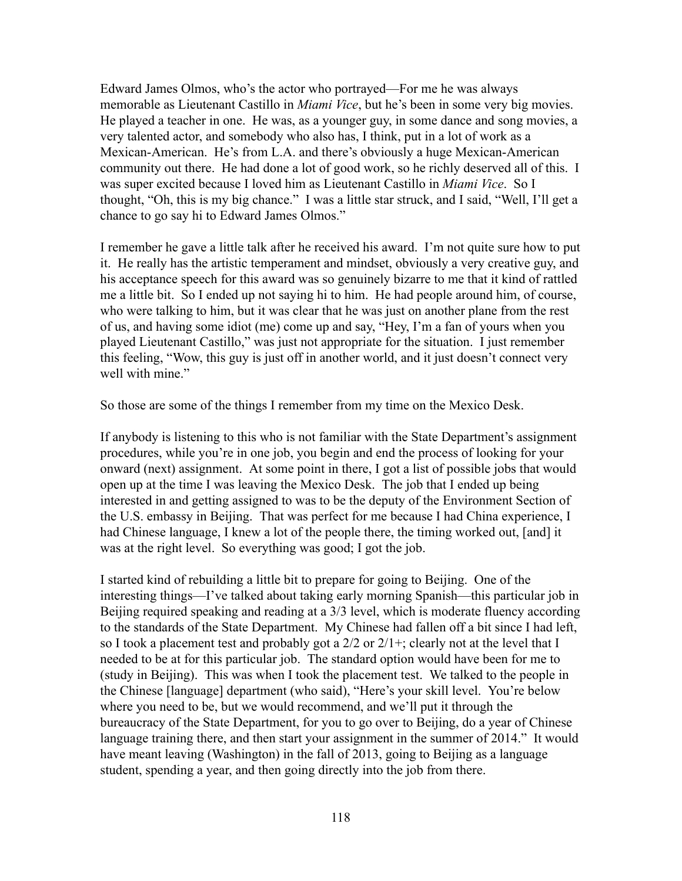Edward James Olmos, who's the actor who portrayed—For me he was always memorable as Lieutenant Castillo in *Miami Vice*, but he's been in some very big movies. He played a teacher in one. He was, as a younger guy, in some dance and song movies, a very talented actor, and somebody who also has, I think, put in a lot of work as a Mexican-American. He's from L.A. and there's obviously a huge Mexican-American community out there. He had done a lot of good work, so he richly deserved all of this. I was super excited because I loved him as Lieutenant Castillo in *Miami Vice*. So I thought, "Oh, this is my big chance." I was a little star struck, and I said, "Well, I'll get a chance to go say hi to Edward James Olmos."

I remember he gave a little talk after he received his award. I'm not quite sure how to put it. He really has the artistic temperament and mindset, obviously a very creative guy, and his acceptance speech for this award was so genuinely bizarre to me that it kind of rattled me a little bit. So I ended up not saying hi to him. He had people around him, of course, who were talking to him, but it was clear that he was just on another plane from the rest of us, and having some idiot (me) come up and say, "Hey, I'm a fan of yours when you played Lieutenant Castillo," was just not appropriate for the situation. I just remember this feeling, "Wow, this guy is just off in another world, and it just doesn't connect very well with mine."

So those are some of the things I remember from my time on the Mexico Desk.

If anybody is listening to this who is not familiar with the State Department's assignment procedures, while you're in one job, you begin and end the process of looking for your onward (next) assignment. At some point in there, I got a list of possible jobs that would open up at the time I was leaving the Mexico Desk. The job that I ended up being interested in and getting assigned to was to be the deputy of the Environment Section of the U.S. embassy in Beijing. That was perfect for me because I had China experience, I had Chinese language, I knew a lot of the people there, the timing worked out, [and] it was at the right level. So everything was good; I got the job.

I started kind of rebuilding a little bit to prepare for going to Beijing. One of the interesting things—I've talked about taking early morning Spanish—this particular job in Beijing required speaking and reading at a 3/3 level, which is moderate fluency according to the standards of the State Department. My Chinese had fallen off a bit since I had left, so I took a placement test and probably got a  $2/2$  or  $2/1+$ ; clearly not at the level that I needed to be at for this particular job. The standard option would have been for me to (study in Beijing). This was when I took the placement test. We talked to the people in the Chinese [language] department (who said), "Here's your skill level. You're below where you need to be, but we would recommend, and we'll put it through the bureaucracy of the State Department, for you to go over to Beijing, do a year of Chinese language training there, and then start your assignment in the summer of 2014." It would have meant leaving (Washington) in the fall of 2013, going to Beijing as a language student, spending a year, and then going directly into the job from there.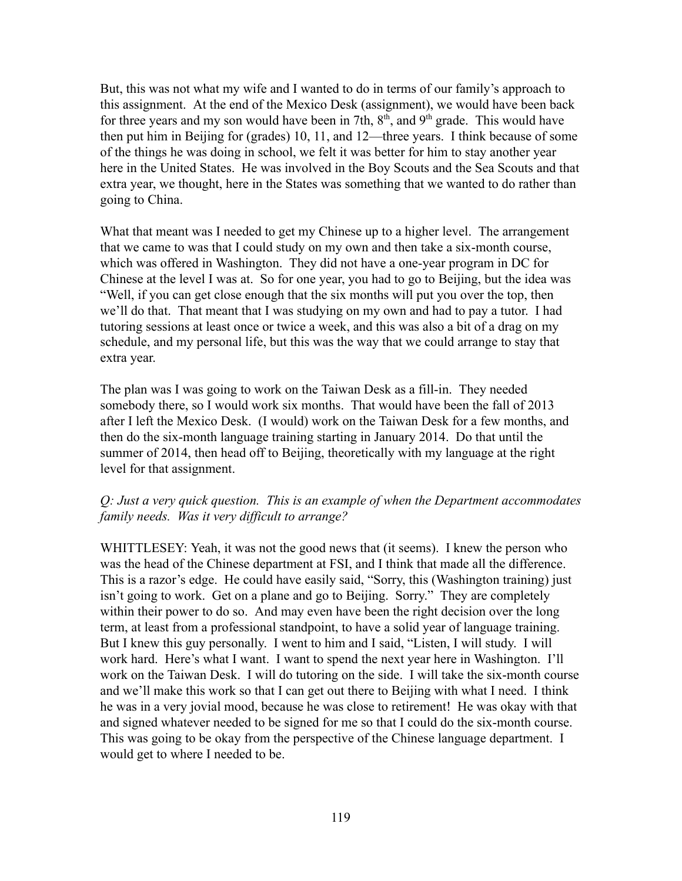But, this was not what my wife and I wanted to do in terms of our family's approach to this assignment. At the end of the Mexico Desk (assignment), we would have been back for three years and my son would have been in 7th,  $8<sup>th</sup>$ , and  $9<sup>th</sup>$  grade. This would have then put him in Beijing for (grades) 10, 11, and 12—three years. I think because of some of the things he was doing in school, we felt it was better for him to stay another year here in the United States. He was involved in the Boy Scouts and the Sea Scouts and that extra year, we thought, here in the States was something that we wanted to do rather than going to China.

What that meant was I needed to get my Chinese up to a higher level. The arrangement that we came to was that I could study on my own and then take a six-month course, which was offered in Washington. They did not have a one-year program in DC for Chinese at the level I was at. So for one year, you had to go to Beijing, but the idea was "Well, if you can get close enough that the six months will put you over the top, then we'll do that. That meant that I was studying on my own and had to pay a tutor. I had tutoring sessions at least once or twice a week, and this was also a bit of a drag on my schedule, and my personal life, but this was the way that we could arrange to stay that extra year.

The plan was I was going to work on the Taiwan Desk as a fill-in. They needed somebody there, so I would work six months. That would have been the fall of 2013 after I left the Mexico Desk. (I would) work on the Taiwan Desk for a few months, and then do the six-month language training starting in January 2014. Do that until the summer of 2014, then head off to Beijing, theoretically with my language at the right level for that assignment.

#### *Q: Just a very quick question. This is an example of when the Department accommodates family needs. Was it very difficult to arrange?*

WHITTLESEY: Yeah, it was not the good news that (it seems). I knew the person who was the head of the Chinese department at FSI, and I think that made all the difference. This is a razor's edge. He could have easily said, "Sorry, this (Washington training) just isn't going to work. Get on a plane and go to Beijing. Sorry." They are completely within their power to do so. And may even have been the right decision over the long term, at least from a professional standpoint, to have a solid year of language training. But I knew this guy personally. I went to him and I said, "Listen, I will study. I will work hard. Here's what I want. I want to spend the next year here in Washington. I'll work on the Taiwan Desk. I will do tutoring on the side. I will take the six-month course and we'll make this work so that I can get out there to Beijing with what I need. I think he was in a very jovial mood, because he was close to retirement! He was okay with that and signed whatever needed to be signed for me so that I could do the six-month course. This was going to be okay from the perspective of the Chinese language department. I would get to where I needed to be.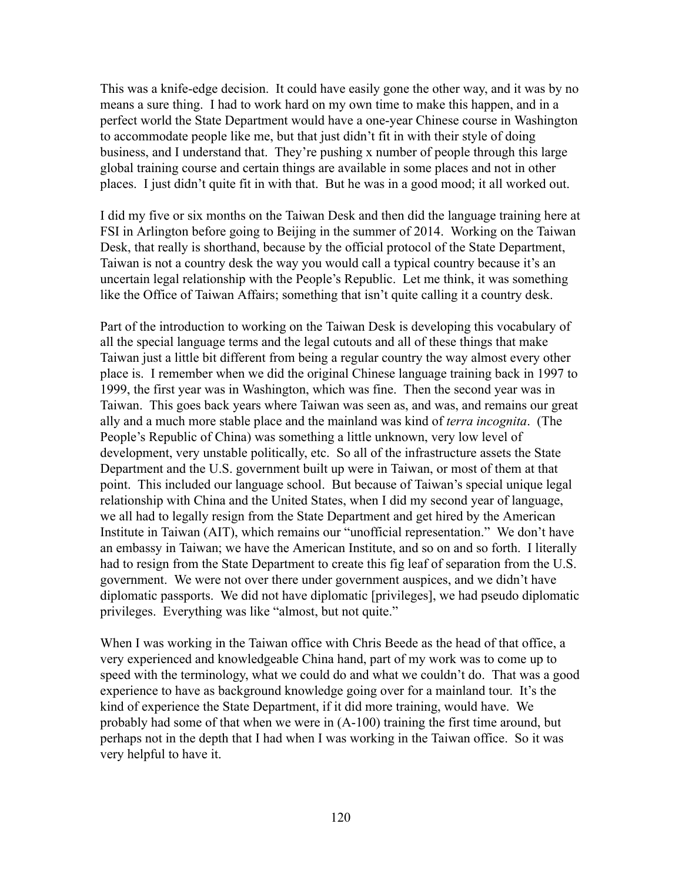This was a knife-edge decision. It could have easily gone the other way, and it was by no means a sure thing. I had to work hard on my own time to make this happen, and in a perfect world the State Department would have a one-year Chinese course in Washington to accommodate people like me, but that just didn't fit in with their style of doing business, and I understand that. They're pushing x number of people through this large global training course and certain things are available in some places and not in other places. I just didn't quite fit in with that. But he was in a good mood; it all worked out.

I did my five or six months on the Taiwan Desk and then did the language training here at FSI in Arlington before going to Beijing in the summer of 2014. Working on the Taiwan Desk, that really is shorthand, because by the official protocol of the State Department, Taiwan is not a country desk the way you would call a typical country because it's an uncertain legal relationship with the People's Republic. Let me think, it was something like the Office of Taiwan Affairs; something that isn't quite calling it a country desk.

Part of the introduction to working on the Taiwan Desk is developing this vocabulary of all the special language terms and the legal cutouts and all of these things that make Taiwan just a little bit different from being a regular country the way almost every other place is. I remember when we did the original Chinese language training back in 1997 to 1999, the first year was in Washington, which was fine. Then the second year was in Taiwan. This goes back years where Taiwan was seen as, and was, and remains our great ally and a much more stable place and the mainland was kind of *terra incognita*. (The People's Republic of China) was something a little unknown, very low level of development, very unstable politically, etc. So all of the infrastructure assets the State Department and the U.S. government built up were in Taiwan, or most of them at that point. This included our language school. But because of Taiwan's special unique legal relationship with China and the United States, when I did my second year of language, we all had to legally resign from the State Department and get hired by the American Institute in Taiwan (AIT), which remains our "unofficial representation." We don't have an embassy in Taiwan; we have the American Institute, and so on and so forth. I literally had to resign from the State Department to create this fig leaf of separation from the U.S. government. We were not over there under government auspices, and we didn't have diplomatic passports. We did not have diplomatic [privileges], we had pseudo diplomatic privileges. Everything was like "almost, but not quite."

When I was working in the Taiwan office with Chris Beede as the head of that office, a very experienced and knowledgeable China hand, part of my work was to come up to speed with the terminology, what we could do and what we couldn't do. That was a good experience to have as background knowledge going over for a mainland tour. It's the kind of experience the State Department, if it did more training, would have. We probably had some of that when we were in (A-100) training the first time around, but perhaps not in the depth that I had when I was working in the Taiwan office. So it was very helpful to have it.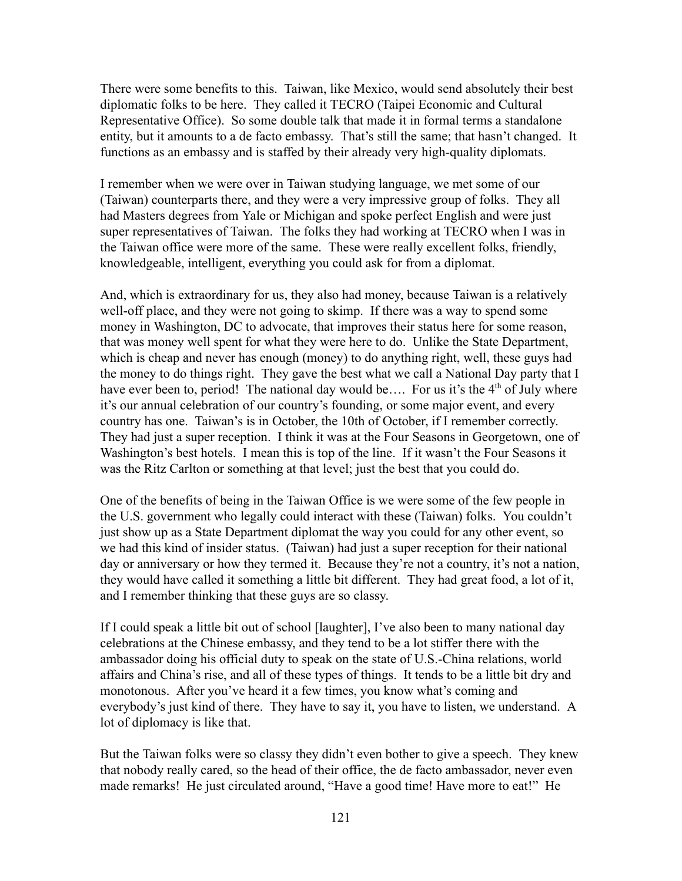There were some benefits to this. Taiwan, like Mexico, would send absolutely their best diplomatic folks to be here. They called it TECRO (Taipei Economic and Cultural Representative Office). So some double talk that made it in formal terms a standalone entity, but it amounts to a de facto embassy. That's still the same; that hasn't changed. It functions as an embassy and is staffed by their already very high-quality diplomats.

I remember when we were over in Taiwan studying language, we met some of our (Taiwan) counterparts there, and they were a very impressive group of folks. They all had Masters degrees from Yale or Michigan and spoke perfect English and were just super representatives of Taiwan. The folks they had working at TECRO when I was in the Taiwan office were more of the same. These were really excellent folks, friendly, knowledgeable, intelligent, everything you could ask for from a diplomat.

And, which is extraordinary for us, they also had money, because Taiwan is a relatively well-off place, and they were not going to skimp. If there was a way to spend some money in Washington, DC to advocate, that improves their status here for some reason, that was money well spent for what they were here to do. Unlike the State Department, which is cheap and never has enough (money) to do anything right, well, these guys had the money to do things right. They gave the best what we call a National Day party that I have ever been to, period! The national day would be.... For us it's the  $4<sup>th</sup>$  of July where it's our annual celebration of our country's founding, or some major event, and every country has one. Taiwan's is in October, the 10th of October, if I remember correctly. They had just a super reception. I think it was at the Four Seasons in Georgetown, one of Washington's best hotels. I mean this is top of the line. If it wasn't the Four Seasons it was the Ritz Carlton or something at that level; just the best that you could do.

One of the benefits of being in the Taiwan Office is we were some of the few people in the U.S. government who legally could interact with these (Taiwan) folks. You couldn't just show up as a State Department diplomat the way you could for any other event, so we had this kind of insider status. (Taiwan) had just a super reception for their national day or anniversary or how they termed it. Because they're not a country, it's not a nation, they would have called it something a little bit different. They had great food, a lot of it, and I remember thinking that these guys are so classy.

If I could speak a little bit out of school [laughter], I've also been to many national day celebrations at the Chinese embassy, and they tend to be a lot stiffer there with the ambassador doing his official duty to speak on the state of U.S.-China relations, world affairs and China's rise, and all of these types of things. It tends to be a little bit dry and monotonous. After you've heard it a few times, you know what's coming and everybody's just kind of there. They have to say it, you have to listen, we understand. A lot of diplomacy is like that.

But the Taiwan folks were so classy they didn't even bother to give a speech. They knew that nobody really cared, so the head of their office, the de facto ambassador, never even made remarks! He just circulated around, "Have a good time! Have more to eat!" He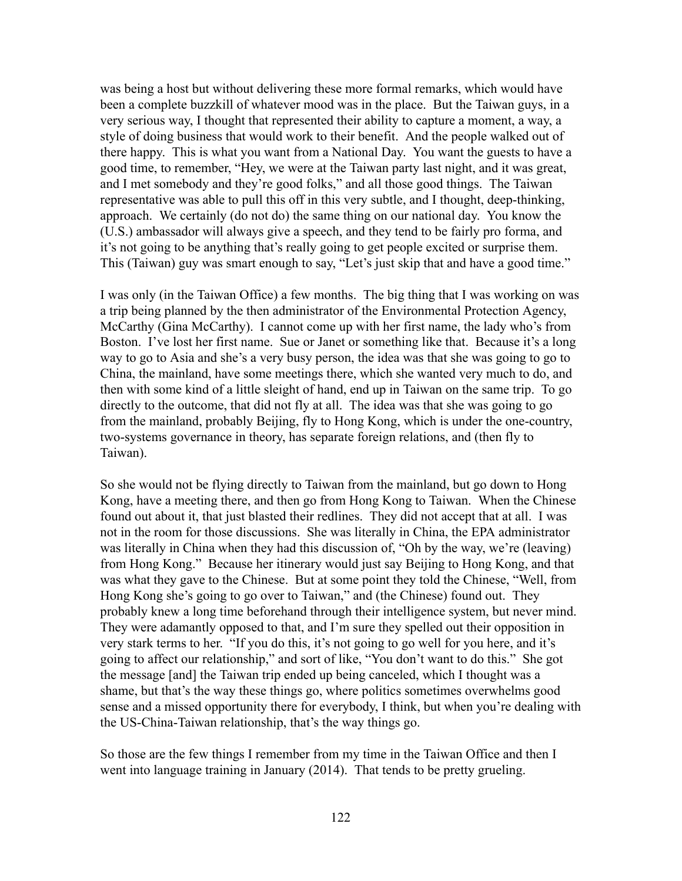was being a host but without delivering these more formal remarks, which would have been a complete buzzkill of whatever mood was in the place. But the Taiwan guys, in a very serious way, I thought that represented their ability to capture a moment, a way, a style of doing business that would work to their benefit. And the people walked out of there happy. This is what you want from a National Day. You want the guests to have a good time, to remember, "Hey, we were at the Taiwan party last night, and it was great, and I met somebody and they're good folks," and all those good things. The Taiwan representative was able to pull this off in this very subtle, and I thought, deep-thinking, approach. We certainly (do not do) the same thing on our national day. You know the (U.S.) ambassador will always give a speech, and they tend to be fairly pro forma, and it's not going to be anything that's really going to get people excited or surprise them. This (Taiwan) guy was smart enough to say, "Let's just skip that and have a good time."

I was only (in the Taiwan Office) a few months. The big thing that I was working on was a trip being planned by the then administrator of the Environmental Protection Agency, McCarthy (Gina McCarthy). I cannot come up with her first name, the lady who's from Boston. I've lost her first name. Sue or Janet or something like that. Because it's a long way to go to Asia and she's a very busy person, the idea was that she was going to go to China, the mainland, have some meetings there, which she wanted very much to do, and then with some kind of a little sleight of hand, end up in Taiwan on the same trip. To go directly to the outcome, that did not fly at all. The idea was that she was going to go from the mainland, probably Beijing, fly to Hong Kong, which is under the one-country, two-systems governance in theory, has separate foreign relations, and (then fly to Taiwan).

So she would not be flying directly to Taiwan from the mainland, but go down to Hong Kong, have a meeting there, and then go from Hong Kong to Taiwan. When the Chinese found out about it, that just blasted their redlines. They did not accept that at all. I was not in the room for those discussions. She was literally in China, the EPA administrator was literally in China when they had this discussion of, "Oh by the way, we're (leaving) from Hong Kong." Because her itinerary would just say Beijing to Hong Kong, and that was what they gave to the Chinese. But at some point they told the Chinese, "Well, from Hong Kong she's going to go over to Taiwan," and (the Chinese) found out. They probably knew a long time beforehand through their intelligence system, but never mind. They were adamantly opposed to that, and I'm sure they spelled out their opposition in very stark terms to her. "If you do this, it's not going to go well for you here, and it's going to affect our relationship," and sort of like, "You don't want to do this." She got the message [and] the Taiwan trip ended up being canceled, which I thought was a shame, but that's the way these things go, where politics sometimes overwhelms good sense and a missed opportunity there for everybody, I think, but when you're dealing with the US-China-Taiwan relationship, that's the way things go.

So those are the few things I remember from my time in the Taiwan Office and then I went into language training in January (2014). That tends to be pretty grueling.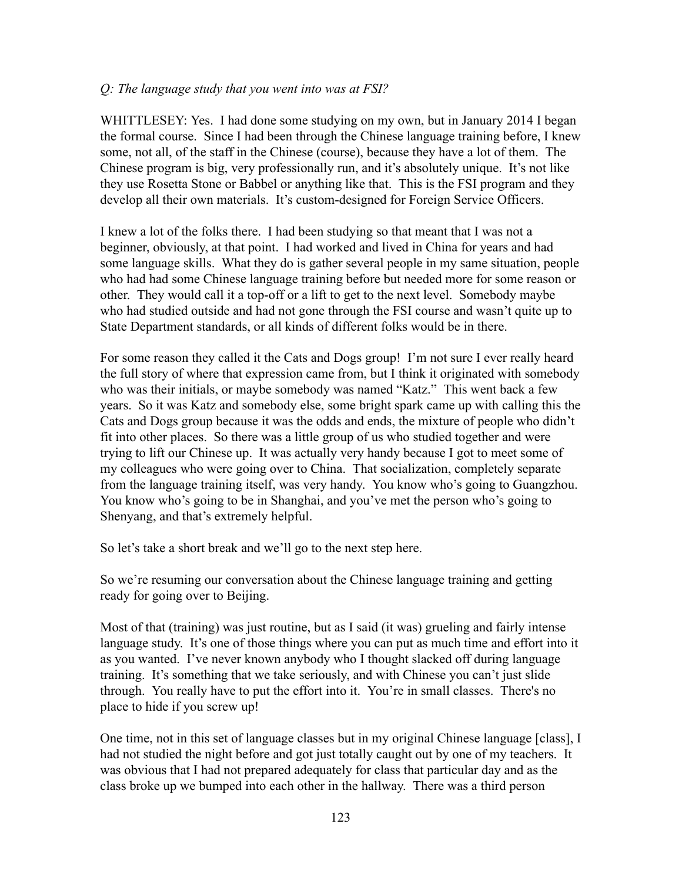#### *Q: The language study that you went into was at FSI?*

WHITTLESEY: Yes. I had done some studying on my own, but in January 2014 I began the formal course. Since I had been through the Chinese language training before, I knew some, not all, of the staff in the Chinese (course), because they have a lot of them. The Chinese program is big, very professionally run, and it's absolutely unique. It's not like they use Rosetta Stone or Babbel or anything like that. This is the FSI program and they develop all their own materials. It's custom-designed for Foreign Service Officers.

I knew a lot of the folks there. I had been studying so that meant that I was not a beginner, obviously, at that point. I had worked and lived in China for years and had some language skills. What they do is gather several people in my same situation, people who had had some Chinese language training before but needed more for some reason or other. They would call it a top-off or a lift to get to the next level. Somebody maybe who had studied outside and had not gone through the FSI course and wasn't quite up to State Department standards, or all kinds of different folks would be in there.

For some reason they called it the Cats and Dogs group! I'm not sure I ever really heard the full story of where that expression came from, but I think it originated with somebody who was their initials, or maybe somebody was named "Katz." This went back a few years. So it was Katz and somebody else, some bright spark came up with calling this the Cats and Dogs group because it was the odds and ends, the mixture of people who didn't fit into other places. So there was a little group of us who studied together and were trying to lift our Chinese up. It was actually very handy because I got to meet some of my colleagues who were going over to China. That socialization, completely separate from the language training itself, was very handy. You know who's going to Guangzhou. You know who's going to be in Shanghai, and you've met the person who's going to Shenyang, and that's extremely helpful.

So let's take a short break and we'll go to the next step here.

So we're resuming our conversation about the Chinese language training and getting ready for going over to Beijing.

Most of that (training) was just routine, but as I said (it was) grueling and fairly intense language study. It's one of those things where you can put as much time and effort into it as you wanted. I've never known anybody who I thought slacked off during language training. It's something that we take seriously, and with Chinese you can't just slide through. You really have to put the effort into it. You're in small classes. There's no place to hide if you screw up!

One time, not in this set of language classes but in my original Chinese language [class], I had not studied the night before and got just totally caught out by one of my teachers. It was obvious that I had not prepared adequately for class that particular day and as the class broke up we bumped into each other in the hallway. There was a third person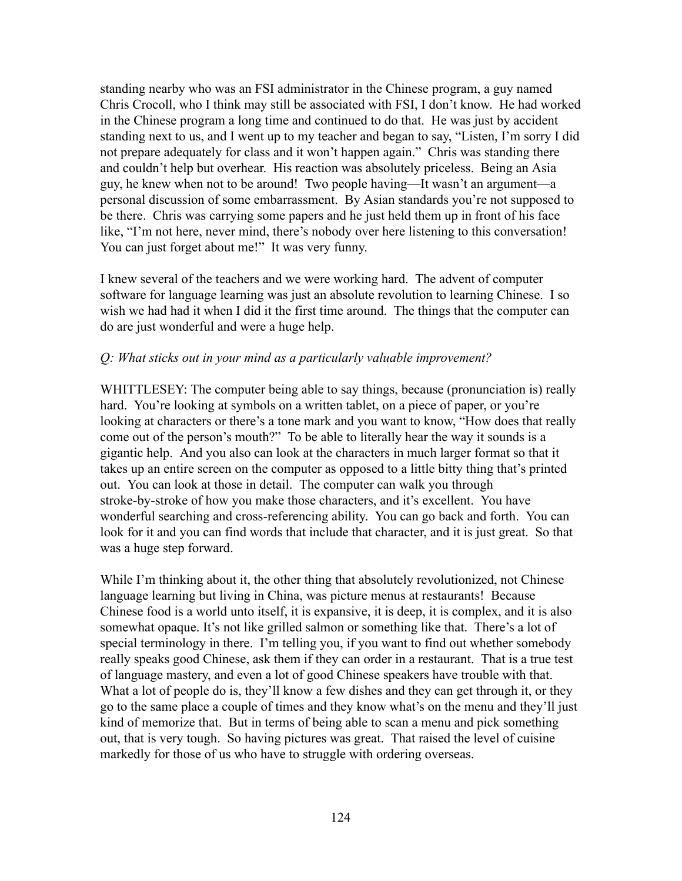standing nearby who was an FSI administrator in the Chinese program, a guy named Chris Crocoll, who I think may still be associated with FSI, I don't know. He had worked in the Chinese program a long time and continued to do that. He was just by accident standing next to us, and I went up to my teacher and began to say, "Listen, I'm sorry I did not prepare adequately for class and it won't happen again." Chris was standing there and couldn't help but overhear. His reaction was absolutely priceless. Being an Asia guy, he knew when not to be around! Two people having—It wasn't an argument—a personal discussion of some embarrassment. By Asian standards you're not supposed to be there. Chris was carrying some papers and he just held them up in front of his face like, "I'm not here, never mind, there's nobody over here listening to this conversation! You can just forget about me!" It was very funny.

I knew several of the teachers and we were working hard. The advent of computer software for language learning was just an absolute revolution to learning Chinese. I so wish we had had it when I did it the first time around. The things that the computer can do are just wonderful and were a huge help.

#### *Q: What sticks out in your mind as a particularly valuable improvement?*

WHITTLESEY: The computer being able to say things, because (pronunciation is) really hard. You're looking at symbols on a written tablet, on a piece of paper, or you're looking at characters or there's a tone mark and you want to know, "How does that really come out of the person's mouth?" To be able to literally hear the way it sounds is a gigantic help. And you also can look at the characters in much larger format so that it takes up an entire screen on the computer as opposed to a little bitty thing that's printed out. You can look at those in detail. The computer can walk you through stroke-by-stroke of how you make those characters, and it's excellent. You have wonderful searching and cross-referencing ability. You can go back and forth. You can look for it and you can find words that include that character, and it is just great. So that was a huge step forward.

While I'm thinking about it, the other thing that absolutely revolutionized, not Chinese language learning but living in China, was picture menus at restaurants! Because Chinese food is a world unto itself, it is expansive, it is deep, it is complex, and it is also somewhat opaque. It's not like grilled salmon or something like that. There's a lot of special terminology in there. I'm telling you, if you want to find out whether somebody really speaks good Chinese, ask them if they can order in a restaurant. That is a true test of language mastery, and even a lot of good Chinese speakers have trouble with that. What a lot of people do is, they'll know a few dishes and they can get through it, or they go to the same place a couple of times and they know what's on the menu and they'll just kind of memorize that. But in terms of being able to scan a menu and pick something out, that is very tough. So having pictures was great. That raised the level of cuisine markedly for those of us who have to struggle with ordering overseas.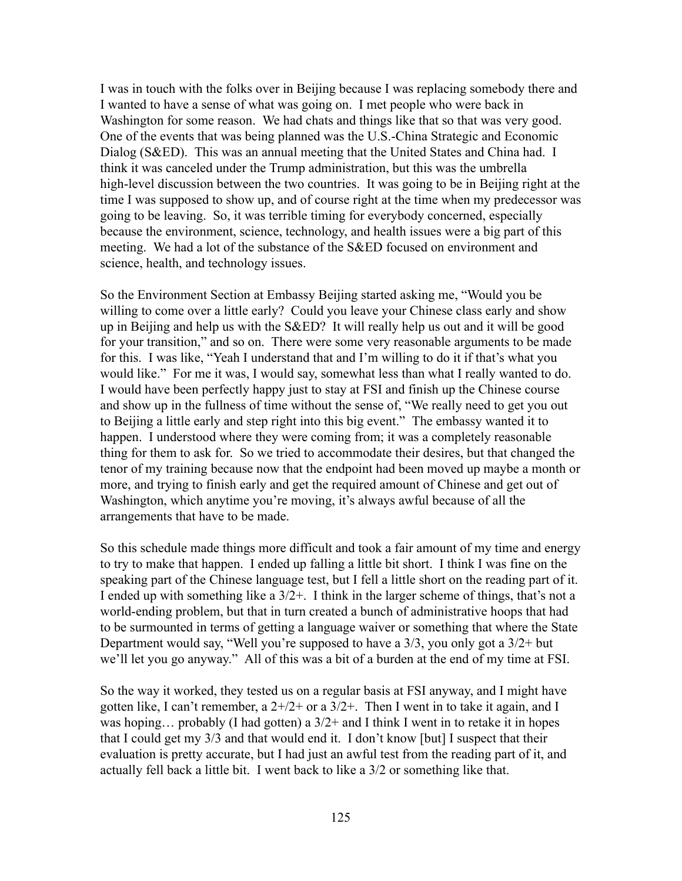I was in touch with the folks over in Beijing because I was replacing somebody there and I wanted to have a sense of what was going on. I met people who were back in Washington for some reason. We had chats and things like that so that was very good. One of the events that was being planned was the U.S.-China Strategic and Economic Dialog (S&ED). This was an annual meeting that the United States and China had. I think it was canceled under the Trump administration, but this was the umbrella high-level discussion between the two countries. It was going to be in Beijing right at the time I was supposed to show up, and of course right at the time when my predecessor was going to be leaving. So, it was terrible timing for everybody concerned, especially because the environment, science, technology, and health issues were a big part of this meeting. We had a lot of the substance of the S&ED focused on environment and science, health, and technology issues.

So the Environment Section at Embassy Beijing started asking me, "Would you be willing to come over a little early? Could you leave your Chinese class early and show up in Beijing and help us with the S&ED? It will really help us out and it will be good for your transition," and so on. There were some very reasonable arguments to be made for this. I was like, "Yeah I understand that and I'm willing to do it if that's what you would like." For me it was, I would say, somewhat less than what I really wanted to do. I would have been perfectly happy just to stay at FSI and finish up the Chinese course and show up in the fullness of time without the sense of, "We really need to get you out to Beijing a little early and step right into this big event." The embassy wanted it to happen. I understood where they were coming from; it was a completely reasonable thing for them to ask for. So we tried to accommodate their desires, but that changed the tenor of my training because now that the endpoint had been moved up maybe a month or more, and trying to finish early and get the required amount of Chinese and get out of Washington, which anytime you're moving, it's always awful because of all the arrangements that have to be made.

So this schedule made things more difficult and took a fair amount of my time and energy to try to make that happen. I ended up falling a little bit short. I think I was fine on the speaking part of the Chinese language test, but I fell a little short on the reading part of it. I ended up with something like a  $3/2+$ . I think in the larger scheme of things, that's not a world-ending problem, but that in turn created a bunch of administrative hoops that had to be surmounted in terms of getting a language waiver or something that where the State Department would say, "Well you're supposed to have a  $3/3$ , you only got a  $3/2+$  but we'll let you go anyway." All of this was a bit of a burden at the end of my time at FSI.

So the way it worked, they tested us on a regular basis at FSI anyway, and I might have gotten like, I can't remember, a  $2+/2+$  or a  $3/2+$ . Then I went in to take it again, and I was hoping... probably (I had gotten) a  $3/2$  + and I think I went in to retake it in hopes that I could get my 3/3 and that would end it. I don't know [but] I suspect that their evaluation is pretty accurate, but I had just an awful test from the reading part of it, and actually fell back a little bit. I went back to like a 3/2 or something like that.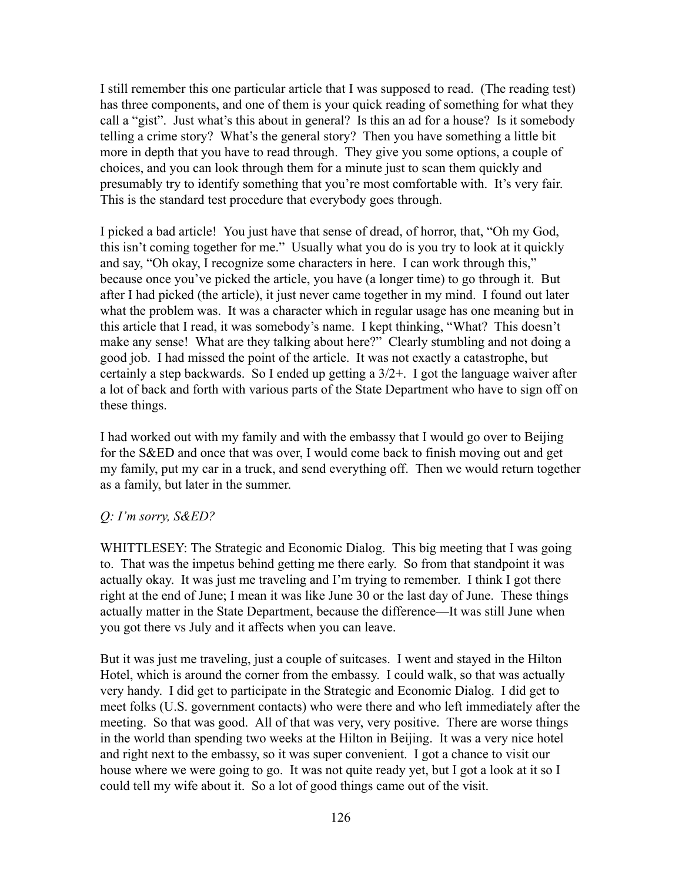I still remember this one particular article that I was supposed to read. (The reading test) has three components, and one of them is your quick reading of something for what they call a "gist". Just what's this about in general? Is this an ad for a house? Is it somebody telling a crime story? What's the general story? Then you have something a little bit more in depth that you have to read through. They give you some options, a couple of choices, and you can look through them for a minute just to scan them quickly and presumably try to identify something that you're most comfortable with. It's very fair. This is the standard test procedure that everybody goes through.

I picked a bad article! You just have that sense of dread, of horror, that, "Oh my God, this isn't coming together for me." Usually what you do is you try to look at it quickly and say, "Oh okay, I recognize some characters in here. I can work through this," because once you've picked the article, you have (a longer time) to go through it. But after I had picked (the article), it just never came together in my mind. I found out later what the problem was. It was a character which in regular usage has one meaning but in this article that I read, it was somebody's name. I kept thinking, "What? This doesn't make any sense! What are they talking about here?" Clearly stumbling and not doing a good job. I had missed the point of the article. It was not exactly a catastrophe, but certainly a step backwards. So I ended up getting a  $3/2+$ . I got the language waiver after a lot of back and forth with various parts of the State Department who have to sign off on these things.

I had worked out with my family and with the embassy that I would go over to Beijing for the S&ED and once that was over, I would come back to finish moving out and get my family, put my car in a truck, and send everything off. Then we would return together as a family, but later in the summer.

## *Q: I'm sorry, S&ED?*

WHITTLESEY: The Strategic and Economic Dialog. This big meeting that I was going to. That was the impetus behind getting me there early. So from that standpoint it was actually okay. It was just me traveling and I'm trying to remember. I think I got there right at the end of June; I mean it was like June 30 or the last day of June. These things actually matter in the State Department, because the difference—It was still June when you got there vs July and it affects when you can leave.

But it was just me traveling, just a couple of suitcases. I went and stayed in the Hilton Hotel, which is around the corner from the embassy. I could walk, so that was actually very handy. I did get to participate in the Strategic and Economic Dialog. I did get to meet folks (U.S. government contacts) who were there and who left immediately after the meeting. So that was good. All of that was very, very positive. There are worse things in the world than spending two weeks at the Hilton in Beijing. It was a very nice hotel and right next to the embassy, so it was super convenient. I got a chance to visit our house where we were going to go. It was not quite ready yet, but I got a look at it so I could tell my wife about it. So a lot of good things came out of the visit.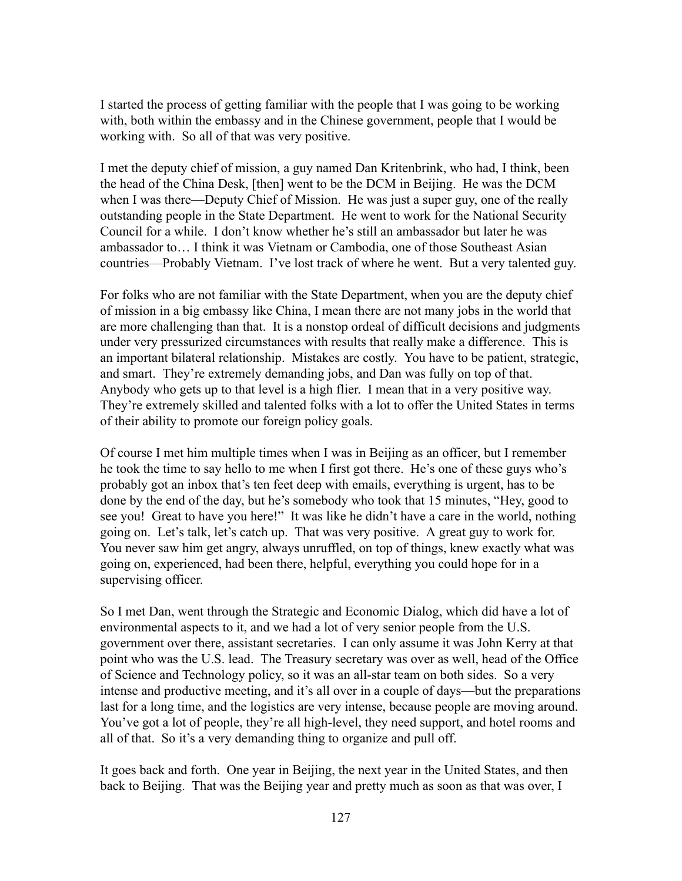I started the process of getting familiar with the people that I was going to be working with, both within the embassy and in the Chinese government, people that I would be working with. So all of that was very positive.

I met the deputy chief of mission, a guy named Dan Kritenbrink, who had, I think, been the head of the China Desk, [then] went to be the DCM in Beijing. He was the DCM when I was there—Deputy Chief of Mission. He was just a super guy, one of the really outstanding people in the State Department. He went to work for the National Security Council for a while. I don't know whether he's still an ambassador but later he was ambassador to… I think it was Vietnam or Cambodia, one of those Southeast Asian countries—Probably Vietnam. I've lost track of where he went. But a very talented guy.

For folks who are not familiar with the State Department, when you are the deputy chief of mission in a big embassy like China, I mean there are not many jobs in the world that are more challenging than that. It is a nonstop ordeal of difficult decisions and judgments under very pressurized circumstances with results that really make a difference. This is an important bilateral relationship. Mistakes are costly. You have to be patient, strategic, and smart. They're extremely demanding jobs, and Dan was fully on top of that. Anybody who gets up to that level is a high flier. I mean that in a very positive way. They're extremely skilled and talented folks with a lot to offer the United States in terms of their ability to promote our foreign policy goals.

Of course I met him multiple times when I was in Beijing as an officer, but I remember he took the time to say hello to me when I first got there. He's one of these guys who's probably got an inbox that's ten feet deep with emails, everything is urgent, has to be done by the end of the day, but he's somebody who took that 15 minutes, "Hey, good to see you! Great to have you here!" It was like he didn't have a care in the world, nothing going on. Let's talk, let's catch up. That was very positive. A great guy to work for. You never saw him get angry, always unruffled, on top of things, knew exactly what was going on, experienced, had been there, helpful, everything you could hope for in a supervising officer.

So I met Dan, went through the Strategic and Economic Dialog, which did have a lot of environmental aspects to it, and we had a lot of very senior people from the U.S. government over there, assistant secretaries. I can only assume it was John Kerry at that point who was the U.S. lead. The Treasury secretary was over as well, head of the Office of Science and Technology policy, so it was an all-star team on both sides. So a very intense and productive meeting, and it's all over in a couple of days—but the preparations last for a long time, and the logistics are very intense, because people are moving around. You've got a lot of people, they're all high-level, they need support, and hotel rooms and all of that. So it's a very demanding thing to organize and pull off.

It goes back and forth. One year in Beijing, the next year in the United States, and then back to Beijing. That was the Beijing year and pretty much as soon as that was over, I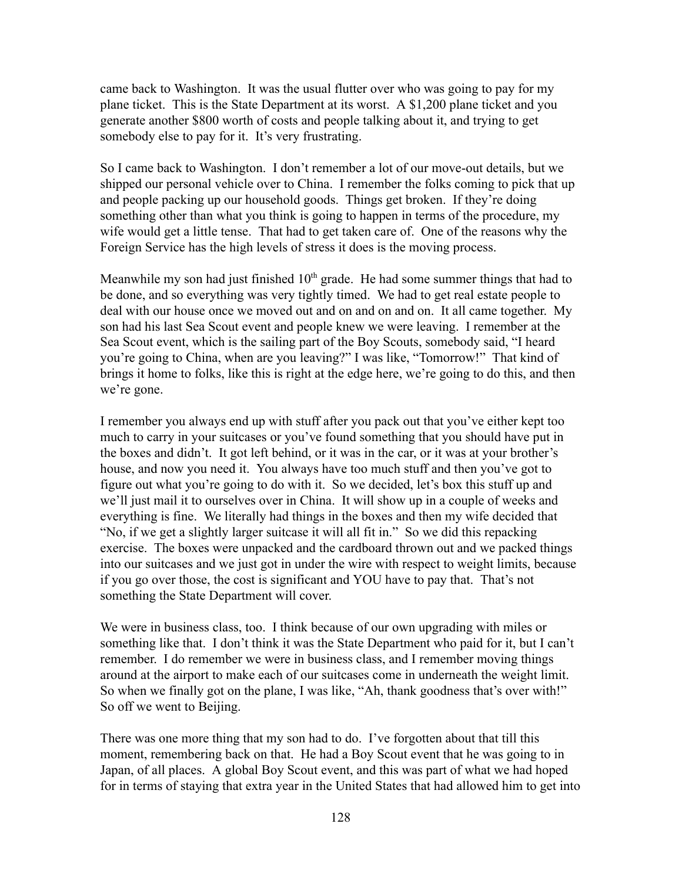came back to Washington. It was the usual flutter over who was going to pay for my plane ticket. This is the State Department at its worst. A \$1,200 plane ticket and you generate another \$800 worth of costs and people talking about it, and trying to get somebody else to pay for it. It's very frustrating.

So I came back to Washington. I don't remember a lot of our move-out details, but we shipped our personal vehicle over to China. I remember the folks coming to pick that up and people packing up our household goods. Things get broken. If they're doing something other than what you think is going to happen in terms of the procedure, my wife would get a little tense. That had to get taken care of. One of the reasons why the Foreign Service has the high levels of stress it does is the moving process.

Meanwhile my son had just finished  $10<sup>th</sup>$  grade. He had some summer things that had to be done, and so everything was very tightly timed. We had to get real estate people to deal with our house once we moved out and on and on and on. It all came together. My son had his last Sea Scout event and people knew we were leaving. I remember at the Sea Scout event, which is the sailing part of the Boy Scouts, somebody said, "I heard you're going to China, when are you leaving?" I was like, "Tomorrow!" That kind of brings it home to folks, like this is right at the edge here, we're going to do this, and then we're gone.

I remember you always end up with stuff after you pack out that you've either kept too much to carry in your suitcases or you've found something that you should have put in the boxes and didn't. It got left behind, or it was in the car, or it was at your brother's house, and now you need it. You always have too much stuff and then you've got to figure out what you're going to do with it. So we decided, let's box this stuff up and we'll just mail it to ourselves over in China. It will show up in a couple of weeks and everything is fine. We literally had things in the boxes and then my wife decided that "No, if we get a slightly larger suitcase it will all fit in." So we did this repacking exercise. The boxes were unpacked and the cardboard thrown out and we packed things into our suitcases and we just got in under the wire with respect to weight limits, because if you go over those, the cost is significant and YOU have to pay that. That's not something the State Department will cover.

We were in business class, too. I think because of our own upgrading with miles or something like that. I don't think it was the State Department who paid for it, but I can't remember. I do remember we were in business class, and I remember moving things around at the airport to make each of our suitcases come in underneath the weight limit. So when we finally got on the plane, I was like, "Ah, thank goodness that's over with!" So off we went to Beijing.

There was one more thing that my son had to do. I've forgotten about that till this moment, remembering back on that. He had a Boy Scout event that he was going to in Japan, of all places. A global Boy Scout event, and this was part of what we had hoped for in terms of staying that extra year in the United States that had allowed him to get into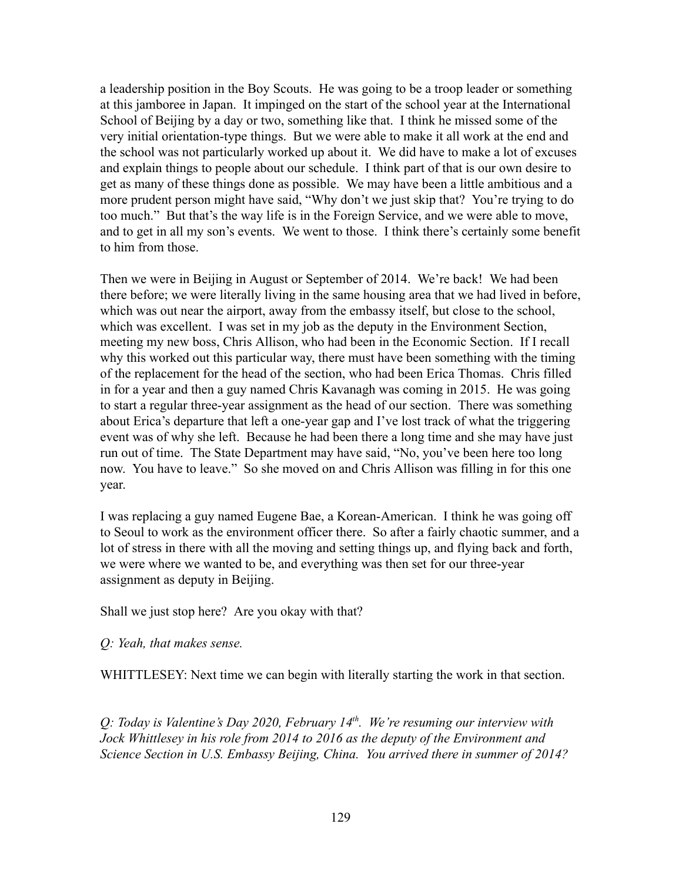a leadership position in the Boy Scouts. He was going to be a troop leader or something at this jamboree in Japan. It impinged on the start of the school year at the International School of Beijing by a day or two, something like that. I think he missed some of the very initial orientation-type things. But we were able to make it all work at the end and the school was not particularly worked up about it. We did have to make a lot of excuses and explain things to people about our schedule. I think part of that is our own desire to get as many of these things done as possible. We may have been a little ambitious and a more prudent person might have said, "Why don't we just skip that? You're trying to do too much." But that's the way life is in the Foreign Service, and we were able to move, and to get in all my son's events. We went to those. I think there's certainly some benefit to him from those.

Then we were in Beijing in August or September of 2014. We're back! We had been there before; we were literally living in the same housing area that we had lived in before, which was out near the airport, away from the embassy itself, but close to the school, which was excellent. I was set in my job as the deputy in the Environment Section, meeting my new boss, Chris Allison, who had been in the Economic Section. If I recall why this worked out this particular way, there must have been something with the timing of the replacement for the head of the section, who had been Erica Thomas. Chris filled in for a year and then a guy named Chris Kavanagh was coming in 2015. He was going to start a regular three-year assignment as the head of our section. There was something about Erica's departure that left a one-year gap and I've lost track of what the triggering event was of why she left. Because he had been there a long time and she may have just run out of time. The State Department may have said, "No, you've been here too long now. You have to leave." So she moved on and Chris Allison was filling in for this one year.

I was replacing a guy named Eugene Bae, a Korean-American. I think he was going off to Seoul to work as the environment officer there. So after a fairly chaotic summer, and a lot of stress in there with all the moving and setting things up, and flying back and forth, we were where we wanted to be, and everything was then set for our three-year assignment as deputy in Beijing.

Shall we just stop here? Are you okay with that?

*Q: Yeah, that makes sense.*

WHITTLESEY: Next time we can begin with literally starting the work in that section.

*Q: Today is Valentine's Day 2020, February 14th . We're resuming our interview with Jock Whittlesey in his role from 2014 to 2016 as the deputy of the Environment and Science Section in U.S. Embassy Beijing, China. You arrived there in summer of 2014?*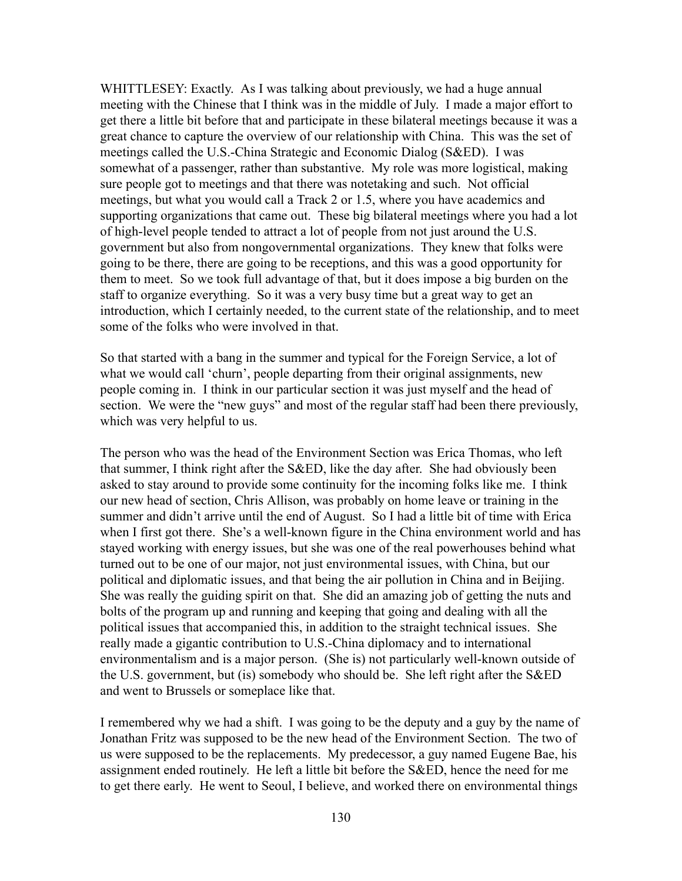WHITTLESEY: Exactly. As I was talking about previously, we had a huge annual meeting with the Chinese that I think was in the middle of July. I made a major effort to get there a little bit before that and participate in these bilateral meetings because it was a great chance to capture the overview of our relationship with China. This was the set of meetings called the U.S.-China Strategic and Economic Dialog (S&ED). I was somewhat of a passenger, rather than substantive. My role was more logistical, making sure people got to meetings and that there was notetaking and such. Not official meetings, but what you would call a Track 2 or 1.5, where you have academics and supporting organizations that came out. These big bilateral meetings where you had a lot of high-level people tended to attract a lot of people from not just around the U.S. government but also from nongovernmental organizations. They knew that folks were going to be there, there are going to be receptions, and this was a good opportunity for them to meet. So we took full advantage of that, but it does impose a big burden on the staff to organize everything. So it was a very busy time but a great way to get an introduction, which I certainly needed, to the current state of the relationship, and to meet some of the folks who were involved in that.

So that started with a bang in the summer and typical for the Foreign Service, a lot of what we would call 'churn', people departing from their original assignments, new people coming in. I think in our particular section it was just myself and the head of section. We were the "new guys" and most of the regular staff had been there previously, which was very helpful to us.

The person who was the head of the Environment Section was Erica Thomas, who left that summer, I think right after the S&ED, like the day after. She had obviously been asked to stay around to provide some continuity for the incoming folks like me. I think our new head of section, Chris Allison, was probably on home leave or training in the summer and didn't arrive until the end of August. So I had a little bit of time with Erica when I first got there. She's a well-known figure in the China environment world and has stayed working with energy issues, but she was one of the real powerhouses behind what turned out to be one of our major, not just environmental issues, with China, but our political and diplomatic issues, and that being the air pollution in China and in Beijing. She was really the guiding spirit on that. She did an amazing job of getting the nuts and bolts of the program up and running and keeping that going and dealing with all the political issues that accompanied this, in addition to the straight technical issues. She really made a gigantic contribution to U.S.-China diplomacy and to international environmentalism and is a major person. (She is) not particularly well-known outside of the U.S. government, but (is) somebody who should be. She left right after the S&ED and went to Brussels or someplace like that.

I remembered why we had a shift. I was going to be the deputy and a guy by the name of Jonathan Fritz was supposed to be the new head of the Environment Section. The two of us were supposed to be the replacements. My predecessor, a guy named Eugene Bae, his assignment ended routinely. He left a little bit before the S&ED, hence the need for me to get there early. He went to Seoul, I believe, and worked there on environmental things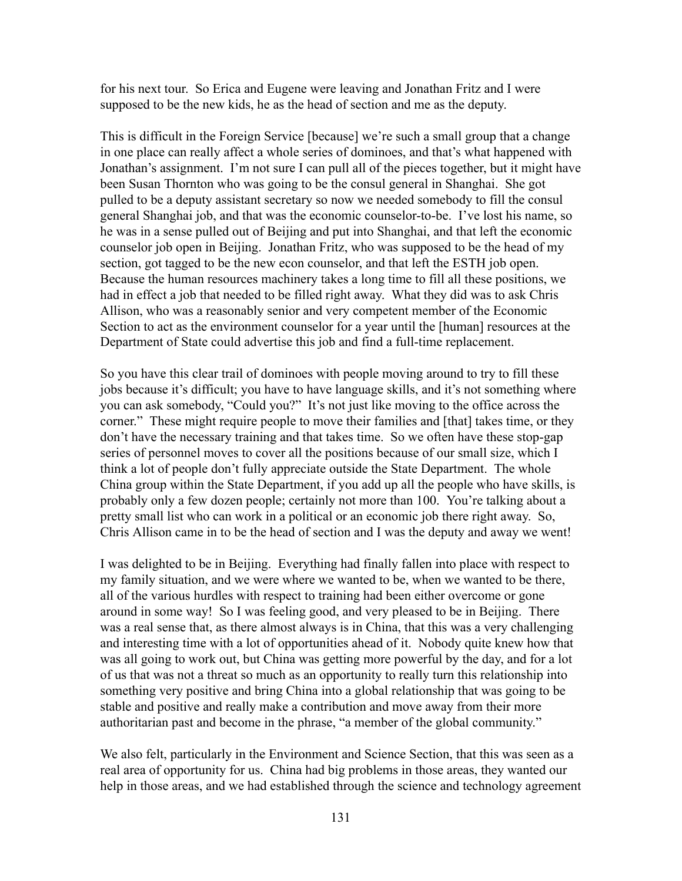for his next tour. So Erica and Eugene were leaving and Jonathan Fritz and I were supposed to be the new kids, he as the head of section and me as the deputy.

This is difficult in the Foreign Service [because] we're such a small group that a change in one place can really affect a whole series of dominoes, and that's what happened with Jonathan's assignment. I'm not sure I can pull all of the pieces together, but it might have been Susan Thornton who was going to be the consul general in Shanghai. She got pulled to be a deputy assistant secretary so now we needed somebody to fill the consul general Shanghai job, and that was the economic counselor-to-be. I've lost his name, so he was in a sense pulled out of Beijing and put into Shanghai, and that left the economic counselor job open in Beijing. Jonathan Fritz, who was supposed to be the head of my section, got tagged to be the new econ counselor, and that left the ESTH job open. Because the human resources machinery takes a long time to fill all these positions, we had in effect a job that needed to be filled right away. What they did was to ask Chris Allison, who was a reasonably senior and very competent member of the Economic Section to act as the environment counselor for a year until the [human] resources at the Department of State could advertise this job and find a full-time replacement.

So you have this clear trail of dominoes with people moving around to try to fill these jobs because it's difficult; you have to have language skills, and it's not something where you can ask somebody, "Could you?" It's not just like moving to the office across the corner." These might require people to move their families and [that] takes time, or they don't have the necessary training and that takes time. So we often have these stop-gap series of personnel moves to cover all the positions because of our small size, which I think a lot of people don't fully appreciate outside the State Department. The whole China group within the State Department, if you add up all the people who have skills, is probably only a few dozen people; certainly not more than 100. You're talking about a pretty small list who can work in a political or an economic job there right away. So, Chris Allison came in to be the head of section and I was the deputy and away we went!

I was delighted to be in Beijing. Everything had finally fallen into place with respect to my family situation, and we were where we wanted to be, when we wanted to be there, all of the various hurdles with respect to training had been either overcome or gone around in some way! So I was feeling good, and very pleased to be in Beijing. There was a real sense that, as there almost always is in China, that this was a very challenging and interesting time with a lot of opportunities ahead of it. Nobody quite knew how that was all going to work out, but China was getting more powerful by the day, and for a lot of us that was not a threat so much as an opportunity to really turn this relationship into something very positive and bring China into a global relationship that was going to be stable and positive and really make a contribution and move away from their more authoritarian past and become in the phrase, "a member of the global community."

We also felt, particularly in the Environment and Science Section, that this was seen as a real area of opportunity for us. China had big problems in those areas, they wanted our help in those areas, and we had established through the science and technology agreement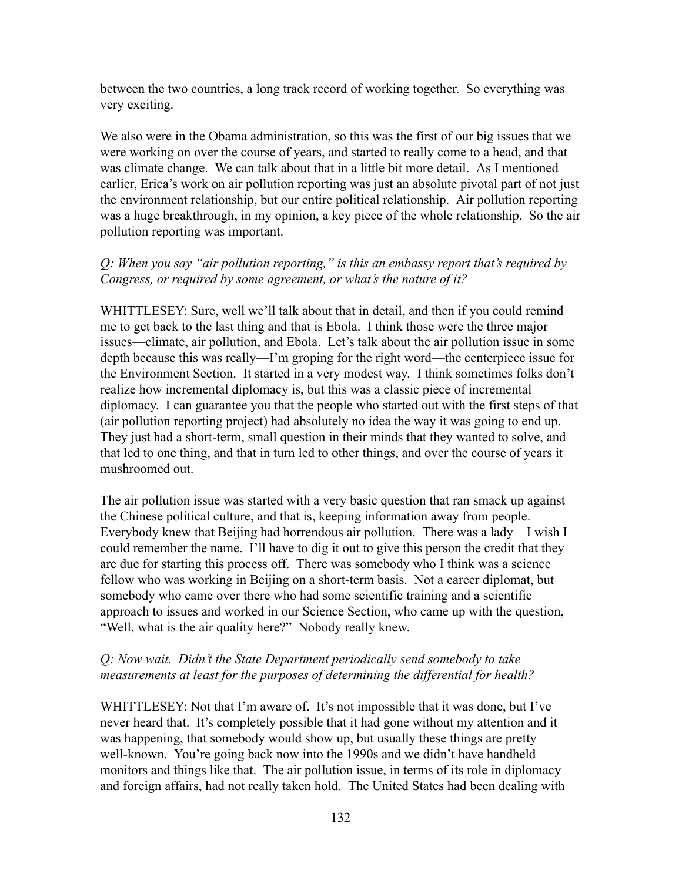between the two countries, a long track record of working together. So everything was very exciting.

We also were in the Obama administration, so this was the first of our big issues that we were working on over the course of years, and started to really come to a head, and that was climate change. We can talk about that in a little bit more detail. As I mentioned earlier, Erica's work on air pollution reporting was just an absolute pivotal part of not just the environment relationship, but our entire political relationship. Air pollution reporting was a huge breakthrough, in my opinion, a key piece of the whole relationship. So the air pollution reporting was important.

## *Q: When you say "air pollution reporting," is this an embassy report that's required by Congress, or required by some agreement, or what's the nature of it?*

WHITTLESEY: Sure, well we'll talk about that in detail, and then if you could remind me to get back to the last thing and that is Ebola. I think those were the three major issues—climate, air pollution, and Ebola. Let's talk about the air pollution issue in some depth because this was really—I'm groping for the right word—the centerpiece issue for the Environment Section. It started in a very modest way. I think sometimes folks don't realize how incremental diplomacy is, but this was a classic piece of incremental diplomacy. I can guarantee you that the people who started out with the first steps of that (air pollution reporting project) had absolutely no idea the way it was going to end up. They just had a short-term, small question in their minds that they wanted to solve, and that led to one thing, and that in turn led to other things, and over the course of years it mushroomed out.

The air pollution issue was started with a very basic question that ran smack up against the Chinese political culture, and that is, keeping information away from people. Everybody knew that Beijing had horrendous air pollution. There was a lady—I wish I could remember the name. I'll have to dig it out to give this person the credit that they are due for starting this process off. There was somebody who I think was a science fellow who was working in Beijing on a short-term basis. Not a career diplomat, but somebody who came over there who had some scientific training and a scientific approach to issues and worked in our Science Section, who came up with the question, "Well, what is the air quality here?" Nobody really knew.

## *Q: Now wait. Didn't the State Department periodically send somebody to take measurements at least for the purposes of determining the differential for health?*

WHITTLESEY: Not that I'm aware of. It's not impossible that it was done, but I've never heard that. It's completely possible that it had gone without my attention and it was happening, that somebody would show up, but usually these things are pretty well-known. You're going back now into the 1990s and we didn't have handheld monitors and things like that. The air pollution issue, in terms of its role in diplomacy and foreign affairs, had not really taken hold. The United States had been dealing with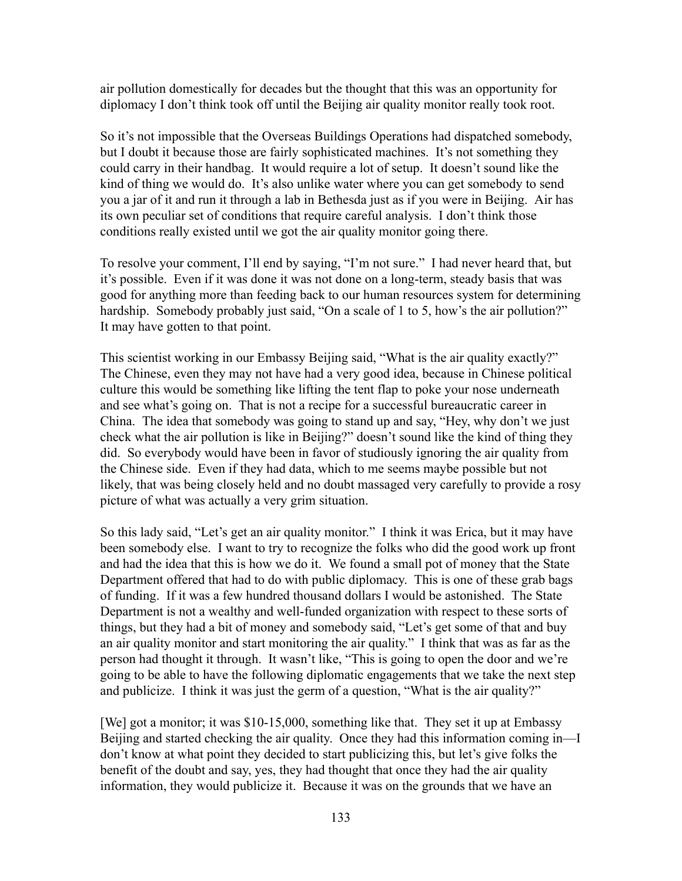air pollution domestically for decades but the thought that this was an opportunity for diplomacy I don't think took off until the Beijing air quality monitor really took root.

So it's not impossible that the Overseas Buildings Operations had dispatched somebody, but I doubt it because those are fairly sophisticated machines. It's not something they could carry in their handbag. It would require a lot of setup. It doesn't sound like the kind of thing we would do. It's also unlike water where you can get somebody to send you a jar of it and run it through a lab in Bethesda just as if you were in Beijing. Air has its own peculiar set of conditions that require careful analysis. I don't think those conditions really existed until we got the air quality monitor going there.

To resolve your comment, I'll end by saying, "I'm not sure." I had never heard that, but it's possible. Even if it was done it was not done on a long-term, steady basis that was good for anything more than feeding back to our human resources system for determining hardship. Somebody probably just said, "On a scale of 1 to 5, how's the air pollution?" It may have gotten to that point.

This scientist working in our Embassy Beijing said, "What is the air quality exactly?" The Chinese, even they may not have had a very good idea, because in Chinese political culture this would be something like lifting the tent flap to poke your nose underneath and see what's going on. That is not a recipe for a successful bureaucratic career in China. The idea that somebody was going to stand up and say, "Hey, why don't we just check what the air pollution is like in Beijing?" doesn't sound like the kind of thing they did. So everybody would have been in favor of studiously ignoring the air quality from the Chinese side. Even if they had data, which to me seems maybe possible but not likely, that was being closely held and no doubt massaged very carefully to provide a rosy picture of what was actually a very grim situation.

So this lady said, "Let's get an air quality monitor." I think it was Erica, but it may have been somebody else. I want to try to recognize the folks who did the good work up front and had the idea that this is how we do it. We found a small pot of money that the State Department offered that had to do with public diplomacy. This is one of these grab bags of funding. If it was a few hundred thousand dollars I would be astonished. The State Department is not a wealthy and well-funded organization with respect to these sorts of things, but they had a bit of money and somebody said, "Let's get some of that and buy an air quality monitor and start monitoring the air quality." I think that was as far as the person had thought it through. It wasn't like, "This is going to open the door and we're going to be able to have the following diplomatic engagements that we take the next step and publicize. I think it was just the germ of a question, "What is the air quality?"

[We] got a monitor; it was \$10-15,000, something like that. They set it up at Embassy Beijing and started checking the air quality. Once they had this information coming in—I don't know at what point they decided to start publicizing this, but let's give folks the benefit of the doubt and say, yes, they had thought that once they had the air quality information, they would publicize it. Because it was on the grounds that we have an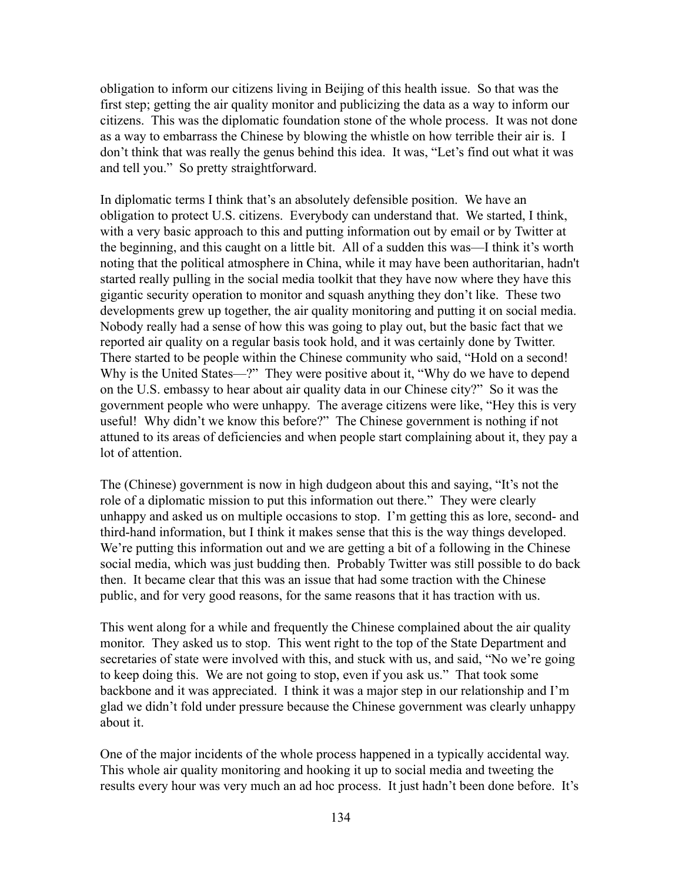obligation to inform our citizens living in Beijing of this health issue. So that was the first step; getting the air quality monitor and publicizing the data as a way to inform our citizens. This was the diplomatic foundation stone of the whole process. It was not done as a way to embarrass the Chinese by blowing the whistle on how terrible their air is. I don't think that was really the genus behind this idea. It was, "Let's find out what it was and tell you." So pretty straightforward.

In diplomatic terms I think that's an absolutely defensible position. We have an obligation to protect U.S. citizens. Everybody can understand that. We started, I think, with a very basic approach to this and putting information out by email or by Twitter at the beginning, and this caught on a little bit. All of a sudden this was—I think it's worth noting that the political atmosphere in China, while it may have been authoritarian, hadn't started really pulling in the social media toolkit that they have now where they have this gigantic security operation to monitor and squash anything they don't like. These two developments grew up together, the air quality monitoring and putting it on social media. Nobody really had a sense of how this was going to play out, but the basic fact that we reported air quality on a regular basis took hold, and it was certainly done by Twitter. There started to be people within the Chinese community who said, "Hold on a second! Why is the United States—?" They were positive about it, "Why do we have to depend on the U.S. embassy to hear about air quality data in our Chinese city?" So it was the government people who were unhappy. The average citizens were like, "Hey this is very useful! Why didn't we know this before?" The Chinese government is nothing if not attuned to its areas of deficiencies and when people start complaining about it, they pay a lot of attention.

The (Chinese) government is now in high dudgeon about this and saying, "It's not the role of a diplomatic mission to put this information out there." They were clearly unhappy and asked us on multiple occasions to stop. I'm getting this as lore, second- and third-hand information, but I think it makes sense that this is the way things developed. We're putting this information out and we are getting a bit of a following in the Chinese social media, which was just budding then. Probably Twitter was still possible to do back then. It became clear that this was an issue that had some traction with the Chinese public, and for very good reasons, for the same reasons that it has traction with us.

This went along for a while and frequently the Chinese complained about the air quality monitor. They asked us to stop. This went right to the top of the State Department and secretaries of state were involved with this, and stuck with us, and said, "No we're going to keep doing this. We are not going to stop, even if you ask us." That took some backbone and it was appreciated. I think it was a major step in our relationship and I'm glad we didn't fold under pressure because the Chinese government was clearly unhappy about it.

One of the major incidents of the whole process happened in a typically accidental way. This whole air quality monitoring and hooking it up to social media and tweeting the results every hour was very much an ad hoc process. It just hadn't been done before. It's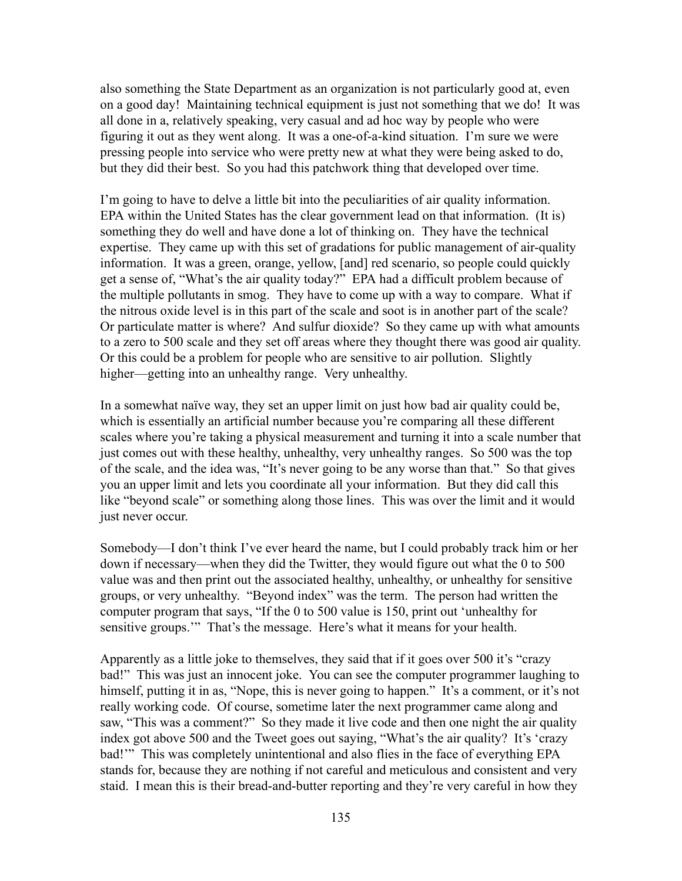also something the State Department as an organization is not particularly good at, even on a good day! Maintaining technical equipment is just not something that we do! It was all done in a, relatively speaking, very casual and ad hoc way by people who were figuring it out as they went along. It was a one-of-a-kind situation. I'm sure we were pressing people into service who were pretty new at what they were being asked to do, but they did their best. So you had this patchwork thing that developed over time.

I'm going to have to delve a little bit into the peculiarities of air quality information. EPA within the United States has the clear government lead on that information. (It is) something they do well and have done a lot of thinking on. They have the technical expertise. They came up with this set of gradations for public management of air-quality information. It was a green, orange, yellow, [and] red scenario, so people could quickly get a sense of, "What's the air quality today?" EPA had a difficult problem because of the multiple pollutants in smog. They have to come up with a way to compare. What if the nitrous oxide level is in this part of the scale and soot is in another part of the scale? Or particulate matter is where? And sulfur dioxide? So they came up with what amounts to a zero to 500 scale and they set off areas where they thought there was good air quality. Or this could be a problem for people who are sensitive to air pollution. Slightly higher—getting into an unhealthy range. Very unhealthy.

In a somewhat naïve way, they set an upper limit on just how bad air quality could be, which is essentially an artificial number because you're comparing all these different scales where you're taking a physical measurement and turning it into a scale number that just comes out with these healthy, unhealthy, very unhealthy ranges. So 500 was the top of the scale, and the idea was, "It's never going to be any worse than that." So that gives you an upper limit and lets you coordinate all your information. But they did call this like "beyond scale" or something along those lines. This was over the limit and it would just never occur.

Somebody—I don't think I've ever heard the name, but I could probably track him or her down if necessary—when they did the Twitter, they would figure out what the 0 to 500 value was and then print out the associated healthy, unhealthy, or unhealthy for sensitive groups, or very unhealthy. "Beyond index" was the term. The person had written the computer program that says, "If the 0 to 500 value is 150, print out 'unhealthy for sensitive groups." That's the message. Here's what it means for your health.

Apparently as a little joke to themselves, they said that if it goes over 500 it's "crazy bad!" This was just an innocent joke. You can see the computer programmer laughing to himself, putting it in as, "Nope, this is never going to happen." It's a comment, or it's not really working code. Of course, sometime later the next programmer came along and saw, "This was a comment?" So they made it live code and then one night the air quality index got above 500 and the Tweet goes out saying, "What's the air quality? It's 'crazy bad!'" This was completely unintentional and also flies in the face of everything EPA stands for, because they are nothing if not careful and meticulous and consistent and very staid. I mean this is their bread-and-butter reporting and they're very careful in how they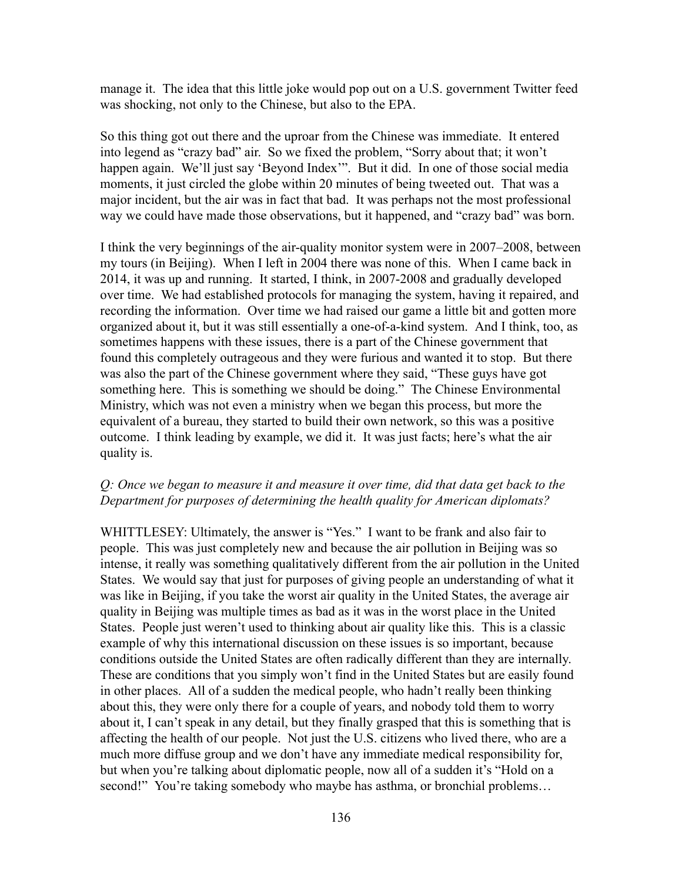manage it. The idea that this little joke would pop out on a U.S. government Twitter feed was shocking, not only to the Chinese, but also to the EPA.

So this thing got out there and the uproar from the Chinese was immediate. It entered into legend as "crazy bad" air. So we fixed the problem, "Sorry about that; it won't happen again. We'll just say 'Beyond Index'". But it did. In one of those social media moments, it just circled the globe within 20 minutes of being tweeted out. That was a major incident, but the air was in fact that bad. It was perhaps not the most professional way we could have made those observations, but it happened, and "crazy bad" was born.

I think the very beginnings of the air-quality monitor system were in 2007–2008, between my tours (in Beijing). When I left in 2004 there was none of this. When I came back in 2014, it was up and running. It started, I think, in 2007-2008 and gradually developed over time. We had established protocols for managing the system, having it repaired, and recording the information. Over time we had raised our game a little bit and gotten more organized about it, but it was still essentially a one-of-a-kind system. And I think, too, as sometimes happens with these issues, there is a part of the Chinese government that found this completely outrageous and they were furious and wanted it to stop. But there was also the part of the Chinese government where they said, "These guys have got something here. This is something we should be doing." The Chinese Environmental Ministry, which was not even a ministry when we began this process, but more the equivalent of a bureau, they started to build their own network, so this was a positive outcome. I think leading by example, we did it. It was just facts; here's what the air quality is.

#### *Q: Once we began to measure it and measure it over time, did that data get back to the Department for purposes of determining the health quality for American diplomats?*

WHITTLESEY: Ultimately, the answer is "Yes." I want to be frank and also fair to people. This was just completely new and because the air pollution in Beijing was so intense, it really was something qualitatively different from the air pollution in the United States. We would say that just for purposes of giving people an understanding of what it was like in Beijing, if you take the worst air quality in the United States, the average air quality in Beijing was multiple times as bad as it was in the worst place in the United States. People just weren't used to thinking about air quality like this. This is a classic example of why this international discussion on these issues is so important, because conditions outside the United States are often radically different than they are internally. These are conditions that you simply won't find in the United States but are easily found in other places. All of a sudden the medical people, who hadn't really been thinking about this, they were only there for a couple of years, and nobody told them to worry about it, I can't speak in any detail, but they finally grasped that this is something that is affecting the health of our people. Not just the U.S. citizens who lived there, who are a much more diffuse group and we don't have any immediate medical responsibility for, but when you're talking about diplomatic people, now all of a sudden it's "Hold on a second!" You're taking somebody who maybe has asthma, or bronchial problems...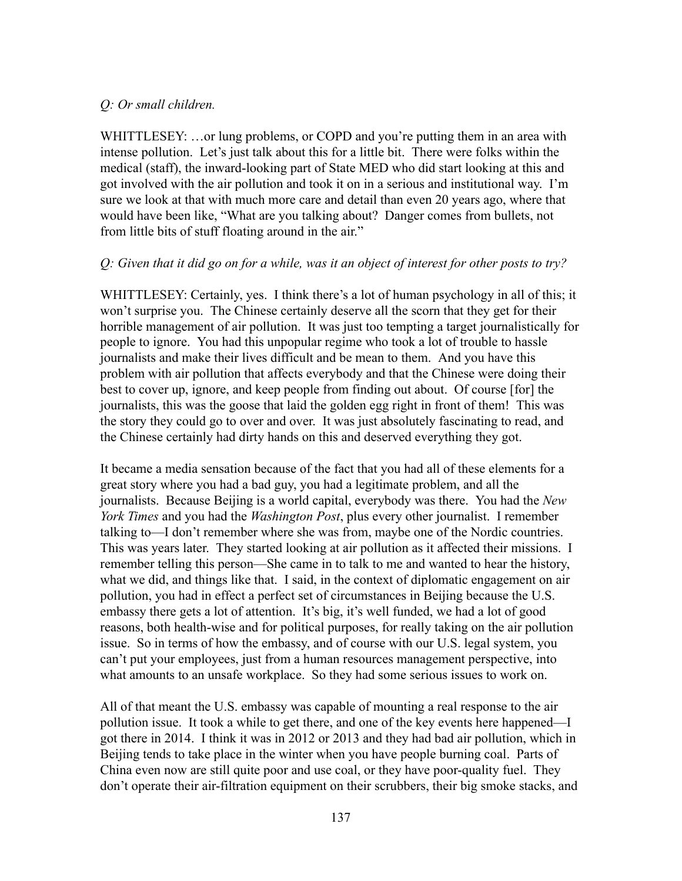## *Q: Or small children.*

WHITTLESEY: ...or lung problems, or COPD and you're putting them in an area with intense pollution. Let's just talk about this for a little bit. There were folks within the medical (staff), the inward-looking part of State MED who did start looking at this and got involved with the air pollution and took it on in a serious and institutional way. I'm sure we look at that with much more care and detail than even 20 years ago, where that would have been like, "What are you talking about? Danger comes from bullets, not from little bits of stuff floating around in the air."

#### *Q: Given that it did go on for a while, was it an object of interest for other posts to try?*

WHITTLESEY: Certainly, yes. I think there's a lot of human psychology in all of this; it won't surprise you. The Chinese certainly deserve all the scorn that they get for their horrible management of air pollution. It was just too tempting a target journalistically for people to ignore. You had this unpopular regime who took a lot of trouble to hassle journalists and make their lives difficult and be mean to them. And you have this problem with air pollution that affects everybody and that the Chinese were doing their best to cover up, ignore, and keep people from finding out about. Of course [for] the journalists, this was the goose that laid the golden egg right in front of them! This was the story they could go to over and over. It was just absolutely fascinating to read, and the Chinese certainly had dirty hands on this and deserved everything they got.

It became a media sensation because of the fact that you had all of these elements for a great story where you had a bad guy, you had a legitimate problem, and all the journalists. Because Beijing is a world capital, everybody was there. You had the *New York Times* and you had the *Washington Post*, plus every other journalist. I remember talking to—I don't remember where she was from, maybe one of the Nordic countries. This was years later. They started looking at air pollution as it affected their missions. I remember telling this person—She came in to talk to me and wanted to hear the history, what we did, and things like that. I said, in the context of diplomatic engagement on air pollution, you had in effect a perfect set of circumstances in Beijing because the U.S. embassy there gets a lot of attention. It's big, it's well funded, we had a lot of good reasons, both health-wise and for political purposes, for really taking on the air pollution issue. So in terms of how the embassy, and of course with our U.S. legal system, you can't put your employees, just from a human resources management perspective, into what amounts to an unsafe workplace. So they had some serious issues to work on.

All of that meant the U.S. embassy was capable of mounting a real response to the air pollution issue. It took a while to get there, and one of the key events here happened—I got there in 2014. I think it was in 2012 or 2013 and they had bad air pollution, which in Beijing tends to take place in the winter when you have people burning coal. Parts of China even now are still quite poor and use coal, or they have poor-quality fuel. They don't operate their air-filtration equipment on their scrubbers, their big smoke stacks, and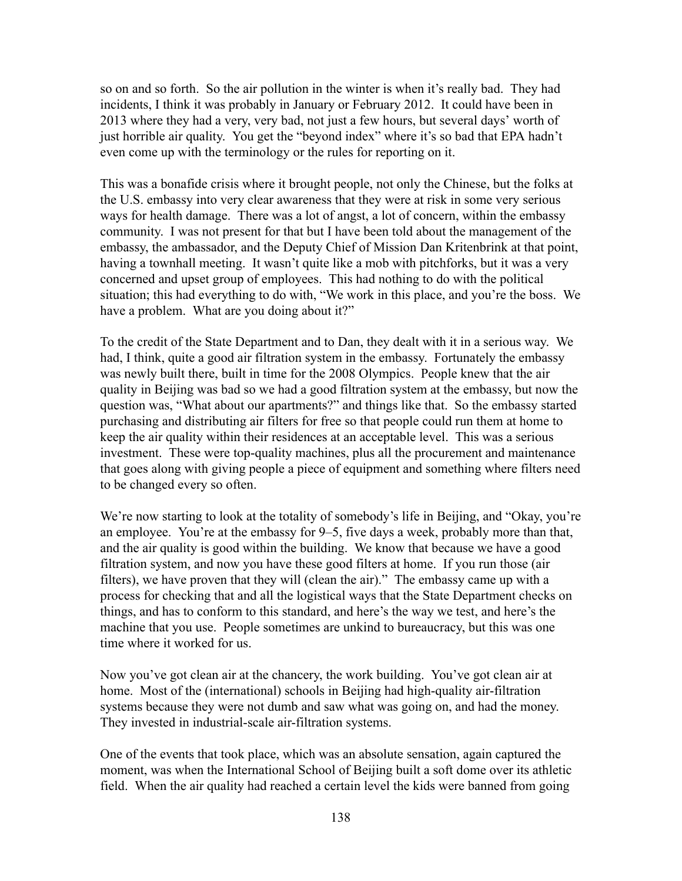so on and so forth. So the air pollution in the winter is when it's really bad. They had incidents, I think it was probably in January or February 2012. It could have been in 2013 where they had a very, very bad, not just a few hours, but several days' worth of just horrible air quality. You get the "beyond index" where it's so bad that EPA hadn't even come up with the terminology or the rules for reporting on it.

This was a bonafide crisis where it brought people, not only the Chinese, but the folks at the U.S. embassy into very clear awareness that they were at risk in some very serious ways for health damage. There was a lot of angst, a lot of concern, within the embassy community. I was not present for that but I have been told about the management of the embassy, the ambassador, and the Deputy Chief of Mission Dan Kritenbrink at that point, having a townhall meeting. It wasn't quite like a mob with pitchforks, but it was a very concerned and upset group of employees. This had nothing to do with the political situation; this had everything to do with, "We work in this place, and you're the boss. We have a problem. What are you doing about it?"

To the credit of the State Department and to Dan, they dealt with it in a serious way. We had, I think, quite a good air filtration system in the embassy. Fortunately the embassy was newly built there, built in time for the 2008 Olympics. People knew that the air quality in Beijing was bad so we had a good filtration system at the embassy, but now the question was, "What about our apartments?" and things like that. So the embassy started purchasing and distributing air filters for free so that people could run them at home to keep the air quality within their residences at an acceptable level. This was a serious investment. These were top-quality machines, plus all the procurement and maintenance that goes along with giving people a piece of equipment and something where filters need to be changed every so often.

We're now starting to look at the totality of somebody's life in Beijing, and "Okay, you're an employee. You're at the embassy for 9–5, five days a week, probably more than that, and the air quality is good within the building. We know that because we have a good filtration system, and now you have these good filters at home. If you run those (air filters), we have proven that they will (clean the air)." The embassy came up with a process for checking that and all the logistical ways that the State Department checks on things, and has to conform to this standard, and here's the way we test, and here's the machine that you use. People sometimes are unkind to bureaucracy, but this was one time where it worked for us.

Now you've got clean air at the chancery, the work building. You've got clean air at home. Most of the (international) schools in Beijing had high-quality air-filtration systems because they were not dumb and saw what was going on, and had the money. They invested in industrial-scale air-filtration systems.

One of the events that took place, which was an absolute sensation, again captured the moment, was when the International School of Beijing built a soft dome over its athletic field. When the air quality had reached a certain level the kids were banned from going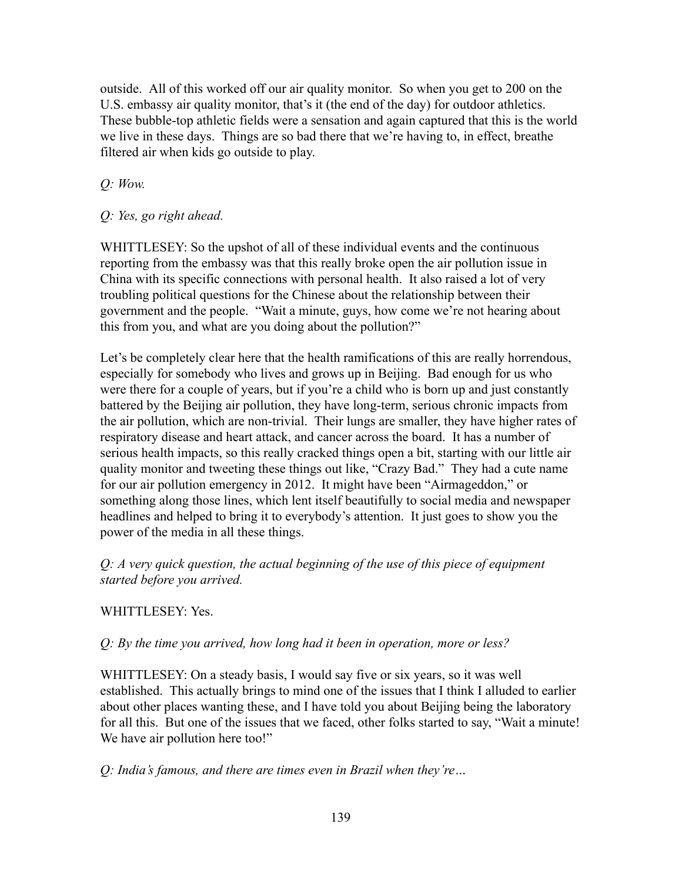outside. All of this worked off our air quality monitor. So when you get to 200 on the U.S. embassy air quality monitor, that's it (the end of the day) for outdoor athletics. These bubble-top athletic fields were a sensation and again captured that this is the world we live in these days. Things are so bad there that we're having to, in effect, breathe filtered air when kids go outside to play.

# *Q: Wow.*

*Q: Yes, go right ahead.*

WHITTLESEY: So the upshot of all of these individual events and the continuous reporting from the embassy was that this really broke open the air pollution issue in China with its specific connections with personal health. It also raised a lot of very troubling political questions for the Chinese about the relationship between their government and the people. "Wait a minute, guys, how come we're not hearing about this from you, and what are you doing about the pollution?"

Let's be completely clear here that the health ramifications of this are really horrendous, especially for somebody who lives and grows up in Beijing. Bad enough for us who were there for a couple of years, but if you're a child who is born up and just constantly battered by the Beijing air pollution, they have long-term, serious chronic impacts from the air pollution, which are non-trivial. Their lungs are smaller, they have higher rates of respiratory disease and heart attack, and cancer across the board. It has a number of serious health impacts, so this really cracked things open a bit, starting with our little air quality monitor and tweeting these things out like, "Crazy Bad." They had a cute name for our air pollution emergency in 2012. It might have been "Airmageddon," or something along those lines, which lent itself beautifully to social media and newspaper headlines and helped to bring it to everybody's attention. It just goes to show you the power of the media in all these things.

*Q: A very quick question, the actual beginning of the use of this piece of equipment started before you arrived.*

## WHITTLESEY: Yes.

## *Q: By the time you arrived, how long had it been in operation, more or less?*

WHITTLESEY: On a steady basis, I would say five or six years, so it was well established. This actually brings to mind one of the issues that I think I alluded to earlier about other places wanting these, and I have told you about Beijing being the laboratory for all this. But one of the issues that we faced, other folks started to say, "Wait a minute! We have air pollution here too!"

*Q: India's famous, and there are times even in Brazil when they're…*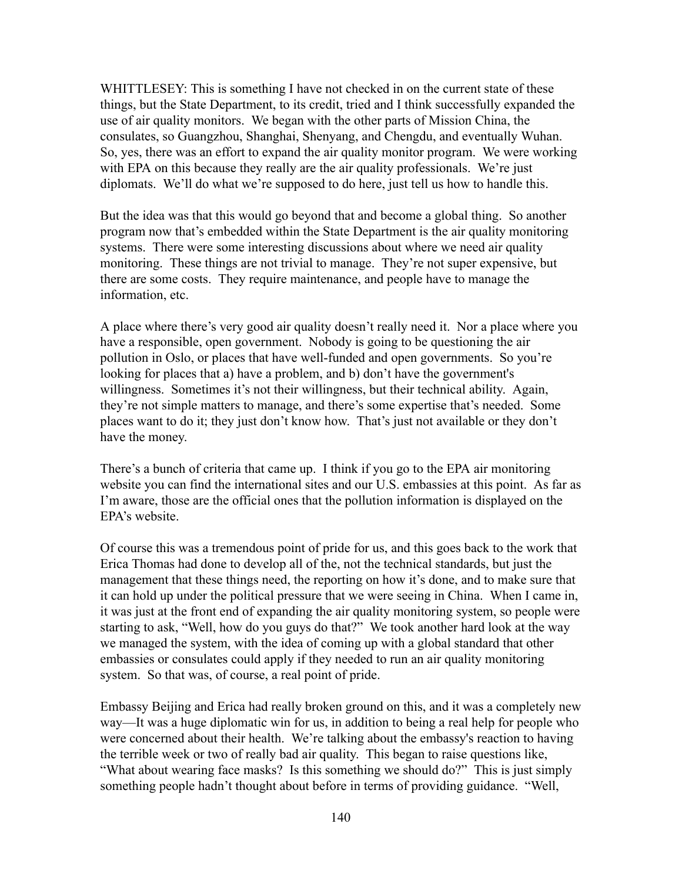WHITTLESEY: This is something I have not checked in on the current state of these things, but the State Department, to its credit, tried and I think successfully expanded the use of air quality monitors. We began with the other parts of Mission China, the consulates, so Guangzhou, Shanghai, Shenyang, and Chengdu, and eventually Wuhan. So, yes, there was an effort to expand the air quality monitor program. We were working with EPA on this because they really are the air quality professionals. We're just diplomats. We'll do what we're supposed to do here, just tell us how to handle this.

But the idea was that this would go beyond that and become a global thing. So another program now that's embedded within the State Department is the air quality monitoring systems. There were some interesting discussions about where we need air quality monitoring. These things are not trivial to manage. They're not super expensive, but there are some costs. They require maintenance, and people have to manage the information, etc.

A place where there's very good air quality doesn't really need it. Nor a place where you have a responsible, open government. Nobody is going to be questioning the air pollution in Oslo, or places that have well-funded and open governments. So you're looking for places that a) have a problem, and b) don't have the government's willingness. Sometimes it's not their willingness, but their technical ability. Again, they're not simple matters to manage, and there's some expertise that's needed. Some places want to do it; they just don't know how. That's just not available or they don't have the money.

There's a bunch of criteria that came up. I think if you go to the EPA air monitoring website you can find the international sites and our U.S. embassies at this point. As far as I'm aware, those are the official ones that the pollution information is displayed on the EPA's website.

Of course this was a tremendous point of pride for us, and this goes back to the work that Erica Thomas had done to develop all of the, not the technical standards, but just the management that these things need, the reporting on how it's done, and to make sure that it can hold up under the political pressure that we were seeing in China. When I came in, it was just at the front end of expanding the air quality monitoring system, so people were starting to ask, "Well, how do you guys do that?" We took another hard look at the way we managed the system, with the idea of coming up with a global standard that other embassies or consulates could apply if they needed to run an air quality monitoring system. So that was, of course, a real point of pride.

Embassy Beijing and Erica had really broken ground on this, and it was a completely new way—It was a huge diplomatic win for us, in addition to being a real help for people who were concerned about their health. We're talking about the embassy's reaction to having the terrible week or two of really bad air quality. This began to raise questions like, "What about wearing face masks? Is this something we should do?" This is just simply something people hadn't thought about before in terms of providing guidance. "Well,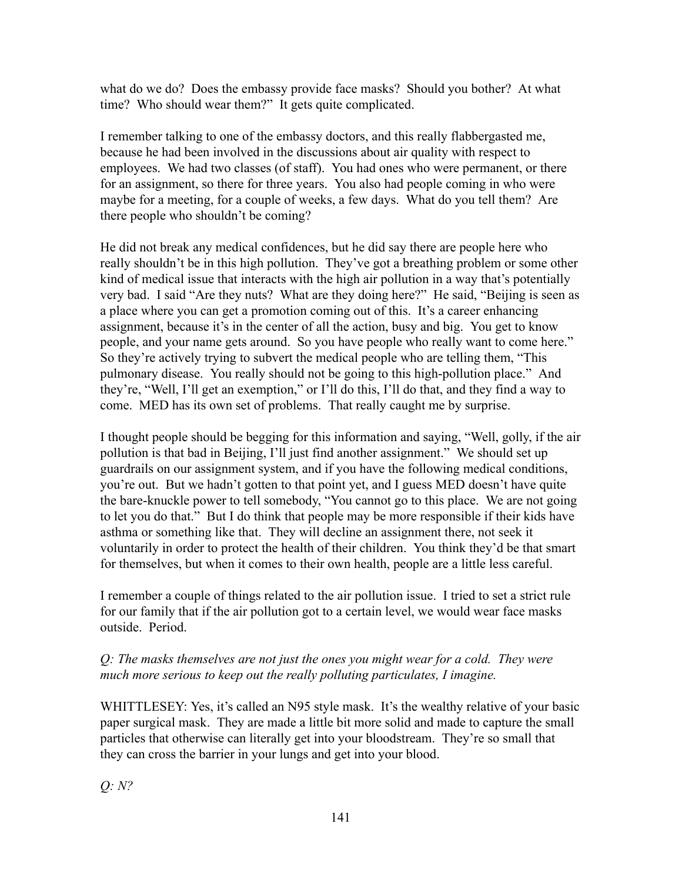what do we do? Does the embassy provide face masks? Should you bother? At what time? Who should wear them?" It gets quite complicated.

I remember talking to one of the embassy doctors, and this really flabbergasted me, because he had been involved in the discussions about air quality with respect to employees. We had two classes (of staff). You had ones who were permanent, or there for an assignment, so there for three years. You also had people coming in who were maybe for a meeting, for a couple of weeks, a few days. What do you tell them? Are there people who shouldn't be coming?

He did not break any medical confidences, but he did say there are people here who really shouldn't be in this high pollution. They've got a breathing problem or some other kind of medical issue that interacts with the high air pollution in a way that's potentially very bad. I said "Are they nuts? What are they doing here?" He said, "Beijing is seen as a place where you can get a promotion coming out of this. It's a career enhancing assignment, because it's in the center of all the action, busy and big. You get to know people, and your name gets around. So you have people who really want to come here." So they're actively trying to subvert the medical people who are telling them, "This pulmonary disease. You really should not be going to this high-pollution place." And they're, "Well, I'll get an exemption," or I'll do this, I'll do that, and they find a way to come. MED has its own set of problems. That really caught me by surprise.

I thought people should be begging for this information and saying, "Well, golly, if the air pollution is that bad in Beijing, I'll just find another assignment." We should set up guardrails on our assignment system, and if you have the following medical conditions, you're out. But we hadn't gotten to that point yet, and I guess MED doesn't have quite the bare-knuckle power to tell somebody, "You cannot go to this place. We are not going to let you do that." But I do think that people may be more responsible if their kids have asthma or something like that. They will decline an assignment there, not seek it voluntarily in order to protect the health of their children. You think they'd be that smart for themselves, but when it comes to their own health, people are a little less careful.

I remember a couple of things related to the air pollution issue. I tried to set a strict rule for our family that if the air pollution got to a certain level, we would wear face masks outside. Period.

# *Q: The masks themselves are not just the ones you might wear for a cold. They were much more serious to keep out the really polluting particulates, I imagine.*

WHITTLESEY: Yes, it's called an N95 style mask. It's the wealthy relative of your basic paper surgical mask. They are made a little bit more solid and made to capture the small particles that otherwise can literally get into your bloodstream. They're so small that they can cross the barrier in your lungs and get into your blood.

*Q: N?*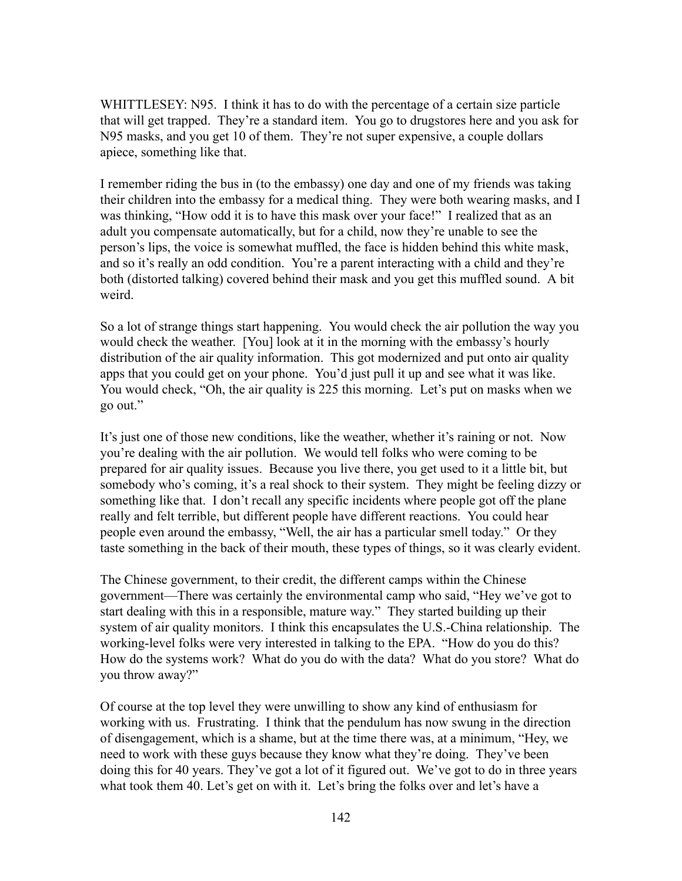WHITTLESEY: N95. I think it has to do with the percentage of a certain size particle that will get trapped. They're a standard item. You go to drugstores here and you ask for N95 masks, and you get 10 of them. They're not super expensive, a couple dollars apiece, something like that.

I remember riding the bus in (to the embassy) one day and one of my friends was taking their children into the embassy for a medical thing. They were both wearing masks, and I was thinking, "How odd it is to have this mask over your face!" I realized that as an adult you compensate automatically, but for a child, now they're unable to see the person's lips, the voice is somewhat muffled, the face is hidden behind this white mask, and so it's really an odd condition. You're a parent interacting with a child and they're both (distorted talking) covered behind their mask and you get this muffled sound. A bit weird.

So a lot of strange things start happening. You would check the air pollution the way you would check the weather. [You] look at it in the morning with the embassy's hourly distribution of the air quality information. This got modernized and put onto air quality apps that you could get on your phone. You'd just pull it up and see what it was like. You would check, "Oh, the air quality is 225 this morning. Let's put on masks when we go out."

It's just one of those new conditions, like the weather, whether it's raining or not. Now you're dealing with the air pollution. We would tell folks who were coming to be prepared for air quality issues. Because you live there, you get used to it a little bit, but somebody who's coming, it's a real shock to their system. They might be feeling dizzy or something like that. I don't recall any specific incidents where people got off the plane really and felt terrible, but different people have different reactions. You could hear people even around the embassy, "Well, the air has a particular smell today." Or they taste something in the back of their mouth, these types of things, so it was clearly evident.

The Chinese government, to their credit, the different camps within the Chinese government—There was certainly the environmental camp who said, "Hey we've got to start dealing with this in a responsible, mature way." They started building up their system of air quality monitors. I think this encapsulates the U.S.-China relationship. The working-level folks were very interested in talking to the EPA. "How do you do this? How do the systems work? What do you do with the data? What do you store? What do you throw away?"

Of course at the top level they were unwilling to show any kind of enthusiasm for working with us. Frustrating. I think that the pendulum has now swung in the direction of disengagement, which is a shame, but at the time there was, at a minimum, "Hey, we need to work with these guys because they know what they're doing. They've been doing this for 40 years. They've got a lot of it figured out. We've got to do in three years what took them 40. Let's get on with it. Let's bring the folks over and let's have a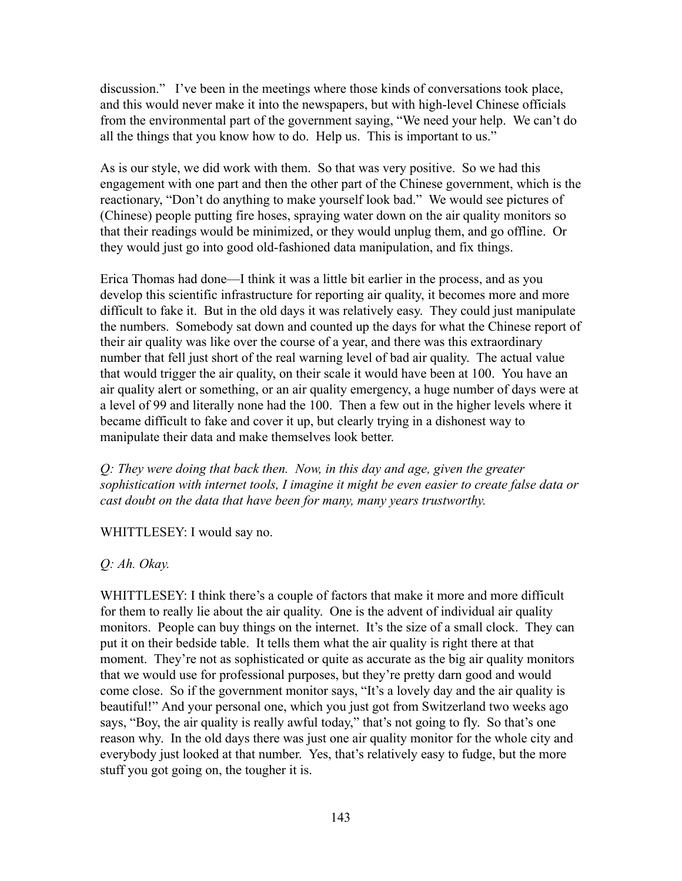discussion." I've been in the meetings where those kinds of conversations took place, and this would never make it into the newspapers, but with high-level Chinese officials from the environmental part of the government saying, "We need your help. We can't do all the things that you know how to do. Help us. This is important to us."

As is our style, we did work with them. So that was very positive. So we had this engagement with one part and then the other part of the Chinese government, which is the reactionary, "Don't do anything to make yourself look bad." We would see pictures of (Chinese) people putting fire hoses, spraying water down on the air quality monitors so that their readings would be minimized, or they would unplug them, and go offline. Or they would just go into good old-fashioned data manipulation, and fix things.

Erica Thomas had done—I think it was a little bit earlier in the process, and as you develop this scientific infrastructure for reporting air quality, it becomes more and more difficult to fake it. But in the old days it was relatively easy. They could just manipulate the numbers. Somebody sat down and counted up the days for what the Chinese report of their air quality was like over the course of a year, and there was this extraordinary number that fell just short of the real warning level of bad air quality. The actual value that would trigger the air quality, on their scale it would have been at 100. You have an air quality alert or something, or an air quality emergency, a huge number of days were at a level of 99 and literally none had the 100. Then a few out in the higher levels where it became difficult to fake and cover it up, but clearly trying in a dishonest way to manipulate their data and make themselves look better.

*Q: They were doing that back then. Now, in this day and age, given the greater sophistication with internet tools, I imagine it might be even easier to create false data or cast doubt on the data that have been for many, many years trustworthy.*

WHITTLESEY: I would say no.

## *Q: Ah. Okay.*

WHITTLESEY: I think there's a couple of factors that make it more and more difficult for them to really lie about the air quality. One is the advent of individual air quality monitors. People can buy things on the internet. It's the size of a small clock. They can put it on their bedside table. It tells them what the air quality is right there at that moment. They're not as sophisticated or quite as accurate as the big air quality monitors that we would use for professional purposes, but they're pretty darn good and would come close. So if the government monitor says, "It's a lovely day and the air quality is beautiful!" And your personal one, which you just got from Switzerland two weeks ago says, "Boy, the air quality is really awful today," that's not going to fly. So that's one reason why. In the old days there was just one air quality monitor for the whole city and everybody just looked at that number. Yes, that's relatively easy to fudge, but the more stuff you got going on, the tougher it is.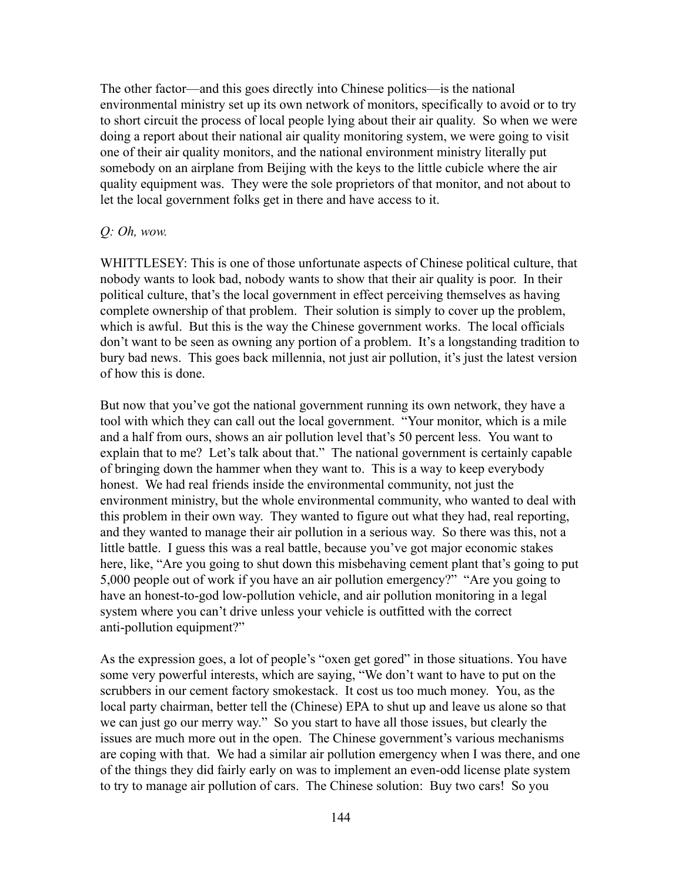The other factor—and this goes directly into Chinese politics—is the national environmental ministry set up its own network of monitors, specifically to avoid or to try to short circuit the process of local people lying about their air quality. So when we were doing a report about their national air quality monitoring system, we were going to visit one of their air quality monitors, and the national environment ministry literally put somebody on an airplane from Beijing with the keys to the little cubicle where the air quality equipment was. They were the sole proprietors of that monitor, and not about to let the local government folks get in there and have access to it.

#### *Q: Oh, wow.*

WHITTLESEY: This is one of those unfortunate aspects of Chinese political culture, that nobody wants to look bad, nobody wants to show that their air quality is poor. In their political culture, that's the local government in effect perceiving themselves as having complete ownership of that problem. Their solution is simply to cover up the problem, which is awful. But this is the way the Chinese government works. The local officials don't want to be seen as owning any portion of a problem. It's a longstanding tradition to bury bad news. This goes back millennia, not just air pollution, it's just the latest version of how this is done.

But now that you've got the national government running its own network, they have a tool with which they can call out the local government. "Your monitor, which is a mile and a half from ours, shows an air pollution level that's 50 percent less. You want to explain that to me? Let's talk about that." The national government is certainly capable of bringing down the hammer when they want to. This is a way to keep everybody honest. We had real friends inside the environmental community, not just the environment ministry, but the whole environmental community, who wanted to deal with this problem in their own way. They wanted to figure out what they had, real reporting, and they wanted to manage their air pollution in a serious way. So there was this, not a little battle. I guess this was a real battle, because you've got major economic stakes here, like, "Are you going to shut down this misbehaving cement plant that's going to put 5,000 people out of work if you have an air pollution emergency?" "Are you going to have an honest-to-god low-pollution vehicle, and air pollution monitoring in a legal system where you can't drive unless your vehicle is outfitted with the correct anti-pollution equipment?"

As the expression goes, a lot of people's "oxen get gored" in those situations. You have some very powerful interests, which are saying, "We don't want to have to put on the scrubbers in our cement factory smokestack. It cost us too much money. You, as the local party chairman, better tell the (Chinese) EPA to shut up and leave us alone so that we can just go our merry way." So you start to have all those issues, but clearly the issues are much more out in the open. The Chinese government's various mechanisms are coping with that. We had a similar air pollution emergency when I was there, and one of the things they did fairly early on was to implement an even-odd license plate system to try to manage air pollution of cars. The Chinese solution: Buy two cars! So you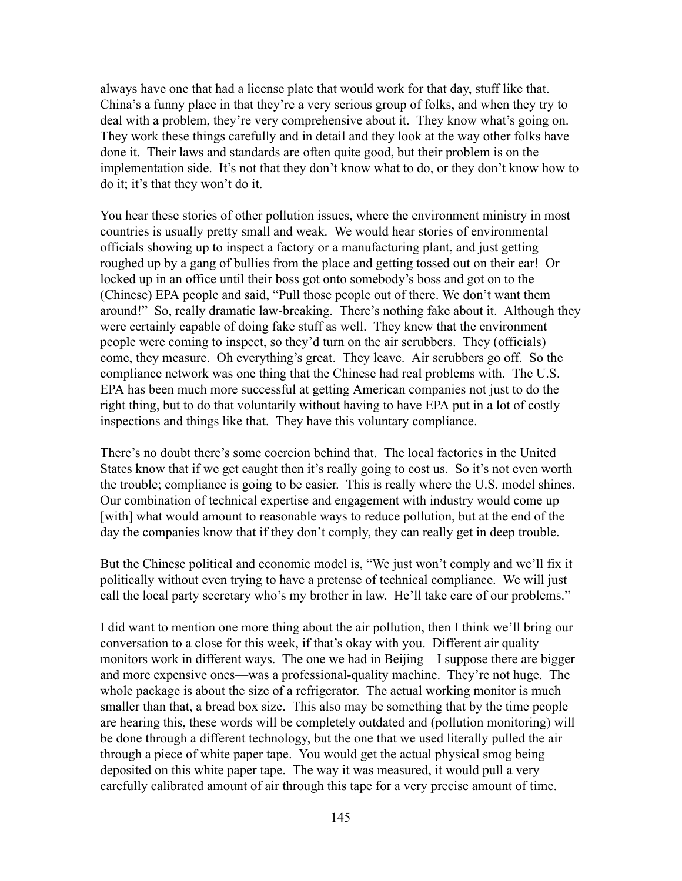always have one that had a license plate that would work for that day, stuff like that. China's a funny place in that they're a very serious group of folks, and when they try to deal with a problem, they're very comprehensive about it. They know what's going on. They work these things carefully and in detail and they look at the way other folks have done it. Their laws and standards are often quite good, but their problem is on the implementation side. It's not that they don't know what to do, or they don't know how to do it; it's that they won't do it.

You hear these stories of other pollution issues, where the environment ministry in most countries is usually pretty small and weak. We would hear stories of environmental officials showing up to inspect a factory or a manufacturing plant, and just getting roughed up by a gang of bullies from the place and getting tossed out on their ear! Or locked up in an office until their boss got onto somebody's boss and got on to the (Chinese) EPA people and said, "Pull those people out of there. We don't want them around!" So, really dramatic law-breaking. There's nothing fake about it. Although they were certainly capable of doing fake stuff as well. They knew that the environment people were coming to inspect, so they'd turn on the air scrubbers. They (officials) come, they measure. Oh everything's great. They leave. Air scrubbers go off. So the compliance network was one thing that the Chinese had real problems with. The U.S. EPA has been much more successful at getting American companies not just to do the right thing, but to do that voluntarily without having to have EPA put in a lot of costly inspections and things like that. They have this voluntary compliance.

There's no doubt there's some coercion behind that. The local factories in the United States know that if we get caught then it's really going to cost us. So it's not even worth the trouble; compliance is going to be easier. This is really where the U.S. model shines. Our combination of technical expertise and engagement with industry would come up [with] what would amount to reasonable ways to reduce pollution, but at the end of the day the companies know that if they don't comply, they can really get in deep trouble.

But the Chinese political and economic model is, "We just won't comply and we'll fix it politically without even trying to have a pretense of technical compliance. We will just call the local party secretary who's my brother in law. He'll take care of our problems."

I did want to mention one more thing about the air pollution, then I think we'll bring our conversation to a close for this week, if that's okay with you. Different air quality monitors work in different ways. The one we had in Beijing—I suppose there are bigger and more expensive ones—was a professional-quality machine. They're not huge. The whole package is about the size of a refrigerator. The actual working monitor is much smaller than that, a bread box size. This also may be something that by the time people are hearing this, these words will be completely outdated and (pollution monitoring) will be done through a different technology, but the one that we used literally pulled the air through a piece of white paper tape. You would get the actual physical smog being deposited on this white paper tape. The way it was measured, it would pull a very carefully calibrated amount of air through this tape for a very precise amount of time.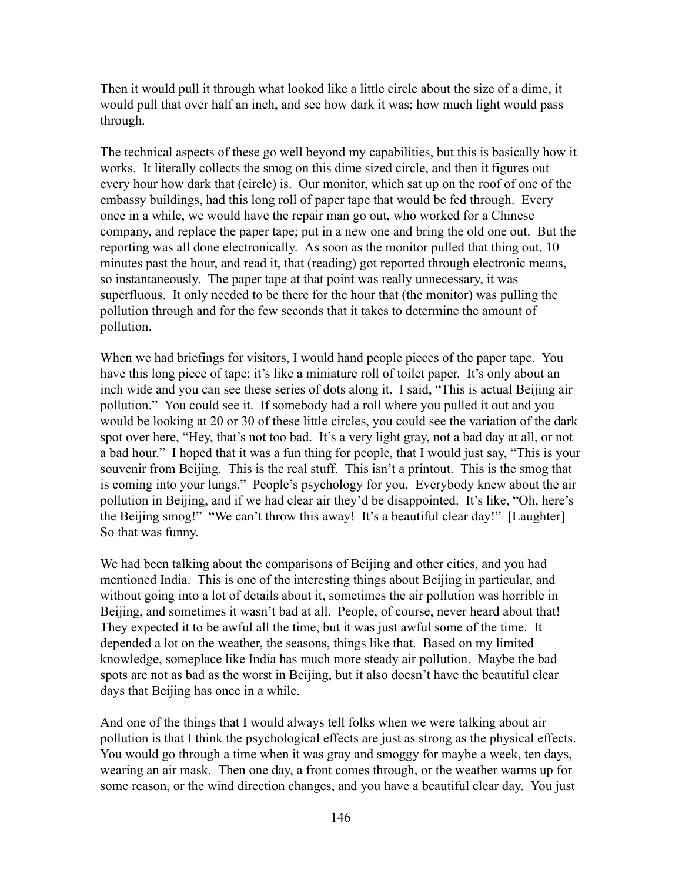Then it would pull it through what looked like a little circle about the size of a dime, it would pull that over half an inch, and see how dark it was; how much light would pass through.

The technical aspects of these go well beyond my capabilities, but this is basically how it works. It literally collects the smog on this dime sized circle, and then it figures out every hour how dark that (circle) is. Our monitor, which sat up on the roof of one of the embassy buildings, had this long roll of paper tape that would be fed through. Every once in a while, we would have the repair man go out, who worked for a Chinese company, and replace the paper tape; put in a new one and bring the old one out. But the reporting was all done electronically. As soon as the monitor pulled that thing out, 10 minutes past the hour, and read it, that (reading) got reported through electronic means, so instantaneously. The paper tape at that point was really unnecessary, it was superfluous. It only needed to be there for the hour that (the monitor) was pulling the pollution through and for the few seconds that it takes to determine the amount of pollution.

When we had briefings for visitors, I would hand people pieces of the paper tape. You have this long piece of tape; it's like a miniature roll of toilet paper. It's only about an inch wide and you can see these series of dots along it. I said, "This is actual Beijing air pollution." You could see it. If somebody had a roll where you pulled it out and you would be looking at 20 or 30 of these little circles, you could see the variation of the dark spot over here, "Hey, that's not too bad. It's a very light gray, not a bad day at all, or not a bad hour." I hoped that it was a fun thing for people, that I would just say, "This is your souvenir from Beijing. This is the real stuff. This isn't a printout. This is the smog that is coming into your lungs." People's psychology for you. Everybody knew about the air pollution in Beijing, and if we had clear air they'd be disappointed. It's like, "Oh, here's the Beijing smog!" "We can't throw this away! It's a beautiful clear day!" [Laughter] So that was funny.

We had been talking about the comparisons of Beijing and other cities, and you had mentioned India. This is one of the interesting things about Beijing in particular, and without going into a lot of details about it, sometimes the air pollution was horrible in Beijing, and sometimes it wasn't bad at all. People, of course, never heard about that! They expected it to be awful all the time, but it was just awful some of the time. It depended a lot on the weather, the seasons, things like that. Based on my limited knowledge, someplace like India has much more steady air pollution. Maybe the bad spots are not as bad as the worst in Beijing, but it also doesn't have the beautiful clear days that Beijing has once in a while.

And one of the things that I would always tell folks when we were talking about air pollution is that I think the psychological effects are just as strong as the physical effects. You would go through a time when it was gray and smoggy for maybe a week, ten days, wearing an air mask. Then one day, a front comes through, or the weather warms up for some reason, or the wind direction changes, and you have a beautiful clear day. You just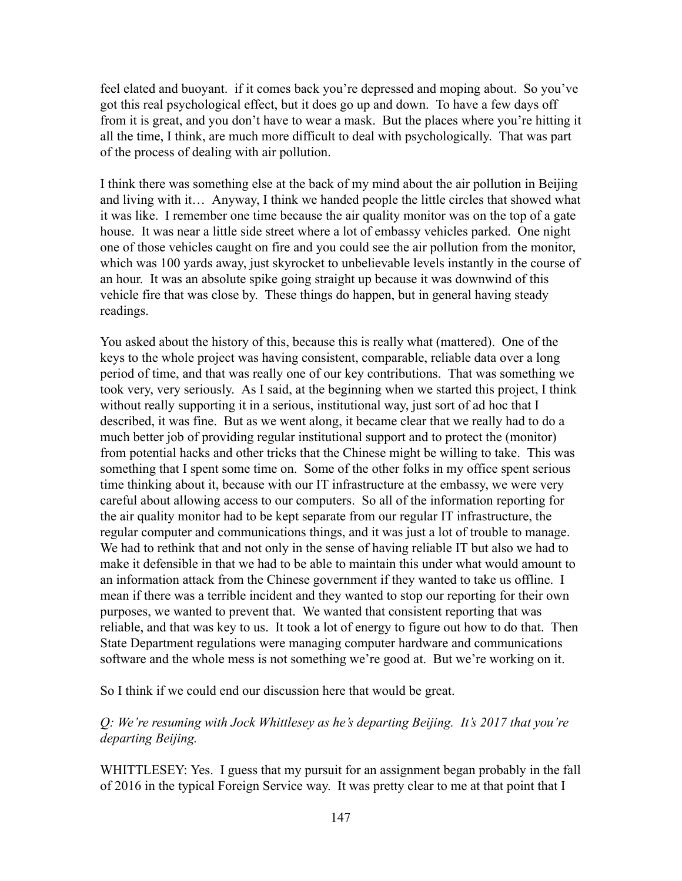feel elated and buoyant. if it comes back you're depressed and moping about. So you've got this real psychological effect, but it does go up and down. To have a few days off from it is great, and you don't have to wear a mask. But the places where you're hitting it all the time, I think, are much more difficult to deal with psychologically. That was part of the process of dealing with air pollution.

I think there was something else at the back of my mind about the air pollution in Beijing and living with it… Anyway, I think we handed people the little circles that showed what it was like. I remember one time because the air quality monitor was on the top of a gate house. It was near a little side street where a lot of embassy vehicles parked. One night one of those vehicles caught on fire and you could see the air pollution from the monitor, which was 100 yards away, just skyrocket to unbelievable levels instantly in the course of an hour. It was an absolute spike going straight up because it was downwind of this vehicle fire that was close by. These things do happen, but in general having steady readings.

You asked about the history of this, because this is really what (mattered). One of the keys to the whole project was having consistent, comparable, reliable data over a long period of time, and that was really one of our key contributions. That was something we took very, very seriously. As I said, at the beginning when we started this project, I think without really supporting it in a serious, institutional way, just sort of ad hoc that I described, it was fine. But as we went along, it became clear that we really had to do a much better job of providing regular institutional support and to protect the (monitor) from potential hacks and other tricks that the Chinese might be willing to take. This was something that I spent some time on. Some of the other folks in my office spent serious time thinking about it, because with our IT infrastructure at the embassy, we were very careful about allowing access to our computers. So all of the information reporting for the air quality monitor had to be kept separate from our regular IT infrastructure, the regular computer and communications things, and it was just a lot of trouble to manage. We had to rethink that and not only in the sense of having reliable IT but also we had to make it defensible in that we had to be able to maintain this under what would amount to an information attack from the Chinese government if they wanted to take us offline. I mean if there was a terrible incident and they wanted to stop our reporting for their own purposes, we wanted to prevent that. We wanted that consistent reporting that was reliable, and that was key to us. It took a lot of energy to figure out how to do that. Then State Department regulations were managing computer hardware and communications software and the whole mess is not something we're good at. But we're working on it.

So I think if we could end our discussion here that would be great.

## *Q: We're resuming with Jock Whittlesey as he's departing Beijing. It's 2017 that you're departing Beijing.*

WHITTLESEY: Yes. I guess that my pursuit for an assignment began probably in the fall of 2016 in the typical Foreign Service way. It was pretty clear to me at that point that I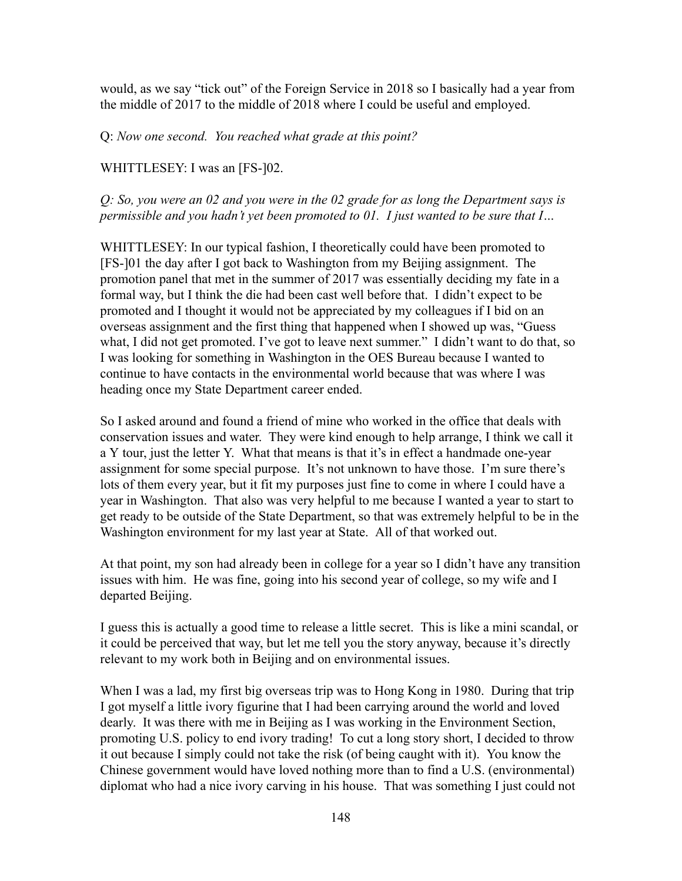would, as we say "tick out" of the Foreign Service in 2018 so I basically had a year from the middle of 2017 to the middle of 2018 where I could be useful and employed.

Q: *Now one second. You reached what grade at this point?*

WHITTLESEY: I was an [FS-]02.

*Q: So, you were an 02 and you were in the 02 grade for as long the Department says is permissible and you hadn't yet been promoted to 01. I just wanted to be sure that I…*

WHITTLESEY: In our typical fashion, I theoretically could have been promoted to [FS-]01 the day after I got back to Washington from my Beijing assignment. The promotion panel that met in the summer of 2017 was essentially deciding my fate in a formal way, but I think the die had been cast well before that. I didn't expect to be promoted and I thought it would not be appreciated by my colleagues if I bid on an overseas assignment and the first thing that happened when I showed up was, "Guess what, I did not get promoted. I've got to leave next summer." I didn't want to do that, so I was looking for something in Washington in the OES Bureau because I wanted to continue to have contacts in the environmental world because that was where I was heading once my State Department career ended.

So I asked around and found a friend of mine who worked in the office that deals with conservation issues and water. They were kind enough to help arrange, I think we call it a Y tour, just the letter Y. What that means is that it's in effect a handmade one-year assignment for some special purpose. It's not unknown to have those. I'm sure there's lots of them every year, but it fit my purposes just fine to come in where I could have a year in Washington. That also was very helpful to me because I wanted a year to start to get ready to be outside of the State Department, so that was extremely helpful to be in the Washington environment for my last year at State. All of that worked out.

At that point, my son had already been in college for a year so I didn't have any transition issues with him. He was fine, going into his second year of college, so my wife and I departed Beijing.

I guess this is actually a good time to release a little secret. This is like a mini scandal, or it could be perceived that way, but let me tell you the story anyway, because it's directly relevant to my work both in Beijing and on environmental issues.

When I was a lad, my first big overseas trip was to Hong Kong in 1980. During that trip I got myself a little ivory figurine that I had been carrying around the world and loved dearly. It was there with me in Beijing as I was working in the Environment Section, promoting U.S. policy to end ivory trading! To cut a long story short, I decided to throw it out because I simply could not take the risk (of being caught with it). You know the Chinese government would have loved nothing more than to find a U.S. (environmental) diplomat who had a nice ivory carving in his house. That was something I just could not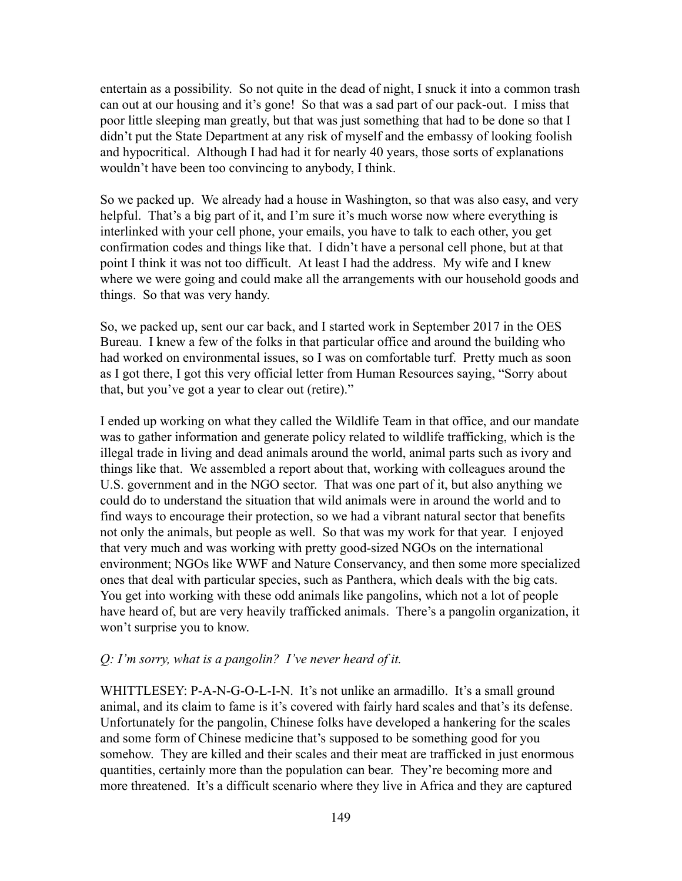entertain as a possibility. So not quite in the dead of night, I snuck it into a common trash can out at our housing and it's gone! So that was a sad part of our pack-out. I miss that poor little sleeping man greatly, but that was just something that had to be done so that I didn't put the State Department at any risk of myself and the embassy of looking foolish and hypocritical. Although I had had it for nearly 40 years, those sorts of explanations wouldn't have been too convincing to anybody, I think.

So we packed up. We already had a house in Washington, so that was also easy, and very helpful. That's a big part of it, and I'm sure it's much worse now where everything is interlinked with your cell phone, your emails, you have to talk to each other, you get confirmation codes and things like that. I didn't have a personal cell phone, but at that point I think it was not too difficult. At least I had the address. My wife and I knew where we were going and could make all the arrangements with our household goods and things. So that was very handy.

So, we packed up, sent our car back, and I started work in September 2017 in the OES Bureau. I knew a few of the folks in that particular office and around the building who had worked on environmental issues, so I was on comfortable turf. Pretty much as soon as I got there, I got this very official letter from Human Resources saying, "Sorry about that, but you've got a year to clear out (retire)."

I ended up working on what they called the Wildlife Team in that office, and our mandate was to gather information and generate policy related to wildlife trafficking, which is the illegal trade in living and dead animals around the world, animal parts such as ivory and things like that. We assembled a report about that, working with colleagues around the U.S. government and in the NGO sector. That was one part of it, but also anything we could do to understand the situation that wild animals were in around the world and to find ways to encourage their protection, so we had a vibrant natural sector that benefits not only the animals, but people as well. So that was my work for that year. I enjoyed that very much and was working with pretty good-sized NGOs on the international environment; NGOs like WWF and Nature Conservancy, and then some more specialized ones that deal with particular species, such as Panthera, which deals with the big cats. You get into working with these odd animals like pangolins, which not a lot of people have heard of, but are very heavily trafficked animals. There's a pangolin organization, it won't surprise you to know.

#### *Q: I'm sorry, what is a pangolin? I've never heard of it.*

WHITTLESEY: P-A-N-G-O-L-I-N. It's not unlike an armadillo. It's a small ground animal, and its claim to fame is it's covered with fairly hard scales and that's its defense. Unfortunately for the pangolin, Chinese folks have developed a hankering for the scales and some form of Chinese medicine that's supposed to be something good for you somehow. They are killed and their scales and their meat are trafficked in just enormous quantities, certainly more than the population can bear. They're becoming more and more threatened. It's a difficult scenario where they live in Africa and they are captured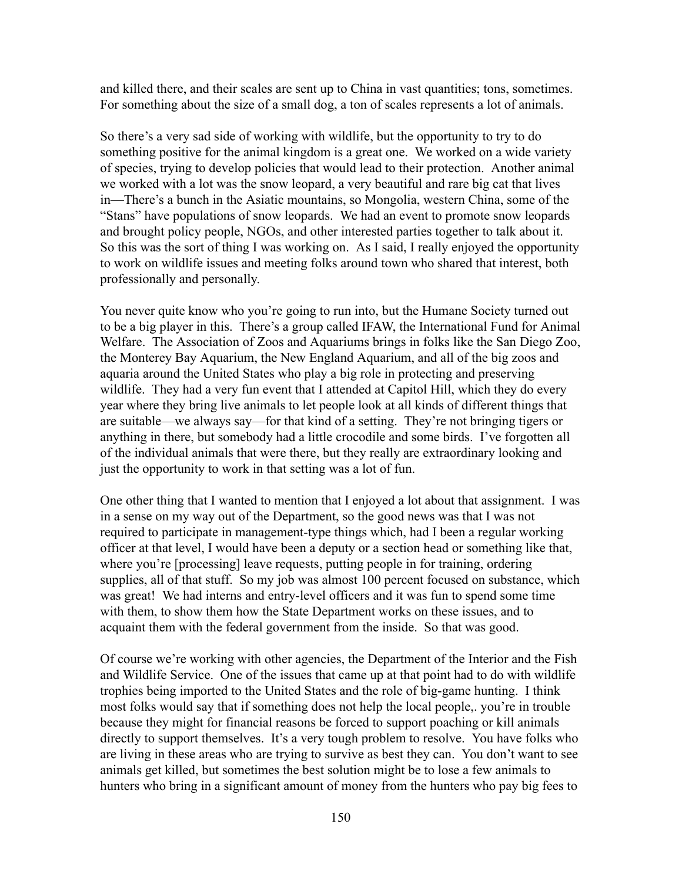and killed there, and their scales are sent up to China in vast quantities; tons, sometimes. For something about the size of a small dog, a ton of scales represents a lot of animals.

So there's a very sad side of working with wildlife, but the opportunity to try to do something positive for the animal kingdom is a great one. We worked on a wide variety of species, trying to develop policies that would lead to their protection. Another animal we worked with a lot was the snow leopard, a very beautiful and rare big cat that lives in—There's a bunch in the Asiatic mountains, so Mongolia, western China, some of the "Stans" have populations of snow leopards. We had an event to promote snow leopards and brought policy people, NGOs, and other interested parties together to talk about it. So this was the sort of thing I was working on. As I said, I really enjoyed the opportunity to work on wildlife issues and meeting folks around town who shared that interest, both professionally and personally.

You never quite know who you're going to run into, but the Humane Society turned out to be a big player in this. There's a group called IFAW, the International Fund for Animal Welfare. The Association of Zoos and Aquariums brings in folks like the San Diego Zoo, the Monterey Bay Aquarium, the New England Aquarium, and all of the big zoos and aquaria around the United States who play a big role in protecting and preserving wildlife. They had a very fun event that I attended at Capitol Hill, which they do every year where they bring live animals to let people look at all kinds of different things that are suitable—we always say—for that kind of a setting. They're not bringing tigers or anything in there, but somebody had a little crocodile and some birds. I've forgotten all of the individual animals that were there, but they really are extraordinary looking and just the opportunity to work in that setting was a lot of fun.

One other thing that I wanted to mention that I enjoyed a lot about that assignment. I was in a sense on my way out of the Department, so the good news was that I was not required to participate in management-type things which, had I been a regular working officer at that level, I would have been a deputy or a section head or something like that, where you're [processing] leave requests, putting people in for training, ordering supplies, all of that stuff. So my job was almost 100 percent focused on substance, which was great! We had interns and entry-level officers and it was fun to spend some time with them, to show them how the State Department works on these issues, and to acquaint them with the federal government from the inside. So that was good.

Of course we're working with other agencies, the Department of the Interior and the Fish and Wildlife Service. One of the issues that came up at that point had to do with wildlife trophies being imported to the United States and the role of big-game hunting. I think most folks would say that if something does not help the local people,. you're in trouble because they might for financial reasons be forced to support poaching or kill animals directly to support themselves. It's a very tough problem to resolve. You have folks who are living in these areas who are trying to survive as best they can. You don't want to see animals get killed, but sometimes the best solution might be to lose a few animals to hunters who bring in a significant amount of money from the hunters who pay big fees to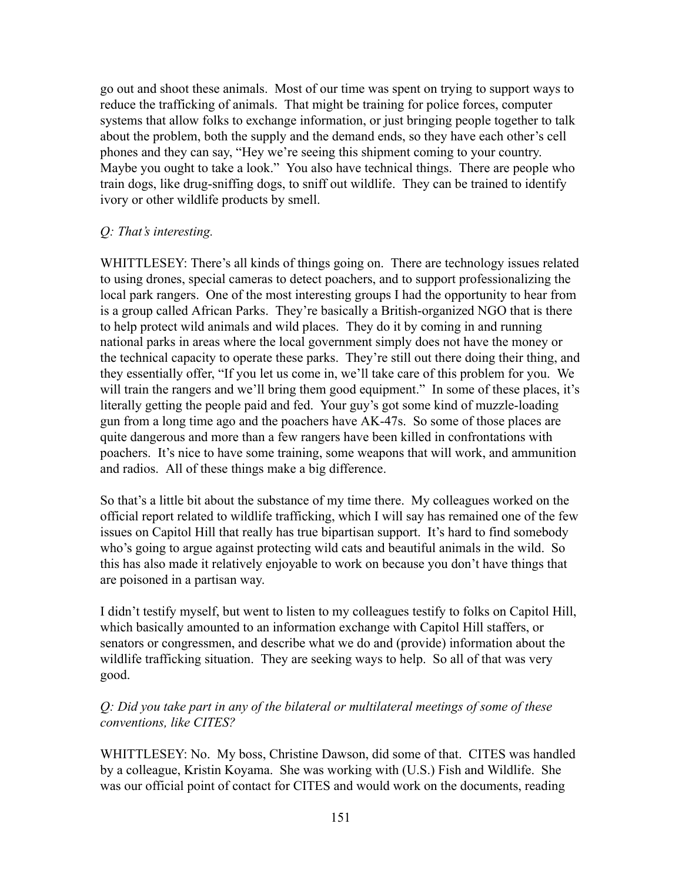go out and shoot these animals. Most of our time was spent on trying to support ways to reduce the trafficking of animals. That might be training for police forces, computer systems that allow folks to exchange information, or just bringing people together to talk about the problem, both the supply and the demand ends, so they have each other's cell phones and they can say, "Hey we're seeing this shipment coming to your country. Maybe you ought to take a look." You also have technical things. There are people who train dogs, like drug-sniffing dogs, to sniff out wildlife. They can be trained to identify ivory or other wildlife products by smell.

#### *Q: That's interesting.*

WHITTLESEY: There's all kinds of things going on. There are technology issues related to using drones, special cameras to detect poachers, and to support professionalizing the local park rangers. One of the most interesting groups I had the opportunity to hear from is a group called African Parks. They're basically a British-organized NGO that is there to help protect wild animals and wild places. They do it by coming in and running national parks in areas where the local government simply does not have the money or the technical capacity to operate these parks. They're still out there doing their thing, and they essentially offer, "If you let us come in, we'll take care of this problem for you. We will train the rangers and we'll bring them good equipment." In some of these places, it's literally getting the people paid and fed. Your guy's got some kind of muzzle-loading gun from a long time ago and the poachers have AK-47s. So some of those places are quite dangerous and more than a few rangers have been killed in confrontations with poachers. It's nice to have some training, some weapons that will work, and ammunition and radios. All of these things make a big difference.

So that's a little bit about the substance of my time there. My colleagues worked on the official report related to wildlife trafficking, which I will say has remained one of the few issues on Capitol Hill that really has true bipartisan support. It's hard to find somebody who's going to argue against protecting wild cats and beautiful animals in the wild. So this has also made it relatively enjoyable to work on because you don't have things that are poisoned in a partisan way.

I didn't testify myself, but went to listen to my colleagues testify to folks on Capitol Hill, which basically amounted to an information exchange with Capitol Hill staffers, or senators or congressmen, and describe what we do and (provide) information about the wildlife trafficking situation. They are seeking ways to help. So all of that was very good.

### *Q: Did you take part in any of the bilateral or multilateral meetings of some of these conventions, like CITES?*

WHITTLESEY: No. My boss, Christine Dawson, did some of that. CITES was handled by a colleague, Kristin Koyama. She was working with (U.S.) Fish and Wildlife. She was our official point of contact for CITES and would work on the documents, reading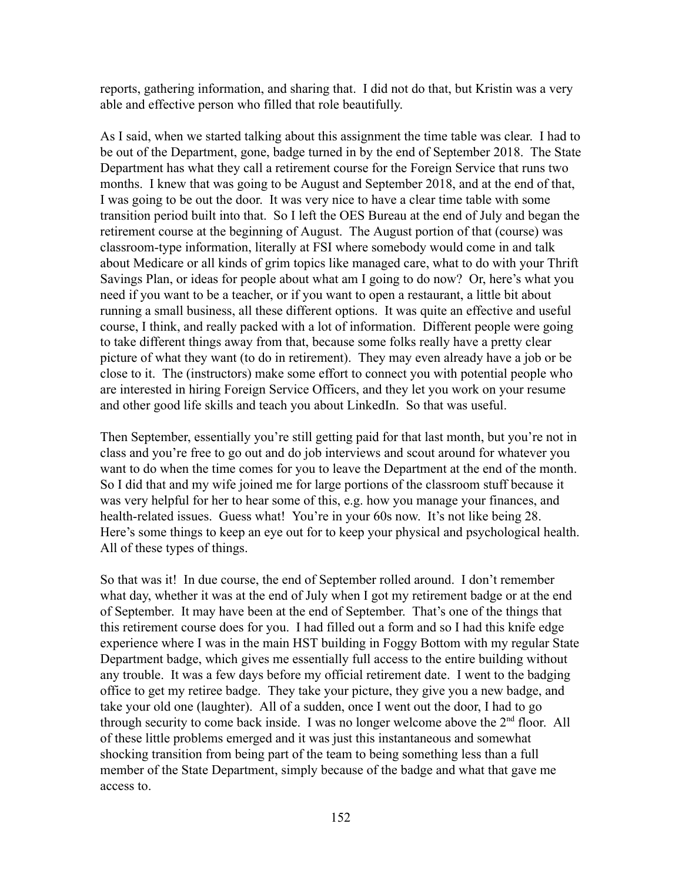reports, gathering information, and sharing that. I did not do that, but Kristin was a very able and effective person who filled that role beautifully.

As I said, when we started talking about this assignment the time table was clear. I had to be out of the Department, gone, badge turned in by the end of September 2018. The State Department has what they call a retirement course for the Foreign Service that runs two months. I knew that was going to be August and September 2018, and at the end of that, I was going to be out the door. It was very nice to have a clear time table with some transition period built into that. So I left the OES Bureau at the end of July and began the retirement course at the beginning of August. The August portion of that (course) was classroom-type information, literally at FSI where somebody would come in and talk about Medicare or all kinds of grim topics like managed care, what to do with your Thrift Savings Plan, or ideas for people about what am I going to do now? Or, here's what you need if you want to be a teacher, or if you want to open a restaurant, a little bit about running a small business, all these different options. It was quite an effective and useful course, I think, and really packed with a lot of information. Different people were going to take different things away from that, because some folks really have a pretty clear picture of what they want (to do in retirement). They may even already have a job or be close to it. The (instructors) make some effort to connect you with potential people who are interested in hiring Foreign Service Officers, and they let you work on your resume and other good life skills and teach you about LinkedIn. So that was useful.

Then September, essentially you're still getting paid for that last month, but you're not in class and you're free to go out and do job interviews and scout around for whatever you want to do when the time comes for you to leave the Department at the end of the month. So I did that and my wife joined me for large portions of the classroom stuff because it was very helpful for her to hear some of this, e.g. how you manage your finances, and health-related issues. Guess what! You're in your 60s now. It's not like being 28. Here's some things to keep an eye out for to keep your physical and psychological health. All of these types of things.

So that was it! In due course, the end of September rolled around. I don't remember what day, whether it was at the end of July when I got my retirement badge or at the end of September. It may have been at the end of September. That's one of the things that this retirement course does for you. I had filled out a form and so I had this knife edge experience where I was in the main HST building in Foggy Bottom with my regular State Department badge, which gives me essentially full access to the entire building without any trouble. It was a few days before my official retirement date. I went to the badging office to get my retiree badge. They take your picture, they give you a new badge, and take your old one (laughter). All of a sudden, once I went out the door, I had to go through security to come back inside. I was no longer welcome above the  $2<sup>nd</sup>$  floor. All of these little problems emerged and it was just this instantaneous and somewhat shocking transition from being part of the team to being something less than a full member of the State Department, simply because of the badge and what that gave me access to.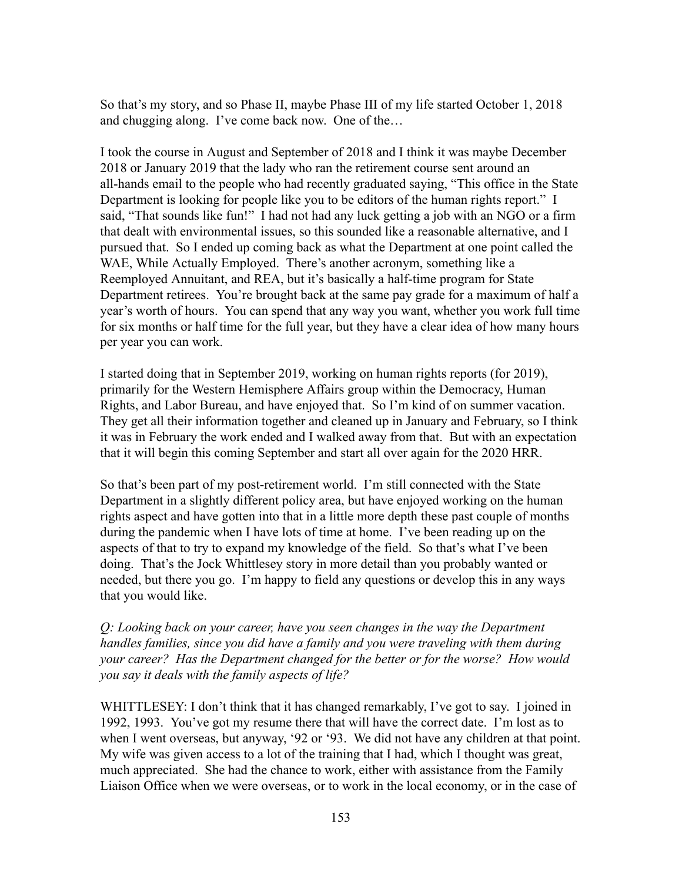So that's my story, and so Phase II, maybe Phase III of my life started October 1, 2018 and chugging along. I've come back now. One of the…

I took the course in August and September of 2018 and I think it was maybe December 2018 or January 2019 that the lady who ran the retirement course sent around an all-hands email to the people who had recently graduated saying, "This office in the State Department is looking for people like you to be editors of the human rights report." I said, "That sounds like fun!" I had not had any luck getting a job with an NGO or a firm that dealt with environmental issues, so this sounded like a reasonable alternative, and I pursued that. So I ended up coming back as what the Department at one point called the WAE, While Actually Employed. There's another acronym, something like a Reemployed Annuitant, and REA, but it's basically a half-time program for State Department retirees. You're brought back at the same pay grade for a maximum of half a year's worth of hours. You can spend that any way you want, whether you work full time for six months or half time for the full year, but they have a clear idea of how many hours per year you can work.

I started doing that in September 2019, working on human rights reports (for 2019), primarily for the Western Hemisphere Affairs group within the Democracy, Human Rights, and Labor Bureau, and have enjoyed that. So I'm kind of on summer vacation. They get all their information together and cleaned up in January and February, so I think it was in February the work ended and I walked away from that. But with an expectation that it will begin this coming September and start all over again for the 2020 HRR.

So that's been part of my post-retirement world. I'm still connected with the State Department in a slightly different policy area, but have enjoyed working on the human rights aspect and have gotten into that in a little more depth these past couple of months during the pandemic when I have lots of time at home. I've been reading up on the aspects of that to try to expand my knowledge of the field. So that's what I've been doing. That's the Jock Whittlesey story in more detail than you probably wanted or needed, but there you go. I'm happy to field any questions or develop this in any ways that you would like.

*Q: Looking back on your career, have you seen changes in the way the Department handles families, since you did have a family and you were traveling with them during your career? Has the Department changed for the better or for the worse? How would you say it deals with the family aspects of life?*

WHITTLESEY: I don't think that it has changed remarkably, I've got to say. I joined in 1992, 1993. You've got my resume there that will have the correct date. I'm lost as to when I went overseas, but anyway, '92 or '93. We did not have any children at that point. My wife was given access to a lot of the training that I had, which I thought was great, much appreciated. She had the chance to work, either with assistance from the Family Liaison Office when we were overseas, or to work in the local economy, or in the case of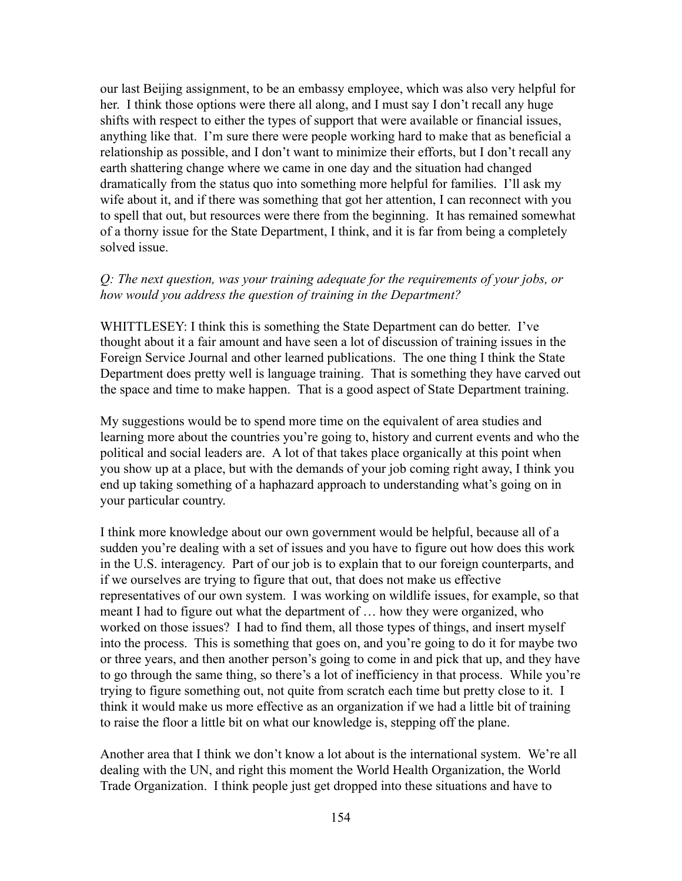our last Beijing assignment, to be an embassy employee, which was also very helpful for her. I think those options were there all along, and I must say I don't recall any huge shifts with respect to either the types of support that were available or financial issues, anything like that. I'm sure there were people working hard to make that as beneficial a relationship as possible, and I don't want to minimize their efforts, but I don't recall any earth shattering change where we came in one day and the situation had changed dramatically from the status quo into something more helpful for families. I'll ask my wife about it, and if there was something that got her attention, I can reconnect with you to spell that out, but resources were there from the beginning. It has remained somewhat of a thorny issue for the State Department, I think, and it is far from being a completely solved issue.

#### *Q: The next question, was your training adequate for the requirements of your jobs, or how would you address the question of training in the Department?*

WHITTLESEY: I think this is something the State Department can do better. I've thought about it a fair amount and have seen a lot of discussion of training issues in the Foreign Service Journal and other learned publications. The one thing I think the State Department does pretty well is language training. That is something they have carved out the space and time to make happen. That is a good aspect of State Department training.

My suggestions would be to spend more time on the equivalent of area studies and learning more about the countries you're going to, history and current events and who the political and social leaders are. A lot of that takes place organically at this point when you show up at a place, but with the demands of your job coming right away, I think you end up taking something of a haphazard approach to understanding what's going on in your particular country.

I think more knowledge about our own government would be helpful, because all of a sudden you're dealing with a set of issues and you have to figure out how does this work in the U.S. interagency. Part of our job is to explain that to our foreign counterparts, and if we ourselves are trying to figure that out, that does not make us effective representatives of our own system. I was working on wildlife issues, for example, so that meant I had to figure out what the department of … how they were organized, who worked on those issues? I had to find them, all those types of things, and insert myself into the process. This is something that goes on, and you're going to do it for maybe two or three years, and then another person's going to come in and pick that up, and they have to go through the same thing, so there's a lot of inefficiency in that process. While you're trying to figure something out, not quite from scratch each time but pretty close to it. I think it would make us more effective as an organization if we had a little bit of training to raise the floor a little bit on what our knowledge is, stepping off the plane.

Another area that I think we don't know a lot about is the international system. We're all dealing with the UN, and right this moment the World Health Organization, the World Trade Organization. I think people just get dropped into these situations and have to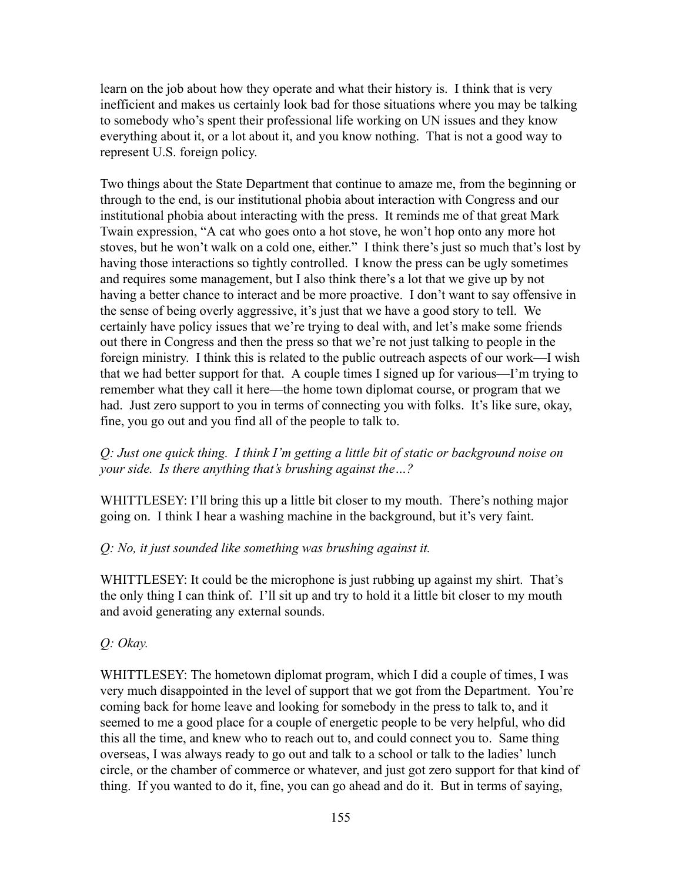learn on the job about how they operate and what their history is. I think that is very inefficient and makes us certainly look bad for those situations where you may be talking to somebody who's spent their professional life working on UN issues and they know everything about it, or a lot about it, and you know nothing. That is not a good way to represent U.S. foreign policy.

Two things about the State Department that continue to amaze me, from the beginning or through to the end, is our institutional phobia about interaction with Congress and our institutional phobia about interacting with the press. It reminds me of that great Mark Twain expression, "A cat who goes onto a hot stove, he won't hop onto any more hot stoves, but he won't walk on a cold one, either." I think there's just so much that's lost by having those interactions so tightly controlled. I know the press can be ugly sometimes and requires some management, but I also think there's a lot that we give up by not having a better chance to interact and be more proactive. I don't want to say offensive in the sense of being overly aggressive, it's just that we have a good story to tell. We certainly have policy issues that we're trying to deal with, and let's make some friends out there in Congress and then the press so that we're not just talking to people in the foreign ministry. I think this is related to the public outreach aspects of our work—I wish that we had better support for that. A couple times I signed up for various—I'm trying to remember what they call it here—the home town diplomat course, or program that we had. Just zero support to you in terms of connecting you with folks. It's like sure, okay, fine, you go out and you find all of the people to talk to.

## *Q: Just one quick thing. I think I'm getting a little bit of static or background noise on your side. Is there anything that's brushing against the…?*

WHITTLESEY: I'll bring this up a little bit closer to my mouth. There's nothing major going on. I think I hear a washing machine in the background, but it's very faint.

# *Q: No, it just sounded like something was brushing against it.*

WHITTLESEY: It could be the microphone is just rubbing up against my shirt. That's the only thing I can think of. I'll sit up and try to hold it a little bit closer to my mouth and avoid generating any external sounds.

# *Q: Okay.*

WHITTLESEY: The hometown diplomat program, which I did a couple of times, I was very much disappointed in the level of support that we got from the Department. You're coming back for home leave and looking for somebody in the press to talk to, and it seemed to me a good place for a couple of energetic people to be very helpful, who did this all the time, and knew who to reach out to, and could connect you to. Same thing overseas, I was always ready to go out and talk to a school or talk to the ladies' lunch circle, or the chamber of commerce or whatever, and just got zero support for that kind of thing. If you wanted to do it, fine, you can go ahead and do it. But in terms of saying,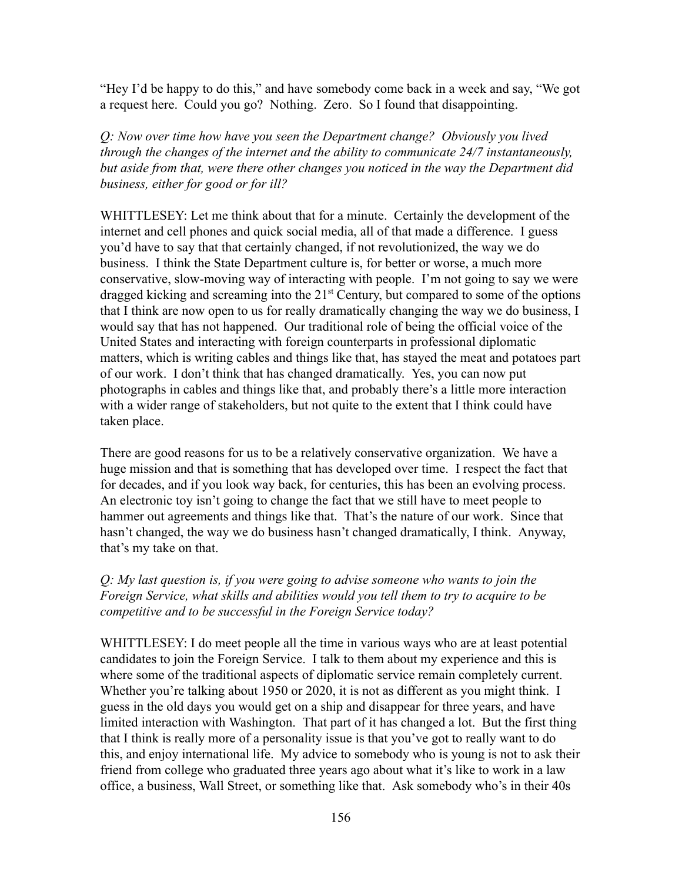"Hey I'd be happy to do this," and have somebody come back in a week and say, "We got a request here. Could you go? Nothing. Zero. So I found that disappointing.

*Q: Now over time how have you seen the Department change? Obviously you lived through the changes of the internet and the ability to communicate 24/7 instantaneously, but aside from that, were there other changes you noticed in the way the Department did business, either for good or for ill?*

WHITTLESEY: Let me think about that for a minute. Certainly the development of the internet and cell phones and quick social media, all of that made a difference. I guess you'd have to say that that certainly changed, if not revolutionized, the way we do business. I think the State Department culture is, for better or worse, a much more conservative, slow-moving way of interacting with people. I'm not going to say we were dragged kicking and screaming into the  $21<sup>st</sup>$  Century, but compared to some of the options that I think are now open to us for really dramatically changing the way we do business, I would say that has not happened. Our traditional role of being the official voice of the United States and interacting with foreign counterparts in professional diplomatic matters, which is writing cables and things like that, has stayed the meat and potatoes part of our work. I don't think that has changed dramatically. Yes, you can now put photographs in cables and things like that, and probably there's a little more interaction with a wider range of stakeholders, but not quite to the extent that I think could have taken place.

There are good reasons for us to be a relatively conservative organization. We have a huge mission and that is something that has developed over time. I respect the fact that for decades, and if you look way back, for centuries, this has been an evolving process. An electronic toy isn't going to change the fact that we still have to meet people to hammer out agreements and things like that. That's the nature of our work. Since that hasn't changed, the way we do business hasn't changed dramatically, I think. Anyway, that's my take on that.

## *Q: My last question is, if you were going to advise someone who wants to join the Foreign Service, what skills and abilities would you tell them to try to acquire to be competitive and to be successful in the Foreign Service today?*

WHITTLESEY: I do meet people all the time in various ways who are at least potential candidates to join the Foreign Service. I talk to them about my experience and this is where some of the traditional aspects of diplomatic service remain completely current. Whether you're talking about 1950 or 2020, it is not as different as you might think. I guess in the old days you would get on a ship and disappear for three years, and have limited interaction with Washington. That part of it has changed a lot. But the first thing that I think is really more of a personality issue is that you've got to really want to do this, and enjoy international life. My advice to somebody who is young is not to ask their friend from college who graduated three years ago about what it's like to work in a law office, a business, Wall Street, or something like that. Ask somebody who's in their 40s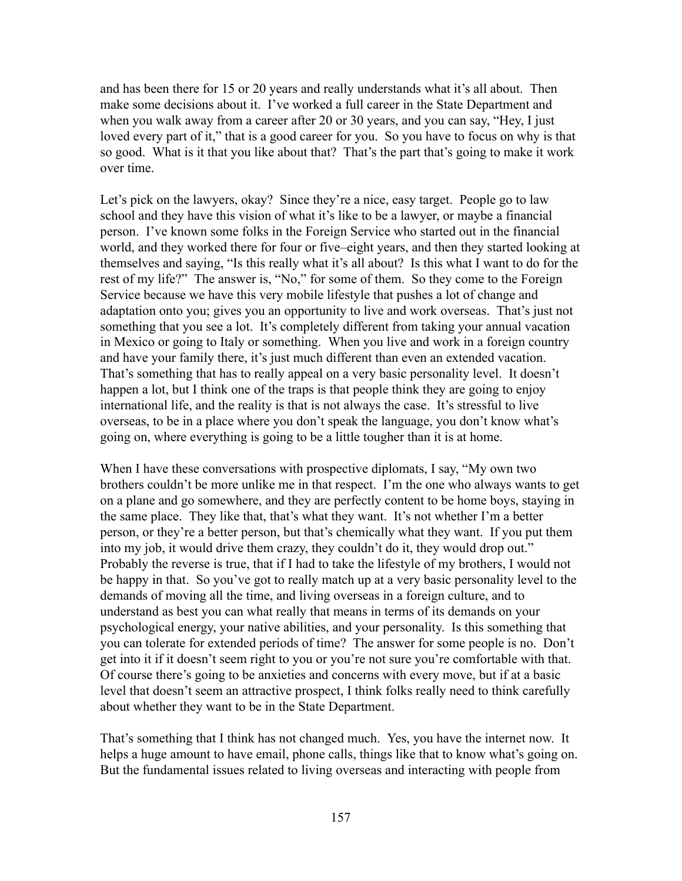and has been there for 15 or 20 years and really understands what it's all about. Then make some decisions about it. I've worked a full career in the State Department and when you walk away from a career after 20 or 30 years, and you can say, "Hey, I just loved every part of it," that is a good career for you. So you have to focus on why is that so good. What is it that you like about that? That's the part that's going to make it work over time.

Let's pick on the lawyers, okay? Since they're a nice, easy target. People go to law school and they have this vision of what it's like to be a lawyer, or maybe a financial person. I've known some folks in the Foreign Service who started out in the financial world, and they worked there for four or five–eight years, and then they started looking at themselves and saying, "Is this really what it's all about? Is this what I want to do for the rest of my life?" The answer is, "No," for some of them. So they come to the Foreign Service because we have this very mobile lifestyle that pushes a lot of change and adaptation onto you; gives you an opportunity to live and work overseas. That's just not something that you see a lot. It's completely different from taking your annual vacation in Mexico or going to Italy or something. When you live and work in a foreign country and have your family there, it's just much different than even an extended vacation. That's something that has to really appeal on a very basic personality level. It doesn't happen a lot, but I think one of the traps is that people think they are going to enjoy international life, and the reality is that is not always the case. It's stressful to live overseas, to be in a place where you don't speak the language, you don't know what's going on, where everything is going to be a little tougher than it is at home.

When I have these conversations with prospective diplomats, I say, "My own two brothers couldn't be more unlike me in that respect. I'm the one who always wants to get on a plane and go somewhere, and they are perfectly content to be home boys, staying in the same place. They like that, that's what they want. It's not whether I'm a better person, or they're a better person, but that's chemically what they want. If you put them into my job, it would drive them crazy, they couldn't do it, they would drop out." Probably the reverse is true, that if I had to take the lifestyle of my brothers, I would not be happy in that. So you've got to really match up at a very basic personality level to the demands of moving all the time, and living overseas in a foreign culture, and to understand as best you can what really that means in terms of its demands on your psychological energy, your native abilities, and your personality. Is this something that you can tolerate for extended periods of time? The answer for some people is no. Don't get into it if it doesn't seem right to you or you're not sure you're comfortable with that. Of course there's going to be anxieties and concerns with every move, but if at a basic level that doesn't seem an attractive prospect, I think folks really need to think carefully about whether they want to be in the State Department.

That's something that I think has not changed much. Yes, you have the internet now. It helps a huge amount to have email, phone calls, things like that to know what's going on. But the fundamental issues related to living overseas and interacting with people from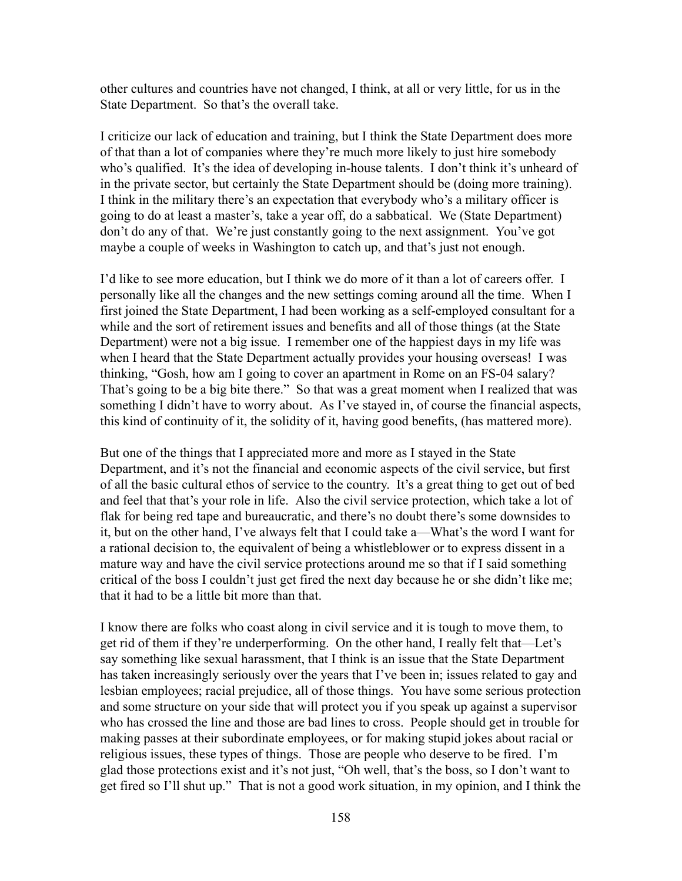other cultures and countries have not changed, I think, at all or very little, for us in the State Department. So that's the overall take.

I criticize our lack of education and training, but I think the State Department does more of that than a lot of companies where they're much more likely to just hire somebody who's qualified. It's the idea of developing in-house talents. I don't think it's unheard of in the private sector, but certainly the State Department should be (doing more training). I think in the military there's an expectation that everybody who's a military officer is going to do at least a master's, take a year off, do a sabbatical. We (State Department) don't do any of that. We're just constantly going to the next assignment. You've got maybe a couple of weeks in Washington to catch up, and that's just not enough.

I'd like to see more education, but I think we do more of it than a lot of careers offer. I personally like all the changes and the new settings coming around all the time. When I first joined the State Department, I had been working as a self-employed consultant for a while and the sort of retirement issues and benefits and all of those things (at the State Department) were not a big issue. I remember one of the happiest days in my life was when I heard that the State Department actually provides your housing overseas! I was thinking, "Gosh, how am I going to cover an apartment in Rome on an FS-04 salary? That's going to be a big bite there." So that was a great moment when I realized that was something I didn't have to worry about. As I've stayed in, of course the financial aspects, this kind of continuity of it, the solidity of it, having good benefits, (has mattered more).

But one of the things that I appreciated more and more as I stayed in the State Department, and it's not the financial and economic aspects of the civil service, but first of all the basic cultural ethos of service to the country. It's a great thing to get out of bed and feel that that's your role in life. Also the civil service protection, which take a lot of flak for being red tape and bureaucratic, and there's no doubt there's some downsides to it, but on the other hand, I've always felt that I could take a—What's the word I want for a rational decision to, the equivalent of being a whistleblower or to express dissent in a mature way and have the civil service protections around me so that if I said something critical of the boss I couldn't just get fired the next day because he or she didn't like me; that it had to be a little bit more than that.

I know there are folks who coast along in civil service and it is tough to move them, to get rid of them if they're underperforming. On the other hand, I really felt that—Let's say something like sexual harassment, that I think is an issue that the State Department has taken increasingly seriously over the years that I've been in; issues related to gay and lesbian employees; racial prejudice, all of those things. You have some serious protection and some structure on your side that will protect you if you speak up against a supervisor who has crossed the line and those are bad lines to cross. People should get in trouble for making passes at their subordinate employees, or for making stupid jokes about racial or religious issues, these types of things. Those are people who deserve to be fired. I'm glad those protections exist and it's not just, "Oh well, that's the boss, so I don't want to get fired so I'll shut up." That is not a good work situation, in my opinion, and I think the